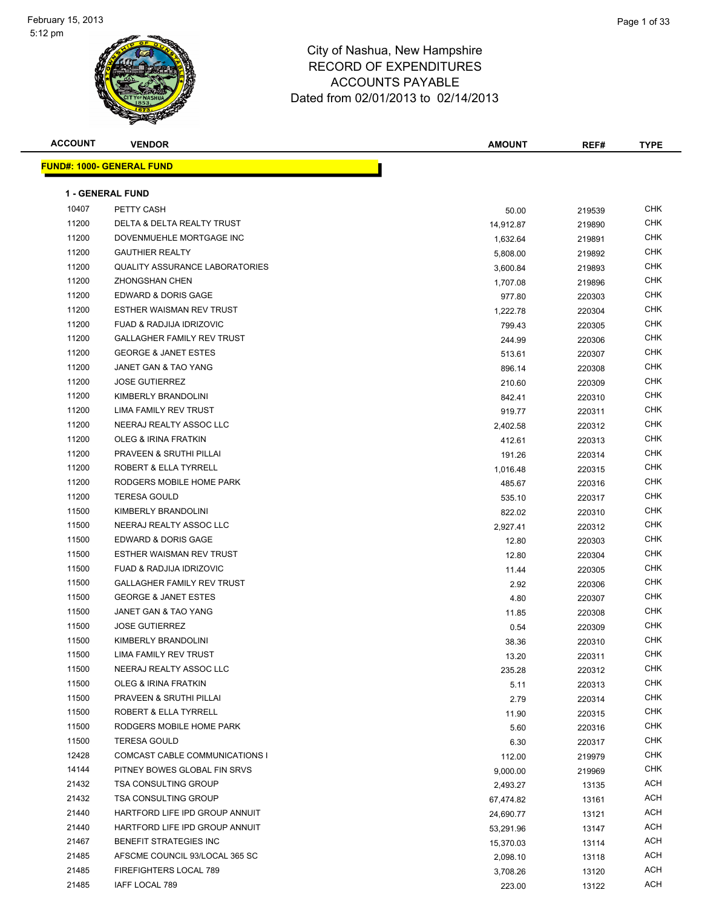



| <b>ACCOUNT</b> | <b>VENDOR</b>                         | <b>AMOUNT</b> | REF#   | <b>TYPE</b> |
|----------------|---------------------------------------|---------------|--------|-------------|
|                | <u> FUND#: 1000- GENERAL FUND</u>     |               |        |             |
|                |                                       |               |        |             |
|                | <b>1 - GENERAL FUND</b>               |               |        |             |
| 10407          | PETTY CASH                            | 50.00         | 219539 | <b>CHK</b>  |
| 11200          | DELTA & DELTA REALTY TRUST            | 14,912.87     | 219890 | <b>CHK</b>  |
| 11200          | DOVENMUEHLE MORTGAGE INC              | 1,632.64      | 219891 | CHK         |
| 11200          | <b>GAUTHIER REALTY</b>                | 5,808.00      | 219892 | CHK         |
| 11200          | <b>QUALITY ASSURANCE LABORATORIES</b> | 3,600.84      | 219893 | CHK         |
| 11200          | <b>ZHONGSHAN CHEN</b>                 | 1,707.08      | 219896 | CHK         |
| 11200          | <b>EDWARD &amp; DORIS GAGE</b>        | 977.80        | 220303 | CHK         |
| 11200          | ESTHER WAISMAN REV TRUST              | 1,222.78      | 220304 | <b>CHK</b>  |
| 11200          | <b>FUAD &amp; RADJIJA IDRIZOVIC</b>   | 799.43        | 220305 | CHK         |
| 11200          | <b>GALLAGHER FAMILY REV TRUST</b>     | 244.99        | 220306 | <b>CHK</b>  |
| 11200          | <b>GEORGE &amp; JANET ESTES</b>       | 513.61        | 220307 | CHK         |
| 11200          | <b>JANET GAN &amp; TAO YANG</b>       | 896.14        | 220308 | CHK         |
| 11200          | <b>JOSE GUTIERREZ</b>                 | 210.60        | 220309 | CHK         |
| 11200          | KIMBERLY BRANDOLINI                   | 842.41        | 220310 | CHK         |
| 11200          | LIMA FAMILY REV TRUST                 | 919.77        | 220311 | CHK         |
| 11200          | NEERAJ REALTY ASSOC LLC               | 2,402.58      | 220312 | CHK         |
| 11200          | <b>OLEG &amp; IRINA FRATKIN</b>       | 412.61        | 220313 | CHK         |
| 11200          | PRAVEEN & SRUTHI PILLAI               | 191.26        | 220314 | CHK         |
| 11200          | ROBERT & ELLA TYRRELL                 | 1,016.48      | 220315 | <b>CHK</b>  |
| 11200          | RODGERS MOBILE HOME PARK              | 485.67        | 220316 | <b>CHK</b>  |
| 11200          | <b>TERESA GOULD</b>                   | 535.10        | 220317 | CHK         |
| 11500          | KIMBERLY BRANDOLINI                   | 822.02        | 220310 | CHK         |
| 11500          | NEERAJ REALTY ASSOC LLC               | 2,927.41      | 220312 | CHK         |
| 11500          | EDWARD & DORIS GAGE                   | 12.80         | 220303 | <b>CHK</b>  |
| 11500          | ESTHER WAISMAN REV TRUST              | 12.80         | 220304 | <b>CHK</b>  |
| 11500          | FUAD & RADJIJA IDRIZOVIC              | 11.44         | 220305 | CHK         |
| 11500          | <b>GALLAGHER FAMILY REV TRUST</b>     | 2.92          | 220306 | <b>CHK</b>  |
| 11500          | <b>GEORGE &amp; JANET ESTES</b>       | 4.80          | 220307 | CHK         |
| 11500          | JANET GAN & TAO YANG                  | 11.85         | 220308 | <b>CHK</b>  |
| 11500          | <b>JOSE GUTIERREZ</b>                 | 0.54          | 220309 | <b>CHK</b>  |
| 11500          | KIMBERLY BRANDOLINI                   | 38.36         | 220310 | <b>CHK</b>  |
| 11500          | LIMA FAMILY REV TRUST                 | 13.20         | 220311 | <b>CHK</b>  |
| 11500          | NEERAJ REALTY ASSOC LLC               | 235.28        | 220312 | CHK         |
| 11500          | <b>OLEG &amp; IRINA FRATKIN</b>       | 5.11          | 220313 | <b>CHK</b>  |
| 11500          | PRAVEEN & SRUTHI PILLAI               | 2.79          | 220314 | CHK         |
| 11500          | <b>ROBERT &amp; ELLA TYRRELL</b>      | 11.90         | 220315 | CHK         |
| 11500          | RODGERS MOBILE HOME PARK              | 5.60          | 220316 | CHK         |
| 11500          | <b>TERESA GOULD</b>                   | 6.30          | 220317 | CHK         |
| 12428          | <b>COMCAST CABLE COMMUNICATIONS I</b> | 112.00        | 219979 | CHK         |
| 14144          | PITNEY BOWES GLOBAL FIN SRVS          | 9,000.00      | 219969 | CHK         |
| 21432          | <b>TSA CONSULTING GROUP</b>           | 2,493.27      | 13135  | ACH         |
| 21432          | <b>TSA CONSULTING GROUP</b>           | 67,474.82     | 13161  | ACH         |
| 21440          | HARTFORD LIFE IPD GROUP ANNUIT        | 24,690.77     | 13121  | ACH         |
| 21440          | HARTFORD LIFE IPD GROUP ANNUIT        | 53,291.96     | 13147  | ACH         |
| 21467          | <b>BENEFIT STRATEGIES INC</b>         | 15,370.03     | 13114  | ACH         |
| 21485          | AFSCME COUNCIL 93/LOCAL 365 SC        | 2,098.10      | 13118  | ACH         |
| 21485          | FIREFIGHTERS LOCAL 789                | 3,708.26      | 13120  | ACH         |
| 21485          | IAFF LOCAL 789                        | 223.00        | 13122  | ACH         |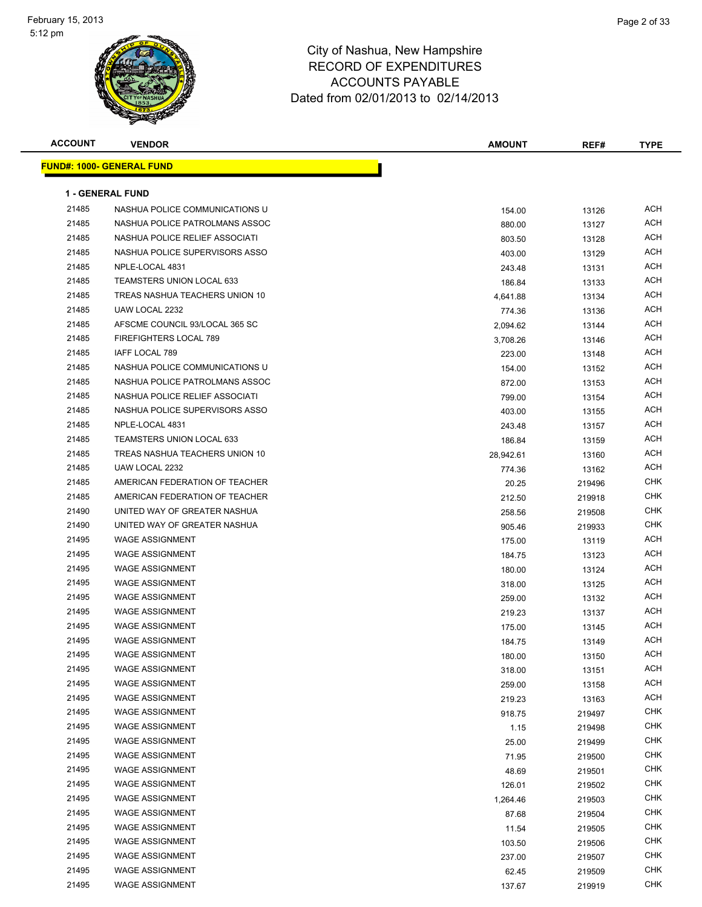

| <b>ACCOUNT</b> | <b>VENDOR</b>                     | <b>AMOUNT</b> | REF#   | <b>TYPE</b> |
|----------------|-----------------------------------|---------------|--------|-------------|
|                | <u> FUND#: 1000- GENERAL FUND</u> |               |        |             |
|                |                                   |               |        |             |
|                | <b>1 - GENERAL FUND</b>           |               |        |             |
| 21485          | NASHUA POLICE COMMUNICATIONS U    | 154.00        | 13126  | ACH         |
| 21485          | NASHUA POLICE PATROLMANS ASSOC    | 880.00        | 13127  | ACH         |
| 21485          | NASHUA POLICE RELIEF ASSOCIATI    | 803.50        | 13128  | ACH         |
| 21485          | NASHUA POLICE SUPERVISORS ASSO    | 403.00        | 13129  | ACH         |
| 21485          | NPLE-LOCAL 4831                   | 243.48        | 13131  | ACH         |
| 21485          | <b>TEAMSTERS UNION LOCAL 633</b>  | 186.84        | 13133  | ACH         |
| 21485          | TREAS NASHUA TEACHERS UNION 10    | 4,641.88      | 13134  | ACH         |
| 21485          | UAW LOCAL 2232                    | 774.36        | 13136  | ACH         |
| 21485          | AFSCME COUNCIL 93/LOCAL 365 SC    | 2,094.62      | 13144  | ACH         |
| 21485          | FIREFIGHTERS LOCAL 789            | 3,708.26      | 13146  | ACH         |
| 21485          | IAFF LOCAL 789                    | 223.00        | 13148  | ACH         |
| 21485          | NASHUA POLICE COMMUNICATIONS U    | 154.00        | 13152  | ACH         |
| 21485          | NASHUA POLICE PATROLMANS ASSOC    | 872.00        | 13153  | ACH         |
| 21485          | NASHUA POLICE RELIEF ASSOCIATI    | 799.00        | 13154  | ACH         |
| 21485          | NASHUA POLICE SUPERVISORS ASSO    | 403.00        | 13155  | ACH         |
| 21485          | NPLE-LOCAL 4831                   | 243.48        | 13157  | ACH         |
| 21485          | <b>TEAMSTERS UNION LOCAL 633</b>  | 186.84        | 13159  | ACH         |
| 21485          | TREAS NASHUA TEACHERS UNION 10    | 28,942.61     | 13160  | ACH         |
| 21485          | UAW LOCAL 2232                    | 774.36        | 13162  | ACH         |
| 21485          | AMERICAN FEDERATION OF TEACHER    | 20.25         | 219496 | CHK         |
| 21485          | AMERICAN FEDERATION OF TEACHER    | 212.50        | 219918 | CHK         |
| 21490          | UNITED WAY OF GREATER NASHUA      | 258.56        | 219508 | CHK         |
| 21490          | UNITED WAY OF GREATER NASHUA      | 905.46        | 219933 | CHK         |
| 21495          | <b>WAGE ASSIGNMENT</b>            | 175.00        | 13119  | ACH         |
| 21495          | <b>WAGE ASSIGNMENT</b>            | 184.75        | 13123  | ACH         |
| 21495          | <b>WAGE ASSIGNMENT</b>            | 180.00        | 13124  | ACH         |
| 21495          | <b>WAGE ASSIGNMENT</b>            | 318.00        | 13125  | ACH         |
| 21495          | <b>WAGE ASSIGNMENT</b>            | 259.00        | 13132  | ACH         |
| 21495          | <b>WAGE ASSIGNMENT</b>            | 219.23        | 13137  | ACH         |
| 21495          | <b>WAGE ASSIGNMENT</b>            | 175.00        | 13145  | ACH         |
| 21495          | <b>WAGE ASSIGNMENT</b>            | 184.75        | 13149  | ACH         |
| 21495          | WAGE ASSIGNMENT                   | 180.00        | 13150  | ACH         |
| 21495          | <b>WAGE ASSIGNMENT</b>            | 318.00        | 13151  | <b>ACH</b>  |
| 21495          | <b>WAGE ASSIGNMENT</b>            | 259.00        | 13158  | <b>ACH</b>  |
| 21495          | <b>WAGE ASSIGNMENT</b>            | 219.23        | 13163  | <b>ACH</b>  |
| 21495          | <b>WAGE ASSIGNMENT</b>            | 918.75        | 219497 | CHK         |
| 21495          | <b>WAGE ASSIGNMENT</b>            | 1.15          | 219498 | <b>CHK</b>  |
| 21495          | <b>WAGE ASSIGNMENT</b>            | 25.00         | 219499 | <b>CHK</b>  |
| 21495          | <b>WAGE ASSIGNMENT</b>            | 71.95         | 219500 | <b>CHK</b>  |
| 21495          | <b>WAGE ASSIGNMENT</b>            | 48.69         | 219501 | CHK         |
| 21495          | <b>WAGE ASSIGNMENT</b>            | 126.01        | 219502 | <b>CHK</b>  |
| 21495          | <b>WAGE ASSIGNMENT</b>            | 1,264.46      | 219503 | <b>CHK</b>  |
| 21495          | <b>WAGE ASSIGNMENT</b>            | 87.68         | 219504 | <b>CHK</b>  |
| 21495          | <b>WAGE ASSIGNMENT</b>            | 11.54         | 219505 | <b>CHK</b>  |
| 21495          | <b>WAGE ASSIGNMENT</b>            | 103.50        | 219506 | <b>CHK</b>  |
| 21495          | <b>WAGE ASSIGNMENT</b>            | 237.00        | 219507 | <b>CHK</b>  |
| 21495          | <b>WAGE ASSIGNMENT</b>            | 62.45         | 219509 | CHK         |
| 21495          | <b>WAGE ASSIGNMENT</b>            | 137.67        | 219919 | <b>CHK</b>  |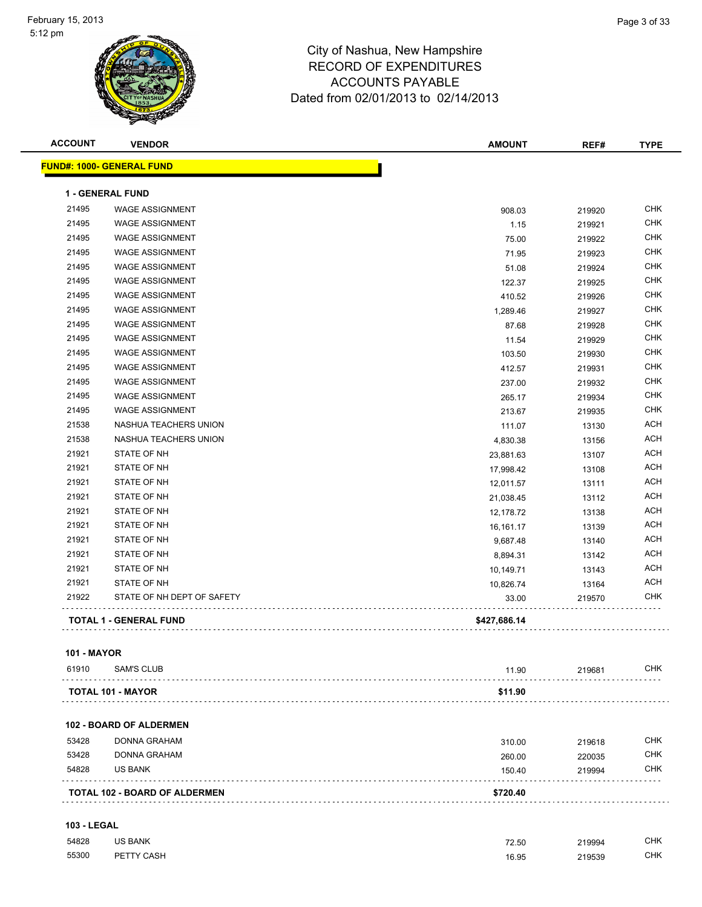| <b>ACCOUNT</b> | <b>VENDOR</b>                    | <b>AMOUNT</b> | REF#   | <b>TYPE</b> |
|----------------|----------------------------------|---------------|--------|-------------|
|                | <b>FUND#: 1000- GENERAL FUND</b> |               |        |             |
|                | <b>1 - GENERAL FUND</b>          |               |        |             |
| 21495          | <b>WAGE ASSIGNMENT</b>           | 908.03        | 219920 | <b>CHK</b>  |
| 21495          | <b>WAGE ASSIGNMENT</b>           | 1.15          | 219921 | <b>CHK</b>  |
| 21495          | <b>WAGE ASSIGNMENT</b>           | 75.00         | 219922 | <b>CHK</b>  |
| 21495          | <b>WAGE ASSIGNMENT</b>           | 71.95         | 219923 | <b>CHK</b>  |
| 21495          | <b>WAGE ASSIGNMENT</b>           | 51.08         | 219924 | <b>CHK</b>  |
| 21495          | <b>WAGE ASSIGNMENT</b>           | 122.37        | 219925 | <b>CHK</b>  |
| 21495          | <b>WAGE ASSIGNMENT</b>           | 410.52        | 219926 | <b>CHK</b>  |
| 21495          | <b>WAGE ASSIGNMENT</b>           | 1,289.46      | 219927 | <b>CHK</b>  |
| 21495          | <b>WAGE ASSIGNMENT</b>           | 87.68         | 219928 | <b>CHK</b>  |
| 21495          | <b>WAGE ASSIGNMENT</b>           | 11.54         | 219929 | <b>CHK</b>  |
| 21495          | <b>WAGE ASSIGNMENT</b>           | 103.50        | 219930 | <b>CHK</b>  |
| 21495          | <b>WAGE ASSIGNMENT</b>           | 412.57        | 219931 | <b>CHK</b>  |
| 21495          | <b>WAGE ASSIGNMENT</b>           | 237.00        | 219932 | <b>CHK</b>  |
| 21495          | <b>WAGE ASSIGNMENT</b>           | 265.17        | 219934 | <b>CHK</b>  |
| 21495          | <b>WAGE ASSIGNMENT</b>           | 213.67        | 219935 | <b>CHK</b>  |
| 21538          | NASHUA TEACHERS UNION            | 111.07        | 13130  | <b>ACH</b>  |
| 21538          | NASHUA TEACHERS UNION            | 4,830.38      | 13156  | <b>ACH</b>  |
| 21921          | STATE OF NH                      | 23,881.63     | 13107  | <b>ACH</b>  |
| 21921          | STATE OF NH                      | 17,998.42     | 13108  | <b>ACH</b>  |
| 21921          | STATE OF NH                      | 12,011.57     | 13111  | <b>ACH</b>  |
| 21921          | STATE OF NH                      | 21,038.45     | 13112  | <b>ACH</b>  |
| 21921          | STATE OF NH                      | 12,178.72     | 13138  | <b>ACH</b>  |
| 21921          | STATE OF NH                      | 16,161.17     | 13139  | <b>ACH</b>  |
| 21921          | STATE OF NH                      | 9,687.48      | 13140  | <b>ACH</b>  |
| 21921          | STATE OF NH                      | 8,894.31      | 13142  | <b>ACH</b>  |
| 21921          | STATE OF NH                      | 10,149.71     | 13143  | <b>ACH</b>  |
| 21921          | STATE OF NH                      | 10,826.74     | 13164  | <b>ACH</b>  |
| 21922          | STATE OF NH DEPT OF SAFETY       | 33.00         | 219570 | <b>CHK</b>  |
|                | <b>TOTAL 1 - GENERAL FUND</b>    | \$427,686.14  |        |             |
|                |                                  |               |        |             |

#### **101 - MAYOR**

| 61910 | SAM'S CLUB        | 11.90   | 219681 | СНК |
|-------|-------------------|---------|--------|-----|
|       |                   |         |        |     |
|       | TOTAL 101 - MAYOR | \$11.90 |        |     |

#### **102 - BOARD OF ALDERMEN**

| <b>TOTAL 102 - BOARD OF ALDERMEN</b> |              | \$720.40 |        |            |
|--------------------------------------|--------------|----------|--------|------------|
| 54828                                | US BANK      | 150.40   | 219994 | <b>CHK</b> |
| 53428                                | DONNA GRAHAM | 260.00   | 220035 | <b>CHK</b> |
| 53428                                | DONNA GRAHAM | 310.00   | 219618 | <b>CHK</b> |

#### **103 - LEGAL**

| 54828 | <b>US BANK</b> | 72.50<br>$ -$ | 219994<br>. | CHK. |
|-------|----------------|---------------|-------------|------|
| 55300 | PETTY CASH     | 16.95<br>.    | 219539<br>. | CHK. |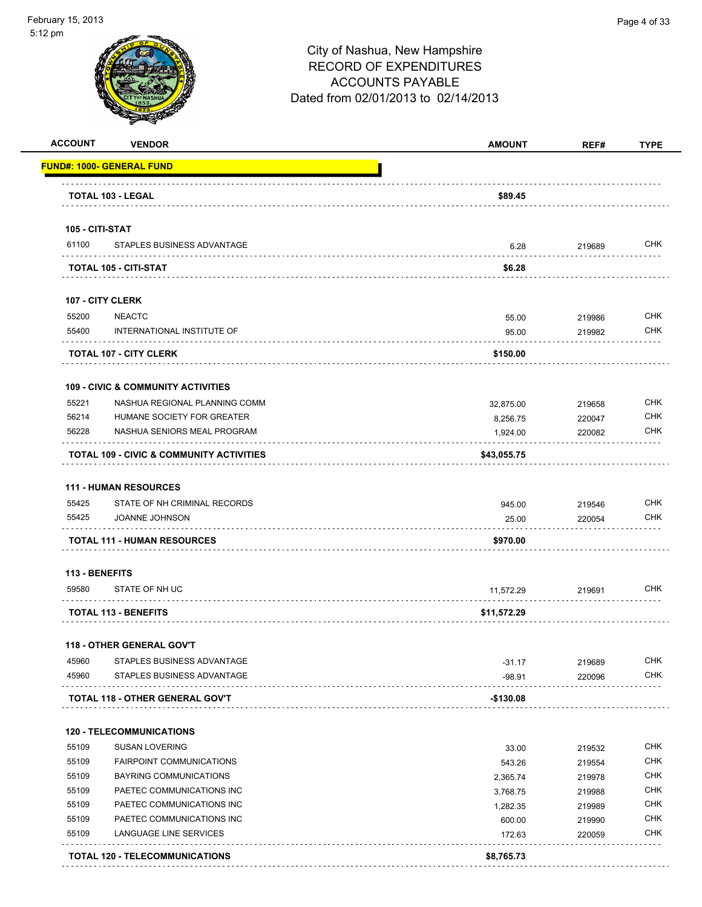

| <b>ACCOUNT</b>           | <b>VENDOR</b>                                       | <b>AMOUNT</b> | REF#   | <b>TYPE</b> |
|--------------------------|-----------------------------------------------------|---------------|--------|-------------|
|                          | <u> FUND#: 1000- GENERAL FUND</u>                   |               |        |             |
|                          | TOTAL 103 - LEGAL                                   | \$89.45       |        |             |
|                          |                                                     |               |        |             |
| 105 - CITI-STAT<br>61100 | STAPLES BUSINESS ADVANTAGE                          | 6.28          | 219689 | <b>CHK</b>  |
|                          | <b>TOTAL 105 - CITI-STAT</b>                        | \$6.28        |        |             |
|                          |                                                     |               |        |             |
|                          | <b>107 - CITY CLERK</b>                             |               |        |             |
| 55200                    | <b>NEACTC</b>                                       | 55.00         | 219986 | <b>CHK</b>  |
| 55400                    | INTERNATIONAL INSTITUTE OF                          | 95.00         | 219982 | <b>CHK</b>  |
|                          | <b>TOTAL 107 - CITY CLERK</b>                       | \$150.00      |        |             |
|                          | <b>109 - CIVIC &amp; COMMUNITY ACTIVITIES</b>       |               |        |             |
| 55221                    | NASHUA REGIONAL PLANNING COMM                       | 32,875.00     | 219658 | <b>CHK</b>  |
| 56214                    | HUMANE SOCIETY FOR GREATER                          | 8,256.75      | 220047 | <b>CHK</b>  |
| 56228                    | NASHUA SENIORS MEAL PROGRAM                         | 1,924.00      | 220082 | <b>CHK</b>  |
|                          | <b>TOTAL 109 - CIVIC &amp; COMMUNITY ACTIVITIES</b> | \$43,055.75   |        |             |
|                          |                                                     |               |        |             |
|                          | <b>111 - HUMAN RESOURCES</b>                        |               |        |             |
| 55425                    | STATE OF NH CRIMINAL RECORDS                        | 945.00        | 219546 | <b>CHK</b>  |
| 55425                    | JOANNE JOHNSON                                      | 25.00         | 220054 | CHK         |
|                          | <b>TOTAL 111 - HUMAN RESOURCES</b>                  | \$970.00      |        |             |
| <b>113 - BENEFITS</b>    |                                                     |               |        |             |
| 59580                    | STATE OF NH UC                                      | 11,572.29     | 219691 | <b>CHK</b>  |
|                          | <b>TOTAL 113 - BENEFITS</b>                         | \$11,572.29   |        |             |
|                          |                                                     |               |        |             |
|                          | <b>118 - OTHER GENERAL GOV'T</b>                    |               |        |             |
| 45960                    | STAPLES BUSINESS ADVANTAGE                          | $-31.17$      | 219689 | CHK         |
| 45960                    | STAPLES BUSINESS ADVANTAGE                          | $-98.91$      | 220096 | <b>CHK</b>  |
|                          | TOTAL 118 - OTHER GENERAL GOV'T                     | -\$130.08     |        |             |
|                          | <b>120 - TELECOMMUNICATIONS</b>                     |               |        |             |
| 55109                    | <b>SUSAN LOVERING</b>                               | 33.00         | 219532 | <b>CHK</b>  |
| 55109                    | <b>FAIRPOINT COMMUNICATIONS</b>                     | 543.26        | 219554 | <b>CHK</b>  |
| 55109                    | BAYRING COMMUNICATIONS                              | 2,365.74      | 219978 | <b>CHK</b>  |
| 55109                    | PAETEC COMMUNICATIONS INC                           | 3,768.75      | 219988 | <b>CHK</b>  |
| 55109                    | PAETEC COMMUNICATIONS INC                           | 1,282.35      | 219989 | <b>CHK</b>  |
| 55109                    | PAETEC COMMUNICATIONS INC                           | 600.00        | 219990 | <b>CHK</b>  |
| 55109                    | LANGUAGE LINE SERVICES                              | 172.63        | 220059 | <b>CHK</b>  |
|                          |                                                     |               |        |             |
|                          | <b>TOTAL 120 - TELECOMMUNICATIONS</b>               | \$8,765.73    |        |             |
|                          |                                                     |               |        |             |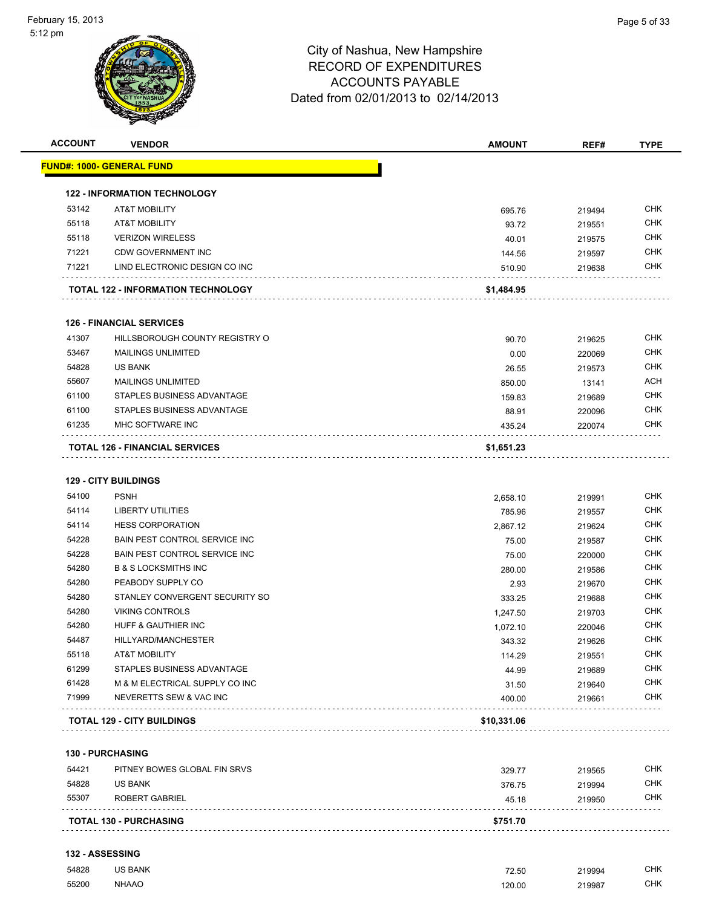#### 5:12 pm



| 53142 | <b>AT&amp;T MOBILITY</b>                  | 695.76     | 219494 | <b>CHK</b> |
|-------|-------------------------------------------|------------|--------|------------|
| 55118 | <b>AT&amp;T MOBILITY</b>                  | 93.72      | 219551 | <b>CHK</b> |
| 55118 | <b>VERIZON WIRELESS</b>                   | 40.01      | 219575 | <b>CHK</b> |
| 71221 | CDW GOVERNMENT INC                        | 144.56     | 219597 | CHK        |
| 71221 | LIND ELECTRONIC DESIGN CO INC             | 510.90     | 219638 | <b>CHK</b> |
|       | <b>TOTAL 122 - INFORMATION TECHNOLOGY</b> | \$1,484.95 |        |            |
|       | <b>126 - FINANCIAL SERVICES</b>           |            |        |            |
| 41307 | HILLSBOROUGH COUNTY REGISTRY O            | 90.70      | 219625 | <b>CHK</b> |
| 53467 | <b>MAILINGS UNLIMITED</b>                 | 0.00       | 220069 | <b>CHK</b> |
| 54828 | US BANK                                   | 26.55      | 219573 | <b>CHK</b> |
| 55607 | <b>MAILINGS UNLIMITED</b>                 | 850.00     | 13141  | <b>ACH</b> |
|       |                                           |            |        |            |
| 61100 | STAPLES BUSINESS ADVANTAGE                | 159.83     | 219689 | <b>CHK</b> |
| 61100 | STAPLES BUSINESS ADVANTAGE                | 88.91      | 220096 | CHK        |
| 61235 | MHC SOFTWARE INC                          | 435.24     | 220074 | <b>CHK</b> |

**TOTAL 126 - FINANCIAL SERVICES \$1,651.23**

#### **129 - CITY BUILDINGS**

|       | <b>TOTAL 129 - CITY BUILDINGS</b>     | \$10,331.06 |        |            |
|-------|---------------------------------------|-------------|--------|------------|
| 71999 | NEVERETTS SEW & VAC INC               | 400.00      | 219661 | <b>CHK</b> |
| 61428 | M & M ELECTRICAL SUPPLY CO INC        | 31.50       | 219640 | <b>CHK</b> |
| 61299 | STAPLES BUSINESS ADVANTAGE            | 44.99       | 219689 | <b>CHK</b> |
| 55118 | <b>AT&amp;T MOBILITY</b>              | 114.29      | 219551 | <b>CHK</b> |
| 54487 | HILLYARD/MANCHESTER                   | 343.32      | 219626 | <b>CHK</b> |
| 54280 | <b>HUFF &amp; GAUTHIER INC</b>        | 1,072.10    | 220046 | <b>CHK</b> |
| 54280 | <b>VIKING CONTROLS</b>                | 1,247.50    | 219703 | <b>CHK</b> |
| 54280 | STANLEY CONVERGENT SECURITY SO        | 333.25      | 219688 | <b>CHK</b> |
| 54280 | PEABODY SUPPLY CO                     | 2.93        | 219670 | <b>CHK</b> |
| 54280 | <b>B &amp; S LOCKSMITHS INC</b>       | 280.00      | 219586 | <b>CHK</b> |
| 54228 | <b>BAIN PEST CONTROL SERVICE INC.</b> | 75.00       | 220000 | <b>CHK</b> |
| 54228 | <b>BAIN PEST CONTROL SERVICE INC.</b> | 75.00       | 219587 | <b>CHK</b> |
| 54114 | <b>HESS CORPORATION</b>               | 2,867.12    | 219624 | <b>CHK</b> |
| 54114 | LIBERTY UTILITIES                     | 785.96      | 219557 | <b>CHK</b> |
| 54100 | <b>PSNH</b>                           | 2,658.10    | 219991 | <b>CHK</b> |

# **130 - PURCHASING**

| 54828 | <b>US BANK</b>                | 376.75   | 219994 | <b>CHK</b> |
|-------|-------------------------------|----------|--------|------------|
| 55307 | ROBERT GABRIEL                | 45.18    | 219950 | <b>CHK</b> |
|       | <b>TOTAL 130 - PURCHASING</b> | \$751.70 |        |            |

#### **132 - ASSESSING**

| 54828 | US BANK      | 72.50<br>$ -$ | 219994<br>. | СНК        |
|-------|--------------|---------------|-------------|------------|
| 55200 | <b>NHAAO</b> | 120.00<br>.   | 219987<br>. | <b>CHK</b> |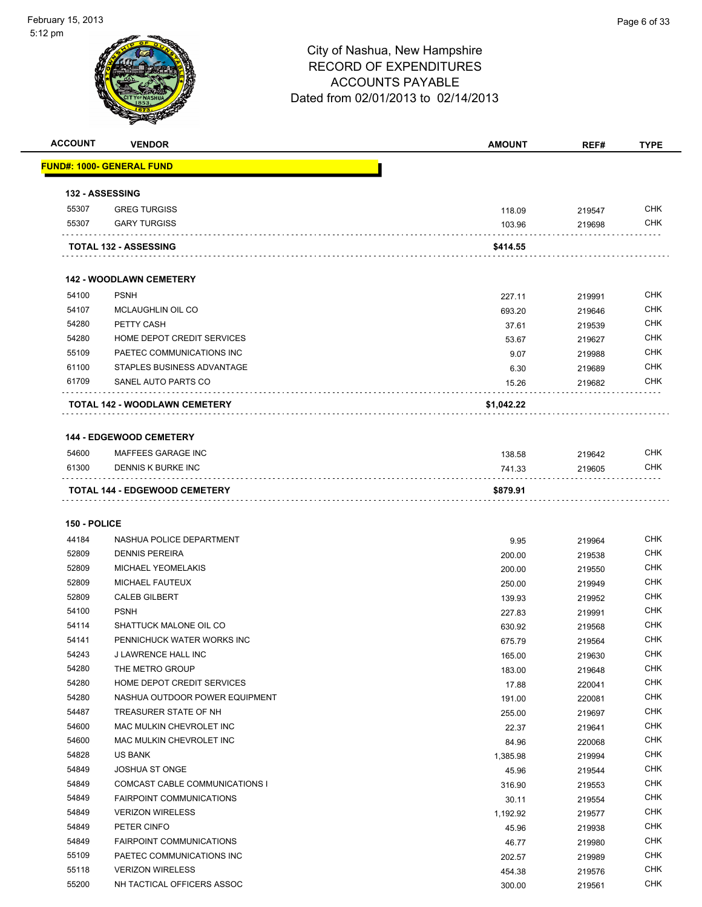#### 5:12 pm



# City of Nashua, New Hampshire RECORD OF EXPENDITURES ACCOUNTS PAYABLE Dated from 02/01/2013 to 02/14/2013

| <b>ACCOUNT</b>  | <b>VENDOR</b>                        | <b>AMOUNT</b> | REF#   | <b>TYPE</b> |
|-----------------|--------------------------------------|---------------|--------|-------------|
|                 | <b>FUND#: 1000- GENERAL FUND</b>     |               |        |             |
| 132 - ASSESSING |                                      |               |        |             |
| 55307           | <b>GREG TURGISS</b>                  | 118.09        | 219547 | <b>CHK</b>  |
| 55307           | <b>GARY TURGISS</b>                  | 103.96        | 219698 | <b>CHK</b>  |
|                 | <b>TOTAL 132 - ASSESSING</b>         | \$414.55      |        |             |
|                 | <b>142 - WOODLAWN CEMETERY</b>       |               |        |             |
| 54100           | <b>PSNH</b>                          | 227.11        | 219991 | <b>CHK</b>  |
| 54107           | MCLAUGHLIN OIL CO                    | 693.20        | 219646 | <b>CHK</b>  |
| 54280           | PETTY CASH                           | 37.61         | 219539 | <b>CHK</b>  |
| 54280           | HOME DEPOT CREDIT SERVICES           | 53.67         | 219627 | <b>CHK</b>  |
| 55109           | PAETEC COMMUNICATIONS INC            | 9.07          | 219988 | <b>CHK</b>  |
| 61100           | STAPLES BUSINESS ADVANTAGE           | 6.30          | 219689 | <b>CHK</b>  |
| 61709           | SANEL AUTO PARTS CO                  | 15.26         | 219682 | <b>CHK</b>  |
|                 | <b>TOTAL 142 - WOODLAWN CEMETERY</b> | \$1,042.22    |        |             |
|                 |                                      |               |        |             |
|                 | <b>144 - EDGEWOOD CEMETERY</b>       |               |        |             |

|       | <b>TOTAL 144 - EDGEWOOD CEMETERY</b> | \$879.91 |        |            |
|-------|--------------------------------------|----------|--------|------------|
|       |                                      |          |        |            |
| 61300 | DENNIS K BURKE INC                   | 741.33   | 219605 | CHK        |
| 54600 | MAFFEES GARAGE INC                   | 138.58   | 219642 | <b>CHK</b> |

#### **150 - POLICE**

| 44184 | NASHUA POLICE DEPARTMENT              | 9.95     | 219964 | <b>CHK</b> |
|-------|---------------------------------------|----------|--------|------------|
| 52809 | <b>DENNIS PEREIRA</b>                 | 200.00   | 219538 | <b>CHK</b> |
| 52809 | <b>MICHAEL YEOMELAKIS</b>             | 200.00   | 219550 | <b>CHK</b> |
| 52809 | <b>MICHAEL FAUTEUX</b>                | 250.00   | 219949 | <b>CHK</b> |
| 52809 | <b>CALEB GILBERT</b>                  | 139.93   | 219952 | <b>CHK</b> |
| 54100 | <b>PSNH</b>                           | 227.83   | 219991 | CHK        |
| 54114 | SHATTUCK MALONE OIL CO                | 630.92   | 219568 | <b>CHK</b> |
| 54141 | PENNICHUCK WATER WORKS INC            | 675.79   | 219564 | <b>CHK</b> |
| 54243 | <b>J LAWRENCE HALL INC</b>            | 165.00   | 219630 | <b>CHK</b> |
| 54280 | THE METRO GROUP                       | 183.00   | 219648 | <b>CHK</b> |
| 54280 | HOME DEPOT CREDIT SERVICES            | 17.88    | 220041 | CHK        |
| 54280 | NASHUA OUTDOOR POWER EQUIPMENT        | 191.00   | 220081 | <b>CHK</b> |
| 54487 | TREASURER STATE OF NH                 | 255.00   | 219697 | <b>CHK</b> |
| 54600 | MAC MULKIN CHEVROLET INC              | 22.37    | 219641 | <b>CHK</b> |
| 54600 | MAC MULKIN CHEVROLET INC              | 84.96    | 220068 | <b>CHK</b> |
| 54828 | US BANK                               | 1,385.98 | 219994 | <b>CHK</b> |
| 54849 | <b>JOSHUA ST ONGE</b>                 | 45.96    | 219544 | <b>CHK</b> |
| 54849 | <b>COMCAST CABLE COMMUNICATIONS I</b> | 316.90   | 219553 | <b>CHK</b> |
| 54849 | <b>FAIRPOINT COMMUNICATIONS</b>       | 30.11    | 219554 | CHK        |
| 54849 | <b>VERIZON WIRELESS</b>               | 1,192.92 | 219577 | <b>CHK</b> |
| 54849 | PETER CINFO                           | 45.96    | 219938 | <b>CHK</b> |
| 54849 | <b>FAIRPOINT COMMUNICATIONS</b>       | 46.77    | 219980 | <b>CHK</b> |
| 55109 | PAETEC COMMUNICATIONS INC             | 202.57   | 219989 | <b>CHK</b> |
| 55118 | <b>VERIZON WIRELESS</b>               | 454.38   | 219576 | <b>CHK</b> |
| 55200 | NH TACTICAL OFFICERS ASSOC            | 300.00   | 219561 | <b>CHK</b> |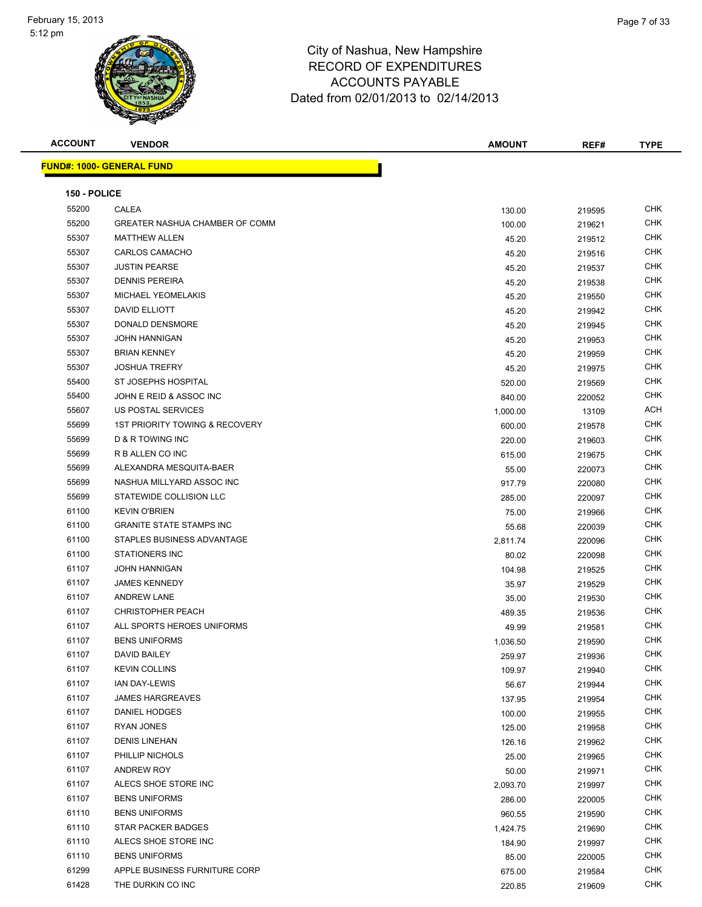

| <b>ACCOUNT</b> | <b>VENDOR</b>                    | <b>AMOUNT</b> | REF#   | <b>TYPE</b> |
|----------------|----------------------------------|---------------|--------|-------------|
|                | <b>FUND#: 1000- GENERAL FUND</b> |               |        |             |
|                |                                  |               |        |             |
| 150 - POLICE   |                                  |               |        |             |
| 55200          | CALEA                            | 130.00        | 219595 | <b>CHK</b>  |
| 55200          | GREATER NASHUA CHAMBER OF COMM   | 100.00        | 219621 | CHK         |
| 55307          | <b>MATTHEW ALLEN</b>             | 45.20         | 219512 | <b>CHK</b>  |
| 55307          | <b>CARLOS CAMACHO</b>            | 45.20         | 219516 | CHK         |
| 55307          | <b>JUSTIN PEARSE</b>             | 45.20         | 219537 | <b>CHK</b>  |
| 55307          | <b>DENNIS PEREIRA</b>            | 45.20         | 219538 | <b>CHK</b>  |
| 55307          | <b>MICHAEL YEOMELAKIS</b>        | 45.20         | 219550 | <b>CHK</b>  |
| 55307          | DAVID ELLIOTT                    | 45.20         | 219942 | <b>CHK</b>  |
| 55307          | DONALD DENSMORE                  | 45.20         | 219945 | CHK         |
| 55307          | <b>JOHN HANNIGAN</b>             | 45.20         | 219953 | CHK         |
| 55307          | <b>BRIAN KENNEY</b>              | 45.20         | 219959 | <b>CHK</b>  |
| 55307          | <b>JOSHUA TREFRY</b>             | 45.20         | 219975 | <b>CHK</b>  |
| 55400          | ST JOSEPHS HOSPITAL              | 520.00        | 219569 | CHK         |
| 55400          | JOHN E REID & ASSOC INC          | 840.00        | 220052 | <b>CHK</b>  |
| 55607          | US POSTAL SERVICES               | 1,000.00      | 13109  | ACH         |
| 55699          | 1ST PRIORITY TOWING & RECOVERY   | 600.00        | 219578 | <b>CHK</b>  |
| 55699          | <b>D &amp; R TOWING INC</b>      | 220.00        | 219603 | <b>CHK</b>  |
| 55699          | R B ALLEN CO INC                 | 615.00        | 219675 | <b>CHK</b>  |
| 55699          | ALEXANDRA MESQUITA-BAER          | 55.00         | 220073 | <b>CHK</b>  |
| 55699          | NASHUA MILLYARD ASSOC INC        | 917.79        | 220080 | <b>CHK</b>  |
| 55699          | STATEWIDE COLLISION LLC          | 285.00        | 220097 | CHK         |
| 61100          | <b>KEVIN O'BRIEN</b>             | 75.00         | 219966 | <b>CHK</b>  |
| 61100          | <b>GRANITE STATE STAMPS INC</b>  | 55.68         | 220039 | <b>CHK</b>  |
| 61100          | STAPLES BUSINESS ADVANTAGE       | 2,811.74      | 220096 | <b>CHK</b>  |
| 61100          | <b>STATIONERS INC</b>            | 80.02         | 220098 | <b>CHK</b>  |
| 61107          | <b>JOHN HANNIGAN</b>             | 104.98        | 219525 | CHK         |
| 61107          | <b>JAMES KENNEDY</b>             | 35.97         | 219529 | <b>CHK</b>  |
| 61107          | <b>ANDREW LANE</b>               | 35.00         | 219530 | <b>CHK</b>  |
| 61107          | <b>CHRISTOPHER PEACH</b>         | 489.35        | 219536 | <b>CHK</b>  |
| 61107          | ALL SPORTS HEROES UNIFORMS       | 49.99         | 219581 | CHK         |
| 61107          | <b>BENS UNIFORMS</b>             | 1,036.50      | 219590 | <b>CHK</b>  |
| 61107          | DAVID BAILEY                     | 259.97        | 219936 | <b>CHK</b>  |
| 61107          | <b>KEVIN COLLINS</b>             | 109.97        | 219940 | <b>CHK</b>  |
| 61107          | IAN DAY-LEWIS                    | 56.67         | 219944 | <b>CHK</b>  |
| 61107          | <b>JAMES HARGREAVES</b>          | 137.95        | 219954 | CHK         |
| 61107          | DANIEL HODGES                    | 100.00        | 219955 | <b>CHK</b>  |
| 61107          | RYAN JONES                       | 125.00        | 219958 | <b>CHK</b>  |
| 61107          | <b>DENIS LINEHAN</b>             | 126.16        | 219962 | <b>CHK</b>  |
| 61107          | PHILLIP NICHOLS                  | 25.00         | 219965 | <b>CHK</b>  |
| 61107          | ANDREW ROY                       | 50.00         | 219971 | <b>CHK</b>  |
| 61107          | ALECS SHOE STORE INC             | 2,093.70      | 219997 | CHK         |
| 61107          | <b>BENS UNIFORMS</b>             | 286.00        | 220005 | <b>CHK</b>  |
| 61110          | <b>BENS UNIFORMS</b>             | 960.55        | 219590 | <b>CHK</b>  |
| 61110          | STAR PACKER BADGES               | 1,424.75      | 219690 | <b>CHK</b>  |
| 61110          | ALECS SHOE STORE INC             | 184.90        | 219997 | <b>CHK</b>  |
| 61110          | <b>BENS UNIFORMS</b>             | 85.00         | 220005 | CHK         |
| 61299          | APPLE BUSINESS FURNITURE CORP    | 675.00        | 219584 | CHK         |
| 61428          | THE DURKIN CO INC                | 220.85        | 219609 | <b>CHK</b>  |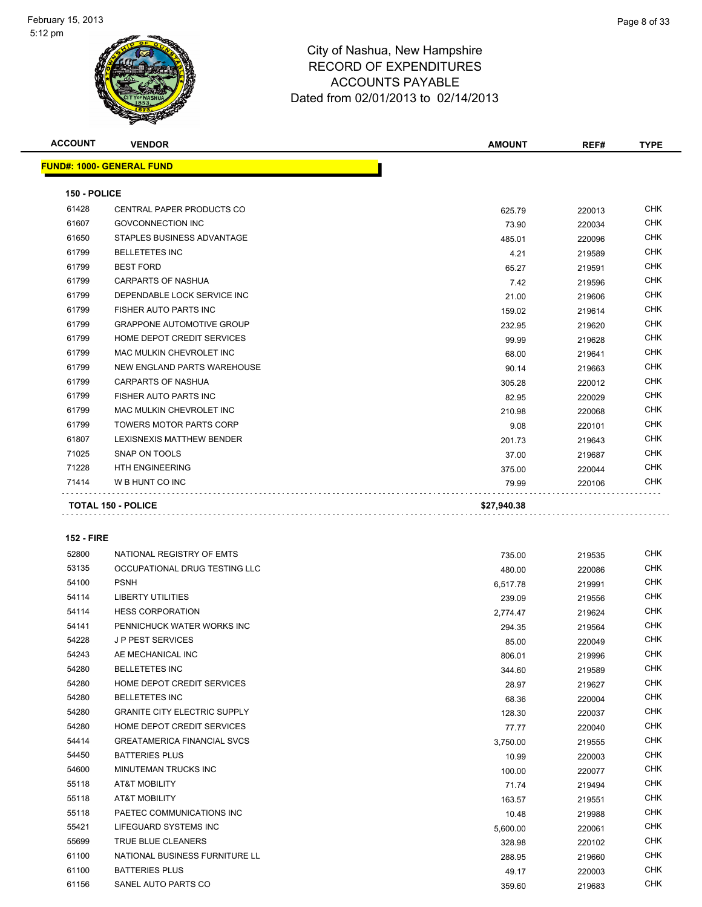

| <b>ACCOUNT</b>    | <b>VENDOR</b>                       | <b>AMOUNT</b> | REF#   | <b>TYPE</b>              |
|-------------------|-------------------------------------|---------------|--------|--------------------------|
|                   | <u> FUND#: 1000- GENERAL FUND</u>   |               |        |                          |
|                   |                                     |               |        |                          |
| 150 - POLICE      |                                     |               |        |                          |
| 61428             | CENTRAL PAPER PRODUCTS CO           | 625.79        | 220013 | <b>CHK</b>               |
| 61607             | <b>GOVCONNECTION INC</b>            | 73.90         | 220034 | <b>CHK</b>               |
| 61650             | STAPLES BUSINESS ADVANTAGE          | 485.01        | 220096 | CHK                      |
| 61799             | <b>BELLETETES INC</b>               | 4.21          | 219589 | <b>CHK</b>               |
| 61799             | <b>BEST FORD</b>                    | 65.27         | 219591 | <b>CHK</b>               |
| 61799             | <b>CARPARTS OF NASHUA</b>           | 7.42          | 219596 | <b>CHK</b>               |
| 61799             | DEPENDABLE LOCK SERVICE INC         | 21.00         | 219606 | <b>CHK</b>               |
| 61799             | FISHER AUTO PARTS INC               | 159.02        | 219614 | <b>CHK</b>               |
| 61799             | <b>GRAPPONE AUTOMOTIVE GROUP</b>    | 232.95        | 219620 | <b>CHK</b>               |
| 61799             | HOME DEPOT CREDIT SERVICES          | 99.99         | 219628 | <b>CHK</b>               |
| 61799             | MAC MULKIN CHEVROLET INC            | 68.00         | 219641 | <b>CHK</b>               |
| 61799             | NEW ENGLAND PARTS WAREHOUSE         | 90.14         | 219663 | CHK                      |
| 61799             | <b>CARPARTS OF NASHUA</b>           | 305.28        | 220012 | <b>CHK</b>               |
| 61799             | FISHER AUTO PARTS INC               | 82.95         | 220029 | CHK                      |
| 61799             | MAC MULKIN CHEVROLET INC            | 210.98        | 220068 | <b>CHK</b>               |
| 61799             | <b>TOWERS MOTOR PARTS CORP</b>      | 9.08          | 220101 | <b>CHK</b>               |
| 61807             | LEXISNEXIS MATTHEW BENDER           | 201.73        | 219643 | CHK                      |
| 71025             | SNAP ON TOOLS                       | 37.00         | 219687 | <b>CHK</b>               |
| 71228             | <b>HTH ENGINEERING</b>              | 375.00        | 220044 | CHK                      |
| 71414             | W B HUNT CO INC                     | 79.99         | 220106 | <b>CHK</b>               |
|                   | <b>TOTAL 150 - POLICE</b>           | \$27,940.38   |        |                          |
|                   |                                     |               |        |                          |
| <b>152 - FIRE</b> |                                     |               |        |                          |
|                   |                                     |               |        |                          |
| 52800             | NATIONAL REGISTRY OF EMTS           | 735.00        | 219535 | CHK<br><b>CHK</b>        |
| 53135             | OCCUPATIONAL DRUG TESTING LLC       | 480.00        | 220086 | <b>CHK</b>               |
| 54100             | <b>PSNH</b>                         | 6,517.78      | 219991 | CHK                      |
| 54114             | <b>LIBERTY UTILITIES</b>            | 239.09        | 219556 |                          |
| 54114             | <b>HESS CORPORATION</b>             | 2,774.47      | 219624 | <b>CHK</b><br><b>CHK</b> |
| 54141             | PENNICHUCK WATER WORKS INC          | 294.35        | 219564 |                          |
| 54228             | <b>JP PEST SERVICES</b>             | 85.00         | 220049 | <b>CHK</b>               |
| 54243             | AE MECHANICAL INC                   | 806.01        | 219996 | <b>CHK</b>               |
| 54280             | <b>BELLETETES INC</b>               | 344.60        | 219589 | CHK                      |
| 54280             | HOME DEPOT CREDIT SERVICES          | 28.97         | 219627 | <b>CHK</b>               |
| 54280             | <b>BELLETETES INC</b>               | 68.36         | 220004 | <b>CHK</b>               |
| 54280             | <b>GRANITE CITY ELECTRIC SUPPLY</b> | 128.30        | 220037 | CHK                      |
| 54280             | HOME DEPOT CREDIT SERVICES          | 77.77         | 220040 | <b>CHK</b>               |
| 54414             | <b>GREATAMERICA FINANCIAL SVCS</b>  | 3,750.00      | 219555 | CHK                      |
| 54450             | <b>BATTERIES PLUS</b>               | 10.99         | 220003 | CHK                      |
| 54600             | MINUTEMAN TRUCKS INC                | 100.00        | 220077 | <b>CHK</b>               |
| 55118             | AT&T MOBILITY                       | 71.74         | 219494 | CHK                      |
| 55118             | <b>AT&amp;T MOBILITY</b>            | 163.57        | 219551 | <b>CHK</b>               |
| 55118             | PAETEC COMMUNICATIONS INC           | 10.48         | 219988 | <b>CHK</b>               |
| 55421             | LIFEGUARD SYSTEMS INC               | 5,600.00      | 220061 | CHK                      |
| 55699             | TRUE BLUE CLEANERS                  | 328.98        | 220102 | CHK                      |
| 61100             | NATIONAL BUSINESS FURNITURE LL      | 288.95        | 219660 | CHK                      |
| 61100             | <b>BATTERIES PLUS</b>               | 49.17         | 220003 | CHK                      |
| 61156             | SANEL AUTO PARTS CO                 | 359.60        | 219683 | <b>CHK</b>               |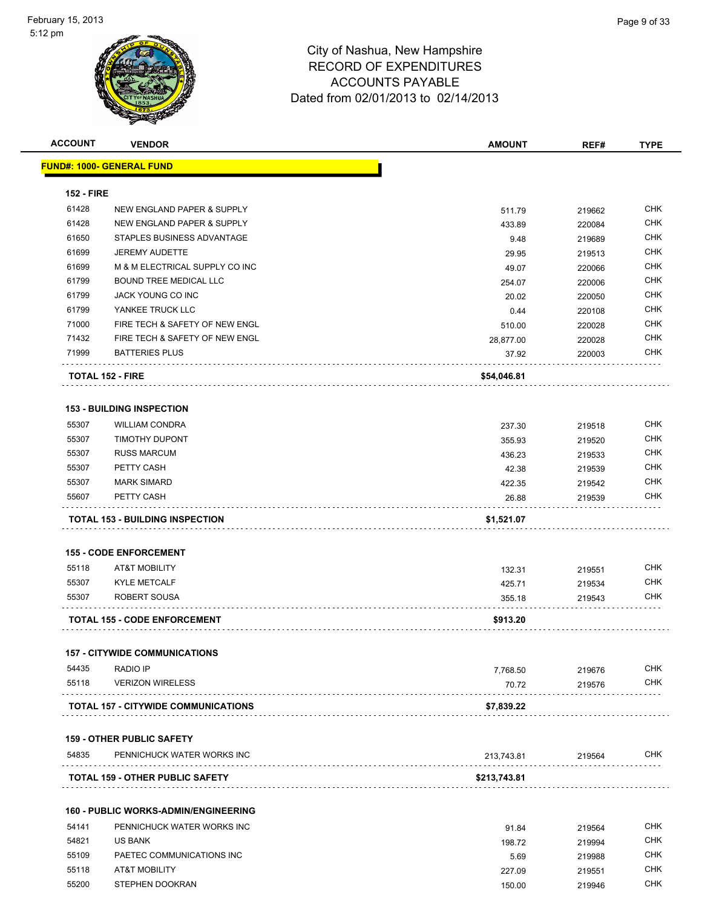| <b>ACCOUNT</b>    | <b>VENDOR</b>                               | <b>AMOUNT</b>   | REF#             | <b>TYPE</b> |
|-------------------|---------------------------------------------|-----------------|------------------|-------------|
|                   | <u> FUND#: 1000- GENERAL FUND</u>           |                 |                  |             |
| <b>152 - FIRE</b> |                                             |                 |                  |             |
| 61428             | NEW ENGLAND PAPER & SUPPLY                  | 511.79          | 219662           | <b>CHK</b>  |
| 61428             | NEW ENGLAND PAPER & SUPPLY                  | 433.89          | 220084           | <b>CHK</b>  |
| 61650             | STAPLES BUSINESS ADVANTAGE                  | 9.48            | 219689           | <b>CHK</b>  |
| 61699             | <b>JEREMY AUDETTE</b>                       | 29.95           |                  | <b>CHK</b>  |
| 61699             | M & M ELECTRICAL SUPPLY CO INC              | 49.07           | 219513<br>220066 | <b>CHK</b>  |
| 61799             | <b>BOUND TREE MEDICAL LLC</b>               |                 |                  | <b>CHK</b>  |
| 61799             | <b>JACK YOUNG CO INC</b>                    | 254.07<br>20.02 | 220006<br>220050 | <b>CHK</b>  |
| 61799             | YANKEE TRUCK LLC                            |                 |                  | <b>CHK</b>  |
| 71000             | FIRE TECH & SAFETY OF NEW ENGL              | 0.44            | 220108           | CHK         |
| 71432             | FIRE TECH & SAFETY OF NEW ENGL              | 510.00          | 220028           | CHK         |
|                   |                                             | 28,877.00       | 220028           | <b>CHK</b>  |
| 71999             | <b>BATTERIES PLUS</b>                       | 37.92           | 220003           |             |
|                   | <b>TOTAL 152 - FIRE</b>                     | \$54,046.81     |                  |             |
|                   | <b>153 - BUILDING INSPECTION</b>            |                 |                  |             |
| 55307             | <b>WILLIAM CONDRA</b>                       | 237.30          | 219518           | <b>CHK</b>  |
| 55307             | <b>TIMOTHY DUPONT</b>                       | 355.93          | 219520           | <b>CHK</b>  |
| 55307             | <b>RUSS MARCUM</b>                          | 436.23          | 219533           | <b>CHK</b>  |
| 55307             | PETTY CASH                                  | 42.38           | 219539           | <b>CHK</b>  |
| 55307             | <b>MARK SIMARD</b>                          | 422.35          | 219542           | <b>CHK</b>  |
| 55607             | PETTY CASH                                  | 26.88           | 219539           | CHK         |
|                   | <b>TOTAL 153 - BUILDING INSPECTION</b>      | \$1,521.07      |                  |             |
|                   |                                             |                 |                  |             |
|                   | <b>155 - CODE ENFORCEMENT</b>               |                 |                  |             |
| 55118             | <b>AT&amp;T MOBILITY</b>                    | 132.31          | 219551           | <b>CHK</b>  |
| 55307             | <b>KYLE METCALF</b>                         | 425.71          | 219534           | <b>CHK</b>  |
| 55307             | ROBERT SOUSA                                | 355.18          | 219543           | <b>CHK</b>  |
|                   | <b>TOTAL 155 - CODE ENFORCEMENT</b>         | \$913.20        |                  |             |
|                   |                                             |                 |                  |             |
|                   | <b>157 - CITYWIDE COMMUNICATIONS</b>        |                 |                  |             |
| 54435             | <b>RADIO IP</b>                             | 7,768.50        | 219676           | <b>CHK</b>  |
| 55118             | <b>VERIZON WIRELESS</b>                     | 70.72           | 219576           | <b>CHK</b>  |
|                   | <b>TOTAL 157 - CITYWIDE COMMUNICATIONS</b>  | \$7,839.22      |                  |             |
|                   | <b>159 - OTHER PUBLIC SAFETY</b>            |                 |                  |             |
| 54835             | PENNICHUCK WATER WORKS INC                  | 213,743.81      | 219564           | <b>CHK</b>  |
|                   | <b>TOTAL 159 - OTHER PUBLIC SAFETY</b>      |                 |                  |             |
|                   |                                             | \$213,743.81    |                  |             |
|                   | <b>160 - PUBLIC WORKS-ADMIN/ENGINEERING</b> |                 |                  |             |
| 54141             | PENNICHUCK WATER WORKS INC                  | 91.84           | 219564           | <b>CHK</b>  |
| 54821             | US BANK                                     | 198.72          | 219994           | <b>CHK</b>  |
| 55109             | PAETEC COMMUNICATIONS INC                   | 5.69            | 219988           | <b>CHK</b>  |
| 55118             | <b>AT&amp;T MOBILITY</b>                    | 227.09          | 219551           | <b>CHK</b>  |
| 55200             | STEPHEN DOOKRAN                             | 150.00          | 219946           | <b>CHK</b>  |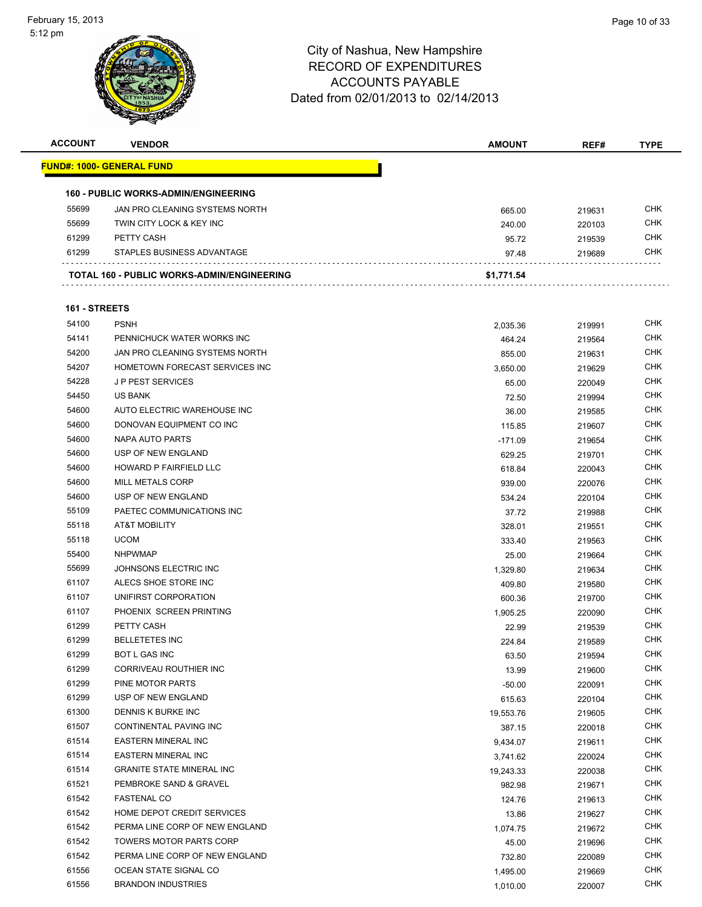

| <b>ACCOUNT</b> | <b>VENDOR</b>                                     | <b>AMOUNT</b>      | REF#             | <b>TYPE</b> |
|----------------|---------------------------------------------------|--------------------|------------------|-------------|
|                | <u> FUND#: 1000- GENERAL FUND</u>                 |                    |                  |             |
|                |                                                   |                    |                  |             |
|                | <b>160 - PUBLIC WORKS-ADMIN/ENGINEERING</b>       |                    |                  |             |
| 55699          | JAN PRO CLEANING SYSTEMS NORTH                    | 665.00             | 219631           | <b>CHK</b>  |
| 55699          | TWIN CITY LOCK & KEY INC                          | 240.00             | 220103           | <b>CHK</b>  |
| 61299          | PETTY CASH                                        | 95.72              | 219539           | CHK         |
| 61299          | STAPLES BUSINESS ADVANTAGE                        | 97.48              | 219689           | CHK         |
|                |                                                   |                    |                  |             |
|                | <b>TOTAL 160 - PUBLIC WORKS-ADMIN/ENGINEERING</b> | \$1,771.54         |                  |             |
|                | 161 - STREETS                                     |                    |                  |             |
| 54100          | <b>PSNH</b>                                       |                    |                  | CHK         |
| 54141          | PENNICHUCK WATER WORKS INC                        | 2,035.36<br>464.24 | 219991<br>219564 | <b>CHK</b>  |
| 54200          | JAN PRO CLEANING SYSTEMS NORTH                    | 855.00             | 219631           | CHK         |
| 54207          | HOMETOWN FORECAST SERVICES INC                    | 3,650.00           | 219629           | <b>CHK</b>  |
| 54228          | <b>JP PEST SERVICES</b>                           | 65.00              | 220049           | <b>CHK</b>  |
| 54450          | <b>US BANK</b>                                    | 72.50              | 219994           | CHK         |
| 54600          | AUTO ELECTRIC WAREHOUSE INC                       |                    |                  | <b>CHK</b>  |
| 54600          | DONOVAN EQUIPMENT CO INC                          | 36.00<br>115.85    | 219585<br>219607 | CHK         |
| 54600          | NAPA AUTO PARTS                                   | $-171.09$          | 219654           | CHK         |
| 54600          | USP OF NEW ENGLAND                                | 629.25             | 219701           | <b>CHK</b>  |
| 54600          | HOWARD P FAIRFIELD LLC                            | 618.84             | 220043           | CHK         |
| 54600          | <b>MILL METALS CORP</b>                           | 939.00             | 220076           | CHK         |
| 54600          | USP OF NEW ENGLAND                                | 534.24             | 220104           | <b>CHK</b>  |
| 55109          | PAETEC COMMUNICATIONS INC                         | 37.72              | 219988           | <b>CHK</b>  |
| 55118          | <b>AT&amp;T MOBILITY</b>                          | 328.01             | 219551           | <b>CHK</b>  |
| 55118          | <b>UCOM</b>                                       | 333.40             | 219563           | CHK         |
| 55400          | <b>NHPWMAP</b>                                    | 25.00              | 219664           | CHK         |
| 55699          | JOHNSONS ELECTRIC INC                             | 1,329.80           | 219634           | <b>CHK</b>  |
| 61107          | ALECS SHOE STORE INC                              | 409.80             | 219580           | CHK         |
| 61107          | UNIFIRST CORPORATION                              | 600.36             | 219700           | CHK         |
| 61107          | PHOENIX SCREEN PRINTING                           | 1,905.25           | 220090           | CHK         |
| 61299          | PETTY CASH                                        | 22.99              | 219539           | CHK         |
| 61299          | <b>BELLETETES INC</b>                             | 224.84             | 219589           | <b>CHK</b>  |
| 61299          | BOT L GAS INC                                     | 63.50              | 219594           | <b>CHK</b>  |
| 61299          | CORRIVEAU ROUTHIER INC                            | 13.99              | 219600           | <b>CHK</b>  |
| 61299          | PINE MOTOR PARTS                                  | $-50.00$           | 220091           | <b>CHK</b>  |
| 61299          | USP OF NEW ENGLAND                                | 615.63             | 220104           | <b>CHK</b>  |
| 61300          | DENNIS K BURKE INC                                | 19,553.76          | 219605           | <b>CHK</b>  |
| 61507          | <b>CONTINENTAL PAVING INC</b>                     | 387.15             | 220018           | <b>CHK</b>  |
| 61514          | <b>EASTERN MINERAL INC</b>                        | 9,434.07           | 219611           | <b>CHK</b>  |
| 61514          | <b>EASTERN MINERAL INC</b>                        | 3,741.62           | 220024           | <b>CHK</b>  |
| 61514          | <b>GRANITE STATE MINERAL INC</b>                  | 19,243.33          | 220038           | <b>CHK</b>  |
| 61521          | PEMBROKE SAND & GRAVEL                            | 982.98             | 219671           | CHK         |
| 61542          | <b>FASTENAL CO</b>                                | 124.76             | 219613           | <b>CHK</b>  |
| 61542          | HOME DEPOT CREDIT SERVICES                        | 13.86              | 219627           | <b>CHK</b>  |
| 61542          | PERMA LINE CORP OF NEW ENGLAND                    | 1,074.75           | 219672           | <b>CHK</b>  |
| 61542          | TOWERS MOTOR PARTS CORP                           | 45.00              | 219696           | <b>CHK</b>  |
| 61542          | PERMA LINE CORP OF NEW ENGLAND                    | 732.80             | 220089           | CHK         |
| 61556          | OCEAN STATE SIGNAL CO                             | 1,495.00           | 219669           | <b>CHK</b>  |
| 61556          | <b>BRANDON INDUSTRIES</b>                         | 1,010.00           | 220007           | <b>CHK</b>  |
|                |                                                   |                    |                  |             |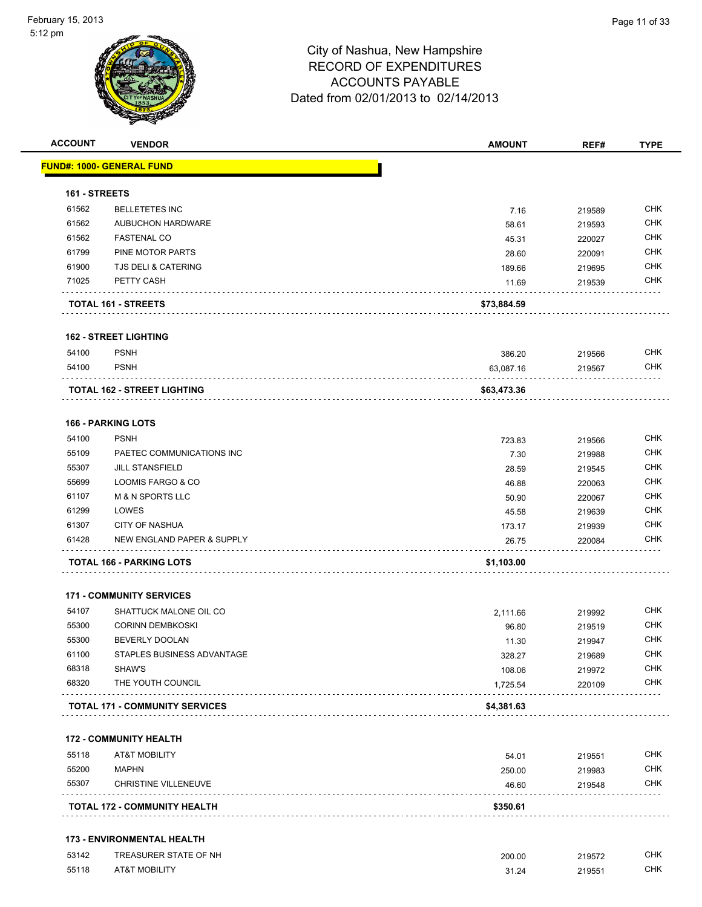

| <b>ACCOUNT</b> | <b>VENDOR</b>                         | <b>AMOUNT</b> | REF#   | <b>TYPE</b> |
|----------------|---------------------------------------|---------------|--------|-------------|
|                | <u> FUND#: 1000- GENERAL FUND</u>     |               |        |             |
| 161 - STREETS  |                                       |               |        |             |
| 61562          | <b>BELLETETES INC</b>                 | 7.16          | 219589 | <b>CHK</b>  |
| 61562          | AUBUCHON HARDWARE                     | 58.61         | 219593 | <b>CHK</b>  |
| 61562          | <b>FASTENAL CO</b>                    | 45.31         | 220027 | <b>CHK</b>  |
| 61799          | PINE MOTOR PARTS                      | 28.60         | 220091 | <b>CHK</b>  |
| 61900          | TJS DELI & CATERING                   | 189.66        | 219695 | <b>CHK</b>  |
| 71025          | PETTY CASH                            | 11.69         | 219539 | <b>CHK</b>  |
|                | TOTAL 161 - STREETS                   | \$73,884.59   |        |             |
|                | <b>162 - STREET LIGHTING</b>          |               |        |             |
| 54100          | <b>PSNH</b>                           | 386.20        | 219566 | <b>CHK</b>  |
| 54100          | <b>PSNH</b>                           | 63,087.16     | 219567 | <b>CHK</b>  |
|                | <b>TOTAL 162 - STREET LIGHTING</b>    | \$63,473.36   |        |             |
|                | <b>166 - PARKING LOTS</b>             |               |        |             |
| 54100          | <b>PSNH</b>                           | 723.83        | 219566 | <b>CHK</b>  |
| 55109          | PAETEC COMMUNICATIONS INC             | 7.30          | 219988 | <b>CHK</b>  |
| 55307          | <b>JILL STANSFIELD</b>                | 28.59         | 219545 | <b>CHK</b>  |
| 55699          | LOOMIS FARGO & CO                     | 46.88         | 220063 | <b>CHK</b>  |
| 61107          | <b>M &amp; N SPORTS LLC</b>           | 50.90         | 220067 | <b>CHK</b>  |
| 61299          | LOWES                                 | 45.58         | 219639 | <b>CHK</b>  |
| 61307          | <b>CITY OF NASHUA</b>                 | 173.17        | 219939 | <b>CHK</b>  |
| 61428          | NEW ENGLAND PAPER & SUPPLY            | 26.75         | 220084 | <b>CHK</b>  |
|                | <b>TOTAL 166 - PARKING LOTS</b>       | \$1,103.00    |        |             |
|                | <b>171 - COMMUNITY SERVICES</b>       |               |        |             |
| 54107          | SHATTUCK MALONE OIL CO                | 2,111.66      | 219992 | <b>CHK</b>  |
| 55300          | <b>CORINN DEMBKOSKI</b>               | 96.80         | 219519 | <b>CHK</b>  |
| 55300          | BEVERLY DOOLAN                        | 11.30         | 219947 | <b>CHK</b>  |
| 61100          | STAPLES BUSINESS ADVANTAGE            | 328.27        | 219689 | <b>CHK</b>  |
| 68318          | SHAW'S                                | 108.06        | 219972 | <b>CHK</b>  |
| 68320          | THE YOUTH COUNCIL                     | 1,725.54      | 220109 | <b>CHK</b>  |
|                | <b>TOTAL 171 - COMMUNITY SERVICES</b> | \$4,381.63    |        |             |
|                | <b>172 - COMMUNITY HEALTH</b>         |               |        |             |
| 55118          | <b>AT&amp;T MOBILITY</b>              | 54.01         | 219551 | <b>CHK</b>  |
| 55200          | <b>MAPHN</b>                          | 250.00        | 219983 | <b>CHK</b>  |
| 55307          | <b>CHRISTINE VILLENEUVE</b>           | 46.60         | 219548 | <b>CHK</b>  |
|                | TOTAL 172 - COMMUNITY HEALTH          | \$350.61      |        |             |
|                |                                       |               |        |             |

#### **173 - ENVIRONMENTAL HEALTH**

| 53142 | TREASURER STATE OF NH    | 200.00 | 219572 | CHK |
|-------|--------------------------|--------|--------|-----|
| 55118 | <b>AT&amp;T MOBILITY</b> | 31.24  | 219551 | CHK |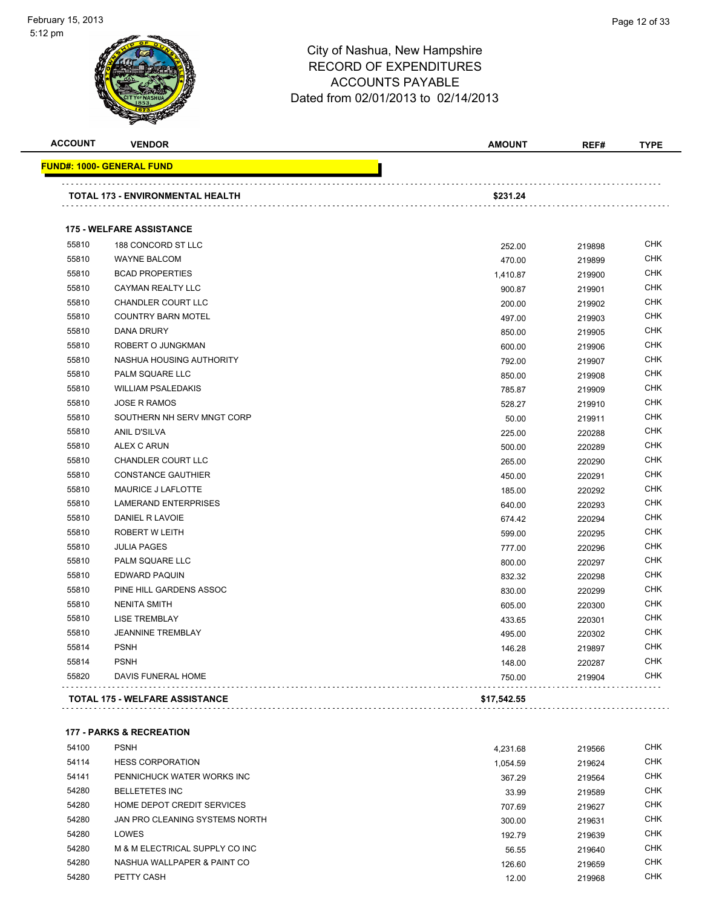#### City of Nashua, New Hampshire RECORD OF EXPENDITURES ACCOUNTS PAYABLE Dated from 02/01/2013 to 02/14/2013 **ACCOUNT VENDOR AMOUNT REF# TYPE FUND#: 1000- GENERAL FUND TOTAL 173 - ENVIRONMENTAL HEALTH \$231.24 175 - WELFARE ASSISTANCE** 188 CONCORD ST LLC 252.00 219898 CHK WAYNE BALCOM 470.00 219899 CHK BCAD PROPERTIES 1,410.87 219900 CHK CAYMAN REALTY LLC 900.87 219901 CHK CHANDLER COURT LLC 200.00 219902 CHK COUNTRY BARN MOTEL 497.00 219903 CHK DANA DRURY 850.00 219905 CHK ROBERT O JUNGKMAN 600.00 219906 CHK NASHUA HOUSING AUTHORITY 792.00 219907 CHK PALM SQUARE LLC 850.00 219908 CHK WILLIAM PSALEDAKIS 785.87 219909 CHK JOSE R RAMOS 528.27 219910 CHK 55810 SOUTHERN NH SERV MNGT CORP \$1,500 50.00 50.00 50.00 519911 CHK ANIL D'SILVA 225.00 220288 CHK ALEX C ARUN 500.00 220289 CHK CHANDLER COURT LLC 265.00 220290 CHK CONSTANCE GAUTHIER 450.00 220291 CHK 55810 MAURICE J LAFLOTTE **185.00 MAURICE J** LAFLOTTE 185.00 220292 CHK LAMERAND ENTERPRISES 640.00 220293 CHK DANIEL R LAVOIE 674.42 220294 CHK ROBERT W LEITH 599.00 220295 CHK JULIA PAGES 777.00 220296 CHK PALM SQUARE LLC 800.00 220297 CHK EDWARD PAQUIN 832.32 220298 CHK PINE HILL GARDENS ASSOC 830.00 220299 CHK NENITA SMITH 605.00 220300 CHK LISE TREMBLAY 433.65 220301 CHK JEANNINE TREMBLAY 495.00 220302 CHK PSNH 146.28 219897 CHK PSNH 148.00 220287 CHK DAVIS FUNERAL HOME 750.00 219904 CHK  $\label{eq:reduced} \begin{array}{lllllllllllllllll} \bullet & \bullet & \bullet & \bullet & \bullet & \bullet \end{array}$

**TOTAL 175 - WELFARE ASSISTANCE \$17,542.55**

#### **177 - PARKS & RECREATION**

| 54100 | <b>PSNH</b>                    | 4.231.68 | 219566 | <b>CHK</b> |
|-------|--------------------------------|----------|--------|------------|
| 54114 | <b>HESS CORPORATION</b>        | 1.054.59 | 219624 | <b>CHK</b> |
| 54141 | PENNICHUCK WATER WORKS INC     | 367.29   | 219564 | <b>CHK</b> |
| 54280 | <b>BELLETETES INC</b>          | 33.99    | 219589 | <b>CHK</b> |
| 54280 | HOME DEPOT CREDIT SERVICES     | 707.69   | 219627 | <b>CHK</b> |
| 54280 | JAN PRO CLEANING SYSTEMS NORTH | 300.00   | 219631 | <b>CHK</b> |
| 54280 | LOWES                          | 192.79   | 219639 | <b>CHK</b> |
| 54280 | M & M ELECTRICAL SUPPLY CO INC | 56.55    | 219640 | <b>CHK</b> |
| 54280 | NASHUA WALLPAPER & PAINT CO    | 126.60   | 219659 | <b>CHK</b> |
| 54280 | PETTY CASH                     | 12.00    | 219968 | <b>CHK</b> |
|       |                                |          |        |            |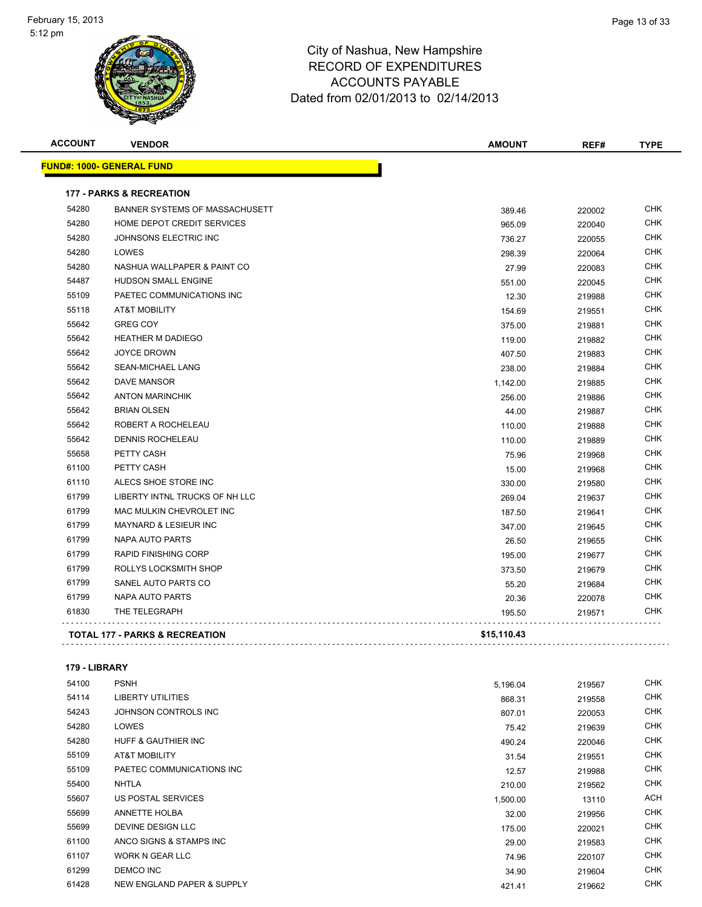| <b>ACCOUNT</b> | <b>VENDOR</b>                             | <b>AMOUNT</b> | REF#   | <b>TYPE</b> |
|----------------|-------------------------------------------|---------------|--------|-------------|
|                | <b>FUND#: 1000- GENERAL FUND</b>          |               |        |             |
|                | <b>177 - PARKS &amp; RECREATION</b>       |               |        |             |
| 54280          | <b>BANNER SYSTEMS OF MASSACHUSETT</b>     | 389.46        | 220002 | <b>CHK</b>  |
| 54280          | HOME DEPOT CREDIT SERVICES                | 965.09        | 220040 | <b>CHK</b>  |
| 54280          | JOHNSONS ELECTRIC INC                     | 736.27        | 220055 | <b>CHK</b>  |
| 54280          | LOWES                                     | 298.39        | 220064 | <b>CHK</b>  |
| 54280          | NASHUA WALLPAPER & PAINT CO               | 27.99         | 220083 | <b>CHK</b>  |
| 54487          | <b>HUDSON SMALL ENGINE</b>                | 551.00        | 220045 | <b>CHK</b>  |
| 55109          | PAETEC COMMUNICATIONS INC                 | 12.30         | 219988 | <b>CHK</b>  |
| 55118          | <b>AT&amp;T MOBILITY</b>                  | 154.69        | 219551 | <b>CHK</b>  |
| 55642          | <b>GREG COY</b>                           | 375.00        | 219881 | <b>CHK</b>  |
| 55642          | <b>HEATHER M DADIEGO</b>                  | 119.00        | 219882 | <b>CHK</b>  |
| 55642          | <b>JOYCE DROWN</b>                        | 407.50        | 219883 | <b>CHK</b>  |
| 55642          | <b>SEAN-MICHAEL LANG</b>                  | 238.00        | 219884 | <b>CHK</b>  |
| 55642          | DAVE MANSOR                               | 1,142.00      | 219885 | CHK         |
| 55642          | <b>ANTON MARINCHIK</b>                    | 256.00        | 219886 | <b>CHK</b>  |
| 55642          | <b>BRIAN OLSEN</b>                        | 44.00         | 219887 | <b>CHK</b>  |
| 55642          | ROBERT A ROCHELEAU                        | 110.00        | 219888 | <b>CHK</b>  |
| 55642          | DENNIS ROCHELEAU                          | 110.00        | 219889 | <b>CHK</b>  |
| 55658          | PETTY CASH                                | 75.96         | 219968 | <b>CHK</b>  |
| 61100          | PETTY CASH                                | 15.00         | 219968 | <b>CHK</b>  |
| 61110          | ALECS SHOE STORE INC                      | 330.00        | 219580 | <b>CHK</b>  |
| 61799          | LIBERTY INTNL TRUCKS OF NH LLC            | 269.04        | 219637 | <b>CHK</b>  |
| 61799          | MAC MULKIN CHEVROLET INC                  | 187.50        | 219641 | CHK         |
| 61799          | <b>MAYNARD &amp; LESIEUR INC</b>          | 347.00        | 219645 | <b>CHK</b>  |
| 61799          | <b>NAPA AUTO PARTS</b>                    | 26.50         | 219655 | <b>CHK</b>  |
| 61799          | <b>RAPID FINISHING CORP</b>               | 195.00        | 219677 | <b>CHK</b>  |
| 61799          | ROLLYS LOCKSMITH SHOP                     | 373.50        | 219679 | <b>CHK</b>  |
| 61799          | SANEL AUTO PARTS CO                       | 55.20         | 219684 | <b>CHK</b>  |
| 61799          | <b>NAPA AUTO PARTS</b>                    | 20.36         | 220078 | <b>CHK</b>  |
| 61830          | THE TELEGRAPH                             | 195.50        | 219571 | CHK         |
|                | <b>TOTAL 177 - PARKS &amp; RECREATION</b> | \$15,110.43   |        |             |

#### **179 - LIBRARY**

| 54100 | <b>PSNH</b>                    | 5,196.04 | 219567 | <b>CHK</b> |
|-------|--------------------------------|----------|--------|------------|
| 54114 | LIBERTY UTILITIES              | 868.31   | 219558 | <b>CHK</b> |
| 54243 | JOHNSON CONTROLS INC           | 807.01   | 220053 | <b>CHK</b> |
| 54280 | <b>LOWES</b>                   | 75.42    | 219639 | <b>CHK</b> |
| 54280 | <b>HUFF &amp; GAUTHIER INC</b> | 490.24   | 220046 | <b>CHK</b> |
| 55109 | <b>AT&amp;T MOBILITY</b>       | 31.54    | 219551 | <b>CHK</b> |
| 55109 | PAETEC COMMUNICATIONS INC      | 12.57    | 219988 | <b>CHK</b> |
| 55400 | <b>NHTLA</b>                   | 210.00   | 219562 | <b>CHK</b> |
| 55607 | US POSTAL SERVICES             | 1,500.00 | 13110  | ACH        |
| 55699 | <b>ANNETTE HOLBA</b>           | 32.00    | 219956 | <b>CHK</b> |
| 55699 | <b>DEVINE DESIGN LLC</b>       | 175.00   | 220021 | <b>CHK</b> |
| 61100 | ANCO SIGNS & STAMPS INC        | 29.00    | 219583 | <b>CHK</b> |
| 61107 | <b>WORK N GEAR LLC</b>         | 74.96    | 220107 | <b>CHK</b> |
| 61299 | DEMCO INC                      | 34.90    | 219604 | <b>CHK</b> |
| 61428 | NEW ENGLAND PAPER & SUPPLY     | 421.41   | 219662 | <b>CHK</b> |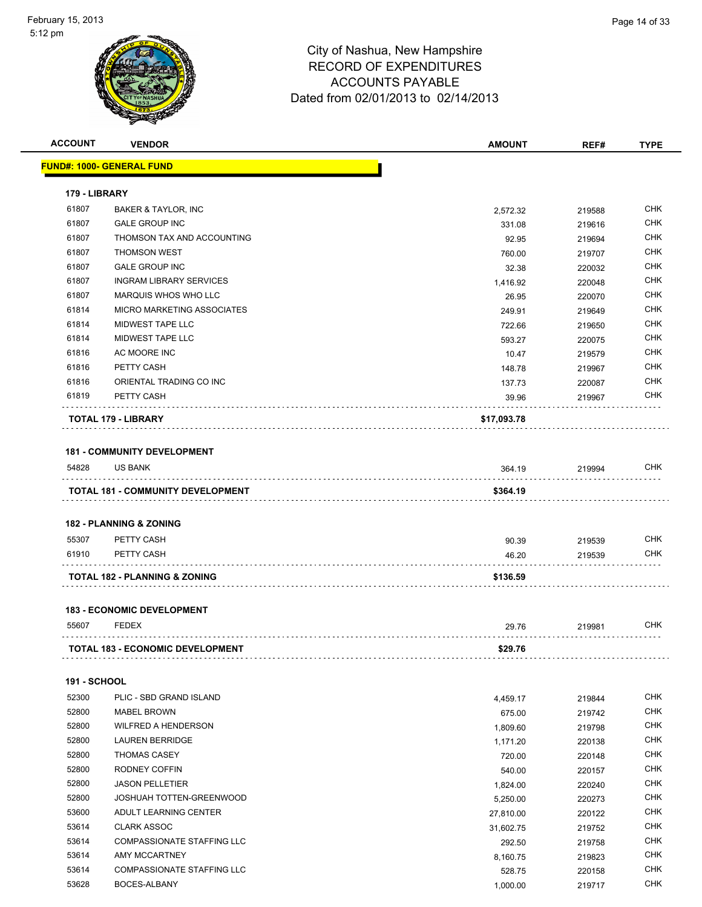| <b>ACCOUNT</b>      | <b>VENDOR</b>                                        | <b>AMOUNT</b>          | REF#             | <b>TYPE</b> |
|---------------------|------------------------------------------------------|------------------------|------------------|-------------|
|                     | <b>FUND#: 1000- GENERAL FUND</b>                     |                        |                  |             |
|                     |                                                      |                        |                  |             |
| 179 - LIBRARY       |                                                      |                        |                  |             |
| 61807               | <b>BAKER &amp; TAYLOR, INC</b>                       | 2,572.32               | 219588           | <b>CHK</b>  |
| 61807               | <b>GALE GROUP INC</b>                                | 331.08                 | 219616           | <b>CHK</b>  |
| 61807               | THOMSON TAX AND ACCOUNTING                           | 92.95                  | 219694           | <b>CHK</b>  |
| 61807               | <b>THOMSON WEST</b>                                  | 760.00                 | 219707           | <b>CHK</b>  |
| 61807               | <b>GALE GROUP INC</b>                                | 32.38                  | 220032           | <b>CHK</b>  |
| 61807               | <b>INGRAM LIBRARY SERVICES</b>                       | 1,416.92               | 220048           | <b>CHK</b>  |
| 61807               | MARQUIS WHOS WHO LLC                                 | 26.95                  | 220070           | <b>CHK</b>  |
| 61814               | MICRO MARKETING ASSOCIATES                           | 249.91                 | 219649           | <b>CHK</b>  |
| 61814               | MIDWEST TAPE LLC                                     | 722.66                 | 219650           | <b>CHK</b>  |
| 61814               | MIDWEST TAPE LLC                                     | 593.27                 | 220075           | <b>CHK</b>  |
| 61816               | AC MOORE INC                                         | 10.47                  | 219579           | <b>CHK</b>  |
| 61816               | PETTY CASH                                           | 148.78                 | 219967           | <b>CHK</b>  |
| 61816               | ORIENTAL TRADING CO INC                              | 137.73                 | 220087           | <b>CHK</b>  |
| 61819               | PETTY CASH                                           | 39.96                  | 219967           | <b>CHK</b>  |
|                     | TOTAL 179 - LIBRARY                                  | \$17,093.78            |                  |             |
|                     |                                                      |                        |                  |             |
| 54828               | <b>181 - COMMUNITY DEVELOPMENT</b><br><b>US BANK</b> |                        |                  | <b>CHK</b>  |
|                     |                                                      | 364.19                 | 219994           |             |
|                     | <b>TOTAL 181 - COMMUNITY DEVELOPMENT</b>             | \$364.19               |                  |             |
|                     |                                                      |                        |                  |             |
|                     | <b>182 - PLANNING &amp; ZONING</b>                   |                        |                  |             |
| 55307               | PETTY CASH                                           | 90.39                  | 219539           | <b>CHK</b>  |
| 61910               | PETTY CASH                                           | 46.20                  | 219539           | <b>CHK</b>  |
|                     | <b>TOTAL 182 - PLANNING &amp; ZONING</b>             | \$136.59               |                  |             |
|                     |                                                      |                        |                  |             |
| 55607               | <b>183 - ECONOMIC DEVELOPMENT</b><br><b>FEDEX</b>    |                        |                  | CHK         |
|                     |                                                      | 29.76                  | 219981           |             |
|                     | TOTAL 183 - ECONOMIC DEVELOPMENT                     | \$29.76                |                  |             |
| <b>191 - SCHOOL</b> |                                                      |                        |                  |             |
| 52300               | PLIC - SBD GRAND ISLAND                              |                        | 219844           | <b>CHK</b>  |
| 52800               | MABEL BROWN                                          | 4,459.17               |                  | <b>CHK</b>  |
| 52800               | <b>WILFRED A HENDERSON</b>                           | 675.00                 | 219742           | <b>CHK</b>  |
| 52800               | <b>LAUREN BERRIDGE</b>                               | 1,809.60               | 219798           | <b>CHK</b>  |
| 52800               | <b>THOMAS CASEY</b>                                  | 1,171.20<br>720.00     | 220138<br>220148 | <b>CHK</b>  |
| 52800               | RODNEY COFFIN                                        | 540.00                 |                  | <b>CHK</b>  |
| 52800               | <b>JASON PELLETIER</b>                               | 1,824.00               | 220157<br>220240 | <b>CHK</b>  |
| 52800               | JOSHUAH TOTTEN-GREENWOOD                             | 5,250.00               | 220273           | <b>CHK</b>  |
| 53600               | ADULT LEARNING CENTER                                |                        |                  | <b>CHK</b>  |
| 53614               | <b>CLARK ASSOC</b>                                   | 27,810.00<br>31,602.75 | 220122<br>219752 | <b>CHK</b>  |
| 53614               | <b>COMPASSIONATE STAFFING LLC</b>                    | 292.50                 |                  | <b>CHK</b>  |
| 53614               | AMY MCCARTNEY                                        | 8,160.75               | 219758<br>219823 | <b>CHK</b>  |
| 53614               | COMPASSIONATE STAFFING LLC                           |                        | 220158           | <b>CHK</b>  |
| 53628               | BOCES-ALBANY                                         | 528.75<br>1,000.00     | 219717           | <b>CHK</b>  |
|                     |                                                      |                        |                  |             |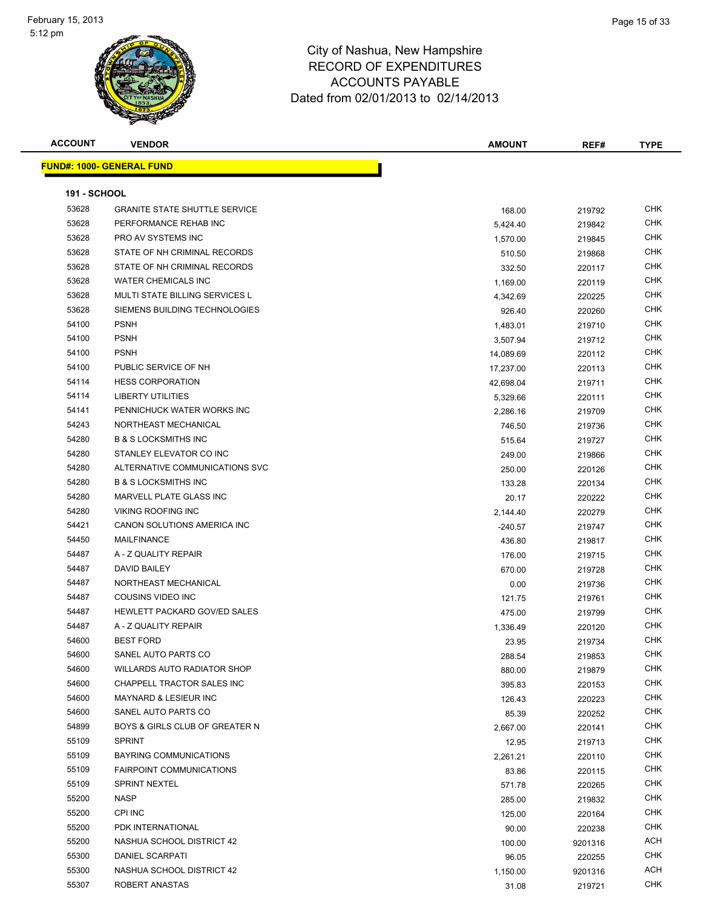| <b>ACCOUNT</b>      | <b>VENDOR</b>                         | <b>AMOUNT</b> | REF#    | <b>TYPE</b> |
|---------------------|---------------------------------------|---------------|---------|-------------|
|                     | <b>FUND#: 1000- GENERAL FUND</b>      |               |         |             |
|                     |                                       |               |         |             |
| <b>191 - SCHOOL</b> |                                       |               |         |             |
| 53628               | <b>GRANITE STATE SHUTTLE SERVICE</b>  | 168.00        | 219792  | <b>CHK</b>  |
| 53628               | PERFORMANCE REHAB INC                 | 5,424.40      | 219842  | <b>CHK</b>  |
| 53628               | PRO AV SYSTEMS INC                    | 1,570.00      | 219845  | CHK         |
| 53628               | STATE OF NH CRIMINAL RECORDS          | 510.50        | 219868  | CHK         |
| 53628               | STATE OF NH CRIMINAL RECORDS          | 332.50        | 220117  | CHK         |
| 53628               | <b>WATER CHEMICALS INC</b>            | 1,169.00      | 220119  | CHK         |
| 53628               | <b>MULTI STATE BILLING SERVICES L</b> | 4,342.69      | 220225  | <b>CHK</b>  |
| 53628               | SIEMENS BUILDING TECHNOLOGIES         | 926.40        | 220260  | <b>CHK</b>  |
| 54100               | <b>PSNH</b>                           | 1,483.01      | 219710  | CHK         |
| 54100               | <b>PSNH</b>                           | 3,507.94      | 219712  | CHK         |
| 54100               | <b>PSNH</b>                           | 14,089.69     | 220112  | CHK         |
| 54100               | PUBLIC SERVICE OF NH                  | 17,237.00     | 220113  | <b>CHK</b>  |
| 54114               | <b>HESS CORPORATION</b>               | 42,698.04     | 219711  | CHK         |
| 54114               | <b>LIBERTY UTILITIES</b>              | 5,329.66      | 220111  | <b>CHK</b>  |
| 54141               | PENNICHUCK WATER WORKS INC            | 2,286.16      | 219709  | <b>CHK</b>  |
| 54243               | NORTHEAST MECHANICAL                  | 746.50        | 219736  | CHK         |
| 54280               | <b>B &amp; S LOCKSMITHS INC</b>       | 515.64        | 219727  | CHK         |
| 54280               | STANLEY ELEVATOR CO INC               | 249.00        | 219866  | CHK         |
| 54280               | ALTERNATIVE COMMUNICATIONS SVC        | 250.00        | 220126  | <b>CHK</b>  |
| 54280               | <b>B &amp; S LOCKSMITHS INC</b>       | 133.28        | 220134  | <b>CHK</b>  |
| 54280               | MARVELL PLATE GLASS INC               | 20.17         | 220222  | <b>CHK</b>  |
| 54280               | <b>VIKING ROOFING INC</b>             | 2,144.40      | 220279  | CHK         |
| 54421               | CANON SOLUTIONS AMERICA INC           | -240.57       | 219747  | <b>CHK</b>  |
| 54450               | <b>MAILFINANCE</b>                    | 436.80        | 219817  | <b>CHK</b>  |
| 54487               | A - Z QUALITY REPAIR                  | 176.00        | 219715  | <b>CHK</b>  |
| 54487               | DAVID BAILEY                          | 670.00        | 219728  | <b>CHK</b>  |
| 54487               | NORTHEAST MECHANICAL                  | 0.00          | 219736  | CHK         |
| 54487               | COUSINS VIDEO INC                     | 121.75        | 219761  | <b>CHK</b>  |
| 54487               | <b>HEWLETT PACKARD GOV/ED SALES</b>   | 475.00        | 219799  | <b>CHK</b>  |
| 54487               | A - Z QUALITY REPAIR                  | 1,336.49      | 220120  | <b>CHK</b>  |
| 54600               | <b>BEST FORD</b>                      | 23.95         | 219734  | <b>CHK</b>  |
| 54600               | SANEL AUTO PARTS CO                   | 288.54        | 219853  | <b>CHK</b>  |
| 54600               | <b>WILLARDS AUTO RADIATOR SHOP</b>    | 880.00        | 219879  | <b>CHK</b>  |
| 54600               | CHAPPELL TRACTOR SALES INC            | 395.83        | 220153  | <b>CHK</b>  |
| 54600               | <b>MAYNARD &amp; LESIEUR INC</b>      | 126.43        | 220223  | CHK         |
| 54600               | SANEL AUTO PARTS CO                   | 85.39         | 220252  | <b>CHK</b>  |
| 54899               | BOYS & GIRLS CLUB OF GREATER N        | 2,667.00      | 220141  | CHK         |
| 55109               | <b>SPRINT</b>                         | 12.95         | 219713  | CHK         |
| 55109               | BAYRING COMMUNICATIONS                | 2,261.21      | 220110  | <b>CHK</b>  |
| 55109               | <b>FAIRPOINT COMMUNICATIONS</b>       | 83.86         | 220115  | <b>CHK</b>  |
| 55109               | <b>SPRINT NEXTEL</b>                  | 571.78        | 220265  | CHK         |
| 55200               | <b>NASP</b>                           | 285.00        | 219832  | <b>CHK</b>  |
| 55200               | CPI INC                               | 125.00        | 220164  | <b>CHK</b>  |
| 55200               | PDK INTERNATIONAL                     | 90.00         | 220238  | CHK         |
| 55200               | NASHUA SCHOOL DISTRICT 42             | 100.00        | 9201316 | ACH         |
| 55300               | DANIEL SCARPATI                       | 96.05         | 220255  | CHK         |
| 55300               | NASHUA SCHOOL DISTRICT 42             | 1,150.00      | 9201316 | ACH         |
| 55307               | ROBERT ANASTAS                        | 31.08         | 219721  | CHK         |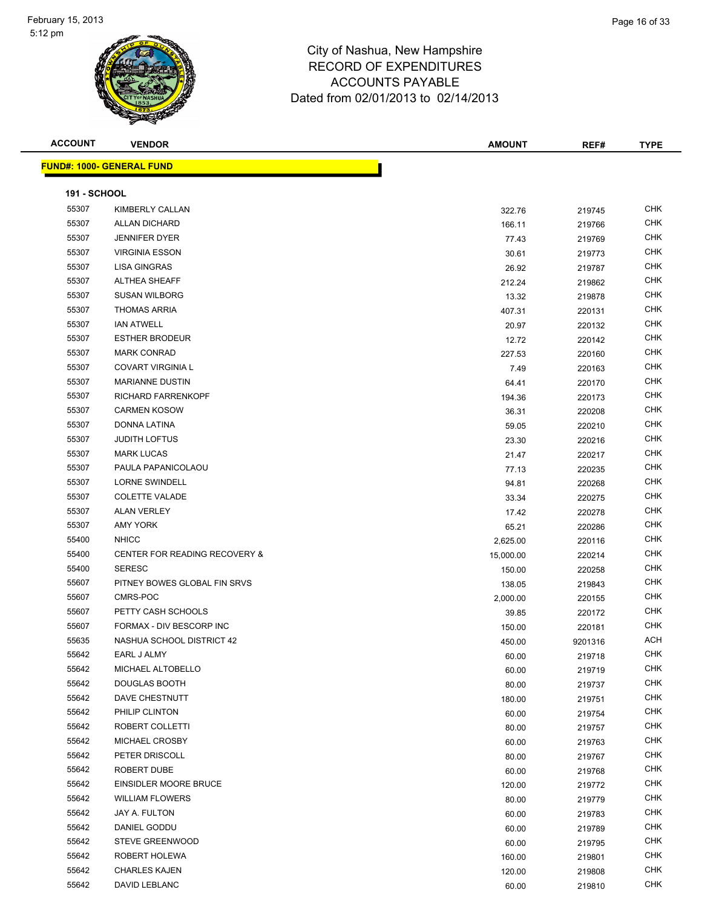| <b>ACCOUNT</b>      | <b>VENDOR</b>                            | <b>AMOUNT</b> | REF#    | <b>TYPE</b> |
|---------------------|------------------------------------------|---------------|---------|-------------|
|                     | <b>FUND#: 1000- GENERAL FUND</b>         |               |         |             |
|                     |                                          |               |         |             |
| <b>191 - SCHOOL</b> |                                          |               |         |             |
| 55307               | KIMBERLY CALLAN                          | 322.76        | 219745  | <b>CHK</b>  |
| 55307               | <b>ALLAN DICHARD</b>                     | 166.11        | 219766  | <b>CHK</b>  |
| 55307               | <b>JENNIFER DYER</b>                     | 77.43         | 219769  | <b>CHK</b>  |
| 55307               | <b>VIRGINIA ESSON</b>                    | 30.61         | 219773  | <b>CHK</b>  |
| 55307               | LISA GINGRAS                             | 26.92         | 219787  | <b>CHK</b>  |
| 55307               | <b>ALTHEA SHEAFF</b>                     | 212.24        | 219862  | <b>CHK</b>  |
| 55307               | <b>SUSAN WILBORG</b>                     | 13.32         | 219878  | <b>CHK</b>  |
| 55307               | <b>THOMAS ARRIA</b>                      | 407.31        | 220131  | CHK         |
| 55307               | <b>IAN ATWELL</b>                        | 20.97         | 220132  | <b>CHK</b>  |
| 55307               | <b>ESTHER BRODEUR</b>                    | 12.72         | 220142  | <b>CHK</b>  |
| 55307               | <b>MARK CONRAD</b>                       | 227.53        | 220160  | <b>CHK</b>  |
| 55307               | <b>COVART VIRGINIA L</b>                 | 7.49          | 220163  | <b>CHK</b>  |
| 55307               | <b>MARIANNE DUSTIN</b>                   | 64.41         | 220170  | <b>CHK</b>  |
| 55307               | RICHARD FARRENKOPF                       | 194.36        | 220173  | <b>CHK</b>  |
| 55307               | <b>CARMEN KOSOW</b>                      | 36.31         | 220208  | <b>CHK</b>  |
| 55307               | DONNA LATINA                             | 59.05         | 220210  | <b>CHK</b>  |
| 55307               | <b>JUDITH LOFTUS</b>                     | 23.30         | 220216  | <b>CHK</b>  |
| 55307               | <b>MARK LUCAS</b>                        | 21.47         | 220217  | CHK         |
| 55307               | PAULA PAPANICOLAOU                       | 77.13         | 220235  | <b>CHK</b>  |
| 55307               | LORNE SWINDELL                           | 94.81         | 220268  | <b>CHK</b>  |
| 55307               | <b>COLETTE VALADE</b>                    | 33.34         | 220275  | <b>CHK</b>  |
| 55307               | <b>ALAN VERLEY</b>                       | 17.42         | 220278  | <b>CHK</b>  |
| 55307               | <b>AMY YORK</b>                          | 65.21         | 220286  | <b>CHK</b>  |
| 55400               | <b>NHICC</b>                             | 2,625.00      | 220116  | <b>CHK</b>  |
| 55400               | <b>CENTER FOR READING RECOVERY &amp;</b> | 15,000.00     | 220214  | <b>CHK</b>  |
| 55400               | <b>SERESC</b>                            | 150.00        | 220258  | <b>CHK</b>  |
| 55607               | PITNEY BOWES GLOBAL FIN SRVS             | 138.05        | 219843  | <b>CHK</b>  |
| 55607               | CMRS-POC                                 | 2,000.00      | 220155  | <b>CHK</b>  |
| 55607               | PETTY CASH SCHOOLS                       | 39.85         | 220172  | CHK         |
| 55607               | FORMAX - DIV BESCORP INC                 | 150.00        | 220181  | CHK         |
| 55635               | NASHUA SCHOOL DISTRICT 42                | 450.00        | 9201316 | <b>ACH</b>  |
| 55642               | EARL J ALMY                              | 60.00         | 219718  | <b>CHK</b>  |
| 55642               | MICHAEL ALTOBELLO                        | 60.00         | 219719  | <b>CHK</b>  |
| 55642               | DOUGLAS BOOTH                            | 80.00         | 219737  | <b>CHK</b>  |
| 55642               | DAVE CHESTNUTT                           | 180.00        | 219751  | <b>CHK</b>  |
| 55642               | PHILIP CLINTON                           | 60.00         | 219754  | <b>CHK</b>  |
| 55642               | ROBERT COLLETTI                          | 80.00         | 219757  | CHK         |
| 55642               | MICHAEL CROSBY                           | 60.00         | 219763  | CHK         |
| 55642               | PETER DRISCOLL                           | 80.00         | 219767  | <b>CHK</b>  |
| 55642               | ROBERT DUBE                              | 60.00         | 219768  | <b>CHK</b>  |
| 55642               | EINSIDLER MOORE BRUCE                    | 120.00        | 219772  | <b>CHK</b>  |
| 55642               | <b>WILLIAM FLOWERS</b>                   | 80.00         | 219779  | <b>CHK</b>  |
| 55642               | JAY A. FULTON                            | 60.00         | 219783  | <b>CHK</b>  |
| 55642               | DANIEL GODDU                             | 60.00         | 219789  | <b>CHK</b>  |
| 55642               | STEVE GREENWOOD                          | 60.00         | 219795  | <b>CHK</b>  |
| 55642               | ROBERT HOLEWA                            | 160.00        | 219801  | CHK         |
| 55642               | <b>CHARLES KAJEN</b>                     | 120.00        | 219808  | CHK         |
| 55642               | DAVID LEBLANC                            | 60.00         | 219810  | <b>CHK</b>  |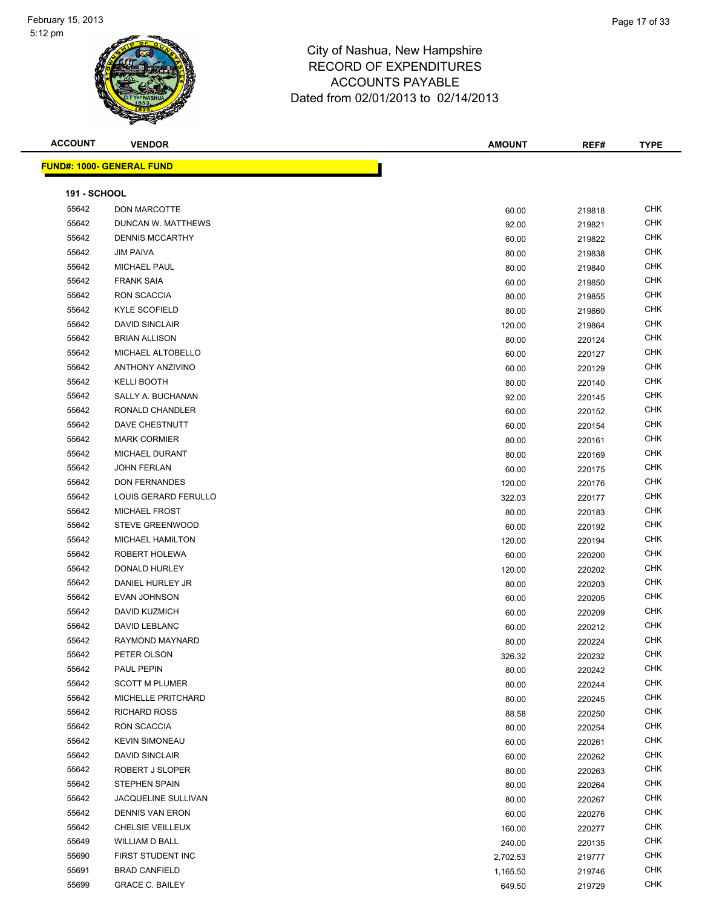

| <b>ACCOUNT</b>      | <b>VENDOR</b>                    | <b>AMOUNT</b> | REF#   | <b>TYPE</b> |
|---------------------|----------------------------------|---------------|--------|-------------|
|                     | <b>FUND#: 1000- GENERAL FUND</b> |               |        |             |
|                     |                                  |               |        |             |
| <b>191 - SCHOOL</b> |                                  |               |        |             |
| 55642               | DON MARCOTTE                     | 60.00         | 219818 | <b>CHK</b>  |
| 55642               | DUNCAN W. MATTHEWS               | 92.00         | 219821 | <b>CHK</b>  |
| 55642               | <b>DENNIS MCCARTHY</b>           | 60.00         | 219822 | <b>CHK</b>  |
| 55642               | <b>JIM PAIVA</b>                 | 80.00         | 219838 | <b>CHK</b>  |
| 55642               | <b>MICHAEL PAUL</b>              | 80.00         | 219840 | CHK         |
| 55642               | <b>FRANK SAIA</b>                | 60.00         | 219850 | CHK         |
| 55642               | RON SCACCIA                      | 80.00         | 219855 | CHK         |
| 55642               | <b>KYLE SCOFIELD</b>             | 80.00         | 219860 | CHK         |
| 55642               | <b>DAVID SINCLAIR</b>            | 120.00        | 219864 | <b>CHK</b>  |
| 55642               | <b>BRIAN ALLISON</b>             | 80.00         | 220124 | CHK         |
| 55642               | MICHAEL ALTOBELLO                | 60.00         | 220127 | CHK         |
| 55642               | <b>ANTHONY ANZIVINO</b>          | 60.00         | 220129 | <b>CHK</b>  |
| 55642               | <b>KELLI BOOTH</b>               | 80.00         | 220140 | CHK         |
| 55642               | SALLY A. BUCHANAN                | 92.00         | 220145 | <b>CHK</b>  |
| 55642               | RONALD CHANDLER                  | 60.00         | 220152 | <b>CHK</b>  |
| 55642               | DAVE CHESTNUTT                   | 60.00         | 220154 | <b>CHK</b>  |
| 55642               | <b>MARK CORMIER</b>              | 80.00         | 220161 | <b>CHK</b>  |
| 55642               | MICHAEL DURANT                   | 80.00         | 220169 | CHK         |
| 55642               | <b>JOHN FERLAN</b>               | 60.00         | 220175 | <b>CHK</b>  |
| 55642               | <b>DON FERNANDES</b>             | 120.00        | 220176 | <b>CHK</b>  |
| 55642               | LOUIS GERARD FERULLO             | 322.03        | 220177 | <b>CHK</b>  |
| 55642               | <b>MICHAEL FROST</b>             | 80.00         | 220183 | <b>CHK</b>  |
| 55642               | STEVE GREENWOOD                  | 60.00         | 220192 | <b>CHK</b>  |
| 55642               | MICHAEL HAMILTON                 | 120.00        | 220194 | <b>CHK</b>  |
| 55642               | ROBERT HOLEWA                    | 60.00         | 220200 | <b>CHK</b>  |
| 55642               | DONALD HURLEY                    | 120.00        | 220202 | <b>CHK</b>  |
| 55642               | DANIEL HURLEY JR                 | 80.00         | 220203 | <b>CHK</b>  |
| 55642               | <b>EVAN JOHNSON</b>              | 60.00         | 220205 | <b>CHK</b>  |
| 55642               | DAVID KUZMICH                    | 60.00         | 220209 | CHK         |
| 55642               | <b>DAVID LEBLANC</b>             | 60.00         | 220212 | CHK         |
| 55642               | RAYMOND MAYNARD                  | 80.00         | 220224 | <b>CHK</b>  |
| 55642               | PETER OLSON                      | 326.32        | 220232 | CHK         |
| 55642               | PAUL PEPIN                       | 80.00         | 220242 | <b>CHK</b>  |
| 55642               | <b>SCOTT M PLUMER</b>            | 80.00         | 220244 | <b>CHK</b>  |
| 55642               | MICHELLE PRITCHARD               | 80.00         | 220245 | <b>CHK</b>  |
| 55642               | <b>RICHARD ROSS</b>              | 88.58         | 220250 | <b>CHK</b>  |
| 55642               | RON SCACCIA                      | 80.00         | 220254 | CHK         |
| 55642               | <b>KEVIN SIMONEAU</b>            | 60.00         | 220261 | CHK         |
| 55642               | <b>DAVID SINCLAIR</b>            | 60.00         | 220262 | <b>CHK</b>  |
| 55642               | ROBERT J SLOPER                  | 80.00         | 220263 | <b>CHK</b>  |
| 55642               | STEPHEN SPAIN                    | 80.00         | 220264 | <b>CHK</b>  |
| 55642               | JACQUELINE SULLIVAN              | 80.00         | 220267 | <b>CHK</b>  |
| 55642               | <b>DENNIS VAN ERON</b>           | 60.00         | 220276 | <b>CHK</b>  |
| 55642               | CHELSIE VEILLEUX                 | 160.00        | 220277 | <b>CHK</b>  |
| 55649               | <b>WILLIAM D BALL</b>            | 240.00        | 220135 | <b>CHK</b>  |
| 55690               | FIRST STUDENT INC                | 2,702.53      | 219777 | <b>CHK</b>  |
| 55691               | <b>BRAD CANFIELD</b>             | 1,165.50      | 219746 | <b>CHK</b>  |
| 55699               | <b>GRACE C. BAILEY</b>           | 649.50        | 219729 | CHK         |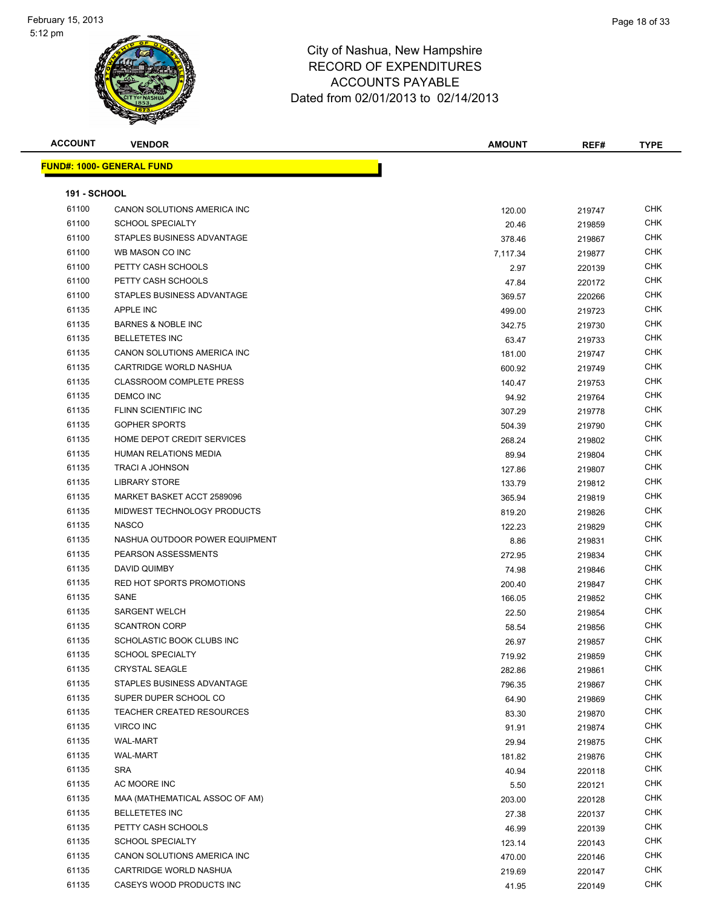| <b>ACCOUNT</b>      | <b>VENDOR</b>                    | <b>AMOUNT</b> | REF#   | <b>TYPE</b> |
|---------------------|----------------------------------|---------------|--------|-------------|
|                     | <b>FUND#: 1000- GENERAL FUND</b> |               |        |             |
|                     |                                  |               |        |             |
| <b>191 - SCHOOL</b> |                                  |               |        |             |
| 61100               | CANON SOLUTIONS AMERICA INC      | 120.00        | 219747 | <b>CHK</b>  |
| 61100               | <b>SCHOOL SPECIALTY</b>          | 20.46         | 219859 | <b>CHK</b>  |
| 61100               | STAPLES BUSINESS ADVANTAGE       | 378.46        | 219867 | <b>CHK</b>  |
| 61100               | WB MASON CO INC                  | 7,117.34      | 219877 | <b>CHK</b>  |
| 61100               | PETTY CASH SCHOOLS               | 2.97          | 220139 | CHK         |
| 61100               | PETTY CASH SCHOOLS               | 47.84         | 220172 | CHK         |
| 61100               | STAPLES BUSINESS ADVANTAGE       | 369.57        | 220266 | CHK         |
| 61135               | <b>APPLE INC</b>                 | 499.00        | 219723 | CHK         |
| 61135               | <b>BARNES &amp; NOBLE INC</b>    | 342.75        | 219730 | CHK         |
| 61135               | <b>BELLETETES INC</b>            | 63.47         | 219733 | <b>CHK</b>  |
| 61135               | CANON SOLUTIONS AMERICA INC      | 181.00        | 219747 | CHK         |
| 61135               | CARTRIDGE WORLD NASHUA           | 600.92        | 219749 | <b>CHK</b>  |
| 61135               | <b>CLASSROOM COMPLETE PRESS</b>  | 140.47        | 219753 | <b>CHK</b>  |
| 61135               | <b>DEMCO INC</b>                 | 94.92         | 219764 | CHK         |
| 61135               | FLINN SCIENTIFIC INC             | 307.29        | 219778 | CHK         |
| 61135               | <b>GOPHER SPORTS</b>             | 504.39        | 219790 | CHK         |
| 61135               | HOME DEPOT CREDIT SERVICES       | 268.24        | 219802 | CHK         |
| 61135               | HUMAN RELATIONS MEDIA            | 89.94         | 219804 | <b>CHK</b>  |
| 61135               | <b>TRACI A JOHNSON</b>           | 127.86        | 219807 | CHK         |
| 61135               | <b>LIBRARY STORE</b>             | 133.79        | 219812 | <b>CHK</b>  |
| 61135               | MARKET BASKET ACCT 2589096       | 365.94        | 219819 | <b>CHK</b>  |
| 61135               | MIDWEST TECHNOLOGY PRODUCTS      | 819.20        | 219826 | <b>CHK</b>  |
| 61135               | <b>NASCO</b>                     | 122.23        | 219829 | <b>CHK</b>  |
| 61135               | NASHUA OUTDOOR POWER EQUIPMENT   | 8.86          | 219831 | <b>CHK</b>  |
| 61135               | PEARSON ASSESSMENTS              | 272.95        | 219834 | CHK         |
| 61135               | DAVID QUIMBY                     | 74.98         | 219846 | CHK         |
| 61135               | RED HOT SPORTS PROMOTIONS        | 200.40        | 219847 | CHK         |
| 61135               | SANE                             | 166.05        | 219852 | CHK         |
| 61135               | <b>SARGENT WELCH</b>             | 22.50         | 219854 | CHK         |
| 61135               | <b>SCANTRON CORP</b>             | 58.54         | 219856 | CHK         |
| 61135               | SCHOLASTIC BOOK CLUBS INC        | 26.97         | 219857 | <b>CHK</b>  |
| 61135               | <b>SCHOOL SPECIALTY</b>          | 719.92        | 219859 | <b>CHK</b>  |
| 61135               | <b>CRYSTAL SEAGLE</b>            | 282.86        | 219861 | CHK         |
| 61135               | STAPLES BUSINESS ADVANTAGE       | 796.35        | 219867 | <b>CHK</b>  |
| 61135               | SUPER DUPER SCHOOL CO            | 64.90         | 219869 | CHK         |
| 61135               | <b>TEACHER CREATED RESOURCES</b> | 83.30         | 219870 | CHK         |
| 61135               | VIRCO INC                        | 91.91         | 219874 | CHK         |
| 61135               | <b>WAL-MART</b>                  | 29.94         | 219875 | CHK         |
| 61135               | <b>WAL-MART</b>                  | 181.82        | 219876 | <b>CHK</b>  |
| 61135               | <b>SRA</b>                       | 40.94         | 220118 | CHK         |
| 61135               | AC MOORE INC                     | 5.50          | 220121 | CHK         |
| 61135               | MAA (MATHEMATICAL ASSOC OF AM)   | 203.00        | 220128 | CHK         |
| 61135               | <b>BELLETETES INC</b>            | 27.38         | 220137 | CHK         |
| 61135               | PETTY CASH SCHOOLS               | 46.99         | 220139 | CHK         |
| 61135               | <b>SCHOOL SPECIALTY</b>          | 123.14        | 220143 | CHK         |
| 61135               | CANON SOLUTIONS AMERICA INC      | 470.00        | 220146 | CHK         |
| 61135               | CARTRIDGE WORLD NASHUA           | 219.69        | 220147 | CHK         |
| 61135               | CASEYS WOOD PRODUCTS INC         | 41.95         | 220149 | CHK         |
|                     |                                  |               |        |             |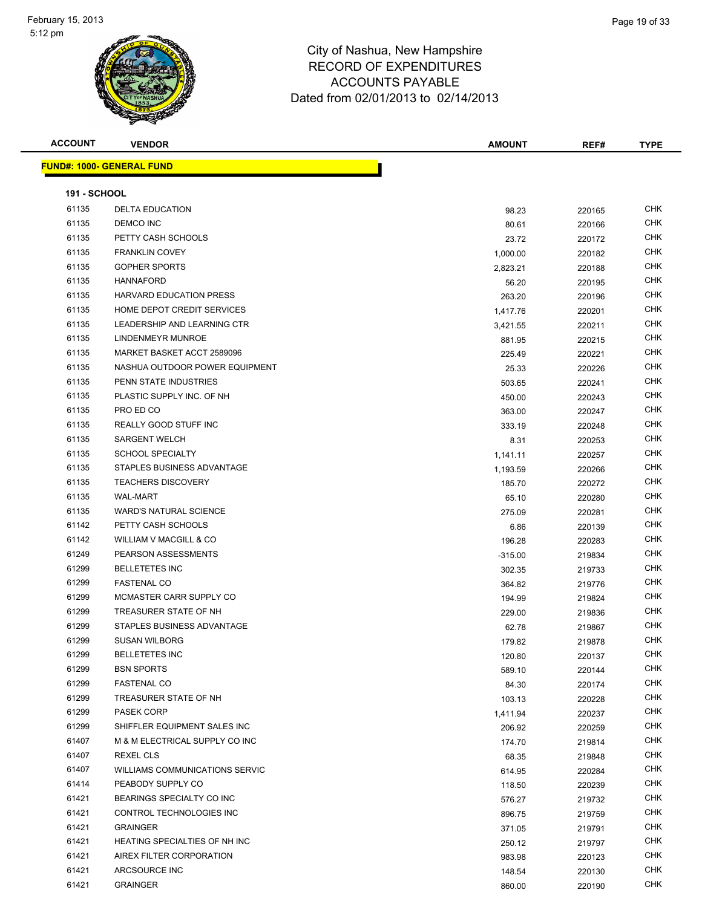

| <b>ACCOUNT</b>      | <b>VENDOR</b>                     | <b>AMOUNT</b>       | REF#             | <b>TYPE</b> |
|---------------------|-----------------------------------|---------------------|------------------|-------------|
|                     | <u> FUND#: 1000- GENERAL FUND</u> |                     |                  |             |
| <b>191 - SCHOOL</b> |                                   |                     |                  |             |
| 61135               | <b>DELTA EDUCATION</b>            |                     |                  | CHK         |
| 61135               | DEMCO INC                         | 98.23               | 220165           | <b>CHK</b>  |
| 61135               | PETTY CASH SCHOOLS                | 80.61               | 220166           | CHK         |
| 61135               | <b>FRANKLIN COVEY</b>             | 23.72               | 220172           | CHK         |
| 61135               | <b>GOPHER SPORTS</b>              | 1,000.00            | 220182           | <b>CHK</b>  |
| 61135               | <b>HANNAFORD</b>                  | 2,823.21            | 220188           | CHK         |
| 61135               | <b>HARVARD EDUCATION PRESS</b>    | 56.20               | 220195           | <b>CHK</b>  |
| 61135               | HOME DEPOT CREDIT SERVICES        | 263.20              | 220196           | CHK         |
| 61135               | LEADERSHIP AND LEARNING CTR       | 1,417.76            | 220201           | <b>CHK</b>  |
| 61135               | LINDENMEYR MUNROE                 | 3,421.55            | 220211           | CHK         |
| 61135               | MARKET BASKET ACCT 2589096        | 881.95              | 220215           | CHK         |
| 61135               | NASHUA OUTDOOR POWER EQUIPMENT    | 225.49              | 220221           | CHK         |
| 61135               | PENN STATE INDUSTRIES             | 25.33               | 220226           | CHK         |
| 61135               | PLASTIC SUPPLY INC. OF NH         | 503.65              | 220241           | CHK         |
| 61135               | PRO ED CO                         | 450.00              | 220243           | CHK         |
| 61135               | REALLY GOOD STUFF INC             | 363.00              | 220247           | CHK         |
| 61135               | <b>SARGENT WELCH</b>              | 333.19              | 220248           | CHK         |
| 61135               | <b>SCHOOL SPECIALTY</b>           | 8.31                | 220253           | CHK         |
| 61135               | STAPLES BUSINESS ADVANTAGE        | 1,141.11            | 220257           | CHK         |
| 61135               | <b>TEACHERS DISCOVERY</b>         | 1,193.59            | 220266           | CHK         |
| 61135               | <b>WAL-MART</b>                   | 185.70              | 220272           | CHK         |
| 61135               | <b>WARD'S NATURAL SCIENCE</b>     | 65.10               | 220280           | CHK         |
| 61142               | PETTY CASH SCHOOLS                | 275.09              | 220281<br>220139 | CHK         |
| 61142               | WILLIAM V MACGILL & CO            | 6.86<br>196.28      | 220283           | <b>CHK</b>  |
| 61249               | PEARSON ASSESSMENTS               |                     |                  | CHK         |
| 61299               | <b>BELLETETES INC</b>             | $-315.00$<br>302.35 | 219834<br>219733 | CHK         |
| 61299               | <b>FASTENAL CO</b>                | 364.82              | 219776           | CHK         |
| 61299               | MCMASTER CARR SUPPLY CO           | 194.99              | 219824           | CHK         |
| 61299               | TREASURER STATE OF NH             | 229.00              | 219836           | CHK         |
| 61299               | STAPLES BUSINESS ADVANTAGE        | 62.78               | 219867           | CHK         |
| 61299               | <b>SUSAN WILBORG</b>              | 179.82              | 219878           | CHK         |
| 61299               | <b>BELLETETES INC</b>             | 120.80              | 220137           | CHK         |
| 61299               | <b>BSN SPORTS</b>                 | 589.10              | 220144           | <b>CHK</b>  |
| 61299               | <b>FASTENAL CO</b>                | 84.30               | 220174           | CHK         |
| 61299               | TREASURER STATE OF NH             | 103.13              | 220228           | <b>CHK</b>  |
| 61299               | PASEK CORP                        | 1,411.94            | 220237           | CHK         |
| 61299               | SHIFFLER EQUIPMENT SALES INC      | 206.92              | 220259           | <b>CHK</b>  |
| 61407               | M & M ELECTRICAL SUPPLY CO INC    | 174.70              | 219814           | CHK         |
| 61407               | <b>REXEL CLS</b>                  | 68.35               | 219848           | CHK         |
| 61407               | WILLIAMS COMMUNICATIONS SERVIC    | 614.95              | 220284           | CHK         |
| 61414               | PEABODY SUPPLY CO                 | 118.50              | 220239           | <b>CHK</b>  |
| 61421               | BEARINGS SPECIALTY CO INC         | 576.27              | 219732           | CHK         |
| 61421               | CONTROL TECHNOLOGIES INC          | 896.75              | 219759           | <b>CHK</b>  |
| 61421               | <b>GRAINGER</b>                   | 371.05              | 219791           | CHK         |
| 61421               | HEATING SPECIALTIES OF NH INC     | 250.12              | 219797           | CHK         |
| 61421               | AIREX FILTER CORPORATION          | 983.98              | 220123           | CHK         |
| 61421               | ARCSOURCE INC                     | 148.54              | 220130           | CHK         |
| 61421               | <b>GRAINGER</b>                   | 860.00              | 220190           | CHK         |
|                     |                                   |                     |                  |             |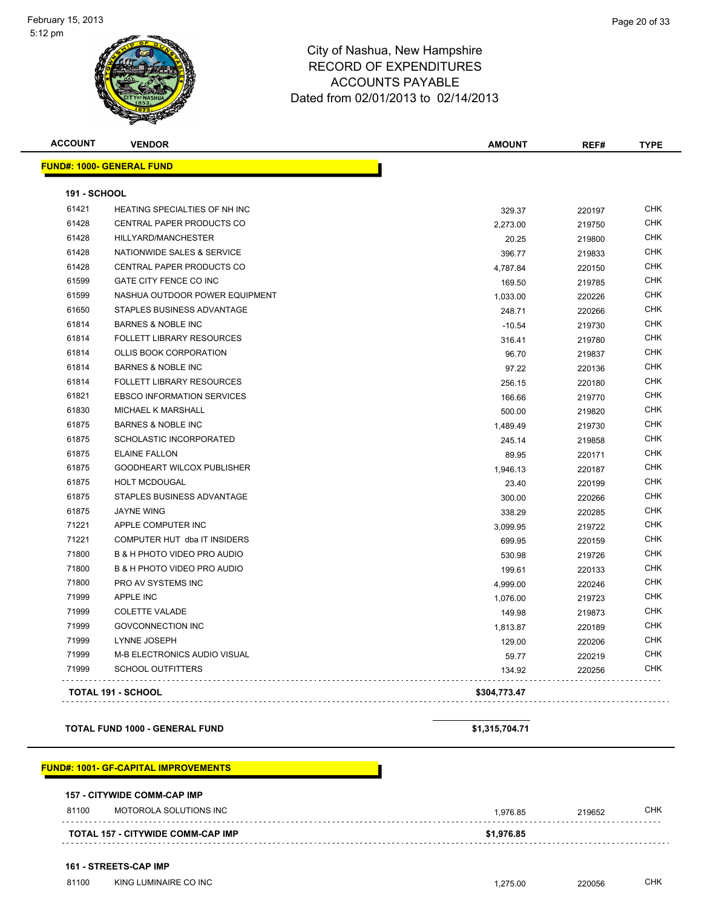

| <b>ACCOUNT</b>      | <b>VENDOR</b>                          | <b>AMOUNT</b> | REF#   | <b>TYPE</b> |
|---------------------|----------------------------------------|---------------|--------|-------------|
|                     | <b>FUND#: 1000- GENERAL FUND</b>       |               |        |             |
| <b>191 - SCHOOL</b> |                                        |               |        |             |
| 61421               | HEATING SPECIALTIES OF NH INC          | 329.37        | 220197 | <b>CHK</b>  |
| 61428               | CENTRAL PAPER PRODUCTS CO              | 2,273.00      | 219750 | <b>CHK</b>  |
| 61428               | HILLYARD/MANCHESTER                    | 20.25         | 219800 | <b>CHK</b>  |
| 61428               | NATIONWIDE SALES & SERVICE             | 396.77        | 219833 | <b>CHK</b>  |
| 61428               | CENTRAL PAPER PRODUCTS CO              | 4,787.84      | 220150 | CHK         |
| 61599               | GATE CITY FENCE CO INC                 | 169.50        | 219785 | <b>CHK</b>  |
| 61599               | NASHUA OUTDOOR POWER EQUIPMENT         | 1,033.00      | 220226 | <b>CHK</b>  |
| 61650               | STAPLES BUSINESS ADVANTAGE             | 248.71        | 220266 | <b>CHK</b>  |
| 61814               | <b>BARNES &amp; NOBLE INC</b>          | $-10.54$      | 219730 | <b>CHK</b>  |
| 61814               | <b>FOLLETT LIBRARY RESOURCES</b>       | 316.41        | 219780 | <b>CHK</b>  |
| 61814               | <b>OLLIS BOOK CORPORATION</b>          | 96.70         | 219837 | <b>CHK</b>  |
| 61814               | <b>BARNES &amp; NOBLE INC</b>          | 97.22         | 220136 | <b>CHK</b>  |
| 61814               | <b>FOLLETT LIBRARY RESOURCES</b>       | 256.15        | 220180 | <b>CHK</b>  |
| 61821               | <b>EBSCO INFORMATION SERVICES</b>      | 166.66        | 219770 | <b>CHK</b>  |
| 61830               | <b>MICHAEL K MARSHALL</b>              | 500.00        | 219820 | <b>CHK</b>  |
| 61875               | <b>BARNES &amp; NOBLE INC</b>          | 1,489.49      | 219730 | <b>CHK</b>  |
| 61875               | <b>SCHOLASTIC INCORPORATED</b>         | 245.14        | 219858 | <b>CHK</b>  |
| 61875               | <b>ELAINE FALLON</b>                   | 89.95         | 220171 | <b>CHK</b>  |
| 61875               | GOODHEART WILCOX PUBLISHER             | 1,946.13      | 220187 | <b>CHK</b>  |
| 61875               | <b>HOLT MCDOUGAL</b>                   | 23.40         | 220199 | <b>CHK</b>  |
| 61875               | STAPLES BUSINESS ADVANTAGE             | 300.00        | 220266 | <b>CHK</b>  |
| 61875               | <b>JAYNE WING</b>                      | 338.29        | 220285 | <b>CHK</b>  |
| 71221               | APPLE COMPUTER INC                     | 3,099.95      | 219722 | <b>CHK</b>  |
| 71221               | COMPUTER HUT dba IT INSIDERS           | 699.95        | 220159 | <b>CHK</b>  |
| 71800               | B & H PHOTO VIDEO PRO AUDIO            | 530.98        | 219726 | <b>CHK</b>  |
| 71800               | <b>B &amp; H PHOTO VIDEO PRO AUDIO</b> | 199.61        | 220133 | <b>CHK</b>  |
| 71800               | PRO AV SYSTEMS INC                     | 4,999.00      | 220246 | <b>CHK</b>  |
| 71999               | APPLE INC                              | 1,076.00      | 219723 | <b>CHK</b>  |
| 71999               | <b>COLETTE VALADE</b>                  | 149.98        | 219873 | <b>CHK</b>  |
| 71999               | <b>GOVCONNECTION INC</b>               | 1,813.87      | 220189 | <b>CHK</b>  |
| 71999               | LYNNE JOSEPH                           | 129.00        | 220206 | <b>CHK</b>  |
| 71999               | M-B ELECTRONICS AUDIO VISUAL           | 59.77         | 220219 | <b>CHK</b>  |
| 71999               | <b>SCHOOL OUTFITTERS</b>               | 134.92        | 220256 | CHK         |
|                     | <b>TOTAL 191 - SCHOOL</b>              | \$304,773.47  |        |             |

**TOTAL FUND 1000 - GENERAL FUND \$1,315,704.71**

#### **FUND#: 1001- GF-CAPITAL IMPROVEMENTS**

|  |  |  | <b>157 - CITYWIDE COMM-CAP IMP</b> |  |
|--|--|--|------------------------------------|--|
|--|--|--|------------------------------------|--|

| 81100 | MOTOROLA SOLUTIONS INC                   | .976.85    | 219652 | CHK |
|-------|------------------------------------------|------------|--------|-----|
|       | <b>TOTAL 157 - CITYWIDE COMM-CAP IMP</b> | \$1,976.85 |        |     |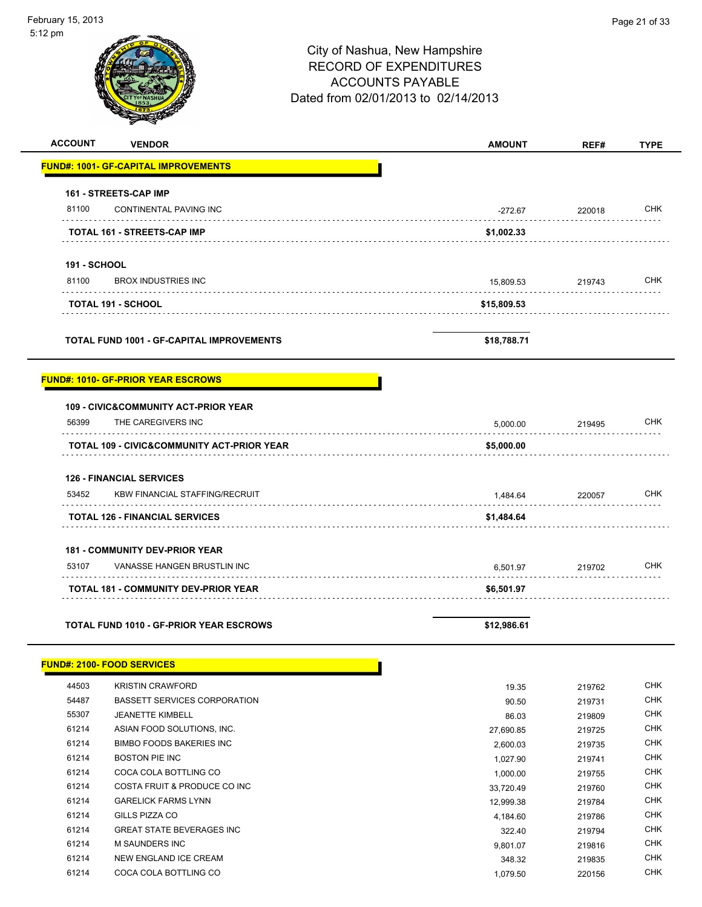| z pm                                             | City of Nashua, New Hampshire<br><b>RECORD OF EXPENDITURES</b><br><b>ACCOUNTS PAYABLE</b><br>Dated from 02/01/2013 to 02/14/2013 |             |             |
|--------------------------------------------------|----------------------------------------------------------------------------------------------------------------------------------|-------------|-------------|
| <b>ACCOUNT</b><br><b>VENDOR</b>                  | <b>AMOUNT</b>                                                                                                                    | REF#        | <b>TYPE</b> |
| <u> FUND#: 1001- GF-CAPITAL IMPROVEMENTS</u>     |                                                                                                                                  |             |             |
| 161 - STREETS-CAP IMP                            |                                                                                                                                  |             |             |
| 81100<br>CONTINENTAL PAVING INC                  | $-272.67$                                                                                                                        | 220018<br>. | <b>CHK</b>  |
| TOTAL 161 - STREETS-CAP IMP                      | \$1,002.33                                                                                                                       |             |             |
| <b>191 - SCHOOL</b>                              |                                                                                                                                  |             |             |
| 81100<br><b>BROX INDUSTRIES INC</b>              | 15,809.53                                                                                                                        | 219743      | <b>CHK</b>  |
| <b>TOTAL 191 - SCHOOL</b>                        | \$15,809.53                                                                                                                      |             |             |
| <b>TOTAL FUND 1001 - GF-CAPITAL IMPROVEMENTS</b> | \$18,788.71                                                                                                                      |             |             |
| <b>FUND#: 1010- GF-PRIOR YEAR ESCROWS</b>        |                                                                                                                                  |             |             |
| <b>109 - CIVIC&amp;COMMUNITY ACT-PRIOR YEAR</b>  |                                                                                                                                  |             |             |
| 56399<br>THE CAREGIVERS INC                      | 5,000.00                                                                                                                         | 219495      | <b>CHK</b>  |
| TOTAL 109 - CIVIC&COMMUNITY ACT-PRIOR YEAR       | \$5,000.00                                                                                                                       |             |             |
| <b>126 - FINANCIAL SERVICES</b>                  |                                                                                                                                  |             |             |
| 53452<br><b>KBW FINANCIAL STAFFING/RECRUIT</b>   | 1,484.64                                                                                                                         | 220057      | CHK         |
| <b>TOTAL 126 - FINANCIAL SERVICES</b>            | \$1,484.64                                                                                                                       |             |             |
| <b>181 - COMMUNITY DEV-PRIOR YEAR</b>            |                                                                                                                                  |             |             |
| 53107<br>VANASSE HANGEN BRUSTLIN INC             | 6,501.97                                                                                                                         | 219702      | <b>CHK</b>  |
| TOTAL 181 - COMMUNITY DEV-PRIOR YEAR             | \$6,501.97                                                                                                                       |             |             |
|                                                  |                                                                                                                                  |             |             |

**TOTAL FUND 1010 - GF-PRIOR YEAR ESCROWS \$12,986.61**

# **FUND#: 2100- FOOD SERVICES**

| 44503 | <b>KRISTIN CRAWFORD</b>          | 19.35     | 219762 | <b>CHK</b> |
|-------|----------------------------------|-----------|--------|------------|
| 54487 | BASSETT SERVICES CORPORATION     | 90.50     | 219731 | <b>CHK</b> |
| 55307 | <b>JEANETTE KIMBELL</b>          | 86.03     | 219809 | <b>CHK</b> |
| 61214 | ASIAN FOOD SOLUTIONS, INC.       | 27,690.85 | 219725 | <b>CHK</b> |
| 61214 | BIMBO FOODS BAKERIES INC         | 2,600.03  | 219735 | <b>CHK</b> |
| 61214 | BOSTON PIE INC                   | 1.027.90  | 219741 | <b>CHK</b> |
| 61214 | COCA COLA BOTTLING CO            | 1.000.00  | 219755 | <b>CHK</b> |
| 61214 | COSTA FRUIT & PRODUCE CO INC     | 33,720.49 | 219760 | <b>CHK</b> |
| 61214 | <b>GARELICK FARMS LYNN</b>       | 12,999.38 | 219784 | <b>CHK</b> |
| 61214 | GILLS PIZZA CO                   | 4,184.60  | 219786 | CHK        |
| 61214 | <b>GREAT STATE BEVERAGES INC</b> | 322.40    | 219794 | <b>CHK</b> |
| 61214 | M SAUNDERS INC                   | 9.801.07  | 219816 | <b>CHK</b> |
| 61214 | NEW ENGLAND ICE CREAM            | 348.32    | 219835 | <b>CHK</b> |
| 61214 | COCA COLA BOTTLING CO            | 1.079.50  | 220156 | <b>CHK</b> |

h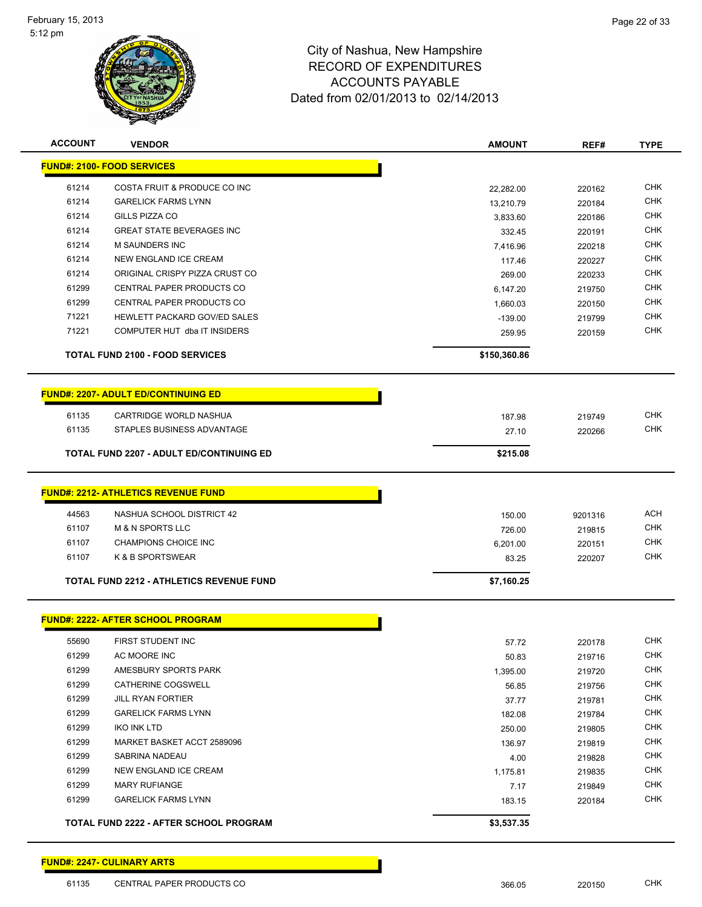

| <b>ACCOUNT</b>                                  | <b>VENDOR</b>                                 | <b>AMOUNT</b> | REF#    | <b>TYPE</b> |
|-------------------------------------------------|-----------------------------------------------|---------------|---------|-------------|
|                                                 | <b>FUND#: 2100- FOOD SERVICES</b>             |               |         |             |
| 61214                                           | COSTA FRUIT & PRODUCE CO INC                  | 22,282.00     | 220162  | <b>CHK</b>  |
| 61214                                           | <b>GARELICK FARMS LYNN</b>                    | 13,210.79     | 220184  | <b>CHK</b>  |
| 61214                                           | GILLS PIZZA CO                                | 3,833.60      | 220186  | <b>CHK</b>  |
| 61214                                           | <b>GREAT STATE BEVERAGES INC</b>              | 332.45        | 220191  | <b>CHK</b>  |
| 61214                                           | <b>M SAUNDERS INC</b>                         | 7,416.96      | 220218  | <b>CHK</b>  |
| 61214                                           | <b>NEW ENGLAND ICE CREAM</b>                  | 117.46        | 220227  | <b>CHK</b>  |
| 61214                                           | ORIGINAL CRISPY PIZZA CRUST CO                | 269.00        | 220233  | <b>CHK</b>  |
| 61299                                           | CENTRAL PAPER PRODUCTS CO                     | 6,147.20      | 219750  | <b>CHK</b>  |
| 61299                                           | CENTRAL PAPER PRODUCTS CO                     | 1,660.03      | 220150  | <b>CHK</b>  |
| 71221                                           | HEWLETT PACKARD GOV/ED SALES                  | $-139.00$     | 219799  | <b>CHK</b>  |
| 71221                                           | COMPUTER HUT dba IT INSIDERS                  | 259.95        | 220159  | <b>CHK</b>  |
| <b>TOTAL FUND 2100 - FOOD SERVICES</b>          |                                               | \$150,360.86  |         |             |
|                                                 | <b>FUND#: 2207- ADULT ED/CONTINUING ED</b>    |               |         |             |
| 61135                                           | CARTRIDGE WORLD NASHUA                        | 187.98        | 219749  | <b>CHK</b>  |
| 61135                                           | STAPLES BUSINESS ADVANTAGE                    | 27.10         | 220266  | <b>CHK</b>  |
| <b>TOTAL FUND 2207 - ADULT ED/CONTINUING ED</b> |                                               | \$215.08      |         |             |
|                                                 |                                               |               |         |             |
|                                                 | <b>FUND#: 2212- ATHLETICS REVENUE FUND</b>    |               |         |             |
| 44563                                           | NASHUA SCHOOL DISTRICT 42                     | 150.00        | 9201316 | <b>ACH</b>  |
| 61107                                           | <b>M &amp; N SPORTS LLC</b>                   | 726.00        | 219815  | <b>CHK</b>  |
| 61107                                           | CHAMPIONS CHOICE INC                          | 6,201.00      | 220151  | <b>CHK</b>  |
| 61107                                           | K & B SPORTSWEAR                              | 83.25         | 220207  | <b>CHK</b>  |
| <b>TOTAL FUND 2212 - ATHLETICS REVENUE FUND</b> |                                               | \$7,160.25    |         |             |
|                                                 | <b>FUND#: 2222- AFTER SCHOOL PROGRAM</b>      |               |         |             |
|                                                 |                                               |               |         |             |
| 55690                                           | FIRST STUDENT INC                             | 57.72         | 220178  | <b>CHK</b>  |
| 61299                                           | AC MOORE INC                                  | 50.83         | 219716  | CHK         |
| 61299                                           | AMESBURY SPORTS PARK                          | 1,395.00      | 219720  | <b>CHK</b>  |
| 61299                                           | CATHERINE COGSWELL                            | 56.85         | 219756  | <b>CHK</b>  |
| 61299                                           | <b>JILL RYAN FORTIER</b>                      | 37.77         | 219781  | <b>CHK</b>  |
| 61299                                           | <b>GARELICK FARMS LYNN</b>                    | 182.08        | 219784  | <b>CHK</b>  |
| 61299                                           | <b>IKO INK LTD</b>                            | 250.00        | 219805  | <b>CHK</b>  |
| 61299                                           | MARKET BASKET ACCT 2589096                    | 136.97        | 219819  | <b>CHK</b>  |
| 61299                                           | SABRINA NADEAU                                | 4.00          | 219828  | <b>CHK</b>  |
| 61299                                           | NEW ENGLAND ICE CREAM                         | 1,175.81      | 219835  | <b>CHK</b>  |
| 61299                                           | <b>MARY RUFIANGE</b>                          | 7.17          | 219849  | <b>CHK</b>  |
| 61299                                           | <b>GARELICK FARMS LYNN</b>                    | 183.15        | 220184  | <b>CHK</b>  |
|                                                 | <b>TOTAL FUND 2222 - AFTER SCHOOL PROGRAM</b> | \$3,537.35    |         |             |

| <b>FUND#: 2247- CULINARY ARTS</b> |  |  |
|-----------------------------------|--|--|
|                                   |  |  |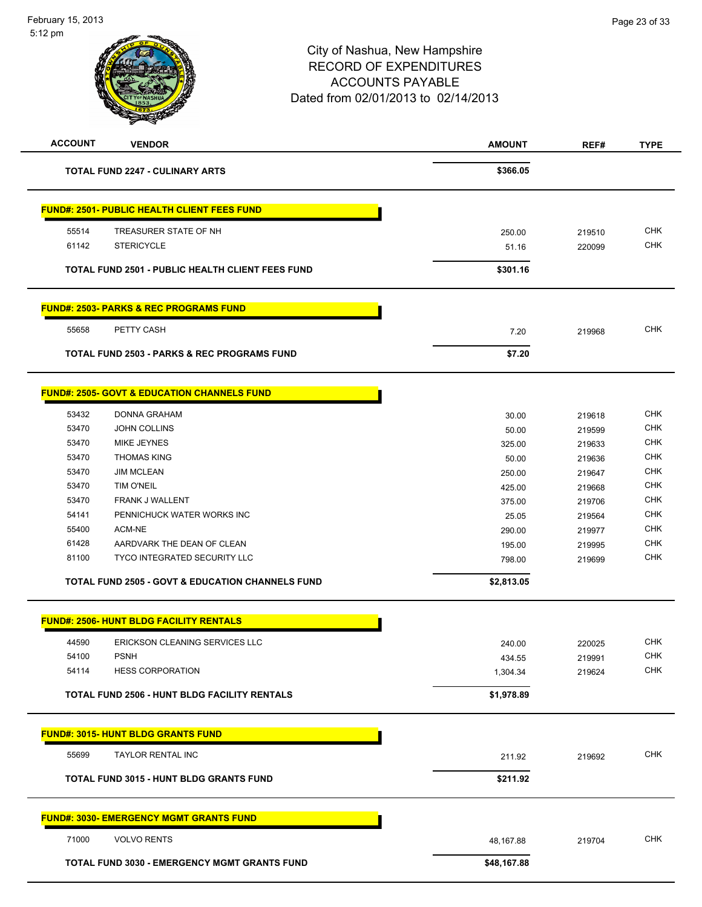

| 81100 | TYCO INTEGRATED SECURITY LLC | 798.00 | 219699 | <b>CHK</b> |
|-------|------------------------------|--------|--------|------------|
| 61428 | AARDVARK THE DEAN OF CLEAN   | 195.00 | 219995 | <b>CHK</b> |
| 55400 | ACM-NE                       | 290.00 | 219977 | <b>CHK</b> |
| 54141 | PENNICHUCK WATER WORKS INC   | 25.05  | 219564 | <b>CHK</b> |
| 53470 | FRANK J WALLENT              | 375.00 | 219706 | <b>CHK</b> |
| 53470 | TIM O'NEIL                   | 425.00 | 219668 | <b>CHK</b> |
| 53470 | <b>JIM MCLEAN</b>            | 250.00 | 219647 | <b>CHK</b> |
| 53470 | <b>THOMAS KING</b>           | 50.00  | 219636 | <b>CHK</b> |
| 53470 | MIKE JEYNES                  | 325.00 | 219633 | <b>CHK</b> |
| 53470 | <b>JOHN COLLINS</b>          | 50.00  | 219599 | <b>CHK</b> |
| 53432 | <b>DONNA GRAHAM</b>          | 30.00  | 219618 | <b>CHK</b> |

**TOTAL FUND 2505 - GOVT & EDUCATION CHANNELS FUND \$2,813.05**

|       | <b>FUND#: 2506- HUNT BLDG FACILITY RENTALS</b>      |            |        |            |
|-------|-----------------------------------------------------|------------|--------|------------|
| 44590 | ERICKSON CLEANING SERVICES LLC                      | 240.00     | 220025 | <b>CHK</b> |
| 54100 | <b>PSNH</b>                                         | 434.55     | 219991 | <b>CHK</b> |
| 54114 | <b>HESS CORPORATION</b>                             | 1,304.34   | 219624 | <b>CHK</b> |
|       | <b>TOTAL FUND 2506 - HUNT BLDG FACILITY RENTALS</b> | \$1,978.89 |        |            |
|       | <b>CURIOS, 2015, ULIME DI DO ODANEO CURIO</b>       |            |        |            |

**FUND#: 3015- HUNT BLDG GRANTS FUND** 55699 TAYLOR RENTAL INC 211.92 219692 CHK **TOTAL FUND 3015 - HUNT BLDG GRANTS FUND \$211.92 FUND#: 3030- EMERGENCY MGMT GRANTS FUND** 71000 VOLVO RENTS 48,167.88 219704 CHK **TOTAL FUND 3030 - EMERGENCY MGMT GRANTS FUND \$48,167.88**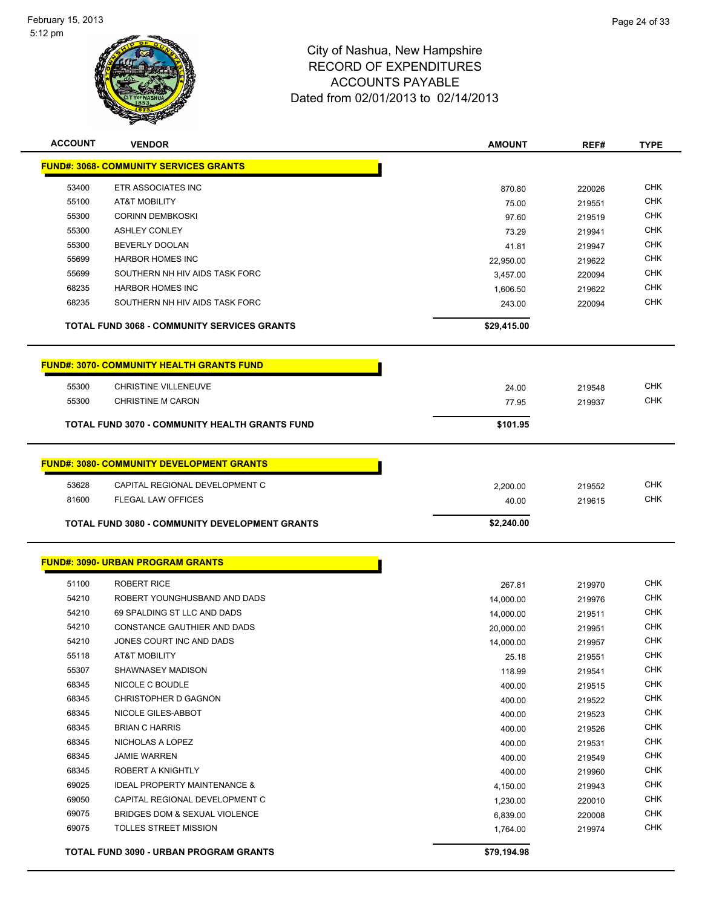

| <b>ACCOUNT</b> | <b>VENDOR</b>                                         | <b>AMOUNT</b>  | REF#             | <b>TYPE</b> |
|----------------|-------------------------------------------------------|----------------|------------------|-------------|
|                | <b>FUND#: 3068- COMMUNITY SERVICES GRANTS</b>         |                |                  |             |
| 53400          | ETR ASSOCIATES INC                                    | 870.80         | 220026           | <b>CHK</b>  |
| 55100          | AT&T MOBILITY                                         | 75.00          | 219551           | <b>CHK</b>  |
| 55300          | <b>CORINN DEMBKOSKI</b>                               | 97.60          | 219519           | <b>CHK</b>  |
| 55300          | <b>ASHLEY CONLEY</b>                                  | 73.29          | 219941           | <b>CHK</b>  |
| 55300          | BEVERLY DOOLAN                                        | 41.81          | 219947           | <b>CHK</b>  |
| 55699          | <b>HARBOR HOMES INC</b>                               | 22,950.00      | 219622           | <b>CHK</b>  |
| 55699          | SOUTHERN NH HIV AIDS TASK FORC                        | 3,457.00       | 220094           | <b>CHK</b>  |
| 68235          | <b>HARBOR HOMES INC</b>                               | 1,606.50       | 219622           | <b>CHK</b>  |
| 68235          | SOUTHERN NH HIV AIDS TASK FORC                        | 243.00         | 220094           | <b>CHK</b>  |
|                | <b>TOTAL FUND 3068 - COMMUNITY SERVICES GRANTS</b>    | \$29,415.00    |                  |             |
|                | <b>FUND#: 3070- COMMUNITY HEALTH GRANTS FUND</b>      |                |                  |             |
| 55300          | <b>CHRISTINE VILLENEUVE</b>                           |                |                  | <b>CHK</b>  |
| 55300          | <b>CHRISTINE M CARON</b>                              | 24.00<br>77.95 | 219548<br>219937 | <b>CHK</b>  |
|                |                                                       |                |                  |             |
|                | <b>TOTAL FUND 3070 - COMMUNITY HEALTH GRANTS FUND</b> | \$101.95       |                  |             |
|                | <b>FUND#: 3080- COMMUNITY DEVELOPMENT GRANTS</b>      |                |                  |             |
| 53628          | CAPITAL REGIONAL DEVELOPMENT C                        | 2,200.00       | 219552           | <b>CHK</b>  |
| 81600          | <b>FLEGAL LAW OFFICES</b>                             | 40.00          | 219615           | <b>CHK</b>  |
|                |                                                       |                |                  |             |
|                | <b>TOTAL FUND 3080 - COMMUNITY DEVELOPMENT GRANTS</b> | \$2,240.00     |                  |             |
|                | <b>FUND#: 3090- URBAN PROGRAM GRANTS</b>              |                |                  |             |
| 51100          | <b>ROBERT RICE</b>                                    | 267.81         | 219970           | <b>CHK</b>  |
| 54210          | ROBERT YOUNGHUSBAND AND DADS                          | 14,000.00      | 219976           | <b>CHK</b>  |
| 54210          | 69 SPALDING ST LLC AND DADS                           | 14,000.00      | 219511           | <b>CHK</b>  |
| 54210          | CONSTANCE GAUTHIER AND DADS                           | 20,000.00      | 219951           | <b>CHK</b>  |
| 54210          | JONES COURT INC AND DADS                              | 14,000.00      | 219957           | <b>CHK</b>  |
| 55118          | AT&T MOBILITY                                         | 25.18          | 219551           | CHK         |
| 55307          | SHAWNASEY MADISON                                     | 118.99         | 219541           | <b>CHK</b>  |
| 68345          | NICOLE C BOUDLE                                       | 400.00         | 219515           | <b>CHK</b>  |
| 68345          | <b>CHRISTOPHER D GAGNON</b>                           | 400.00         | 219522           | <b>CHK</b>  |
| 68345          | NICOLE GILES-ABBOT                                    | 400.00         | 219523           | <b>CHK</b>  |
| 68345          | <b>BRIAN C HARRIS</b>                                 | 400.00         | 219526           | <b>CHK</b>  |
| 68345          | NICHOLAS A LOPEZ                                      | 400.00         | 219531           | <b>CHK</b>  |
| 68345          | <b>JAMIE WARREN</b>                                   | 400.00         | 219549           | <b>CHK</b>  |
| 68345          | <b>ROBERT A KNIGHTLY</b>                              | 400.00         | 219960           | <b>CHK</b>  |
| 69025          | <b>IDEAL PROPERTY MAINTENANCE &amp;</b>               | 4,150.00       | 219943           | <b>CHK</b>  |
| 69050          | CAPITAL REGIONAL DEVELOPMENT C                        | 1,230.00       | 220010           | <b>CHK</b>  |
| 69075          | BRIDGES DOM & SEXUAL VIOLENCE                         | 6,839.00       | 220008           | <b>CHK</b>  |
| 69075          | TOLLES STREET MISSION                                 | 1,764.00       | 219974           | <b>CHK</b>  |
|                | TOTAL FUND 3090 - URBAN PROGRAM GRANTS                | \$79,194.98    |                  |             |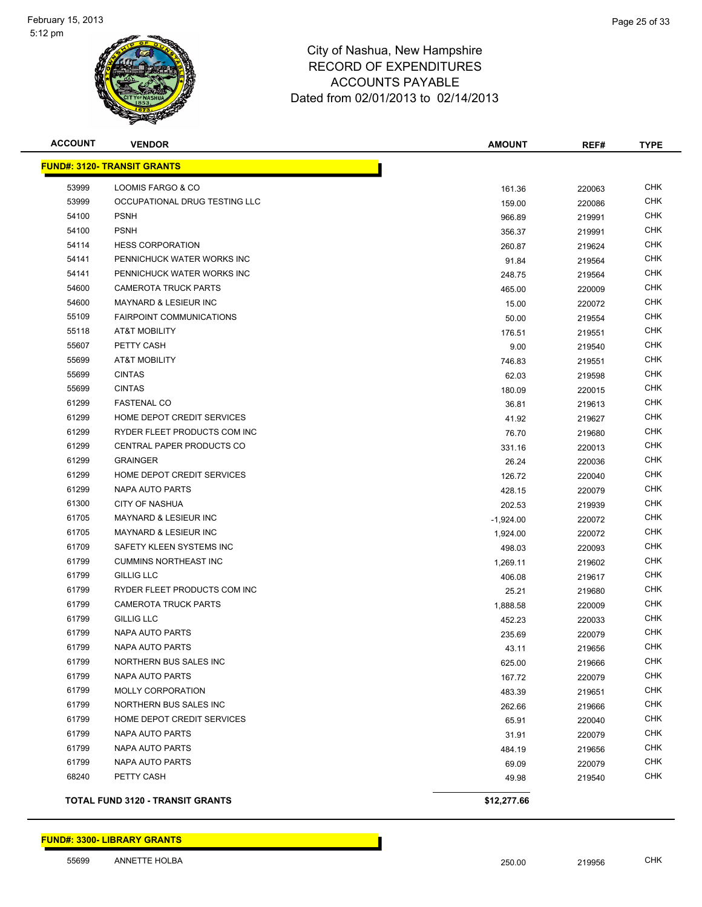

| <b>ACCOUNT</b> | <b>VENDOR</b>                           | <b>AMOUNT</b> | REF#   | <b>TYPE</b> |
|----------------|-----------------------------------------|---------------|--------|-------------|
|                | <b>FUND#: 3120- TRANSIT GRANTS</b>      |               |        |             |
| 53999          | LOOMIS FARGO & CO                       | 161.36        | 220063 | <b>CHK</b>  |
| 53999          | OCCUPATIONAL DRUG TESTING LLC           | 159.00        | 220086 | <b>CHK</b>  |
| 54100          | <b>PSNH</b>                             | 966.89        | 219991 | <b>CHK</b>  |
| 54100          | <b>PSNH</b>                             | 356.37        | 219991 | <b>CHK</b>  |
| 54114          | <b>HESS CORPORATION</b>                 | 260.87        | 219624 | <b>CHK</b>  |
| 54141          | PENNICHUCK WATER WORKS INC              | 91.84         | 219564 | <b>CHK</b>  |
| 54141          | PENNICHUCK WATER WORKS INC              | 248.75        | 219564 | CHK         |
| 54600          | <b>CAMEROTA TRUCK PARTS</b>             | 465.00        | 220009 | <b>CHK</b>  |
| 54600          | <b>MAYNARD &amp; LESIEUR INC</b>        | 15.00         | 220072 | <b>CHK</b>  |
| 55109          | <b>FAIRPOINT COMMUNICATIONS</b>         | 50.00         | 219554 | CHK         |
| 55118          | AT&T MOBILITY                           | 176.51        | 219551 | <b>CHK</b>  |
| 55607          | PETTY CASH                              | 9.00          | 219540 | <b>CHK</b>  |
| 55699          | <b>AT&amp;T MOBILITY</b>                | 746.83        | 219551 | CHK         |
| 55699          | <b>CINTAS</b>                           | 62.03         | 219598 | <b>CHK</b>  |
| 55699          | <b>CINTAS</b>                           | 180.09        | 220015 | <b>CHK</b>  |
| 61299          | <b>FASTENAL CO</b>                      | 36.81         | 219613 | CHK         |
| 61299          | HOME DEPOT CREDIT SERVICES              | 41.92         | 219627 | CHK         |
| 61299          | RYDER FLEET PRODUCTS COM INC            | 76.70         | 219680 | <b>CHK</b>  |
| 61299          | <b>CENTRAL PAPER PRODUCTS CO</b>        | 331.16        | 220013 | <b>CHK</b>  |
| 61299          | <b>GRAINGER</b>                         | 26.24         | 220036 | <b>CHK</b>  |
| 61299          | HOME DEPOT CREDIT SERVICES              | 126.72        | 220040 | CHK         |
| 61299          | NAPA AUTO PARTS                         | 428.15        | 220079 | <b>CHK</b>  |
| 61300          | <b>CITY OF NASHUA</b>                   | 202.53        | 219939 | <b>CHK</b>  |
| 61705          | <b>MAYNARD &amp; LESIEUR INC</b>        | $-1,924.00$   | 220072 | CHK         |
| 61705          | <b>MAYNARD &amp; LESIEUR INC</b>        | 1,924.00      | 220072 | <b>CHK</b>  |
| 61709          | SAFETY KLEEN SYSTEMS INC                | 498.03        | 220093 | CHK         |
| 61799          | <b>CUMMINS NORTHEAST INC</b>            | 1,269.11      | 219602 | <b>CHK</b>  |
| 61799          | GILLIG LLC                              | 406.08        | 219617 | CHK         |
| 61799          | RYDER FLEET PRODUCTS COM INC            | 25.21         | 219680 | <b>CHK</b>  |
| 61799          | <b>CAMEROTA TRUCK PARTS</b>             | 1,888.58      | 220009 | <b>CHK</b>  |
| 61799          | <b>GILLIG LLC</b>                       | 452.23        | 220033 | CHK         |
| 61799          | NAPA AUTO PARTS                         | 235.69        | 220079 | CHK         |
| 61799          | <b>NAPA AUTO PARTS</b>                  | 43.11         | 219656 | <b>CHK</b>  |
| 61799          | NORTHERN BUS SALES INC                  | 625.00        | 219666 | <b>CHK</b>  |
| 61799          | NAPA AUTO PARTS                         | 167.72        | 220079 | <b>CHK</b>  |
| 61799          | <b>MOLLY CORPORATION</b>                | 483.39        | 219651 | <b>CHK</b>  |
| 61799          | NORTHERN BUS SALES INC                  | 262.66        | 219666 | <b>CHK</b>  |
| 61799          | HOME DEPOT CREDIT SERVICES              | 65.91         | 220040 | <b>CHK</b>  |
| 61799          | NAPA AUTO PARTS                         | 31.91         | 220079 | <b>CHK</b>  |
| 61799          | NAPA AUTO PARTS                         | 484.19        | 219656 | CHK         |
| 61799          | <b>NAPA AUTO PARTS</b>                  | 69.09         | 220079 | <b>CHK</b>  |
| 68240          | PETTY CASH                              | 49.98         | 219540 | <b>CHK</b>  |
|                | <b>TOTAL FUND 3120 - TRANSIT GRANTS</b> | \$12,277.66   |        |             |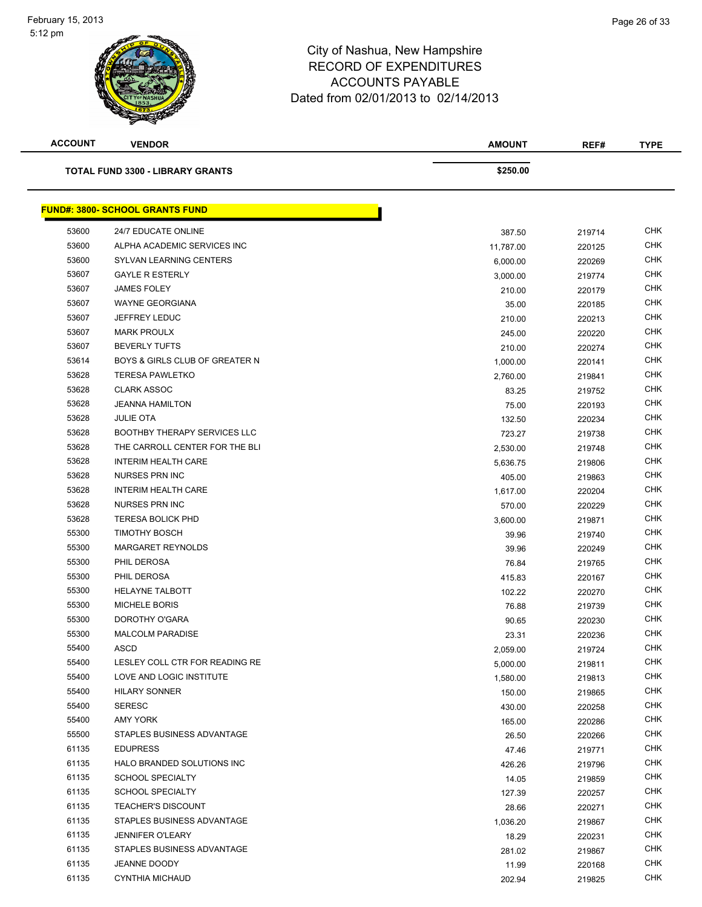| <b>ACCOUNT</b> | <b>VENDOR</b>                           | <b>AMOUNT</b> | REF#   | TYPE       |
|----------------|-----------------------------------------|---------------|--------|------------|
|                | <b>TOTAL FUND 3300 - LIBRARY GRANTS</b> | \$250.00      |        |            |
|                | <b>FUND#: 3800- SCHOOL GRANTS FUND</b>  |               |        |            |
| 53600          | 24/7 EDUCATE ONLINE                     | 387.50        | 219714 | <b>CHK</b> |
| 53600          | ALPHA ACADEMIC SERVICES INC             | 11,787.00     | 220125 | <b>CHK</b> |
| 53600          | SYLVAN LEARNING CENTERS                 | 6,000.00      | 220269 | <b>CHK</b> |
| 53607          | <b>GAYLE R ESTERLY</b>                  | 3,000.00      | 219774 | <b>CHK</b> |
| 53607          | <b>JAMES FOLEY</b>                      | 210.00        | 220179 | CHK        |
| 53607          | <b>WAYNE GEORGIANA</b>                  | 35.00         | 220185 | <b>CHK</b> |
| 53607          | <b>JEFFREY LEDUC</b>                    | 210.00        | 220213 | <b>CHK</b> |
| 53607          | <b>MARK PROULX</b>                      | 245.00        | 220220 | <b>CHK</b> |
| 53607          | <b>BEVERLY TUFTS</b>                    | 210.00        | 220274 | <b>CHK</b> |
| 53614          | BOYS & GIRLS CLUB OF GREATER N          | 1,000.00      | 220141 | <b>CHK</b> |
| 53628          | <b>TERESA PAWLETKO</b>                  | 2,760.00      | 219841 | <b>CHK</b> |
| 53628          | <b>CLARK ASSOC</b>                      | 83.25         | 219752 | <b>CHK</b> |
| 53628          | <b>JEANNA HAMILTON</b>                  | 75.00         | 220193 | <b>CHK</b> |
| 53628          | <b>JULIE OTA</b>                        | 132.50        | 220234 | <b>CHK</b> |
| 53628          | <b>BOOTHBY THERAPY SERVICES LLC</b>     | 723.27        | 219738 | <b>CHK</b> |
| 53628          | THE CARROLL CENTER FOR THE BLI          | 2,530.00      | 219748 | <b>CHK</b> |
| 53628          | <b>INTERIM HEALTH CARE</b>              | 5,636.75      | 219806 | <b>CHK</b> |
| 53628          | <b>NURSES PRN INC</b>                   | 405.00        | 219863 | <b>CHK</b> |
| 53628          | <b>INTERIM HEALTH CARE</b>              | 1,617.00      | 220204 | <b>CHK</b> |
| 53628          | <b>NURSES PRN INC</b>                   | 570.00        | 220229 | <b>CHK</b> |
| 53628          | <b>TERESA BOLICK PHD</b>                | 3,600.00      | 219871 | <b>CHK</b> |
| 55300          | <b>TIMOTHY BOSCH</b>                    | 39.96         | 219740 | <b>CHK</b> |
| 55300          | <b>MARGARET REYNOLDS</b>                | 39.96         | 220249 | <b>CHK</b> |
| 55300          | PHIL DEROSA                             | 76.84         | 219765 | <b>CHK</b> |
| 55300          | PHIL DEROSA                             | 415.83        | 220167 | <b>CHK</b> |
| 55300          | <b>HELAYNE TALBOTT</b>                  | 102.22        | 220270 | <b>CHK</b> |
| 55300          | <b>MICHELE BORIS</b>                    | 76.88         | 219739 | <b>CHK</b> |
| 55300          | DOROTHY O'GARA                          | 90.65         | 220230 | <b>CHK</b> |
| 55300          | <b>MALCOLM PARADISE</b>                 | 23.31         | 220236 | <b>CHK</b> |
| 55400          | ASCD                                    | 2,059.00      | 219724 | <b>CHK</b> |
| 55400          | LESLEY COLL CTR FOR READING RE          | 5,000.00      | 219811 | <b>CHK</b> |
| 55400          | LOVE AND LOGIC INSTITUTE                | 1,580.00      | 219813 | <b>CHK</b> |
| 55400          | <b>HILARY SONNER</b>                    | 150.00        | 219865 | <b>CHK</b> |
| 55400          | <b>SERESC</b>                           | 430.00        | 220258 | <b>CHK</b> |
| 55400          | AMY YORK                                | 165.00        | 220286 | <b>CHK</b> |
| 55500          | STAPLES BUSINESS ADVANTAGE              | 26.50         | 220266 | <b>CHK</b> |
| 61135          | <b>EDUPRESS</b>                         | 47.46         | 219771 | CHK        |
| 61135          | HALO BRANDED SOLUTIONS INC              | 426.26        | 219796 | CHK        |
| 61135          | <b>SCHOOL SPECIALTY</b>                 | 14.05         | 219859 | CHK        |
| 61135          | <b>SCHOOL SPECIALTY</b>                 | 127.39        | 220257 | <b>CHK</b> |
| 61135          | <b>TEACHER'S DISCOUNT</b>               | 28.66         | 220271 | <b>CHK</b> |
| 61135          | STAPLES BUSINESS ADVANTAGE              | 1,036.20      | 219867 | <b>CHK</b> |
| 61135          | <b>JENNIFER O'LEARY</b>                 | 18.29         | 220231 | <b>CHK</b> |
| 61135          | STAPLES BUSINESS ADVANTAGE              | 281.02        | 219867 | <b>CHK</b> |
| 61135          | JEANNE DOODY                            | 11.99         | 220168 | <b>CHK</b> |
| 61135          | <b>CYNTHIA MICHAUD</b>                  | 202.94        | 219825 | <b>CHK</b> |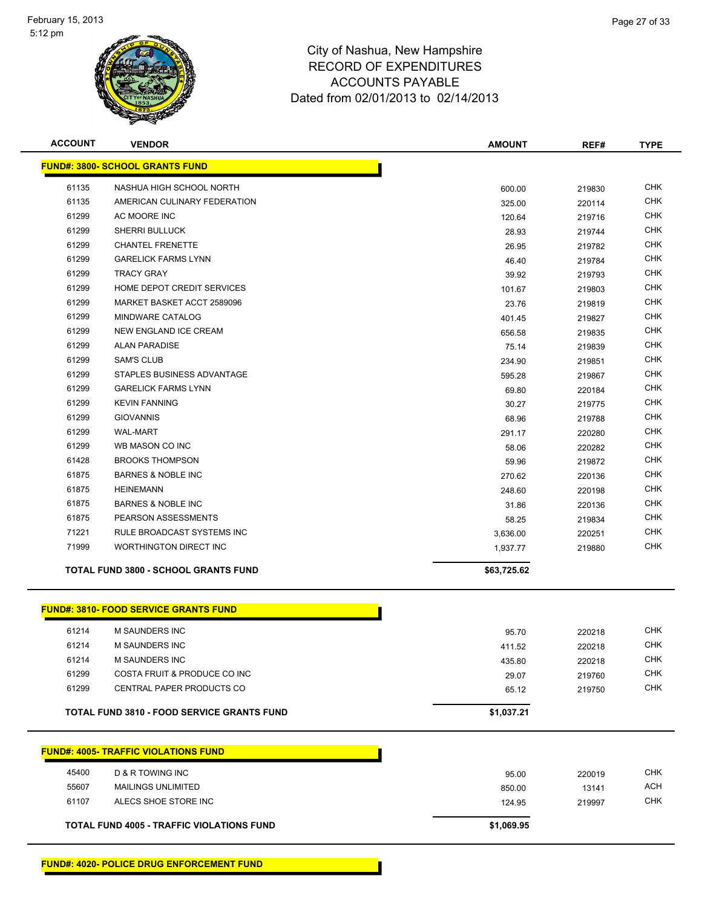

| <b>ACCOUNT</b> | <b>VENDOR</b>                                     | <b>AMOUNT</b> | REF#   | <b>TYPE</b> |
|----------------|---------------------------------------------------|---------------|--------|-------------|
|                | <b>FUND#: 3800- SCHOOL GRANTS FUND</b>            |               |        |             |
| 61135          | NASHUA HIGH SCHOOL NORTH                          | 600.00        | 219830 | <b>CHK</b>  |
| 61135          | AMERICAN CULINARY FEDERATION                      | 325.00        | 220114 | <b>CHK</b>  |
| 61299          | AC MOORE INC                                      | 120.64        | 219716 | <b>CHK</b>  |
| 61299          | <b>SHERRI BULLUCK</b>                             | 28.93         | 219744 | <b>CHK</b>  |
| 61299          | <b>CHANTEL FRENETTE</b>                           | 26.95         | 219782 | <b>CHK</b>  |
| 61299          | <b>GARELICK FARMS LYNN</b>                        | 46.40         | 219784 | <b>CHK</b>  |
| 61299          | <b>TRACY GRAY</b>                                 | 39.92         | 219793 | <b>CHK</b>  |
| 61299          | HOME DEPOT CREDIT SERVICES                        | 101.67        | 219803 | <b>CHK</b>  |
| 61299          | MARKET BASKET ACCT 2589096                        | 23.76         | 219819 | <b>CHK</b>  |
| 61299          | MINDWARE CATALOG                                  | 401.45        | 219827 | <b>CHK</b>  |
| 61299          | <b>NEW ENGLAND ICE CREAM</b>                      | 656.58        | 219835 | <b>CHK</b>  |
| 61299          | <b>ALAN PARADISE</b>                              | 75.14         | 219839 | <b>CHK</b>  |
| 61299          | <b>SAM'S CLUB</b>                                 | 234.90        | 219851 | <b>CHK</b>  |
| 61299          | STAPLES BUSINESS ADVANTAGE                        | 595.28        | 219867 | <b>CHK</b>  |
| 61299          | <b>GARELICK FARMS LYNN</b>                        | 69.80         | 220184 | <b>CHK</b>  |
| 61299          | <b>KEVIN FANNING</b>                              | 30.27         | 219775 | <b>CHK</b>  |
| 61299          | <b>GIOVANNIS</b>                                  | 68.96         | 219788 | <b>CHK</b>  |
| 61299          | <b>WAL-MART</b>                                   | 291.17        | 220280 | <b>CHK</b>  |
| 61299          | WB MASON CO INC                                   | 58.06         | 220282 | <b>CHK</b>  |
| 61428          | <b>BROOKS THOMPSON</b>                            | 59.96         | 219872 | <b>CHK</b>  |
| 61875          | <b>BARNES &amp; NOBLE INC</b>                     | 270.62        | 220136 | CHK         |
| 61875          | <b>HEINEMANN</b>                                  | 248.60        | 220198 | CHK         |
| 61875          | <b>BARNES &amp; NOBLE INC</b>                     | 31.86         | 220136 | CHK         |
| 61875          | PEARSON ASSESSMENTS                               | 58.25         | 219834 | CHK         |
| 71221          | RULE BROADCAST SYSTEMS INC                        | 3,636.00      | 220251 | <b>CHK</b>  |
| 71999          | <b>WORTHINGTON DIRECT INC</b>                     | 1,937.77      | 219880 | <b>CHK</b>  |
|                | <b>TOTAL FUND 3800 - SCHOOL GRANTS FUND</b>       | \$63,725.62   |        |             |
|                | <b>FUND#: 3810- FOOD SERVICE GRANTS FUND</b>      |               |        |             |
| 61214          | <b>M SAUNDERS INC</b>                             | 95.70         | 220218 | <b>CHK</b>  |
| 61214          | <b>M SAUNDERS INC</b>                             | 411.52        | 220218 | <b>CHK</b>  |
| 61214          | M SAUNDERS INC                                    | 435.80        | 220218 | <b>CHK</b>  |
| 61299          | COSTA FRUIT & PRODUCE CO INC                      | 29.07         | 219760 | <b>CHK</b>  |
| 61299          | CENTRAL PAPER PRODUCTS CO                         | 65.12         | 219750 | <b>CHK</b>  |
|                | <b>TOTAL FUND 3810 - FOOD SERVICE GRANTS FUND</b> | \$1,037.21    |        |             |
|                | <b>FUND#: 4005- TRAFFIC VIOLATIONS FUND</b>       |               |        |             |
| 45400          | D & R TOWING INC                                  |               |        | <b>CHK</b>  |
| 55607          | <b>MAILINGS UNLIMITED</b>                         | 95.00         | 220019 | <b>ACH</b>  |
| 61107          | ALECS SHOE STORE INC                              | 850.00        | 13141  | <b>CHK</b>  |
|                |                                                   | 124.95        | 219997 |             |
|                | TOTAL FUND 4005 - TRAFFIC VIOLATIONS FUND         | \$1,069.95    |        |             |
|                |                                                   |               |        |             |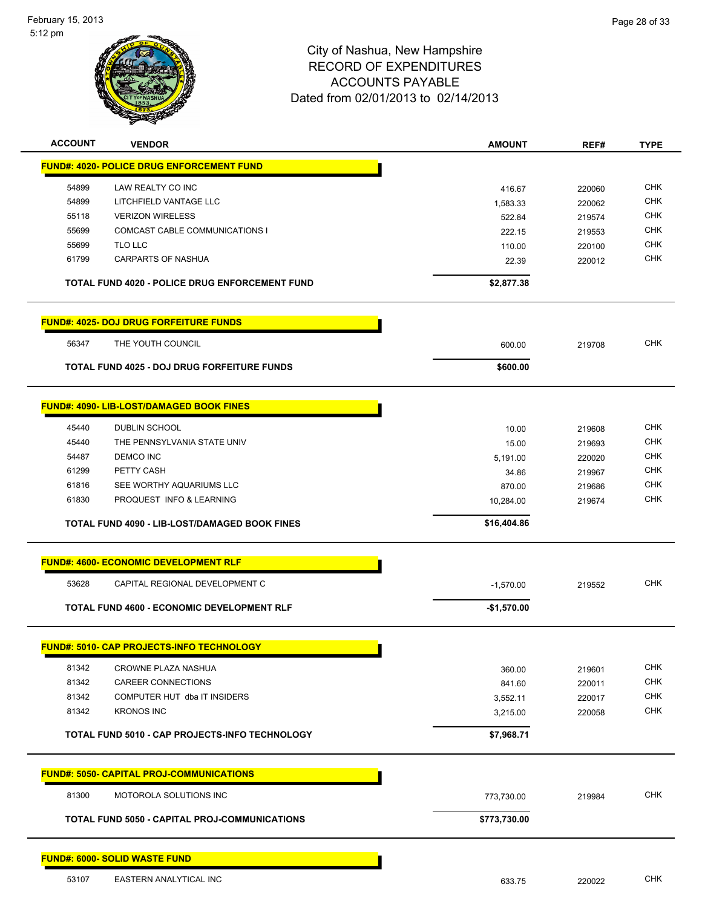

| <b>ACCOUNT</b> | <b>VENDOR</b>                                        | <b>AMOUNT</b>      | REF#             | <b>TYPE</b>              |
|----------------|------------------------------------------------------|--------------------|------------------|--------------------------|
|                | <u> FUND#: 4020- POLICE DRUG ENFORCEMENT FUND</u>    |                    |                  |                          |
| 54899          | LAW REALTY CO INC                                    |                    |                  | <b>CHK</b>               |
| 54899          | LITCHFIELD VANTAGE LLC                               | 416.67             | 220060           | <b>CHK</b>               |
| 55118          | <b>VERIZON WIRELESS</b>                              | 1,583.33<br>522.84 | 220062<br>219574 | <b>CHK</b>               |
| 55699          | COMCAST CABLE COMMUNICATIONS I                       | 222.15             | 219553           | <b>CHK</b>               |
| 55699          | TLO LLC                                              | 110.00             | 220100           | <b>CHK</b>               |
| 61799          | <b>CARPARTS OF NASHUA</b>                            | 22.39              | 220012           | <b>CHK</b>               |
|                |                                                      |                    |                  |                          |
|                | TOTAL FUND 4020 - POLICE DRUG ENFORCEMENT FUND       | \$2,877.38         |                  |                          |
|                | <b>FUND#: 4025- DOJ DRUG FORFEITURE FUNDS</b>        |                    |                  |                          |
| 56347          | THE YOUTH COUNCIL                                    | 600.00             | 219708           | <b>CHK</b>               |
|                | <b>TOTAL FUND 4025 - DOJ DRUG FORFEITURE FUNDS</b>   | \$600.00           |                  |                          |
|                | <b>FUND#: 4090- LIB-LOST/DAMAGED BOOK FINES</b>      |                    |                  |                          |
|                |                                                      |                    |                  |                          |
| 45440          | <b>DUBLIN SCHOOL</b>                                 | 10.00              | 219608           | <b>CHK</b>               |
| 45440          | THE PENNSYLVANIA STATE UNIV                          | 15.00              | 219693           | <b>CHK</b>               |
| 54487          | <b>DEMCO INC</b>                                     | 5,191.00           | 220020           | <b>CHK</b>               |
| 61299          | PETTY CASH                                           | 34.86              | 219967           | <b>CHK</b>               |
| 61816          | SEE WORTHY AQUARIUMS LLC                             | 870.00             | 219686           | <b>CHK</b>               |
| 61830          | PROQUEST INFO & LEARNING                             | 10,284.00          | 219674           | <b>CHK</b>               |
|                | <b>TOTAL FUND 4090 - LIB-LOST/DAMAGED BOOK FINES</b> | \$16,404.86        |                  |                          |
|                | <b>FUND#: 4600- ECONOMIC DEVELOPMENT RLF</b>         |                    |                  |                          |
|                |                                                      |                    |                  |                          |
| 53628          | CAPITAL REGIONAL DEVELOPMENT C                       | $-1,570.00$        | 219552           | <b>CHK</b>               |
|                | <b>TOTAL FUND 4600 - ECONOMIC DEVELOPMENT RLF</b>    | $-$1,570.00$       |                  |                          |
|                | <b>FUND#: 5010- CAP PROJECTS-INFO TECHNOLOGY</b>     |                    |                  |                          |
|                |                                                      |                    |                  |                          |
| 81342          | CROWNE PLAZA NASHUA                                  | 360.00             | 219601           | <b>CHK</b><br><b>CHK</b> |
| 81342          | CAREER CONNECTIONS<br>COMPUTER HUT dba IT INSIDERS   | 841.60             | 220011           | <b>CHK</b>               |
| 81342<br>81342 | <b>KRONOS INC</b>                                    | 3,552.11           | 220017           | <b>CHK</b>               |
|                |                                                      | 3,215.00           | 220058           |                          |
|                | TOTAL FUND 5010 - CAP PROJECTS-INFO TECHNOLOGY       | \$7,968.71         |                  |                          |
|                | <u> FUND#: 5050- CAPITAL PROJ-COMMUNICATIONS</u>     |                    |                  |                          |
| 81300          | MOTOROLA SOLUTIONS INC                               | 773,730.00         | 219984           | <b>CHK</b>               |
|                | <b>TOTAL FUND 5050 - CAPITAL PROJ-COMMUNICATIONS</b> | \$773,730.00       |                  |                          |
|                | <b>FUND#: 6000- SOLID WASTE FUND</b>                 |                    |                  |                          |
| 53107          | EASTERN ANALYTICAL INC                               | 633.75             | 220022           | <b>CHK</b>               |
|                |                                                      |                    |                  |                          |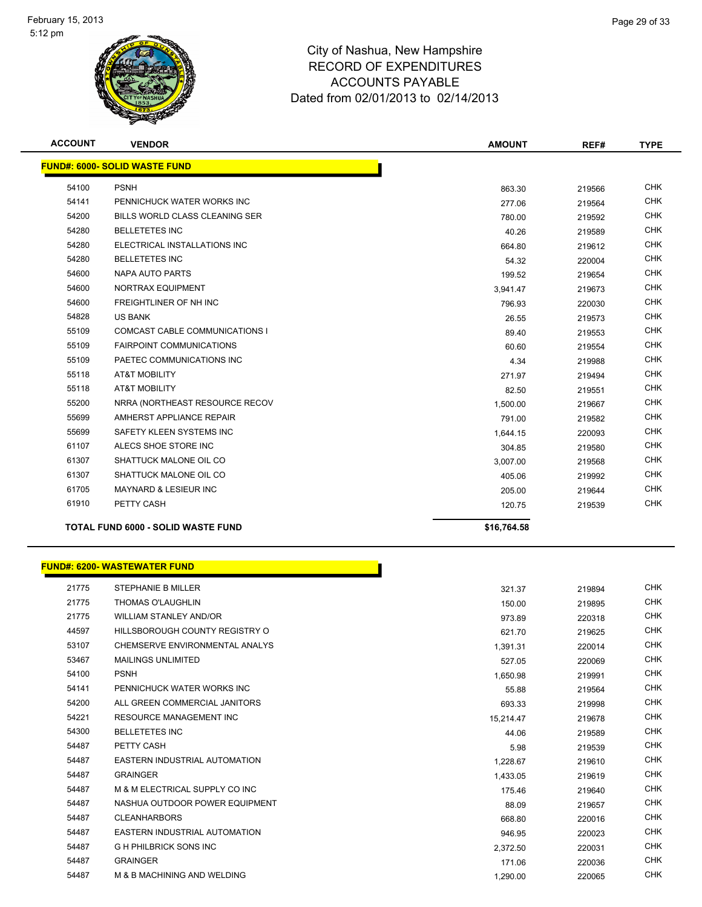

| <b>ACCOUNT</b> | <b>VENDOR</b>                             | <b>AMOUNT</b> | REF#   | <b>TYPE</b> |
|----------------|-------------------------------------------|---------------|--------|-------------|
|                | <b>FUND#: 6000- SOLID WASTE FUND</b>      |               |        |             |
| 54100          | <b>PSNH</b>                               | 863.30        | 219566 | <b>CHK</b>  |
| 54141          | PENNICHUCK WATER WORKS INC                | 277.06        | 219564 | <b>CHK</b>  |
| 54200          | BILLS WORLD CLASS CLEANING SER            | 780.00        | 219592 | <b>CHK</b>  |
| 54280          | <b>BELLETETES INC</b>                     | 40.26         | 219589 | <b>CHK</b>  |
| 54280          | ELECTRICAL INSTALLATIONS INC              | 664.80        | 219612 | <b>CHK</b>  |
| 54280          | <b>BELLETETES INC</b>                     | 54.32         | 220004 | <b>CHK</b>  |
| 54600          | <b>NAPA AUTO PARTS</b>                    | 199.52        | 219654 | <b>CHK</b>  |
| 54600          | <b>NORTRAX EQUIPMENT</b>                  | 3.941.47      | 219673 | <b>CHK</b>  |
| 54600          | <b>FREIGHTLINER OF NH INC</b>             | 796.93        | 220030 | <b>CHK</b>  |
| 54828          | <b>US BANK</b>                            | 26.55         | 219573 | <b>CHK</b>  |
| 55109          | <b>COMCAST CABLE COMMUNICATIONS I</b>     | 89.40         | 219553 | <b>CHK</b>  |
| 55109          | <b>FAIRPOINT COMMUNICATIONS</b>           | 60.60         | 219554 | <b>CHK</b>  |
| 55109          | PAETEC COMMUNICATIONS INC                 | 4.34          | 219988 | <b>CHK</b>  |
| 55118          | <b>AT&amp;T MOBILITY</b>                  | 271.97        | 219494 | <b>CHK</b>  |
| 55118          | <b>AT&amp;T MOBILITY</b>                  | 82.50         | 219551 | <b>CHK</b>  |
| 55200          | NRRA (NORTHEAST RESOURCE RECOV            | 1,500.00      | 219667 | <b>CHK</b>  |
| 55699          | AMHERST APPLIANCE REPAIR                  | 791.00        | 219582 | <b>CHK</b>  |
| 55699          | SAFETY KLEEN SYSTEMS INC                  | 1,644.15      | 220093 | <b>CHK</b>  |
| 61107          | ALECS SHOE STORE INC                      | 304.85        | 219580 | <b>CHK</b>  |
| 61307          | SHATTUCK MALONE OIL CO                    | 3,007.00      | 219568 | <b>CHK</b>  |
| 61307          | SHATTUCK MALONE OIL CO                    | 405.06        | 219992 | <b>CHK</b>  |
| 61705          | <b>MAYNARD &amp; LESIEUR INC</b>          | 205.00        | 219644 | <b>CHK</b>  |
| 61910          | PETTY CASH                                | 120.75        | 219539 | <b>CHK</b>  |
|                | <b>TOTAL FUND 6000 - SOLID WASTE FUND</b> | \$16,764.58   |        |             |

|       | FUND#: 6200- WASTEWATER FUND   |           |        |            |
|-------|--------------------------------|-----------|--------|------------|
| 21775 | <b>STEPHANIE B MILLER</b>      | 321.37    | 219894 | <b>CHK</b> |
| 21775 | <b>THOMAS O'LAUGHLIN</b>       | 150.00    | 219895 | <b>CHK</b> |
| 21775 | <b>WILLIAM STANLEY AND/OR</b>  | 973.89    | 220318 | <b>CHK</b> |
| 44597 | HILLSBOROUGH COUNTY REGISTRY O | 621.70    | 219625 | <b>CHK</b> |
| 53107 | CHEMSERVE ENVIRONMENTAL ANALYS | 1,391.31  | 220014 | <b>CHK</b> |
| 53467 | <b>MAILINGS UNLIMITED</b>      | 527.05    | 220069 | <b>CHK</b> |
| 54100 | <b>PSNH</b>                    | 1,650.98  | 219991 | <b>CHK</b> |
| 54141 | PENNICHUCK WATER WORKS INC     | 55.88     | 219564 | <b>CHK</b> |
| 54200 | ALL GREEN COMMERCIAL JANITORS  | 693.33    | 219998 | <b>CHK</b> |
| 54221 | <b>RESOURCE MANAGEMENT INC</b> | 15,214.47 | 219678 | <b>CHK</b> |
| 54300 | <b>BELLETETES INC</b>          | 44.06     | 219589 | <b>CHK</b> |
| 54487 | PETTY CASH                     | 5.98      | 219539 | <b>CHK</b> |
| 54487 | EASTERN INDUSTRIAL AUTOMATION  | 1,228.67  | 219610 | <b>CHK</b> |
| 54487 | <b>GRAINGER</b>                | 1,433.05  | 219619 | <b>CHK</b> |
| 54487 | M & M ELECTRICAL SUPPLY CO INC | 175.46    | 219640 | <b>CHK</b> |
| 54487 | NASHUA OUTDOOR POWER EQUIPMENT | 88.09     | 219657 | <b>CHK</b> |
| 54487 | <b>CLEANHARBORS</b>            | 668.80    | 220016 | <b>CHK</b> |
| 54487 | EASTERN INDUSTRIAL AUTOMATION  | 946.95    | 220023 | <b>CHK</b> |
| 54487 | <b>GH PHILBRICK SONS INC</b>   | 2,372.50  | 220031 | <b>CHK</b> |
| 54487 | <b>GRAINGER</b>                | 171.06    | 220036 | <b>CHK</b> |
| 54487 | M & B MACHINING AND WELDING    | 1,290.00  | 220065 | <b>CHK</b> |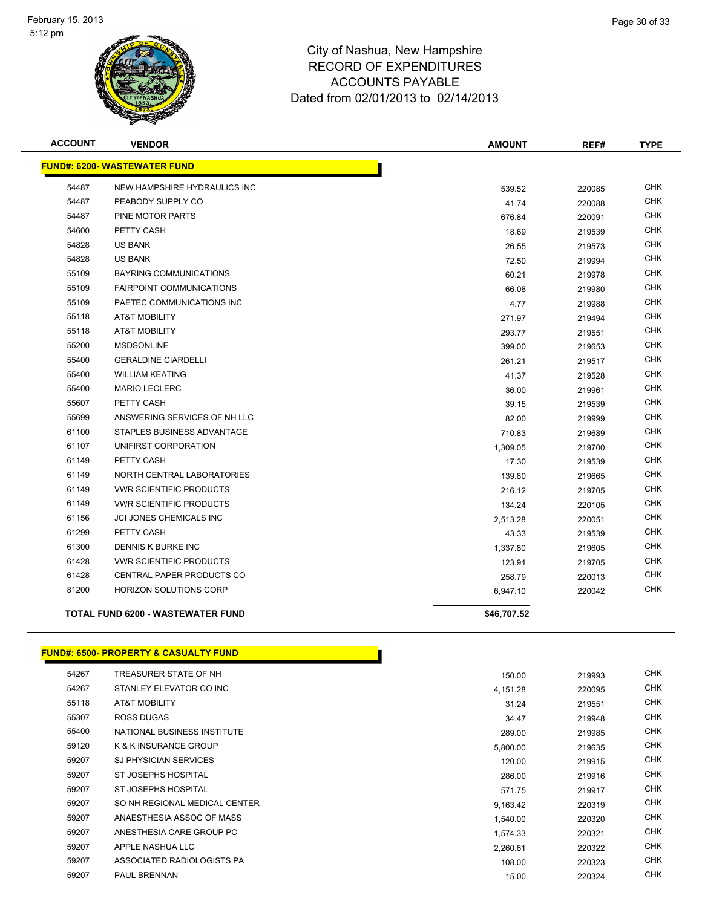

| <b>ACCOUNT</b> | <b>VENDOR</b>                            | <b>AMOUNT</b> | REF#   | <b>TYPE</b> |
|----------------|------------------------------------------|---------------|--------|-------------|
|                | <b>FUND#: 6200- WASTEWATER FUND</b>      |               |        |             |
| 54487          | NEW HAMPSHIRE HYDRAULICS INC             | 539.52        | 220085 | <b>CHK</b>  |
| 54487          | PEABODY SUPPLY CO                        | 41.74         | 220088 | <b>CHK</b>  |
| 54487          | PINE MOTOR PARTS                         | 676.84        | 220091 | <b>CHK</b>  |
| 54600          | PETTY CASH                               | 18.69         | 219539 | <b>CHK</b>  |
| 54828          | <b>US BANK</b>                           | 26.55         | 219573 | <b>CHK</b>  |
| 54828          | <b>US BANK</b>                           | 72.50         | 219994 | <b>CHK</b>  |
| 55109          | <b>BAYRING COMMUNICATIONS</b>            | 60.21         | 219978 | <b>CHK</b>  |
| 55109          | <b>FAIRPOINT COMMUNICATIONS</b>          | 66.08         | 219980 | <b>CHK</b>  |
| 55109          | PAETEC COMMUNICATIONS INC                | 4.77          | 219988 | <b>CHK</b>  |
| 55118          | <b>AT&amp;T MOBILITY</b>                 | 271.97        | 219494 | <b>CHK</b>  |
| 55118          | <b>AT&amp;T MOBILITY</b>                 | 293.77        | 219551 | <b>CHK</b>  |
| 55200          | <b>MSDSONLINE</b>                        | 399.00        | 219653 | <b>CHK</b>  |
| 55400          | <b>GERALDINE CIARDELLI</b>               | 261.21        | 219517 | <b>CHK</b>  |
| 55400          | <b>WILLIAM KEATING</b>                   | 41.37         | 219528 | <b>CHK</b>  |
| 55400          | <b>MARIO LECLERC</b>                     | 36.00         | 219961 | <b>CHK</b>  |
| 55607          | PETTY CASH                               | 39.15         | 219539 | <b>CHK</b>  |
| 55699          | ANSWERING SERVICES OF NH LLC             | 82.00         | 219999 | <b>CHK</b>  |
| 61100          | STAPLES BUSINESS ADVANTAGE               | 710.83        | 219689 | <b>CHK</b>  |
| 61107          | UNIFIRST CORPORATION                     | 1,309.05      | 219700 | <b>CHK</b>  |
| 61149          | PETTY CASH                               | 17.30         | 219539 | <b>CHK</b>  |
| 61149          | NORTH CENTRAL LABORATORIES               | 139.80        | 219665 | <b>CHK</b>  |
| 61149          | <b>VWR SCIENTIFIC PRODUCTS</b>           | 216.12        | 219705 | <b>CHK</b>  |
| 61149          | <b>VWR SCIENTIFIC PRODUCTS</b>           | 134.24        | 220105 | <b>CHK</b>  |
| 61156          | JCI JONES CHEMICALS INC                  | 2,513.28      | 220051 | <b>CHK</b>  |
| 61299          | PETTY CASH                               | 43.33         | 219539 | CHK         |
| 61300          | DENNIS K BURKE INC                       | 1,337.80      | 219605 | <b>CHK</b>  |
| 61428          | <b>VWR SCIENTIFIC PRODUCTS</b>           | 123.91        | 219705 | <b>CHK</b>  |
| 61428          | CENTRAL PAPER PRODUCTS CO                | 258.79        | 220013 | <b>CHK</b>  |
| 81200          | <b>HORIZON SOLUTIONS CORP</b>            | 6,947.10      | 220042 | <b>CHK</b>  |
|                | <b>TOTAL FUND 6200 - WASTEWATER FUND</b> | \$46,707.52   |        |             |

#### **FUND#: 6500- PROPERTY & CASUALTY FUND**

| 54267 | TREASURER STATE OF NH            | 150.00   | 219993 | <b>CHK</b> |
|-------|----------------------------------|----------|--------|------------|
| 54267 | STANLEY ELEVATOR CO INC          | 4,151.28 | 220095 | <b>CHK</b> |
| 55118 | AT&T MOBILITY                    | 31.24    | 219551 | CHK        |
| 55307 | <b>ROSS DUGAS</b>                | 34.47    | 219948 | <b>CHK</b> |
| 55400 | NATIONAL BUSINESS INSTITUTE      | 289.00   | 219985 | <b>CHK</b> |
| 59120 | <b>K &amp; K INSURANCE GROUP</b> | 5,800.00 | 219635 | <b>CHK</b> |
| 59207 | <b>SJ PHYSICIAN SERVICES</b>     | 120.00   | 219915 | <b>CHK</b> |
| 59207 | ST JOSEPHS HOSPITAL              | 286.00   | 219916 | <b>CHK</b> |
| 59207 | ST JOSEPHS HOSPITAL              | 571.75   | 219917 | <b>CHK</b> |
| 59207 | SO NH REGIONAL MEDICAL CENTER    | 9,163.42 | 220319 | <b>CHK</b> |
| 59207 | ANAESTHESIA ASSOC OF MASS        | 1,540.00 | 220320 | <b>CHK</b> |
| 59207 | ANESTHESIA CARE GROUP PC         | 1,574.33 | 220321 | <b>CHK</b> |
| 59207 | APPLE NASHUA LLC                 | 2,260.61 | 220322 | <b>CHK</b> |
| 59207 | ASSOCIATED RADIOLOGISTS PA       | 108.00   | 220323 | <b>CHK</b> |
| 59207 | PAUL BRENNAN                     | 15.00    | 220324 | <b>CHK</b> |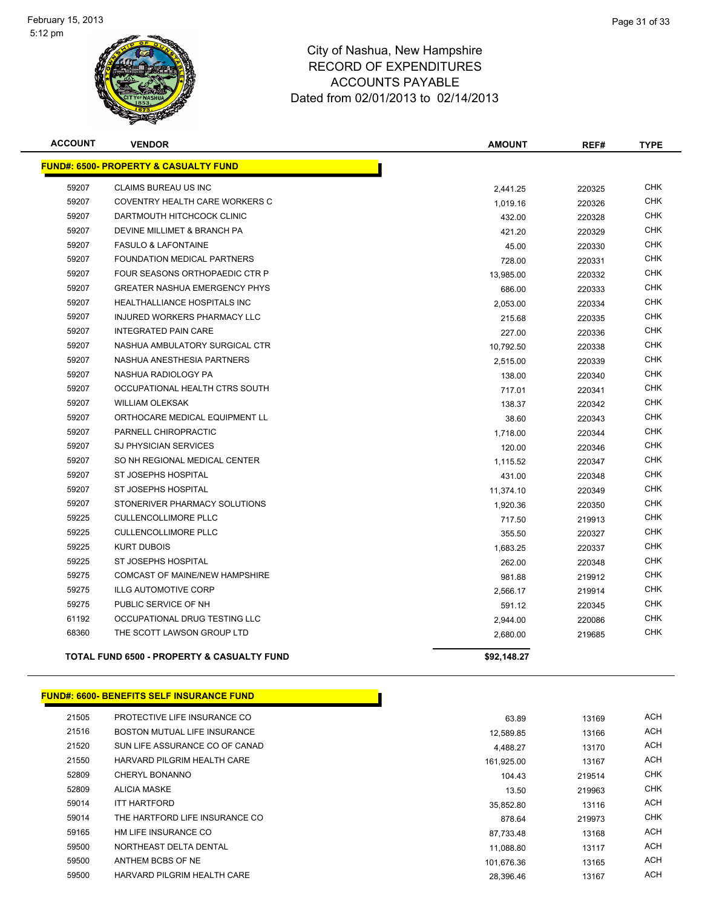

| <b>ACCOUNT</b> | <b>VENDOR</b>                                         | <b>AMOUNT</b> | REF#   | <b>TYPE</b> |
|----------------|-------------------------------------------------------|---------------|--------|-------------|
|                | <b>FUND#: 6500- PROPERTY &amp; CASUALTY FUND</b>      |               |        |             |
| 59207          | CLAIMS BUREAU US INC                                  | 2,441.25      | 220325 | <b>CHK</b>  |
| 59207          | COVENTRY HEALTH CARE WORKERS C                        | 1,019.16      | 220326 | <b>CHK</b>  |
| 59207          | DARTMOUTH HITCHCOCK CLINIC                            | 432.00        | 220328 | <b>CHK</b>  |
| 59207          | DEVINE MILLIMET & BRANCH PA                           | 421.20        | 220329 | <b>CHK</b>  |
| 59207          | <b>FASULO &amp; LAFONTAINE</b>                        | 45.00         | 220330 | <b>CHK</b>  |
| 59207          | <b>FOUNDATION MEDICAL PARTNERS</b>                    | 728.00        | 220331 | <b>CHK</b>  |
| 59207          | FOUR SEASONS ORTHOPAEDIC CTR P                        | 13,985.00     | 220332 | CHK         |
| 59207          | <b>GREATER NASHUA EMERGENCY PHYS</b>                  | 686.00        | 220333 | <b>CHK</b>  |
| 59207          | <b>HEALTHALLIANCE HOSPITALS INC</b>                   | 2,053.00      | 220334 | <b>CHK</b>  |
| 59207          | INJURED WORKERS PHARMACY LLC                          | 215.68        | 220335 | CHK         |
| 59207          | <b>INTEGRATED PAIN CARE</b>                           | 227.00        | 220336 | <b>CHK</b>  |
| 59207          | NASHUA AMBULATORY SURGICAL CTR                        | 10,792.50     | 220338 | CHK         |
| 59207          | NASHUA ANESTHESIA PARTNERS                            | 2,515.00      | 220339 | <b>CHK</b>  |
| 59207          | NASHUA RADIOLOGY PA                                   | 138.00        | 220340 | <b>CHK</b>  |
| 59207          | OCCUPATIONAL HEALTH CTRS SOUTH                        | 717.01        | 220341 | CHK         |
| 59207          | <b>WILLIAM OLEKSAK</b>                                | 138.37        | 220342 | CHK         |
| 59207          | ORTHOCARE MEDICAL EQUIPMENT LL                        | 38.60         | 220343 | <b>CHK</b>  |
| 59207          | PARNELL CHIROPRACTIC                                  | 1,718.00      | 220344 | CHK         |
| 59207          | <b>SJ PHYSICIAN SERVICES</b>                          | 120.00        | 220346 | CHK         |
| 59207          | SO NH REGIONAL MEDICAL CENTER                         | 1,115.52      | 220347 | <b>CHK</b>  |
| 59207          | ST JOSEPHS HOSPITAL                                   | 431.00        | 220348 | CHK         |
| 59207          | <b>ST JOSEPHS HOSPITAL</b>                            | 11,374.10     | 220349 | <b>CHK</b>  |
| 59207          | STONERIVER PHARMACY SOLUTIONS                         | 1,920.36      | 220350 | <b>CHK</b>  |
| 59225          | <b>CULLENCOLLIMORE PLLC</b>                           | 717.50        | 219913 | <b>CHK</b>  |
| 59225          | <b>CULLENCOLLIMORE PLLC</b>                           | 355.50        | 220327 | <b>CHK</b>  |
| 59225          | <b>KURT DUBOIS</b>                                    | 1,683.25      | 220337 | <b>CHK</b>  |
| 59225          | ST JOSEPHS HOSPITAL                                   | 262.00        | 220348 | CHK         |
| 59275          | <b>COMCAST OF MAINE/NEW HAMPSHIRE</b>                 | 981.88        | 219912 | <b>CHK</b>  |
| 59275          | <b>ILLG AUTOMOTIVE CORP</b>                           | 2,566.17      | 219914 | <b>CHK</b>  |
| 59275          | PUBLIC SERVICE OF NH                                  | 591.12        | 220345 | <b>CHK</b>  |
| 61192          | OCCUPATIONAL DRUG TESTING LLC                         | 2,944.00      | 220086 | <b>CHK</b>  |
| 68360          | THE SCOTT LAWSON GROUP LTD                            | 2,680.00      | 219685 | <b>CHK</b>  |
|                | <b>TOTAL FUND 6500 - PROPERTY &amp; CASUALTY FUND</b> | \$92.148.27   |        |             |

|  | <b>FUND#: 6600- BENEFITS SELF INSURANCE FUND  </b> |
|--|----------------------------------------------------|

| 21505 | PROTECTIVE LIFE INSURANCE CO   | 63.89      | 13169  | <b>ACH</b> |
|-------|--------------------------------|------------|--------|------------|
| 21516 | BOSTON MUTUAL LIFE INSURANCE   | 12.589.85  | 13166  | <b>ACH</b> |
| 21520 | SUN LIFE ASSURANCE CO OF CANAD | 4.488.27   | 13170  | <b>ACH</b> |
| 21550 | HARVARD PILGRIM HEALTH CARE    | 161,925.00 | 13167  | <b>ACH</b> |
| 52809 | <b>CHERYL BONANNO</b>          | 104.43     | 219514 | <b>CHK</b> |
| 52809 | <b>ALICIA MASKE</b>            | 13.50      | 219963 | <b>CHK</b> |
| 59014 | <b>ITT HARTFORD</b>            | 35.852.80  | 13116  | <b>ACH</b> |
| 59014 | THE HARTFORD LIFE INSURANCE CO | 878.64     | 219973 | <b>CHK</b> |
| 59165 | HM LIFE INSURANCE CO           | 87.733.48  | 13168  | <b>ACH</b> |
| 59500 | NORTHEAST DELTA DENTAL         | 11.088.80  | 13117  | ACH        |
| 59500 | ANTHEM BCBS OF NE              | 101.676.36 | 13165  | <b>ACH</b> |
| 59500 | HARVARD PILGRIM HEALTH CARE    | 28.396.46  | 13167  | <b>ACH</b> |

| $\sim$     | 19109  | ບວ.໐ອ    |
|------------|--------|----------|
| <b>ACH</b> | 13166  | 2,589.85 |
| <b>ACH</b> | 13170  | 4,488.27 |
| <b>ACH</b> | 13167  | 1,925.00 |
| CHK        | 219514 | 104.43   |
| CHK        | 219963 | 13.50    |
| <b>ACH</b> | 13116  | 5.852.80 |
| CHK        | 219973 | 878.64   |
| <b>ACH</b> | 13168  | 7,733.48 |
| <b>ACH</b> | 13117  | 1,088.80 |
| <b>ACH</b> | 13165  | 1,676.36 |
| ACH        | 12167  | 9.306A6  |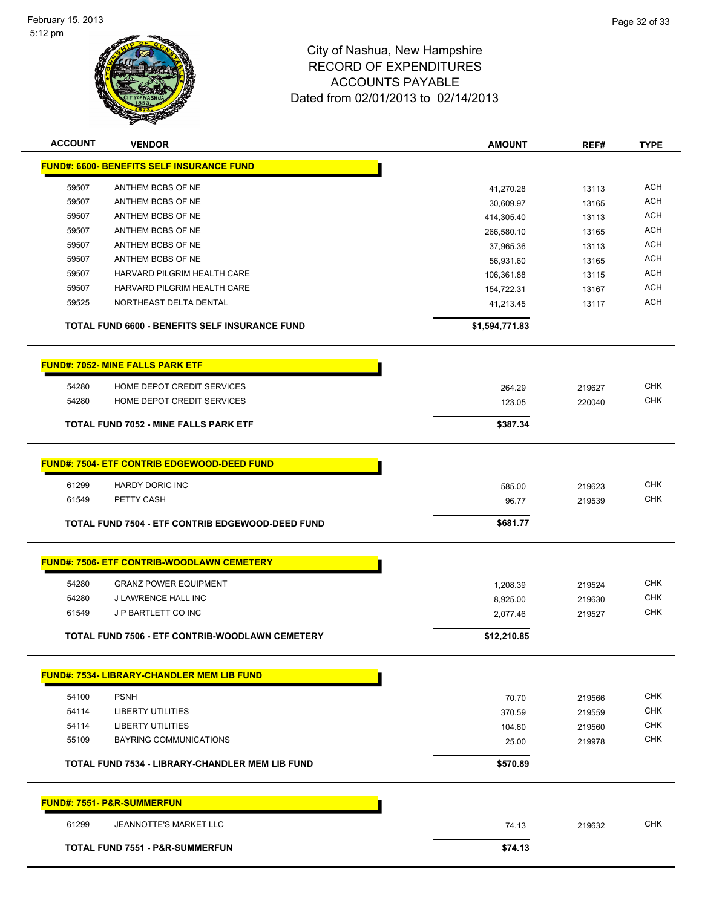

| <b>ACCOUNT</b> | <b>VENDOR</b>                                      | <b>AMOUNT</b>  | REF#   | <b>TYPE</b> |
|----------------|----------------------------------------------------|----------------|--------|-------------|
|                | <b>FUND#: 6600- BENEFITS SELF INSURANCE FUND</b>   |                |        |             |
| 59507          | ANTHEM BCBS OF NE                                  | 41,270.28      | 13113  | <b>ACH</b>  |
| 59507          | ANTHEM BCBS OF NE                                  | 30,609.97      | 13165  | <b>ACH</b>  |
| 59507          | ANTHEM BCBS OF NE                                  | 414,305.40     | 13113  | <b>ACH</b>  |
| 59507          | ANTHEM BCBS OF NE                                  | 266,580.10     | 13165  | <b>ACH</b>  |
| 59507          | ANTHEM BCBS OF NE                                  | 37,965.36      | 13113  | <b>ACH</b>  |
| 59507          | ANTHEM BCBS OF NE                                  | 56,931.60      | 13165  | <b>ACH</b>  |
| 59507          | HARVARD PILGRIM HEALTH CARE                        | 106,361.88     | 13115  | <b>ACH</b>  |
| 59507          | HARVARD PILGRIM HEALTH CARE                        | 154,722.31     | 13167  | <b>ACH</b>  |
| 59525          | NORTHEAST DELTA DENTAL                             | 41,213.45      | 13117  | <b>ACH</b>  |
|                | TOTAL FUND 6600 - BENEFITS SELF INSURANCE FUND     | \$1,594,771.83 |        |             |
|                | <b>FUND#: 7052- MINE FALLS PARK ETF</b>            |                |        |             |
| 54280          | HOME DEPOT CREDIT SERVICES                         | 264.29         | 219627 | <b>CHK</b>  |
| 54280          | HOME DEPOT CREDIT SERVICES                         | 123.05         | 220040 | <b>CHK</b>  |
|                |                                                    |                |        |             |
|                | <b>TOTAL FUND 7052 - MINE FALLS PARK ETF</b>       | \$387.34       |        |             |
|                | <b>FUND#: 7504- ETF CONTRIB EDGEWOOD-DEED FUND</b> |                |        |             |
|                |                                                    |                |        |             |
| 61299          | <b>HARDY DORIC INC</b>                             | 585.00         | 219623 | <b>CHK</b>  |
| 61549          | PETTY CASH                                         | 96.77          | 219539 | <b>CHK</b>  |
|                | TOTAL FUND 7504 - ETF CONTRIB EDGEWOOD-DEED FUND   | \$681.77       |        |             |
|                | <b>FUND#: 7506- ETF CONTRIB-WOODLAWN CEMETERY</b>  |                |        |             |
|                |                                                    |                |        |             |
| 54280          | <b>GRANZ POWER EQUIPMENT</b>                       | 1,208.39       | 219524 | <b>CHK</b>  |
| 54280          | J LAWRENCE HALL INC                                | 8,925.00       | 219630 | <b>CHK</b>  |
| 61549          | J P BARTLETT CO INC                                | 2,077.46       | 219527 | <b>CHK</b>  |
|                | TOTAL FUND 7506 - ETF CONTRIB-WOODLAWN CEMETERY    | \$12,210.85    |        |             |
|                | <b>FUND#: 7534- LIBRARY-CHANDLER MEM LIB FUND</b>  |                |        |             |
| 54100          | <b>PSNH</b>                                        | 70.70          | 219566 | <b>CHK</b>  |
| 54114          | <b>LIBERTY UTILITIES</b>                           | 370.59         | 219559 | CHK         |
| 54114          | <b>LIBERTY UTILITIES</b>                           | 104.60         | 219560 | <b>CHK</b>  |
| 55109          | <b>BAYRING COMMUNICATIONS</b>                      | 25.00          | 219978 | <b>CHK</b>  |
|                |                                                    |                |        |             |
|                | TOTAL FUND 7534 - LIBRARY-CHANDLER MEM LIB FUND    | \$570.89       |        |             |
|                | <b>FUND#: 7551- P&amp;R-SUMMERFUN</b>              |                |        |             |
| 61299          | <b>JEANNOTTE'S MARKET LLC</b>                      | 74.13          | 219632 | <b>CHK</b>  |
|                | <b>TOTAL FUND 7551 - P&amp;R-SUMMERFUN</b>         | \$74.13        |        |             |
|                |                                                    |                |        |             |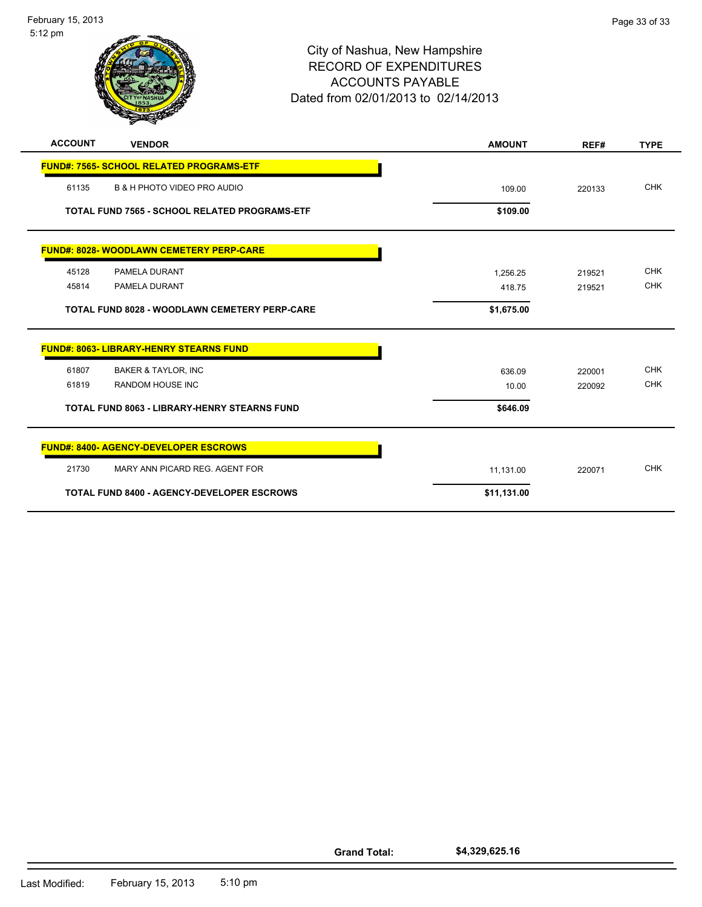

| <b>AUUUUI</b><br>VENDOR                              | <b>AMUUN I</b> | REF#   | IYPE       |
|------------------------------------------------------|----------------|--------|------------|
| <b>FUND#: 7565- SCHOOL RELATED PROGRAMS-ETF</b>      |                |        |            |
| 61135<br><b>B &amp; H PHOTO VIDEO PRO AUDIO</b>      | 109.00         | 220133 | <b>CHK</b> |
| <b>TOTAL FUND 7565 - SCHOOL RELATED PROGRAMS-ETF</b> | \$109.00       |        |            |
| <b>FUND#: 8028- WOODLAWN CEMETERY PERP-CARE</b>      |                |        |            |
| 45128<br><b>PAMELA DURANT</b>                        | 1.256.25       | 219521 | <b>CHK</b> |
| 45814<br><b>PAMELA DURANT</b>                        | 418.75         | 219521 | <b>CHK</b> |
| <b>TOTAL FUND 8028 - WOODLAWN CEMETERY PERP-CARE</b> | \$1,675.00     |        |            |
| <b>FUND#: 8063- LIBRARY-HENRY STEARNS FUND</b>       |                |        |            |
| 61807<br><b>BAKER &amp; TAYLOR, INC</b>              | 636.09         | 220001 | <b>CHK</b> |
| 61819<br><b>RANDOM HOUSE INC</b>                     | 10.00          | 220092 | <b>CHK</b> |
| <b>TOTAL FUND 8063 - LIBRARY-HENRY STEARNS FUND</b>  | \$646.09       |        |            |
| <b>FUND#: 8400- AGENCY-DEVELOPER ESCROWS</b>         |                |        |            |
| 21730<br>MARY ANN PICARD REG. AGENT FOR              | 11,131.00      | 220071 | <b>CHK</b> |
| <b>TOTAL FUND 8400 - AGENCY-DEVELOPER ESCROWS</b>    | \$11,131.00    |        |            |

**Grand Total: \$4,329,625.16**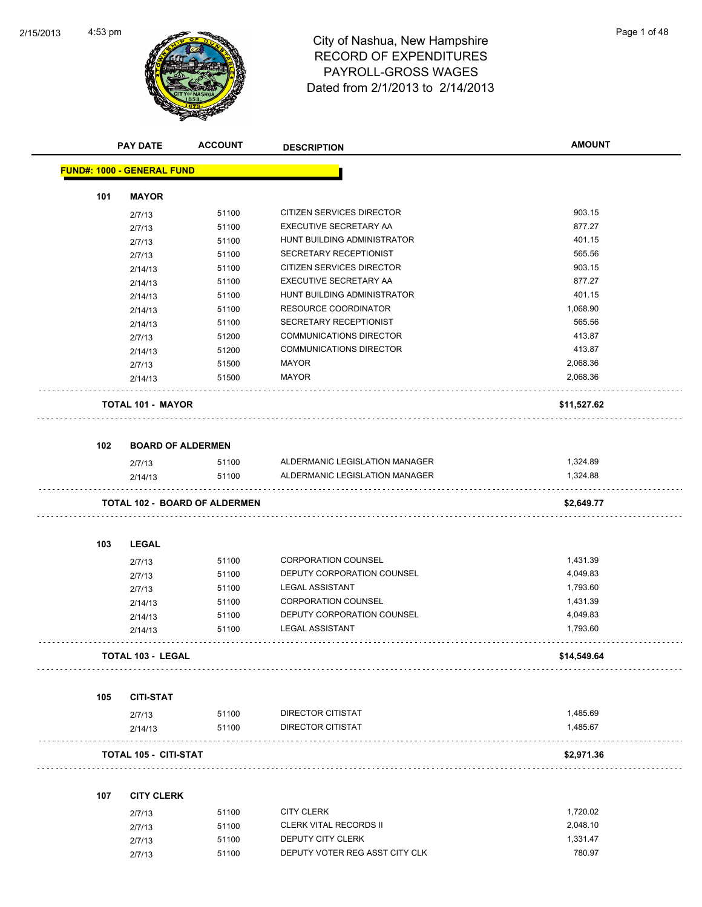Ĭ.



# 4:53 pm<br>City of Nashua, New Hampshire<br>City of Nashua, New Hampshire RECORD OF EXPENDITURES PAYROLL-GROSS WAGES Dated from 2/1/2013 to 2/14/2013

|     | <b>PAY DATE</b>                   | <b>ACCOUNT</b>                       | <b>DESCRIPTION</b>             | <b>AMOUNT</b> |
|-----|-----------------------------------|--------------------------------------|--------------------------------|---------------|
|     | <b>FUND#: 1000 - GENERAL FUND</b> |                                      |                                |               |
|     |                                   |                                      |                                |               |
| 101 | <b>MAYOR</b>                      | 51100                                | CITIZEN SERVICES DIRECTOR      | 903.15        |
|     | 2/7/13                            | 51100                                | EXECUTIVE SECRETARY AA         | 877.27        |
|     | 2/7/13                            | 51100                                | HUNT BUILDING ADMINISTRATOR    | 401.15        |
|     | 2/7/13                            | 51100                                | SECRETARY RECEPTIONIST         | 565.56        |
|     | 2/7/13<br>2/14/13                 | 51100                                | CITIZEN SERVICES DIRECTOR      | 903.15        |
|     | 2/14/13                           | 51100                                | EXECUTIVE SECRETARY AA         | 877.27        |
|     | 2/14/13                           | 51100                                | HUNT BUILDING ADMINISTRATOR    | 401.15        |
|     | 2/14/13                           | 51100                                | <b>RESOURCE COORDINATOR</b>    | 1,068.90      |
|     | 2/14/13                           | 51100                                | SECRETARY RECEPTIONIST         | 565.56        |
|     | 2/7/13                            | 51200                                | <b>COMMUNICATIONS DIRECTOR</b> | 413.87        |
|     | 2/14/13                           | 51200                                | <b>COMMUNICATIONS DIRECTOR</b> | 413.87        |
|     | 2/7/13                            | 51500                                | <b>MAYOR</b>                   | 2,068.36      |
|     | 2/14/13                           | 51500                                | <b>MAYOR</b>                   | 2,068.36      |
|     | <b>TOTAL 101 - MAYOR</b>          |                                      |                                | \$11,527.62   |
|     |                                   |                                      |                                |               |
| 102 |                                   | <b>BOARD OF ALDERMEN</b>             |                                |               |
|     | 2/7/13                            | 51100                                | ALDERMANIC LEGISLATION MANAGER | 1,324.89      |
|     | 2/14/13                           | 51100                                | ALDERMANIC LEGISLATION MANAGER | 1,324.88      |
|     |                                   | <b>TOTAL 102 - BOARD OF ALDERMEN</b> |                                | \$2,649.77    |
|     |                                   |                                      |                                |               |
| 103 | <b>LEGAL</b>                      |                                      |                                |               |
|     | 2/7/13                            | 51100                                | <b>CORPORATION COUNSEL</b>     | 1,431.39      |
|     | 2/7/13                            | 51100                                | DEPUTY CORPORATION COUNSEL     | 4,049.83      |
|     | 2/7/13                            | 51100                                | <b>LEGAL ASSISTANT</b>         | 1,793.60      |
|     | 2/14/13                           | 51100                                | <b>CORPORATION COUNSEL</b>     | 1,431.39      |
|     | 2/14/13                           | 51100                                | DEPUTY CORPORATION COUNSEL     | 4,049.83      |
|     | 2/14/13                           | 51100                                | <b>LEGAL ASSISTANT</b>         | 1,793.60      |
|     | TOTAL 103 - LEGAL                 |                                      |                                | \$14,549.64   |
|     |                                   |                                      |                                |               |
| 105 | <b>CITI-STAT</b>                  |                                      |                                |               |
|     | 2/7/13                            | 51100                                | DIRECTOR CITISTAT              | 1,485.69      |
|     | 2/14/13                           | 51100                                | DIRECTOR CITISTAT              | 1,485.67      |
|     | <b>TOTAL 105 - CITI-STAT</b>      |                                      |                                | \$2,971.36    |
| 107 | <b>CITY CLERK</b>                 |                                      |                                |               |
|     | 2/7/13                            | 51100                                | <b>CITY CLERK</b>              | 1,720.02      |
|     | 2/7/13                            | 51100                                | <b>CLERK VITAL RECORDS II</b>  | 2,048.10      |
|     | 2/7/13                            | 51100                                | DEPUTY CITY CLERK              | 1,331.47      |
|     | 2/7/13                            | 51100                                | DEPUTY VOTER REG ASST CITY CLK | 780.97        |
|     |                                   |                                      |                                |               |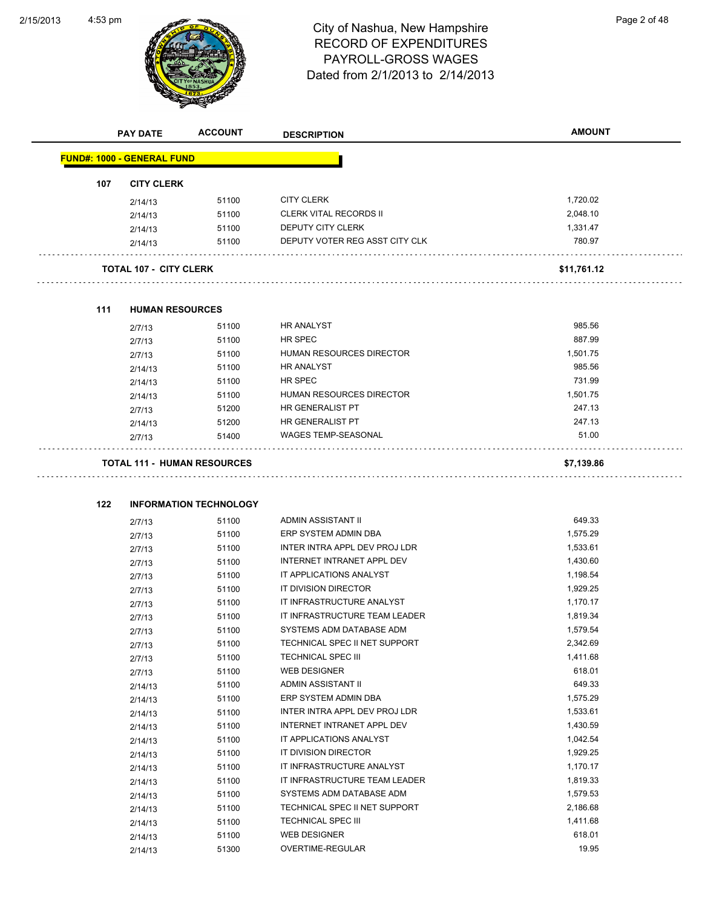L.



# 4:53 pm<br>City of Nashua, New Hampshire<br>City of Nashua, New Hampshire RECORD OF EXPENDITURES PAYROLL-GROSS WAGES Dated from 2/1/2013 to 2/14/2013

|     | <b>PAY DATE</b>                    | <b>ACCOUNT</b>                | <b>DESCRIPTION</b>             | <b>AMOUNT</b> |
|-----|------------------------------------|-------------------------------|--------------------------------|---------------|
|     | <b>FUND#: 1000 - GENERAL FUND</b>  |                               |                                |               |
| 107 | <b>CITY CLERK</b>                  |                               |                                |               |
|     | 2/14/13                            | 51100                         | <b>CITY CLERK</b>              | 1,720.02      |
|     | 2/14/13                            | 51100                         | <b>CLERK VITAL RECORDS II</b>  | 2,048.10      |
|     | 2/14/13                            | 51100                         | DEPUTY CITY CLERK              | 1,331.47      |
|     | 2/14/13                            | 51100                         | DEPUTY VOTER REG ASST CITY CLK | 780.97        |
|     | <b>TOTAL 107 - CITY CLERK</b>      |                               |                                | \$11,761.12   |
|     |                                    |                               |                                |               |
| 111 | <b>HUMAN RESOURCES</b>             |                               |                                |               |
|     | 2/7/13                             | 51100                         | <b>HR ANALYST</b>              | 985.56        |
|     | 2/7/13                             | 51100                         | HR SPEC                        | 887.99        |
|     | 2/7/13                             | 51100                         | HUMAN RESOURCES DIRECTOR       | 1,501.75      |
|     | 2/14/13                            | 51100                         | <b>HR ANALYST</b>              | 985.56        |
|     | 2/14/13                            | 51100                         | HR SPEC                        | 731.99        |
|     | 2/14/13                            | 51100                         | HUMAN RESOURCES DIRECTOR       | 1,501.75      |
|     | 2/7/13                             | 51200                         | HR GENERALIST PT               | 247.13        |
|     | 2/14/13                            | 51200                         | HR GENERALIST PT               | 247.13        |
|     | 2/7/13                             | 51400                         | <b>WAGES TEMP-SEASONAL</b>     | 51.00         |
|     | <b>TOTAL 111 - HUMAN RESOURCES</b> |                               |                                | \$7,139.86    |
|     |                                    |                               |                                |               |
| 122 |                                    | <b>INFORMATION TECHNOLOGY</b> | ADMIN ASSISTANT II             | 649.33        |
|     | 2/7/13                             | 51100<br>51100                | ERP SYSTEM ADMIN DBA           | 1,575.29      |
|     | 2/7/13                             | 51100                         | INTER INTRA APPL DEV PROJ LDR  | 1,533.61      |
|     | 2/7/13                             | 51100                         | INTERNET INTRANET APPL DEV     | 1,430.60      |
|     | 2/7/13                             | 51100                         | IT APPLICATIONS ANALYST        | 1,198.54      |
|     | 2/7/13                             | 51100                         | IT DIVISION DIRECTOR           | 1,929.25      |
|     | 2/7/13                             | 51100                         | IT INFRASTRUCTURE ANALYST      | 1,170.17      |
|     | 2/7/13                             | 51100                         | IT INFRASTRUCTURE TEAM LEADER  | 1,819.34      |
|     | 2/7/13                             | 51100                         | SYSTEMS ADM DATABASE ADM       | 1,579.54      |
|     | 2/7/13                             | 51100                         | TECHNICAL SPEC II NET SUPPORT  | 2,342.69      |
|     | 2/7/13<br>2/7/13                   | 51100                         | <b>TECHNICAL SPEC III</b>      | 1,411.68      |
|     | 2/7/13                             | 51100                         | <b>WEB DESIGNER</b>            | 618.01        |
|     | 2/14/13                            | 51100                         | ADMIN ASSISTANT II             | 649.33        |
|     | 2/14/13                            | 51100                         | ERP SYSTEM ADMIN DBA           | 1,575.29      |
|     | 2/14/13                            | 51100                         | INTER INTRA APPL DEV PROJ LDR  | 1,533.61      |
|     | 2/14/13                            | 51100                         | INTERNET INTRANET APPL DEV     | 1,430.59      |
|     | 2/14/13                            | 51100                         | IT APPLICATIONS ANALYST        | 1,042.54      |
|     | 2/14/13                            | 51100                         | IT DIVISION DIRECTOR           | 1,929.25      |
|     | 2/14/13                            | 51100                         | IT INFRASTRUCTURE ANALYST      | 1,170.17      |
|     | 2/14/13                            | 51100                         | IT INFRASTRUCTURE TEAM LEADER  | 1,819.33      |
|     | 2/14/13                            | 51100                         | SYSTEMS ADM DATABASE ADM       | 1,579.53      |
|     | 2/14/13                            | 51100                         | TECHNICAL SPEC II NET SUPPORT  | 2,186.68      |
|     | 2/14/13                            | 51100                         | <b>TECHNICAL SPEC III</b>      | 1,411.68      |
|     | 2/14/13                            | 51100                         | <b>WEB DESIGNER</b>            | 618.01        |
|     | 2/14/13                            | 51300                         | OVERTIME-REGULAR               | 19.95         |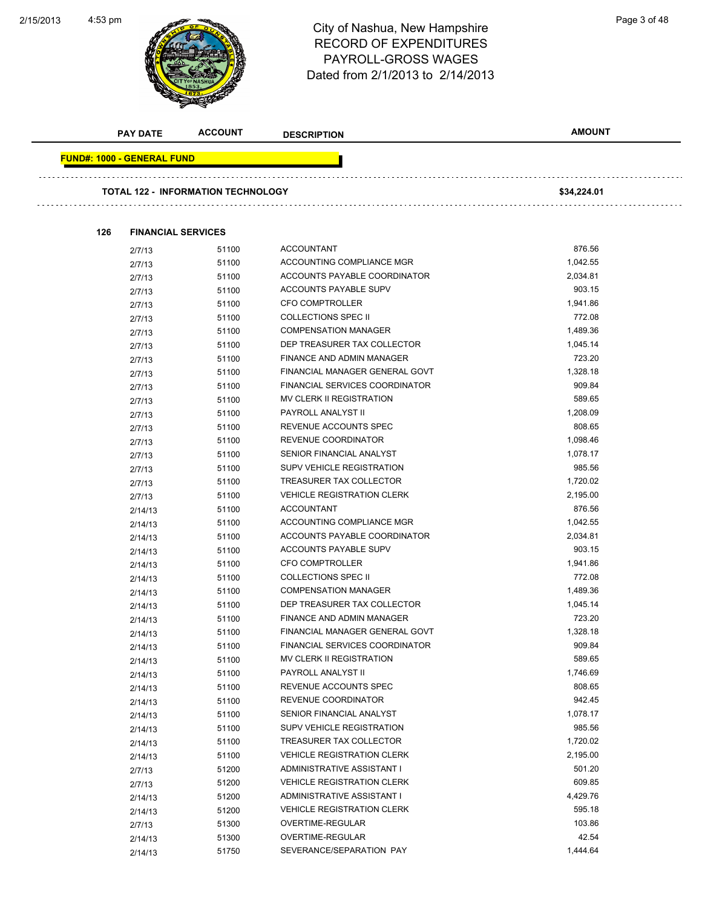#### 2/15/2013



# 4:53 pm<br>City of Nashua, New Hampshire<br>City of Nashua, New Hampshire RECORD OF EXPENDITURES PAYROLL-GROSS WAGES Dated from 2/1/2013 to 2/14/2013

|                                   | <b>PAY DATE</b>           | <b>ACCOUNT</b>                            | <b>DESCRIPTION</b>                | <b>AMOUNT</b> |
|-----------------------------------|---------------------------|-------------------------------------------|-----------------------------------|---------------|
| <b>FUND#: 1000 - GENERAL FUND</b> |                           |                                           |                                   |               |
|                                   |                           |                                           |                                   |               |
|                                   |                           | <b>TOTAL 122 - INFORMATION TECHNOLOGY</b> |                                   | \$34,224.01   |
| 126                               | <b>FINANCIAL SERVICES</b> |                                           |                                   |               |
|                                   | 2/7/13                    | 51100                                     | <b>ACCOUNTANT</b>                 | 876.56        |
|                                   | 2/7/13                    | 51100                                     | ACCOUNTING COMPLIANCE MGR         | 1,042.55      |
|                                   | 2/7/13                    | 51100                                     | ACCOUNTS PAYABLE COORDINATOR      | 2,034.81      |
|                                   | 2/7/13                    | 51100                                     | ACCOUNTS PAYABLE SUPV             | 903.15        |
|                                   | 2/7/13                    | 51100                                     | <b>CFO COMPTROLLER</b>            | 1,941.86      |
|                                   | 2/7/13                    | 51100                                     | <b>COLLECTIONS SPEC II</b>        | 772.08        |
|                                   | 2/7/13                    | 51100                                     | <b>COMPENSATION MANAGER</b>       | 1,489.36      |
|                                   | 2/7/13                    | 51100                                     | DEP TREASURER TAX COLLECTOR       | 1,045.14      |
|                                   | 2/7/13                    | 51100                                     | FINANCE AND ADMIN MANAGER         | 723.20        |
|                                   | 2/7/13                    | 51100                                     | FINANCIAL MANAGER GENERAL GOVT    | 1,328.18      |
|                                   | 2/7/13                    | 51100                                     | FINANCIAL SERVICES COORDINATOR    | 909.84        |
|                                   | 2/7/13                    | 51100                                     | MV CLERK II REGISTRATION          | 589.65        |
|                                   | 2/7/13                    | 51100                                     | PAYROLL ANALYST II                | 1,208.09      |
|                                   | 2/7/13                    | 51100                                     | REVENUE ACCOUNTS SPEC             | 808.65        |
|                                   | 2/7/13                    | 51100                                     | REVENUE COORDINATOR               | 1,098.46      |
|                                   | 2/7/13                    | 51100                                     | SENIOR FINANCIAL ANALYST          | 1,078.17      |
|                                   | 2/7/13                    | 51100                                     | SUPV VEHICLE REGISTRATION         | 985.56        |
|                                   | 2/7/13                    | 51100                                     | TREASURER TAX COLLECTOR           | 1,720.02      |
|                                   | 2/7/13                    | 51100                                     | <b>VEHICLE REGISTRATION CLERK</b> | 2,195.00      |
|                                   | 2/14/13                   | 51100                                     | <b>ACCOUNTANT</b>                 | 876.56        |
|                                   | 2/14/13                   | 51100                                     | ACCOUNTING COMPLIANCE MGR         | 1,042.55      |
|                                   | 2/14/13                   | 51100                                     | ACCOUNTS PAYABLE COORDINATOR      | 2,034.81      |
|                                   | 2/14/13                   | 51100                                     | ACCOUNTS PAYABLE SUPV             | 903.15        |
|                                   | 2/14/13                   | 51100                                     | <b>CFO COMPTROLLER</b>            | 1,941.86      |
|                                   | 2/14/13                   | 51100                                     | <b>COLLECTIONS SPEC II</b>        | 772.08        |
|                                   | 2/14/13                   | 51100                                     | <b>COMPENSATION MANAGER</b>       | 1,489.36      |
|                                   | 2/14/13                   | 51100                                     | DEP TREASURER TAX COLLECTOR       | 1,045.14      |
|                                   | 2/14/13                   | 51100                                     | FINANCE AND ADMIN MANAGER         | 723.20        |
|                                   | 2/14/13                   | 51100                                     | FINANCIAL MANAGER GENERAL GOVT    | 1,328.18      |
|                                   |                           | 51100                                     | FINANCIAL SERVICES COORDINATOR    | 909.84        |
|                                   | 2/14/13<br>2/14/13        | 51100                                     | MV CLERK II REGISTRATION          | 589.65        |
|                                   | 2/14/13                   | 51100                                     | PAYROLL ANALYST II                | 1,746.69      |
|                                   | 2/14/13                   | 51100                                     | REVENUE ACCOUNTS SPEC             | 808.65        |
|                                   | 2/14/13                   | 51100                                     | REVENUE COORDINATOR               | 942.45        |
|                                   | 2/14/13                   | 51100                                     | SENIOR FINANCIAL ANALYST          | 1,078.17      |
|                                   | 2/14/13                   | 51100                                     | SUPV VEHICLE REGISTRATION         | 985.56        |
|                                   | 2/14/13                   | 51100                                     | TREASURER TAX COLLECTOR           | 1,720.02      |
|                                   | 2/14/13                   | 51100                                     | <b>VEHICLE REGISTRATION CLERK</b> | 2,195.00      |
|                                   | 2/7/13                    | 51200                                     | ADMINISTRATIVE ASSISTANT I        | 501.20        |
|                                   | 2/7/13                    | 51200                                     | <b>VEHICLE REGISTRATION CLERK</b> | 609.85        |
|                                   | 2/14/13                   | 51200                                     | ADMINISTRATIVE ASSISTANT I        | 4,429.76      |
|                                   | 2/14/13                   | 51200                                     | <b>VEHICLE REGISTRATION CLERK</b> | 595.18        |
|                                   | 2/7/13                    | 51300                                     | OVERTIME-REGULAR                  | 103.86        |
|                                   | 2/14/13                   | 51300                                     | OVERTIME-REGULAR                  | 42.54         |
|                                   | 2/14/13                   | 51750                                     | SEVERANCE/SEPARATION PAY          | 1,444.64      |
|                                   |                           |                                           |                                   |               |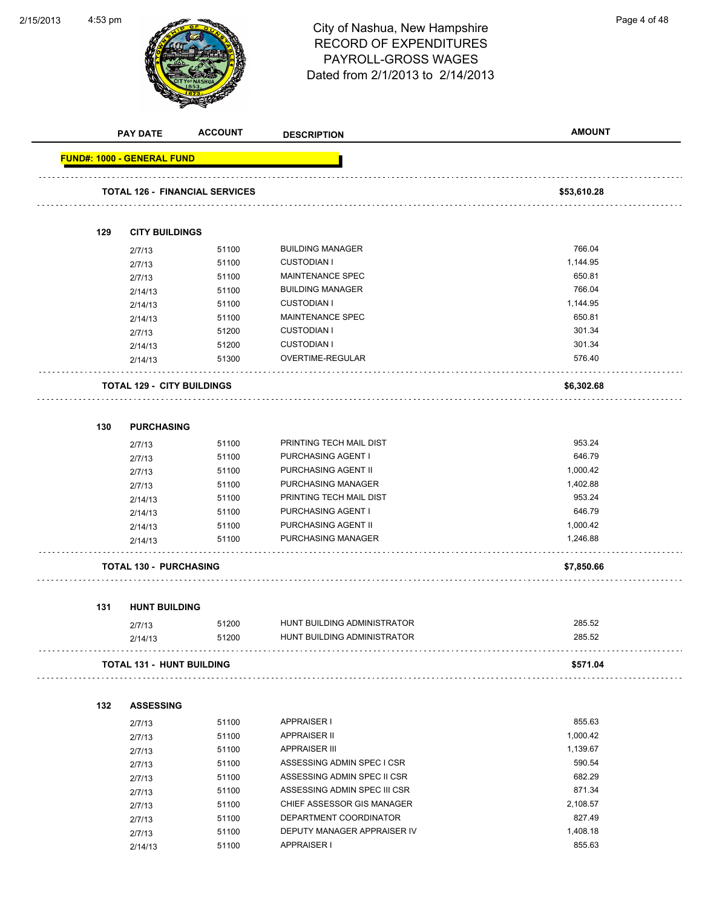**ACCOUNT** 

2/15/2013

|     | <b>PAY DATE</b>                   | <b>ACCOUNT</b>                        | <b>DESCRIPTION</b>           | <b>AMOUNT</b> |
|-----|-----------------------------------|---------------------------------------|------------------------------|---------------|
|     | <b>FUND#: 1000 - GENERAL FUND</b> |                                       |                              |               |
|     |                                   | <b>TOTAL 126 - FINANCIAL SERVICES</b> |                              | \$53,610.28   |
|     |                                   |                                       |                              |               |
| 129 | <b>CITY BUILDINGS</b>             |                                       |                              |               |
|     | 2/7/13                            | 51100                                 | <b>BUILDING MANAGER</b>      | 766.04        |
|     | 2/7/13                            | 51100                                 | <b>CUSTODIAN I</b>           | 1,144.95      |
|     | 2/7/13                            | 51100                                 | <b>MAINTENANCE SPEC</b>      | 650.81        |
|     | 2/14/13                           | 51100                                 | <b>BUILDING MANAGER</b>      | 766.04        |
|     | 2/14/13                           | 51100                                 | <b>CUSTODIAN I</b>           | 1,144.95      |
|     | 2/14/13                           | 51100                                 | MAINTENANCE SPEC             | 650.81        |
|     | 2/7/13                            | 51200                                 | <b>CUSTODIAN I</b>           | 301.34        |
|     | 2/14/13                           | 51200                                 | <b>CUSTODIAN I</b>           | 301.34        |
|     | 2/14/13                           | 51300                                 | OVERTIME-REGULAR             | 576.40        |
|     | <b>TOTAL 129 - CITY BUILDINGS</b> |                                       |                              | \$6,302.68    |
| 130 | <b>PURCHASING</b>                 |                                       |                              |               |
|     | 2/7/13                            | 51100                                 | PRINTING TECH MAIL DIST      | 953.24        |
|     | 2/7/13                            | 51100                                 | PURCHASING AGENT I           | 646.79        |
|     | 2/7/13                            | 51100                                 | PURCHASING AGENT II          | 1,000.42      |
|     | 2/7/13                            | 51100                                 | PURCHASING MANAGER           | 1,402.88      |
|     | 2/14/13                           | 51100                                 | PRINTING TECH MAIL DIST      | 953.24        |
|     | 2/14/13                           | 51100                                 | PURCHASING AGENT I           | 646.79        |
|     |                                   | 51100                                 | PURCHASING AGENT II          | 1,000.42      |
|     | 2/14/13<br>2/14/13                | 51100                                 | PURCHASING MANAGER           | 1,246.88      |
|     |                                   |                                       |                              |               |
|     | <b>TOTAL 130 - PURCHASING</b>     |                                       |                              | \$7,850.66    |
| 131 | <b>HUNT BUILDING</b>              |                                       |                              |               |
|     | 2/7/13                            | 51200                                 | HUNT BUILDING ADMINISTRATOR  | 285.52        |
|     | 2/14/13                           | 51200                                 | HUNT BUILDING ADMINISTRATOR  | 285.52        |
|     | <b>TOTAL 131 - HUNT BUILDING</b>  |                                       |                              | \$571.04      |
| 132 | <b>ASSESSING</b>                  |                                       |                              |               |
|     | 2/7/13                            | 51100                                 | <b>APPRAISER I</b>           | 855.63        |
|     | 2/7/13                            | 51100                                 | <b>APPRAISER II</b>          | 1,000.42      |
|     | 2/7/13                            | 51100                                 | <b>APPRAISER III</b>         | 1,139.67      |
|     | 2/7/13                            | 51100                                 | ASSESSING ADMIN SPEC I CSR   | 590.54        |
|     | 2/7/13                            | 51100                                 | ASSESSING ADMIN SPEC II CSR  | 682.29        |
|     | 2/7/13                            | 51100                                 | ASSESSING ADMIN SPEC III CSR | 871.34        |
|     | 2/7/13                            | 51100                                 | CHIEF ASSESSOR GIS MANAGER   | 2,108.57      |
|     | 2/7/13                            | 51100                                 | DEPARTMENT COORDINATOR       | 827.49        |
|     |                                   |                                       |                              |               |
|     | 2/7/13                            | 51100                                 | DEPUTY MANAGER APPRAISER IV  | 1,408.18      |

2/14/13 51100 APPRAISER I 855.63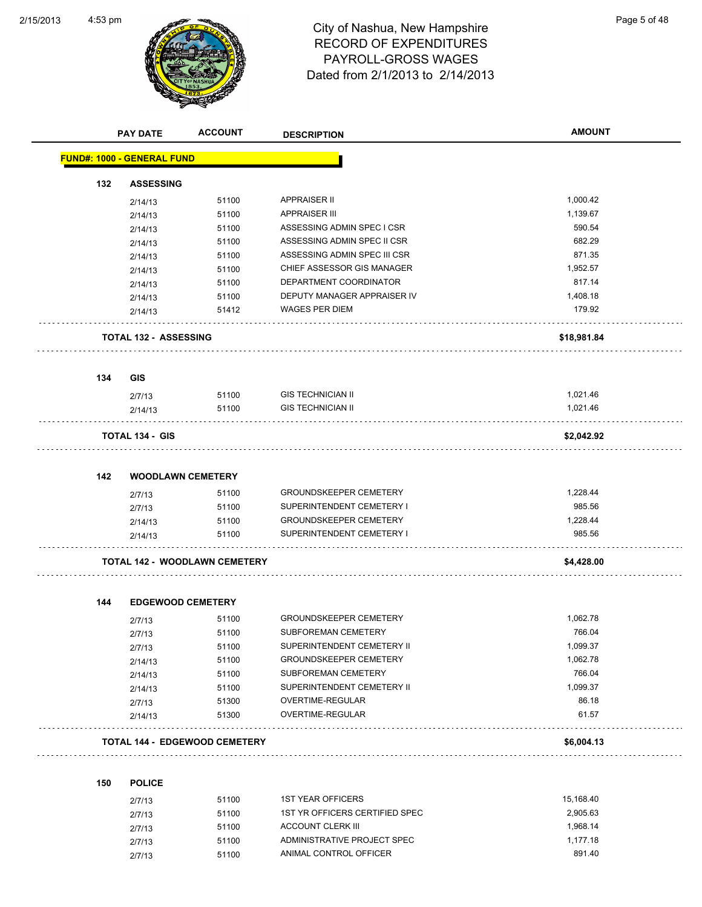

|     | <b>PAY DATE</b>                   | <b>ACCOUNT</b>                       | <b>DESCRIPTION</b>             | <b>AMOUNT</b> |
|-----|-----------------------------------|--------------------------------------|--------------------------------|---------------|
|     | <b>FUND#: 1000 - GENERAL FUND</b> |                                      |                                |               |
| 132 | <b>ASSESSING</b>                  |                                      |                                |               |
|     | 2/14/13                           | 51100                                | <b>APPRAISER II</b>            | 1,000.42      |
|     | 2/14/13                           | 51100                                | <b>APPRAISER III</b>           | 1,139.67      |
|     | 2/14/13                           | 51100                                | ASSESSING ADMIN SPEC I CSR     | 590.54        |
|     | 2/14/13                           | 51100                                | ASSESSING ADMIN SPEC II CSR    | 682.29        |
|     | 2/14/13                           | 51100                                | ASSESSING ADMIN SPEC III CSR   | 871.35        |
|     | 2/14/13                           | 51100                                | CHIEF ASSESSOR GIS MANAGER     | 1,952.57      |
|     | 2/14/13                           | 51100                                | DEPARTMENT COORDINATOR         | 817.14        |
|     | 2/14/13                           | 51100                                | DEPUTY MANAGER APPRAISER IV    | 1,408.18      |
|     | 2/14/13                           | 51412                                | <b>WAGES PER DIEM</b>          | 179.92        |
|     | <b>TOTAL 132 - ASSESSING</b>      |                                      |                                | \$18,981.84   |
| 134 | <b>GIS</b>                        |                                      |                                |               |
|     | 2/7/13                            | 51100                                | <b>GIS TECHNICIAN II</b>       | 1,021.46      |
|     | 2/14/13                           | 51100                                | <b>GIS TECHNICIAN II</b>       | 1,021.46      |
|     | <b>TOTAL 134 - GIS</b>            |                                      |                                | \$2,042.92    |
|     |                                   |                                      |                                |               |
| 142 | <b>WOODLAWN CEMETERY</b>          |                                      |                                |               |
|     | 2/7/13                            | 51100                                | <b>GROUNDSKEEPER CEMETERY</b>  | 1,228.44      |
|     | 2/7/13                            | 51100                                | SUPERINTENDENT CEMETERY I      | 985.56        |
|     | 2/14/13                           | 51100                                | <b>GROUNDSKEEPER CEMETERY</b>  | 1,228.44      |
|     | 2/14/13                           | 51100                                | SUPERINTENDENT CEMETERY I      | 985.56        |
|     |                                   | <b>TOTAL 142 - WOODLAWN CEMETERY</b> |                                | \$4,428.00    |
| 144 | <b>EDGEWOOD CEMETERY</b>          |                                      |                                |               |
|     | 2/7/13                            | 51100                                | <b>GROUNDSKEEPER CEMETERY</b>  | 1,062.78      |
|     | 2/7/13                            | 51100                                | SUBFOREMAN CEMETERY            | 766.04        |
|     | 2/7/13                            | 51100                                | SUPERINTENDENT CEMETERY II     | 1,099.37      |
|     | 2/14/13                           | 51100                                | <b>GROUNDSKEEPER CEMETERY</b>  | 1,062.78      |
|     | 2/14/13                           | 51100                                | SUBFOREMAN CEMETERY            | 766.04        |
|     | 2/14/13                           | 51100                                | SUPERINTENDENT CEMETERY II     | 1,099.37      |
|     | 2/7/13                            | 51300                                | OVERTIME-REGULAR               | 86.18         |
|     | 2/14/13                           | 51300                                | OVERTIME-REGULAR               | 61.57         |
|     |                                   | <b>TOTAL 144 - EDGEWOOD CEMETERY</b> |                                | \$6,004.13    |
| 150 | <b>POLICE</b>                     |                                      |                                |               |
|     |                                   |                                      |                                |               |
|     | 2/7/13                            | 51100                                | <b>1ST YEAR OFFICERS</b>       | 15,168.40     |
|     | 2/7/13                            | 51100                                | 1ST YR OFFICERS CERTIFIED SPEC | 2,905.63      |
|     | 2/7/13                            | 51100                                | <b>ACCOUNT CLERK III</b>       | 1,968.14      |

2/7/13 51100 ADMINISTRATIVE PROJECT SPEC 377/13 2/7/13 51100 ANIMAL CONTROL OFFICER 891.40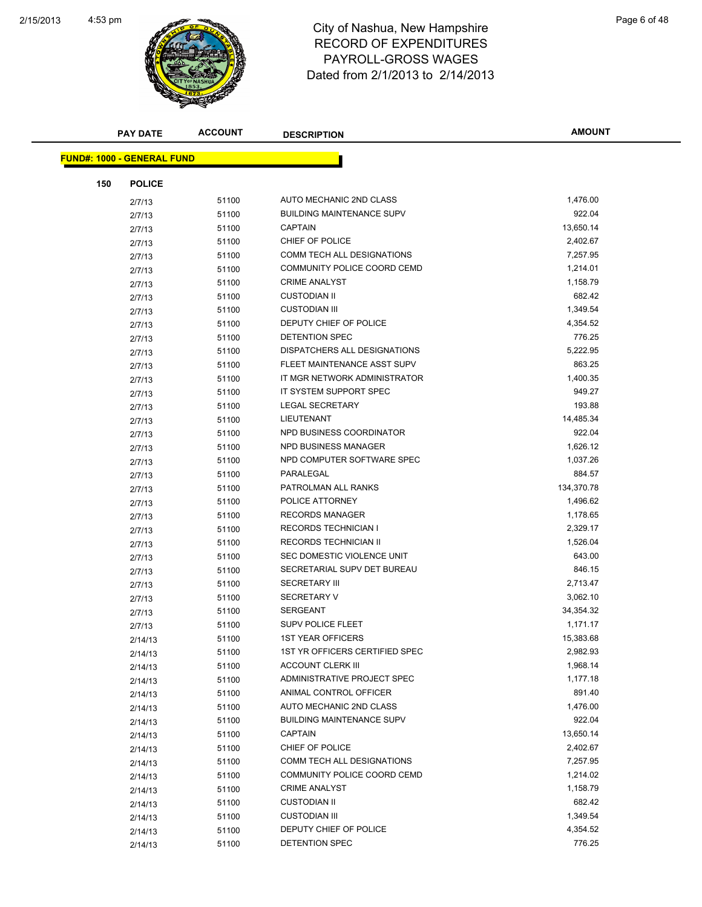

|                                   | <b>PAY DATE</b> | <b>ACCOUNT</b> | <b>DESCRIPTION</b>               | <b>AMOUNT</b> |
|-----------------------------------|-----------------|----------------|----------------------------------|---------------|
| <b>FUND#: 1000 - GENERAL FUND</b> |                 |                |                                  |               |
|                                   |                 |                |                                  |               |
| 150                               | <b>POLICE</b>   |                |                                  |               |
|                                   | 2/7/13          | 51100          | AUTO MECHANIC 2ND CLASS          | 1,476.00      |
|                                   | 2/7/13          | 51100          | <b>BUILDING MAINTENANCE SUPV</b> | 922.04        |
|                                   | 2/7/13          | 51100          | <b>CAPTAIN</b>                   | 13,650.14     |
|                                   | 2/7/13          | 51100          | CHIEF OF POLICE                  | 2,402.67      |
|                                   | 2/7/13          | 51100          | COMM TECH ALL DESIGNATIONS       | 7,257.95      |
|                                   | 2/7/13          | 51100          | COMMUNITY POLICE COORD CEMD      | 1,214.01      |
|                                   | 2/7/13          | 51100          | <b>CRIME ANALYST</b>             | 1,158.79      |
|                                   | 2/7/13          | 51100          | <b>CUSTODIAN II</b>              | 682.42        |
|                                   | 2/7/13          | 51100          | <b>CUSTODIAN III</b>             | 1,349.54      |
|                                   | 2/7/13          | 51100          | DEPUTY CHIEF OF POLICE           | 4,354.52      |
|                                   | 2/7/13          | 51100          | DETENTION SPEC                   | 776.25        |
|                                   | 2/7/13          | 51100          | DISPATCHERS ALL DESIGNATIONS     | 5,222.95      |
|                                   | 2/7/13          | 51100          | FLEET MAINTENANCE ASST SUPV      | 863.25        |
|                                   | 2/7/13          | 51100          | IT MGR NETWORK ADMINISTRATOR     | 1,400.35      |
|                                   | 2/7/13          | 51100          | IT SYSTEM SUPPORT SPEC           | 949.27        |
|                                   | 2/7/13          | 51100          | <b>LEGAL SECRETARY</b>           | 193.88        |
|                                   | 2/7/13          | 51100          | <b>LIEUTENANT</b>                | 14,485.34     |
|                                   | 2/7/13          | 51100          | NPD BUSINESS COORDINATOR         | 922.04        |
|                                   | 2/7/13          | 51100          | NPD BUSINESS MANAGER             | 1,626.12      |
|                                   | 2/7/13          | 51100          | NPD COMPUTER SOFTWARE SPEC       | 1,037.26      |
|                                   | 2/7/13          | 51100          | PARALEGAL                        | 884.57        |
|                                   | 2/7/13          | 51100          | PATROLMAN ALL RANKS              | 134,370.78    |
|                                   | 2/7/13          | 51100          | POLICE ATTORNEY                  | 1,496.62      |
|                                   | 2/7/13          | 51100          | <b>RECORDS MANAGER</b>           | 1,178.65      |
|                                   | 2/7/13          | 51100          | <b>RECORDS TECHNICIAN I</b>      | 2,329.17      |
|                                   | 2/7/13          | 51100          | RECORDS TECHNICIAN II            | 1,526.04      |
|                                   | 2/7/13          | 51100          | SEC DOMESTIC VIOLENCE UNIT       | 643.00        |
|                                   | 2/7/13          | 51100          | SECRETARIAL SUPV DET BUREAU      | 846.15        |
|                                   | 2/7/13          | 51100          | <b>SECRETARY III</b>             | 2,713.47      |
|                                   | 2/7/13          | 51100          | <b>SECRETARY V</b>               | 3,062.10      |
|                                   | 2/7/13          | 51100          | <b>SERGEANT</b>                  | 34,354.32     |
|                                   | 2/7/13          | 51100          | <b>SUPV POLICE FLEET</b>         | 1,171.17      |
|                                   | 2/14/13         | 51100          | 1ST YEAR OFFICERS                | 15,383.68     |
|                                   | 2/14/13         | 51100          | 1ST YR OFFICERS CERTIFIED SPEC   | 2,982.93      |
|                                   | 2/14/13         | 51100          | <b>ACCOUNT CLERK III</b>         | 1,968.14      |
|                                   | 2/14/13         | 51100          | ADMINISTRATIVE PROJECT SPEC      | 1,177.18      |
|                                   | 2/14/13         | 51100          | ANIMAL CONTROL OFFICER           | 891.40        |
|                                   |                 | 51100          | AUTO MECHANIC 2ND CLASS          | 1,476.00      |
|                                   | 2/14/13         | 51100          | <b>BUILDING MAINTENANCE SUPV</b> | 922.04        |
|                                   | 2/14/13         | 51100          | <b>CAPTAIN</b>                   | 13,650.14     |
|                                   | 2/14/13         | 51100          | CHIEF OF POLICE                  | 2,402.67      |
|                                   | 2/14/13         | 51100          | COMM TECH ALL DESIGNATIONS       | 7,257.95      |
|                                   | 2/14/13         |                | COMMUNITY POLICE COORD CEMD      | 1,214.02      |
|                                   | 2/14/13         | 51100          | <b>CRIME ANALYST</b>             | 1,158.79      |
|                                   | 2/14/13         | 51100          | <b>CUSTODIAN II</b>              | 682.42        |
|                                   | 2/14/13         | 51100          |                                  |               |
|                                   | 2/14/13         | 51100          | <b>CUSTODIAN III</b>             | 1,349.54      |
|                                   | 2/14/13         | 51100          | DEPUTY CHIEF OF POLICE           | 4,354.52      |
|                                   | 2/14/13         | 51100          | DETENTION SPEC                   | 776.25        |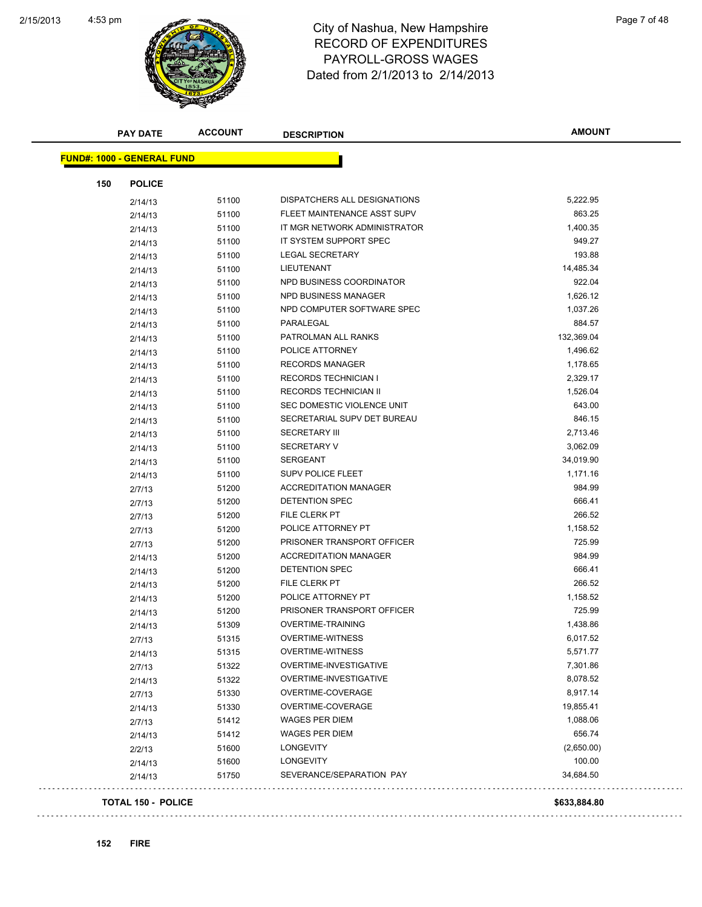

# RECORD OF EXPENDITURES PAYROLL-GROSS WAGES Dated from 2/1/2013 to 2/14/2013

|                                   | <b>PAY DATE</b>           | <b>ACCOUNT</b> | <b>DESCRIPTION</b>           | <b>AMOUNT</b> |
|-----------------------------------|---------------------------|----------------|------------------------------|---------------|
| <b>FUND#: 1000 - GENERAL FUND</b> |                           |                |                              |               |
| 150                               | <b>POLICE</b>             |                |                              |               |
|                                   | 2/14/13                   | 51100          | DISPATCHERS ALL DESIGNATIONS | 5,222.95      |
|                                   | 2/14/13                   | 51100          | FLEET MAINTENANCE ASST SUPV  | 863.25        |
|                                   | 2/14/13                   | 51100          | IT MGR NETWORK ADMINISTRATOR | 1,400.35      |
|                                   | 2/14/13                   | 51100          | IT SYSTEM SUPPORT SPEC       | 949.27        |
|                                   | 2/14/13                   | 51100          | <b>LEGAL SECRETARY</b>       | 193.88        |
|                                   | 2/14/13                   | 51100          | LIEUTENANT                   | 14,485.34     |
|                                   | 2/14/13                   | 51100          | NPD BUSINESS COORDINATOR     | 922.04        |
|                                   | 2/14/13                   | 51100          | <b>NPD BUSINESS MANAGER</b>  | 1,626.12      |
|                                   | 2/14/13                   | 51100          | NPD COMPUTER SOFTWARE SPEC   | 1,037.26      |
|                                   | 2/14/13                   | 51100          | PARALEGAL                    | 884.57        |
|                                   | 2/14/13                   | 51100          | PATROLMAN ALL RANKS          | 132,369.04    |
|                                   | 2/14/13                   | 51100          | POLICE ATTORNEY              | 1,496.62      |
|                                   | 2/14/13                   | 51100          | <b>RECORDS MANAGER</b>       | 1,178.65      |
|                                   | 2/14/13                   | 51100          | <b>RECORDS TECHNICIAN I</b>  | 2,329.17      |
|                                   | 2/14/13                   | 51100          | RECORDS TECHNICIAN II        | 1,526.04      |
|                                   | 2/14/13                   | 51100          | SEC DOMESTIC VIOLENCE UNIT   | 643.00        |
|                                   | 2/14/13                   | 51100          | SECRETARIAL SUPV DET BUREAU  | 846.15        |
|                                   | 2/14/13                   | 51100          | <b>SECRETARY III</b>         | 2,713.46      |
|                                   | 2/14/13                   | 51100          | <b>SECRETARY V</b>           | 3,062.09      |
|                                   | 2/14/13                   | 51100          | <b>SERGEANT</b>              | 34,019.90     |
|                                   | 2/14/13                   | 51100          | SUPV POLICE FLEET            | 1,171.16      |
|                                   | 2/7/13                    | 51200          | <b>ACCREDITATION MANAGER</b> | 984.99        |
|                                   | 2/7/13                    | 51200          | DETENTION SPEC               | 666.41        |
|                                   | 2/7/13                    | 51200          | FILE CLERK PT                | 266.52        |
|                                   | 2/7/13                    | 51200          | POLICE ATTORNEY PT           | 1,158.52      |
|                                   | 2/7/13                    | 51200          | PRISONER TRANSPORT OFFICER   | 725.99        |
|                                   | 2/14/13                   | 51200          | <b>ACCREDITATION MANAGER</b> | 984.99        |
|                                   | 2/14/13                   | 51200          | DETENTION SPEC               | 666.41        |
|                                   | 2/14/13                   | 51200          | FILE CLERK PT                | 266.52        |
|                                   | 2/14/13                   | 51200          | POLICE ATTORNEY PT           | 1,158.52      |
|                                   | 2/14/13                   | 51200          | PRISONER TRANSPORT OFFICER   | 725.99        |
|                                   | 2/14/13                   | 51309          | OVERTIME-TRAINING            | 1,438.86      |
|                                   | 2/7/13                    | 51315          | OVERTIME-WITNESS             | 6,017.52      |
|                                   | 2/14/13                   | 51315          | <b>OVERTIME-WITNESS</b>      | 5,571.77      |
|                                   | 2/7/13                    | 51322          | OVERTIME-INVESTIGATIVE       | 7,301.86      |
|                                   | 2/14/13                   | 51322          | OVERTIME-INVESTIGATIVE       | 8,078.52      |
|                                   | 2/7/13                    | 51330          | OVERTIME-COVERAGE            | 8,917.14      |
|                                   | 2/14/13                   | 51330          | OVERTIME-COVERAGE            | 19,855.41     |
|                                   | 2/7/13                    | 51412          | WAGES PER DIEM               | 1,088.06      |
|                                   | 2/14/13                   | 51412          | <b>WAGES PER DIEM</b>        | 656.74        |
|                                   | 2/2/13                    | 51600          | LONGEVITY                    | (2,650.00)    |
|                                   | 2/14/13                   | 51600          | LONGEVITY                    | 100.00        |
|                                   | 2/14/13                   | 51750          | SEVERANCE/SEPARATION PAY     | 34,684.50     |
|                                   | <b>TOTAL 150 - POLICE</b> |                |                              | \$633,884.80  |

 $\omega$  .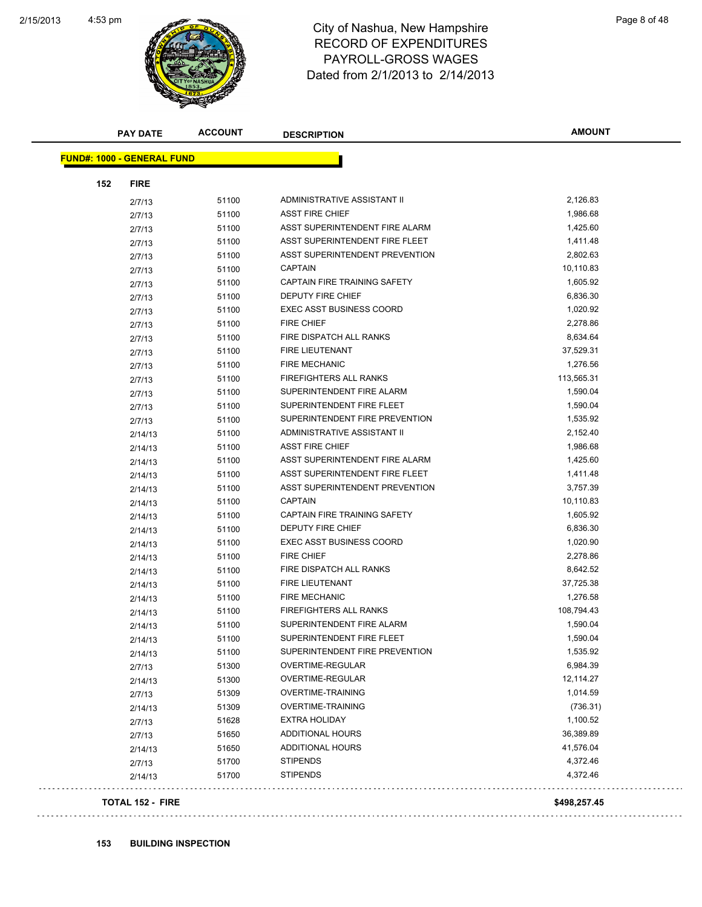

# RECORD OF EXPENDITURES PAYROLL-GROSS WAGES Dated from 2/1/2013 to 2/14/2013

| <b>PAY DATE</b>                   | <b>ACCOUNT</b> | <b>DESCRIPTION</b>                                               | <b>AMOUNT</b> |
|-----------------------------------|----------------|------------------------------------------------------------------|---------------|
| <b>FUND#: 1000 - GENERAL FUND</b> |                |                                                                  |               |
|                                   |                |                                                                  |               |
| 152<br><b>FIRE</b>                |                |                                                                  |               |
| 2/7/13                            | 51100          | ADMINISTRATIVE ASSISTANT II                                      | 2,126.83      |
| 2/7/13                            | 51100          | <b>ASST FIRE CHIEF</b>                                           | 1,986.68      |
| 2/7/13                            | 51100          | ASST SUPERINTENDENT FIRE ALARM<br>ASST SUPERINTENDENT FIRE FLEET | 1,425.60      |
| 2/7/13                            | 51100          | ASST SUPERINTENDENT PREVENTION                                   | 1,411.48      |
| 2/7/13                            | 51100          |                                                                  | 2,802.63      |
| 2/7/13                            | 51100          | <b>CAPTAIN</b>                                                   | 10,110.83     |
| 2/7/13                            | 51100          | CAPTAIN FIRE TRAINING SAFETY                                     | 1,605.92      |
| 2/7/13                            | 51100          | DEPUTY FIRE CHIEF                                                | 6,836.30      |
| 2/7/13                            | 51100          | <b>EXEC ASST BUSINESS COORD</b>                                  | 1,020.92      |
| 2/7/13                            | 51100          | <b>FIRE CHIEF</b>                                                | 2,278.86      |
| 2/7/13                            | 51100          | FIRE DISPATCH ALL RANKS                                          | 8,634.64      |
| 2/7/13                            | 51100          | FIRE LIEUTENANT                                                  | 37,529.31     |
| 2/7/13                            | 51100          | <b>FIRE MECHANIC</b>                                             | 1,276.56      |
| 2/7/13                            | 51100          | FIREFIGHTERS ALL RANKS                                           | 113,565.31    |
| 2/7/13                            | 51100          | SUPERINTENDENT FIRE ALARM                                        | 1,590.04      |
| 2/7/13                            | 51100          | SUPERINTENDENT FIRE FLEET                                        | 1,590.04      |
| 2/7/13                            | 51100          | SUPERINTENDENT FIRE PREVENTION                                   | 1,535.92      |
| 2/14/13                           | 51100          | ADMINISTRATIVE ASSISTANT II                                      | 2,152.40      |
| 2/14/13                           | 51100          | <b>ASST FIRE CHIEF</b>                                           | 1,986.68      |
| 2/14/13                           | 51100          | ASST SUPERINTENDENT FIRE ALARM                                   | 1,425.60      |
| 2/14/13                           | 51100          | ASST SUPERINTENDENT FIRE FLEET                                   | 1,411.48      |
| 2/14/13                           | 51100          | ASST SUPERINTENDENT PREVENTION                                   | 3,757.39      |
| 2/14/13                           | 51100          | <b>CAPTAIN</b>                                                   | 10,110.83     |
| 2/14/13                           | 51100          | CAPTAIN FIRE TRAINING SAFETY                                     | 1,605.92      |
| 2/14/13                           | 51100          | DEPUTY FIRE CHIEF                                                | 6,836.30      |
| 2/14/13                           | 51100          | <b>EXEC ASST BUSINESS COORD</b>                                  | 1,020.90      |
| 2/14/13                           | 51100          | <b>FIRE CHIEF</b>                                                | 2,278.86      |
| 2/14/13                           | 51100          | FIRE DISPATCH ALL RANKS                                          | 8,642.52      |
| 2/14/13                           | 51100          | FIRE LIEUTENANT                                                  | 37,725.38     |
| 2/14/13                           | 51100          | <b>FIRE MECHANIC</b>                                             | 1,276.58      |
| 2/14/13                           | 51100          | FIREFIGHTERS ALL RANKS                                           | 108,794.43    |
| 2/14/13                           | 51100          | SUPERINTENDENT FIRE ALARM                                        | 1,590.04      |
| 2/14/13                           | 51100          | SUPERINTENDENT FIRE FLEET                                        | 1,590.04      |
| 2/14/13                           | 51100          | SUPERINTENDENT FIRE PREVENTION                                   | 1,535.92      |
| 2/7/13                            | 51300          | OVERTIME-REGULAR                                                 | 6,984.39      |
| 2/14/13                           | 51300          | OVERTIME-REGULAR                                                 | 12,114.27     |
| 2/7/13                            | 51309          | <b>OVERTIME-TRAINING</b>                                         | 1,014.59      |
| 2/14/13                           | 51309          | <b>OVERTIME-TRAINING</b>                                         | (736.31)      |
| 2/7/13                            | 51628          | <b>EXTRA HOLIDAY</b>                                             | 1,100.52      |
| 2/7/13                            | 51650          | <b>ADDITIONAL HOURS</b>                                          | 36,389.89     |
| 2/14/13                           | 51650          | ADDITIONAL HOURS                                                 | 41,576.04     |
| 2/7/13                            | 51700          | <b>STIPENDS</b>                                                  | 4,372.46      |
| 2/14/13                           | 51700          | <b>STIPENDS</b>                                                  | 4,372.46      |
| <b>TOTAL 152 - FIRE</b>           |                |                                                                  | \$498,257.45  |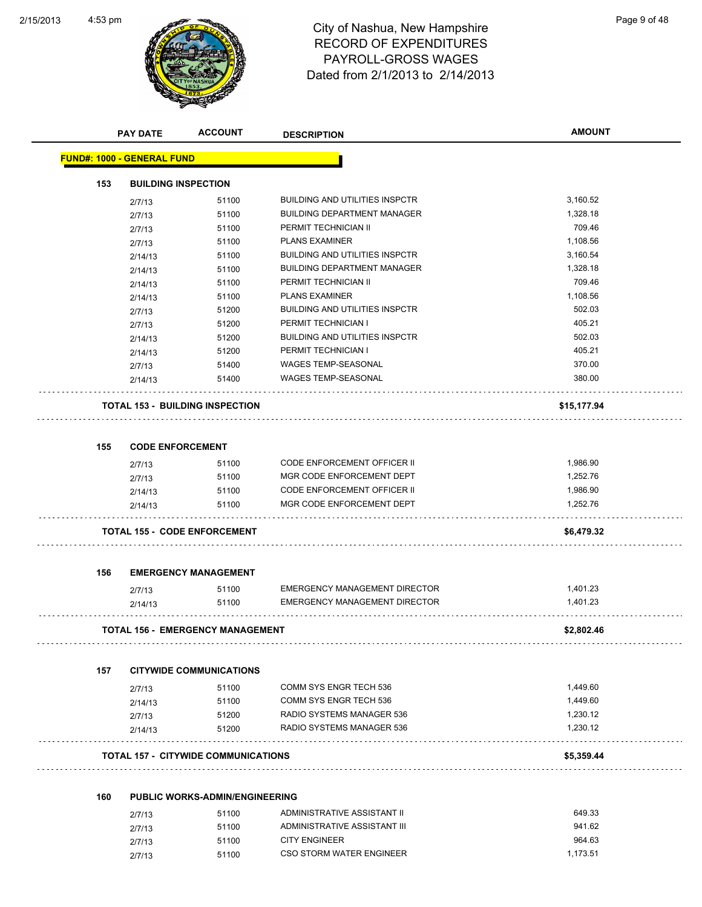

|     | <b>PAY DATE</b>                   | <b>ACCOUNT</b>                             | <b>DESCRIPTION</b>                    | <b>AMOUNT</b> |
|-----|-----------------------------------|--------------------------------------------|---------------------------------------|---------------|
|     | <b>FUND#: 1000 - GENERAL FUND</b> |                                            |                                       |               |
| 153 |                                   | <b>BUILDING INSPECTION</b>                 |                                       |               |
|     | 2/7/13                            | 51100                                      | <b>BUILDING AND UTILITIES INSPCTR</b> | 3,160.52      |
|     | 2/7/13                            | 51100                                      | <b>BUILDING DEPARTMENT MANAGER</b>    | 1,328.18      |
|     | 2/7/13                            | 51100                                      | PERMIT TECHNICIAN II                  | 709.46        |
|     | 2/7/13                            | 51100                                      | <b>PLANS EXAMINER</b>                 | 1,108.56      |
|     | 2/14/13                           | 51100                                      | <b>BUILDING AND UTILITIES INSPCTR</b> | 3,160.54      |
|     | 2/14/13                           | 51100                                      | <b>BUILDING DEPARTMENT MANAGER</b>    | 1,328.18      |
|     | 2/14/13                           | 51100                                      | PERMIT TECHNICIAN II                  | 709.46        |
|     | 2/14/13                           | 51100                                      | <b>PLANS EXAMINER</b>                 | 1,108.56      |
|     | 2/7/13                            | 51200                                      | <b>BUILDING AND UTILITIES INSPCTR</b> | 502.03        |
|     | 2/7/13                            | 51200                                      | PERMIT TECHNICIAN I                   | 405.21        |
|     | 2/14/13                           | 51200                                      | <b>BUILDING AND UTILITIES INSPCTR</b> | 502.03        |
|     | 2/14/13                           | 51200                                      | PERMIT TECHNICIAN I                   | 405.21        |
|     | 2/7/13                            | 51400                                      | WAGES TEMP-SEASONAL                   | 370.00        |
|     | 2/14/13                           | 51400                                      | WAGES TEMP-SEASONAL                   | 380.00        |
|     |                                   | <b>TOTAL 153 - BUILDING INSPECTION</b>     |                                       | \$15,177.94   |
| 155 |                                   | <b>CODE ENFORCEMENT</b>                    |                                       |               |
|     | 2/7/13                            | 51100                                      | <b>CODE ENFORCEMENT OFFICER II</b>    | 1,986.90      |
|     | 2/7/13                            | 51100                                      | MGR CODE ENFORCEMENT DEPT             | 1,252.76      |
|     | 2/14/13                           | 51100                                      | CODE ENFORCEMENT OFFICER II           | 1,986.90      |
|     | 2/14/13                           | 51100                                      | MGR CODE ENFORCEMENT DEPT             | 1,252.76      |
|     |                                   | <b>TOTAL 155 - CODE ENFORCEMENT</b>        |                                       | \$6,479.32    |
| 156 |                                   | <b>EMERGENCY MANAGEMENT</b>                |                                       |               |
|     | 2/7/13                            | 51100                                      | EMERGENCY MANAGEMENT DIRECTOR         | 1,401.23      |
|     | 2/14/13                           | 51100                                      | EMERGENCY MANAGEMENT DIRECTOR         | 1,401.23      |
|     |                                   | <b>TOTAL 156 - EMERGENCY MANAGEMENT</b>    |                                       | \$2,802.46    |
| 157 |                                   | <b>CITYWIDE COMMUNICATIONS</b>             |                                       |               |
|     | 2/7/13                            | 51100                                      | COMM SYS ENGR TECH 536                | 1,449.60      |
|     | 2/14/13                           | 51100                                      | COMM SYS ENGR TECH 536                | 1,449.60      |
|     | 2/7/13                            | 51200                                      | RADIO SYSTEMS MANAGER 536             | 1,230.12      |
|     | 2/14/13                           | 51200                                      | RADIO SYSTEMS MANAGER 536             | 1,230.12      |
|     |                                   | <b>TOTAL 157 - CITYWIDE COMMUNICATIONS</b> |                                       | \$5,359.44    |
| 160 |                                   | <b>PUBLIC WORKS-ADMIN/ENGINEERING</b>      |                                       |               |
|     |                                   | 51100                                      | ADMINISTRATIVE ASSISTANT II           | 649.33        |
|     | 2/7/13                            | 51100                                      | ADMINISTRATIVE ASSISTANT III          | 941.62        |
|     | 2/7/13                            | 51100                                      | <b>CITY ENGINEER</b>                  | 964.63        |
|     | 2/7/13                            |                                            |                                       |               |

2/7/13 51100 CSO STORM WATER ENGINEER 51100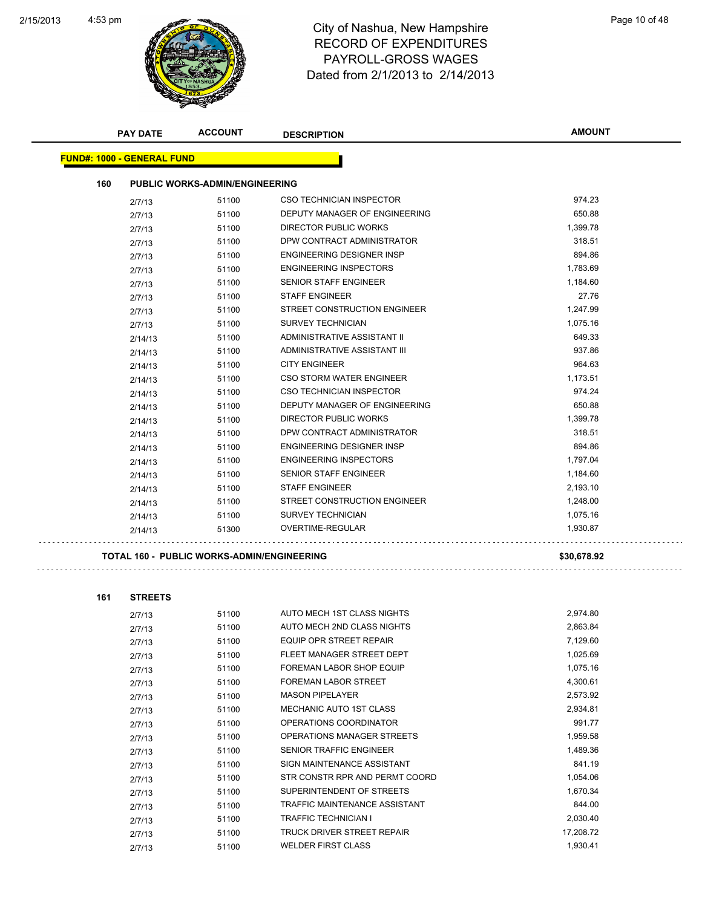

|     | <b>PAY DATE</b>                   | <b>ACCOUNT</b>                                    | <b>DESCRIPTION</b>              | <b>AMOUNT</b> |
|-----|-----------------------------------|---------------------------------------------------|---------------------------------|---------------|
|     | <b>FUND#: 1000 - GENERAL FUND</b> |                                                   |                                 |               |
| 160 |                                   | <b>PUBLIC WORKS-ADMIN/ENGINEERING</b>             |                                 |               |
|     |                                   |                                                   |                                 |               |
|     | 2/7/13                            | 51100                                             | <b>CSO TECHNICIAN INSPECTOR</b> | 974.23        |
|     | 2/7/13                            | 51100                                             | DEPUTY MANAGER OF ENGINEERING   | 650.88        |
|     | 2/7/13                            | 51100                                             | <b>DIRECTOR PUBLIC WORKS</b>    | 1,399.78      |
|     | 2/7/13                            | 51100                                             | DPW CONTRACT ADMINISTRATOR      | 318.51        |
|     | 2/7/13                            | 51100                                             | ENGINEERING DESIGNER INSP       | 894.86        |
|     | 2/7/13                            | 51100                                             | <b>ENGINEERING INSPECTORS</b>   | 1,783.69      |
|     | 2/7/13                            | 51100                                             | <b>SENIOR STAFF ENGINEER</b>    | 1,184.60      |
|     | 2/7/13                            | 51100                                             | <b>STAFF ENGINEER</b>           | 27.76         |
|     | 2/7/13                            | 51100                                             | STREET CONSTRUCTION ENGINEER    | 1,247.99      |
|     | 2/7/13                            | 51100                                             | <b>SURVEY TECHNICIAN</b>        | 1,075.16      |
|     | 2/14/13                           | 51100                                             | ADMINISTRATIVE ASSISTANT II     | 649.33        |
|     | 2/14/13                           | 51100                                             | ADMINISTRATIVE ASSISTANT III    | 937.86        |
|     | 2/14/13                           | 51100                                             | <b>CITY ENGINEER</b>            | 964.63        |
|     | 2/14/13                           | 51100                                             | CSO STORM WATER ENGINEER        | 1,173.51      |
|     | 2/14/13                           | 51100                                             | <b>CSO TECHNICIAN INSPECTOR</b> | 974.24        |
|     | 2/14/13                           | 51100                                             | DEPUTY MANAGER OF ENGINEERING   | 650.88        |
|     | 2/14/13                           | 51100                                             | <b>DIRECTOR PUBLIC WORKS</b>    | 1,399.78      |
|     | 2/14/13                           | 51100                                             | DPW CONTRACT ADMINISTRATOR      | 318.51        |
|     | 2/14/13                           | 51100                                             | ENGINEERING DESIGNER INSP       | 894.86        |
|     | 2/14/13                           | 51100                                             | <b>ENGINEERING INSPECTORS</b>   | 1,797.04      |
|     | 2/14/13                           | 51100                                             | SENIOR STAFF ENGINEER           | 1,184.60      |
|     | 2/14/13                           | 51100                                             | <b>STAFF ENGINEER</b>           | 2,193.10      |
|     | 2/14/13                           | 51100                                             | STREET CONSTRUCTION ENGINEER    | 1,248.00      |
|     | 2/14/13                           | 51100                                             | SURVEY TECHNICIAN               | 1,075.16      |
|     | 2/14/13                           | 51300                                             | OVERTIME-REGULAR                | 1,930.87      |
|     |                                   | <b>TOTAL 160 - PUBLIC WORKS-ADMIN/ENGINEERING</b> |                                 | \$30,678.92   |
|     |                                   |                                                   |                                 |               |
| 161 | <b>STREETS</b>                    |                                                   |                                 |               |
|     | 2/7/13                            | 51100                                             | AUTO MECH 1ST CLASS NIGHTS      | 2,974.80      |
|     | 2/7/13                            | 51100                                             | AUTO MECH 2ND CLASS NIGHTS      | 2,863.84      |
|     | 2/7/13                            | 51100                                             | EQUIP OPR STREET REPAIR         | 7,129.60      |
|     | 2/7/13                            | 51100                                             | FLEET MANAGER STREET DEPT       | 1,025.69      |
|     | 2/7/13                            | 51100                                             | <b>FOREMAN LABOR SHOP EQUIP</b> | 1,075.16      |
|     | 2/7/13                            | 51100                                             | <b>FOREMAN LABOR STREET</b>     | 4,300.61      |
|     | 0.7140                            | <b>51100</b>                                      | MASON PIPELAVER                 | 257302        |

2/7/13 51100 MASON PIPELAYER 2,573.92 2/7/13 51100 MECHANIC AUTO 1ST CLASS 2,934.81 2/7/13 51100 OPERATIONS COORDINATOR 991.77 2/7/13 51100 OPERATIONS MANAGER STREETS 1,959.58 2/7/13 51100 SENIOR TRAFFIC ENGINEER 1,489.36

2/7/13 51100 SIGN MAINTENANCE ASSISTANT 841.19 2/7/13 51100 STR CONSTR RPR AND PERMT COORD 51,054.06 2/7/13 51100 SUPERINTENDENT OF STREETS 1,670.34 2/7/13 51100 TRAFFIC MAINTENANCE ASSISTANT 844.00 2/7/13 51100 TRAFFIC TECHNICIAN I 2,030.40 2/7/13 51100 TRUCK DRIVER STREET REPAIR 17,208.72 2/7/13 51100 WELDER FIRST CLASS 1,930.41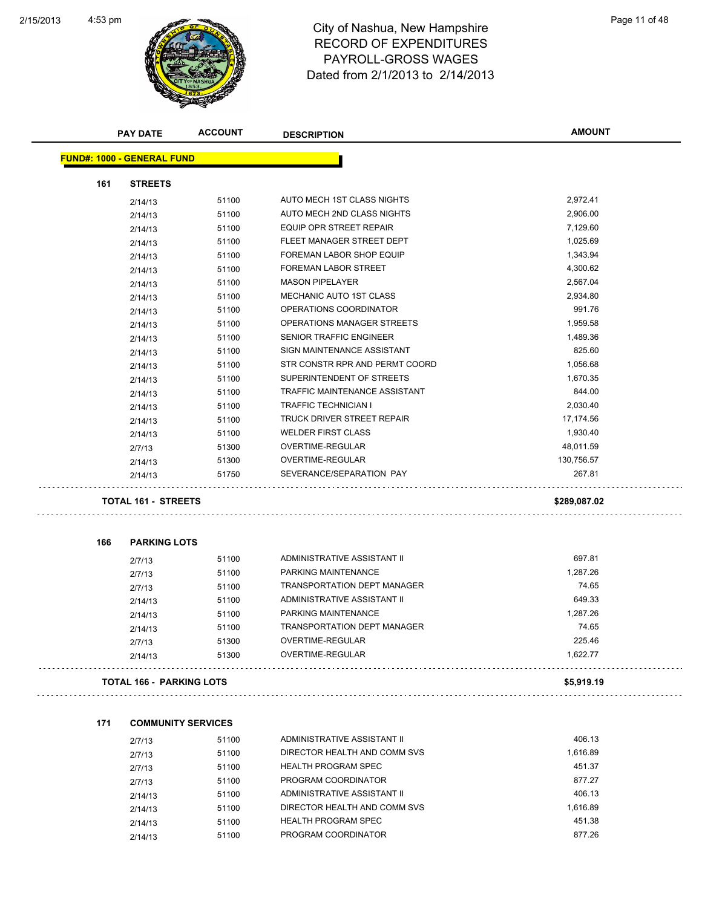

|     | <b>PAY DATE</b>                   | <b>ACCOUNT</b> | <b>DESCRIPTION</b>                   | <b>AMOUNT</b> |
|-----|-----------------------------------|----------------|--------------------------------------|---------------|
|     | <b>FUND#: 1000 - GENERAL FUND</b> |                |                                      |               |
| 161 | <b>STREETS</b>                    |                |                                      |               |
|     | 2/14/13                           | 51100          | AUTO MECH 1ST CLASS NIGHTS           | 2,972.41      |
|     | 2/14/13                           | 51100          | AUTO MECH 2ND CLASS NIGHTS           | 2,906.00      |
|     | 2/14/13                           | 51100          | EQUIP OPR STREET REPAIR              | 7,129.60      |
|     | 2/14/13                           | 51100          | FLEET MANAGER STREET DEPT            | 1,025.69      |
|     | 2/14/13                           | 51100          | <b>FOREMAN LABOR SHOP EQUIP</b>      | 1,343.94      |
|     | 2/14/13                           | 51100          | <b>FOREMAN LABOR STREET</b>          | 4,300.62      |
|     | 2/14/13                           | 51100          | <b>MASON PIPELAYER</b>               | 2,567.04      |
|     | 2/14/13                           | 51100          | MECHANIC AUTO 1ST CLASS              | 2,934.80      |
|     | 2/14/13                           | 51100          | OPERATIONS COORDINATOR               | 991.76        |
|     | 2/14/13                           | 51100          | OPERATIONS MANAGER STREETS           | 1,959.58      |
|     | 2/14/13                           | 51100          | SENIOR TRAFFIC ENGINEER              | 1,489.36      |
|     | 2/14/13                           | 51100          | SIGN MAINTENANCE ASSISTANT           | 825.60        |
|     | 2/14/13                           | 51100          | STR CONSTR RPR AND PERMT COORD       | 1,056.68      |
|     | 2/14/13                           | 51100          | SUPERINTENDENT OF STREETS            | 1,670.35      |
|     | 2/14/13                           | 51100          | <b>TRAFFIC MAINTENANCE ASSISTANT</b> | 844.00        |
|     | 2/14/13                           | 51100          | <b>TRAFFIC TECHNICIAN I</b>          | 2,030.40      |
|     | 2/14/13                           | 51100          | <b>TRUCK DRIVER STREET REPAIR</b>    | 17,174.56     |
|     | 2/14/13                           | 51100          | <b>WELDER FIRST CLASS</b>            | 1,930.40      |
|     | 2/7/13                            | 51300          | OVERTIME-REGULAR                     | 48,011.59     |
|     | 2/14/13                           | 51300          | OVERTIME-REGULAR                     | 130,756.57    |
|     | 2/14/13                           | 51750          | SEVERANCE/SEPARATION PAY             | 267.81        |
|     | <b>TOTAL 161 - STREETS</b>        |                |                                      | \$289,087.02  |
| 166 | <b>PARKING LOTS</b>               |                |                                      |               |
|     | 2/7/13                            | 51100          | ADMINISTRATIVE ASSISTANT II          | 697.81        |
|     | 2/7/13                            | 51100          | PARKING MAINTENANCE                  | 1,287.26      |
|     | 2/7/13                            | 51100          | <b>TRANSPORTATION DEPT MANAGER</b>   | 74.65         |
|     | 2/14/13                           | 51100          | ADMINISTRATIVE ASSISTANT II          | 649.33        |
|     | 2/14/13                           | 51100          | PARKING MAINTENANCE                  | 1,287.26      |
|     | 2/14/13                           | 51100          | <b>TRANSPORTATION DEPT MANAGER</b>   | 74.65         |
|     | 2/7/13                            | 51300          | OVERTIME-REGULAR                     | 225.46        |
|     | 2/14/13                           | 51300          | OVERTIME-REGULAR                     | 1,622.77      |
|     | <b>TOTAL 166 - PARKING LOTS</b>   |                |                                      | \$5,919.19    |
| 171 | <b>COMMUNITY SERVICES</b>         |                |                                      |               |
|     |                                   |                | ADMINISTRATIVE ASSISTANT II          | 406.13        |
|     | 2/7/13                            | 51100          | DIRECTOR HEALTH AND COMM SVS         | 1,616.89      |
|     | 2/7/13                            | 51100          | <b>HEALTH PROGRAM SPEC</b>           | 451.37        |
|     | 2/7/13                            | 51100          | PROGRAM COORDINATOR                  | 877.27        |
|     | 2/7/13                            | 51100          | ADMINISTRATIVE ASSISTANT II          | 406.13        |
|     | 2/14/13                           | 51100          | DIRECTOR HEALTH AND COMM SVS         | 1,616.89      |
|     | 2/14/13                           | 51100          | <b>HEALTH PROGRAM SPEC</b>           | 451.38        |
|     | 2/14/13                           | 51100          |                                      |               |
|     | 2/14/13                           | 51100          | PROGRAM COORDINATOR                  | 877.26        |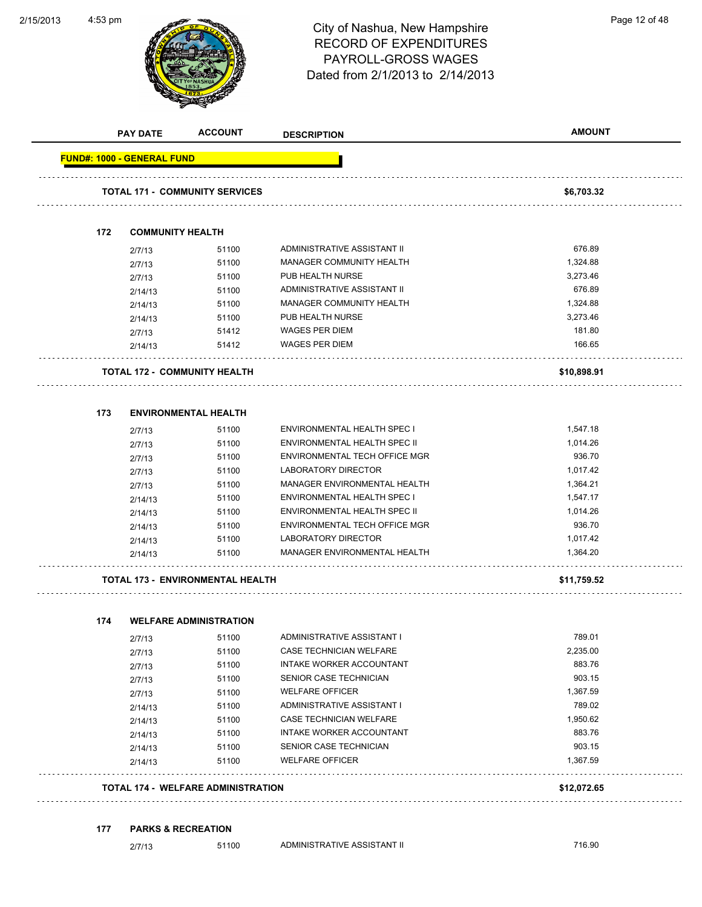**ACCOUNT** 

2/15/2013

|                                   | <b>PAY DATE</b>         | <b>ACCOUNT</b>                            | <b>DESCRIPTION</b>            | <b>AMOUNT</b> |
|-----------------------------------|-------------------------|-------------------------------------------|-------------------------------|---------------|
| <b>FUND#: 1000 - GENERAL FUND</b> |                         |                                           |                               |               |
|                                   |                         | <b>TOTAL 171 - COMMUNITY SERVICES</b>     |                               | \$6,703.32    |
|                                   |                         |                                           |                               |               |
| 172                               | <b>COMMUNITY HEALTH</b> |                                           |                               |               |
|                                   | 2/7/13                  | 51100                                     | ADMINISTRATIVE ASSISTANT II   | 676.89        |
|                                   | 2/7/13                  | 51100                                     | MANAGER COMMUNITY HEALTH      | 1,324.88      |
|                                   | 2/7/13                  | 51100                                     | PUB HEALTH NURSE              | 3,273.46      |
|                                   | 2/14/13                 | 51100                                     | ADMINISTRATIVE ASSISTANT II   | 676.89        |
|                                   | 2/14/13                 | 51100                                     | MANAGER COMMUNITY HEALTH      | 1,324.88      |
|                                   | 2/14/13                 | 51100                                     | PUB HEALTH NURSE              | 3,273.46      |
|                                   | 2/7/13                  | 51412                                     | <b>WAGES PER DIEM</b>         | 181.80        |
|                                   | 2/14/13                 | 51412                                     | <b>WAGES PER DIEM</b>         | 166.65        |
|                                   |                         | <b>TOTAL 172 - COMMUNITY HEALTH</b>       |                               | \$10,898.91   |
| 173                               |                         | <b>ENVIRONMENTAL HEALTH</b>               |                               |               |
|                                   | 2/7/13                  | 51100                                     | ENVIRONMENTAL HEALTH SPEC I   | 1,547.18      |
|                                   | 2/7/13                  | 51100                                     | ENVIRONMENTAL HEALTH SPEC II  | 1,014.26      |
|                                   | 2/7/13                  | 51100                                     | ENVIRONMENTAL TECH OFFICE MGR | 936.70        |
|                                   | 2/7/13                  | 51100                                     | LABORATORY DIRECTOR           | 1,017.42      |
|                                   | 2/7/13                  | 51100                                     | MANAGER ENVIRONMENTAL HEALTH  | 1,364.21      |
|                                   | 2/14/13                 | 51100                                     | ENVIRONMENTAL HEALTH SPEC I   | 1,547.17      |
|                                   | 2/14/13                 | 51100                                     | ENVIRONMENTAL HEALTH SPEC II  | 1,014.26      |
|                                   | 2/14/13                 | 51100                                     | ENVIRONMENTAL TECH OFFICE MGR | 936.70        |
|                                   | 2/14/13                 | 51100                                     | LABORATORY DIRECTOR           | 1,017.42      |
|                                   | 2/14/13                 | 51100                                     | MANAGER ENVIRONMENTAL HEALTH  | 1,364.20      |
|                                   |                         | <b>TOTAL 173 - ENVIRONMENTAL HEALTH</b>   |                               | \$11,759.52   |
|                                   |                         |                                           |                               |               |
| 174                               |                         | <b>WELFARE ADMINISTRATION</b><br>51100    | ADMINISTRATIVE ASSISTANT I    | 789.01        |
|                                   | 2/7/13                  | 51100                                     | CASE TECHNICIAN WELFARE       | 2,235.00      |
|                                   | 2/7/13<br>2/7/13        | 51100                                     | INTAKE WORKER ACCOUNTANT      | 883.76        |
|                                   | 2/7/13                  | 51100                                     | SENIOR CASE TECHNICIAN        | 903.15        |
|                                   | 2/7/13                  | 51100                                     | <b>WELFARE OFFICER</b>        | 1,367.59      |
|                                   | 2/14/13                 | 51100                                     | ADMINISTRATIVE ASSISTANT I    | 789.02        |
|                                   | 2/14/13                 | 51100                                     | CASE TECHNICIAN WELFARE       | 1,950.62      |
|                                   | 2/14/13                 | 51100                                     | INTAKE WORKER ACCOUNTANT      | 883.76        |
|                                   | 2/14/13                 | 51100                                     | SENIOR CASE TECHNICIAN        | 903.15        |
|                                   | 2/14/13                 | 51100                                     | <b>WELFARE OFFICER</b>        | 1,367.59      |
|                                   |                         | <b>TOTAL 174 - WELFARE ADMINISTRATION</b> |                               | \$12,072.65   |
| 177                               |                         | <b>PARKS &amp; RECREATION</b>             |                               |               |
|                                   | 2/7/13                  | 51100                                     | ADMINISTRATIVE ASSISTANT II   | 716.90        |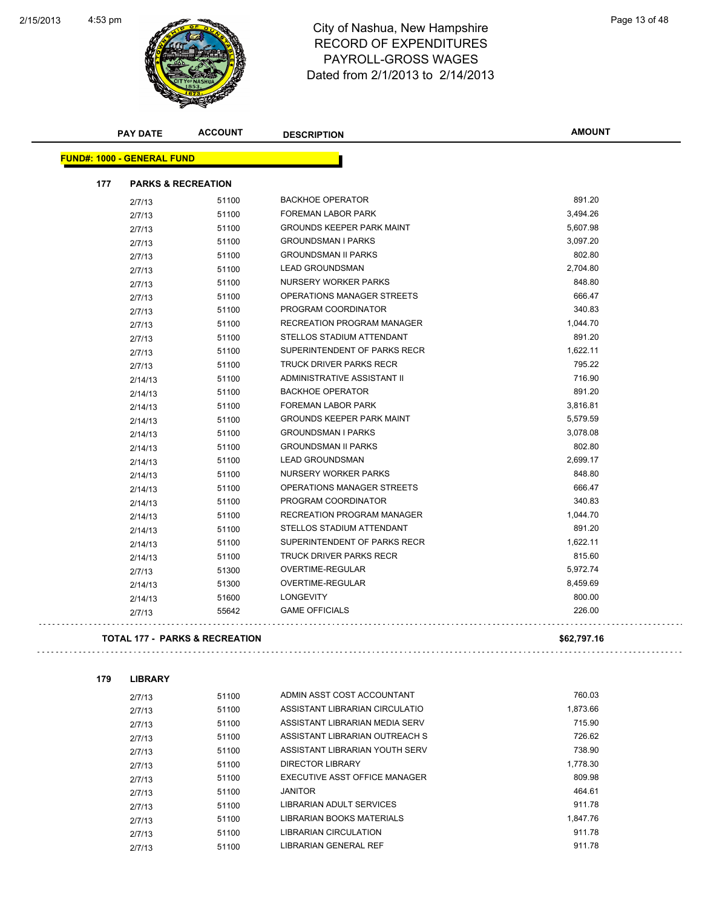

|     | <b>PAY DATE</b>                   | <b>ACCOUNT</b>                 | <b>DESCRIPTION</b>                                               | AMOUNT           |
|-----|-----------------------------------|--------------------------------|------------------------------------------------------------------|------------------|
|     | <b>FUND#: 1000 - GENERAL FUND</b> |                                |                                                                  |                  |
| 177 | <b>PARKS &amp; RECREATION</b>     |                                |                                                                  |                  |
|     | 2/7/13                            | 51100                          | <b>BACKHOE OPERATOR</b>                                          | 891.20           |
|     | 2/7/13                            | 51100                          | FOREMAN LABOR PARK                                               | 3,494.26         |
|     | 2/7/13                            | 51100                          | <b>GROUNDS KEEPER PARK MAINT</b>                                 | 5,607.98         |
|     | 2/7/13                            | 51100                          | <b>GROUNDSMAN I PARKS</b>                                        | 3,097.20         |
|     | 2/7/13                            | 51100                          | <b>GROUNDSMAN II PARKS</b>                                       | 802.80           |
|     | 2/7/13                            | 51100                          | <b>LEAD GROUNDSMAN</b>                                           | 2,704.80         |
|     | 2/7/13                            | 51100                          | NURSERY WORKER PARKS                                             | 848.80           |
|     | 2/7/13                            | 51100                          | OPERATIONS MANAGER STREETS                                       | 666.47           |
|     | 2/7/13                            | 51100                          | PROGRAM COORDINATOR                                              | 340.83           |
|     | 2/7/13                            | 51100                          | RECREATION PROGRAM MANAGER                                       | 1,044.70         |
|     | 2/7/13                            | 51100                          | STELLOS STADIUM ATTENDANT                                        | 891.20           |
|     | 2/7/13                            | 51100                          | SUPERINTENDENT OF PARKS RECR                                     | 1,622.11         |
|     | 2/7/13                            | 51100                          | <b>TRUCK DRIVER PARKS RECR</b>                                   | 795.22           |
|     | 2/14/13                           | 51100                          | ADMINISTRATIVE ASSISTANT II                                      | 716.90           |
|     | 2/14/13                           | 51100                          | <b>BACKHOE OPERATOR</b>                                          | 891.20           |
|     | 2/14/13                           | 51100                          | <b>FOREMAN LABOR PARK</b>                                        | 3,816.81         |
|     | 2/14/13                           | 51100                          | <b>GROUNDS KEEPER PARK MAINT</b>                                 | 5,579.59         |
|     | 2/14/13                           | 51100                          | <b>GROUNDSMAN I PARKS</b>                                        | 3,078.08         |
|     | 2/14/13                           | 51100                          | <b>GROUNDSMAN II PARKS</b>                                       | 802.80           |
|     | 2/14/13                           | 51100                          | <b>LEAD GROUNDSMAN</b>                                           | 2,699.17         |
|     | 2/14/13                           | 51100                          | NURSERY WORKER PARKS                                             | 848.80           |
|     | 2/14/13                           | 51100                          | OPERATIONS MANAGER STREETS                                       | 666.47           |
|     | 2/14/13                           | 51100                          | PROGRAM COORDINATOR                                              | 340.83           |
|     | 2/14/13                           | 51100                          | RECREATION PROGRAM MANAGER                                       | 1,044.70         |
|     | 2/14/13                           | 51100                          | STELLOS STADIUM ATTENDANT                                        | 891.20           |
|     | 2/14/13                           | 51100                          | SUPERINTENDENT OF PARKS RECR                                     | 1,622.11         |
|     | 2/14/13                           | 51100                          | <b>TRUCK DRIVER PARKS RECR</b>                                   | 815.60           |
|     | 2/7/13                            | 51300                          | OVERTIME-REGULAR                                                 | 5,972.74         |
|     | 2/14/13                           | 51300                          | OVERTIME-REGULAR                                                 | 8,459.69         |
|     | 2/14/13                           | 51600                          | <b>LONGEVITY</b>                                                 | 800.00           |
|     | 2/7/13                            | 55642                          | <b>GAME OFFICIALS</b>                                            | 226.00           |
|     |                                   | TOTAL 177 - PARKS & RECREATION |                                                                  | \$62,797.16      |
|     |                                   |                                |                                                                  |                  |
| 179 | <b>LIBRARY</b>                    |                                |                                                                  |                  |
|     | 2/7/13                            | 51100                          | ADMIN ASST COST ACCOUNTANT                                       | 760.03           |
|     | 2/7/13                            | 51100                          | ASSISTANT LIBRARIAN CIRCULATIO                                   | 1,873.66         |
|     | 2/7/13                            | 51100                          | ASSISTANT LIBRARIAN MEDIA SERV                                   | 715.90           |
|     | 2/7/13                            | 51100<br>51100                 | ASSISTANT LIBRARIAN OUTREACH S<br>ASSISTANT LIBRARIAN YOUTH SERV | 726.62<br>738.90 |
|     | 0.7140                            |                                |                                                                  |                  |

2/7/13 51100 ASSISTANT LIBRARIAN YOUTH SERV 738.90 2/7/13 51100 DIRECTOR LIBRARY 1,778.30 2/7/13 51100 EXECUTIVE ASST OFFICE MANAGER 2/7/13 51100 JANITOR 464.61 2/7/13 51100 LIBRARIAN ADULT SERVICES 911.78 2/7/13 51100 LIBRARIAN BOOKS MATERIALS 1,847.76 2/7/13 51100 LIBRARIAN CIRCULATION 911.78 2/7/13 51100 LIBRARIAN GENERAL REF 911.78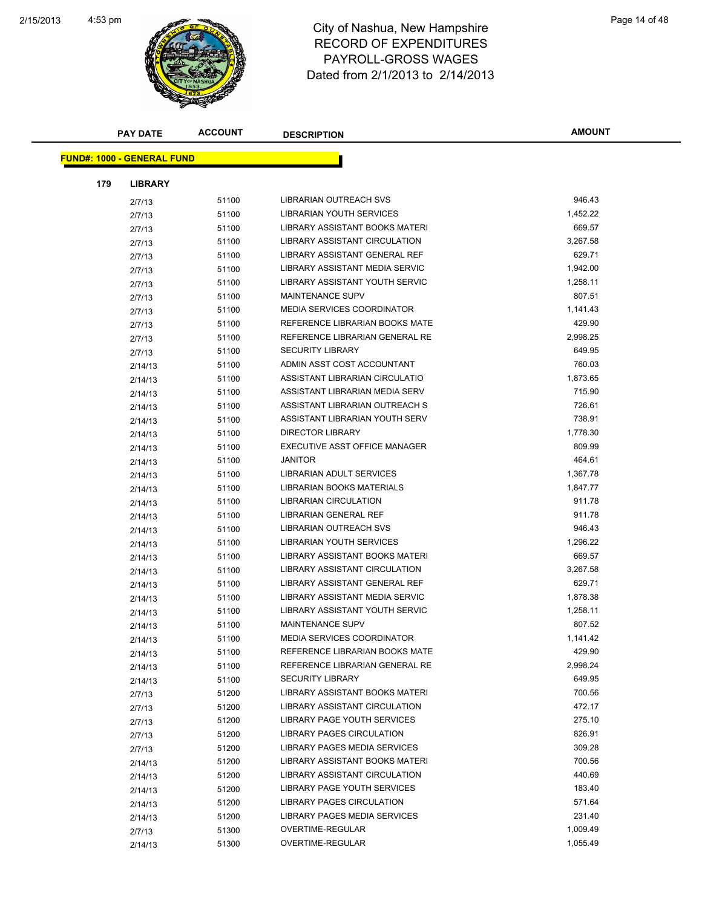

| <b>PAY DATE</b>                   | <b>ACCOUNT</b> | <b>DESCRIPTION</b>                | <b>AMOUNT</b> |
|-----------------------------------|----------------|-----------------------------------|---------------|
| <b>FUND#: 1000 - GENERAL FUND</b> |                |                                   |               |
|                                   |                |                                   |               |
| 179<br><b>LIBRARY</b>             |                |                                   |               |
| 2/7/13                            | 51100          | <b>LIBRARIAN OUTREACH SVS</b>     | 946.43        |
| 2/7/13                            | 51100          | LIBRARIAN YOUTH SERVICES          | 1,452.22      |
| 2/7/13                            | 51100          | LIBRARY ASSISTANT BOOKS MATERI    | 669.57        |
| 2/7/13                            | 51100          | LIBRARY ASSISTANT CIRCULATION     | 3,267.58      |
| 2/7/13                            | 51100          | LIBRARY ASSISTANT GENERAL REF     | 629.71        |
| 2/7/13                            | 51100          | LIBRARY ASSISTANT MEDIA SERVIC    | 1,942.00      |
| 2/7/13                            | 51100          | LIBRARY ASSISTANT YOUTH SERVIC    | 1,258.11      |
| 2/7/13                            | 51100          | MAINTENANCE SUPV                  | 807.51        |
| 2/7/13                            | 51100          | <b>MEDIA SERVICES COORDINATOR</b> | 1,141.43      |
| 2/7/13                            | 51100          | REFERENCE LIBRARIAN BOOKS MATE    | 429.90        |
| 2/7/13                            | 51100          | REFERENCE LIBRARIAN GENERAL RE    | 2,998.25      |
| 2/7/13                            | 51100          | <b>SECURITY LIBRARY</b>           | 649.95        |
| 2/14/13                           | 51100          | ADMIN ASST COST ACCOUNTANT        | 760.03        |
| 2/14/13                           | 51100          | ASSISTANT LIBRARIAN CIRCULATIO    | 1,873.65      |
| 2/14/13                           | 51100          | ASSISTANT LIBRARIAN MEDIA SERV    | 715.90        |
| 2/14/13                           | 51100          | ASSISTANT LIBRARIAN OUTREACH S    | 726.61        |
| 2/14/13                           | 51100          | ASSISTANT LIBRARIAN YOUTH SERV    | 738.91        |
| 2/14/13                           | 51100          | DIRECTOR LIBRARY                  | 1,778.30      |
| 2/14/13                           | 51100          | EXECUTIVE ASST OFFICE MANAGER     | 809.99        |
| 2/14/13                           | 51100          | <b>JANITOR</b>                    | 464.61        |
| 2/14/13                           | 51100          | LIBRARIAN ADULT SERVICES          | 1,367.78      |
| 2/14/13                           | 51100          | LIBRARIAN BOOKS MATERIALS         | 1,847.77      |
| 2/14/13                           | 51100          | <b>LIBRARIAN CIRCULATION</b>      | 911.78        |
| 2/14/13                           | 51100          | LIBRARIAN GENERAL REF             | 911.78        |
| 2/14/13                           | 51100          | LIBRARIAN OUTREACH SVS            | 946.43        |
| 2/14/13                           | 51100          | LIBRARIAN YOUTH SERVICES          | 1,296.22      |
| 2/14/13                           | 51100          | LIBRARY ASSISTANT BOOKS MATERI    | 669.57        |
| 2/14/13                           | 51100          | LIBRARY ASSISTANT CIRCULATION     | 3,267.58      |
| 2/14/13                           | 51100          | LIBRARY ASSISTANT GENERAL REF     | 629.71        |
| 2/14/13                           | 51100          | LIBRARY ASSISTANT MEDIA SERVIC    | 1,878.38      |
| 2/14/13                           | 51100          | LIBRARY ASSISTANT YOUTH SERVIC    | 1,258.11      |
| 2/14/13                           | 51100          | <b>MAINTENANCE SUPV</b>           | 807.52        |
| 2/14/13                           | 51100          | MEDIA SERVICES COORDINATOR        | 1,141.42      |
| 2/14/13                           | 51100          | REFERENCE LIBRARIAN BOOKS MATE    | 429.90        |
| 2/14/13                           | 51100          | REFERENCE LIBRARIAN GENERAL RE    | 2,998.24      |
|                                   | 51100          | <b>SECURITY LIBRARY</b>           | 649.95        |
| 2/14/13                           | 51200          | LIBRARY ASSISTANT BOOKS MATERI    | 700.56        |
| 2/7/13                            | 51200          | LIBRARY ASSISTANT CIRCULATION     | 472.17        |
| 2/7/13                            | 51200          | LIBRARY PAGE YOUTH SERVICES       | 275.10        |
| 2/7/13                            | 51200          | <b>LIBRARY PAGES CIRCULATION</b>  | 826.91        |
| 2/7/13                            |                | LIBRARY PAGES MEDIA SERVICES      | 309.28        |
| 2/7/13                            | 51200          | LIBRARY ASSISTANT BOOKS MATERI    | 700.56        |
| 2/14/13                           | 51200          | LIBRARY ASSISTANT CIRCULATION     | 440.69        |
| 2/14/13                           | 51200          |                                   |               |
| 2/14/13                           | 51200          | LIBRARY PAGE YOUTH SERVICES       | 183.40        |
| 2/14/13                           | 51200          | LIBRARY PAGES CIRCULATION         | 571.64        |
| 2/14/13                           | 51200          | LIBRARY PAGES MEDIA SERVICES      | 231.40        |
| 2/7/13                            | 51300          | OVERTIME-REGULAR                  | 1,009.49      |
| 2/14/13                           | 51300          | OVERTIME-REGULAR                  | 1,055.49      |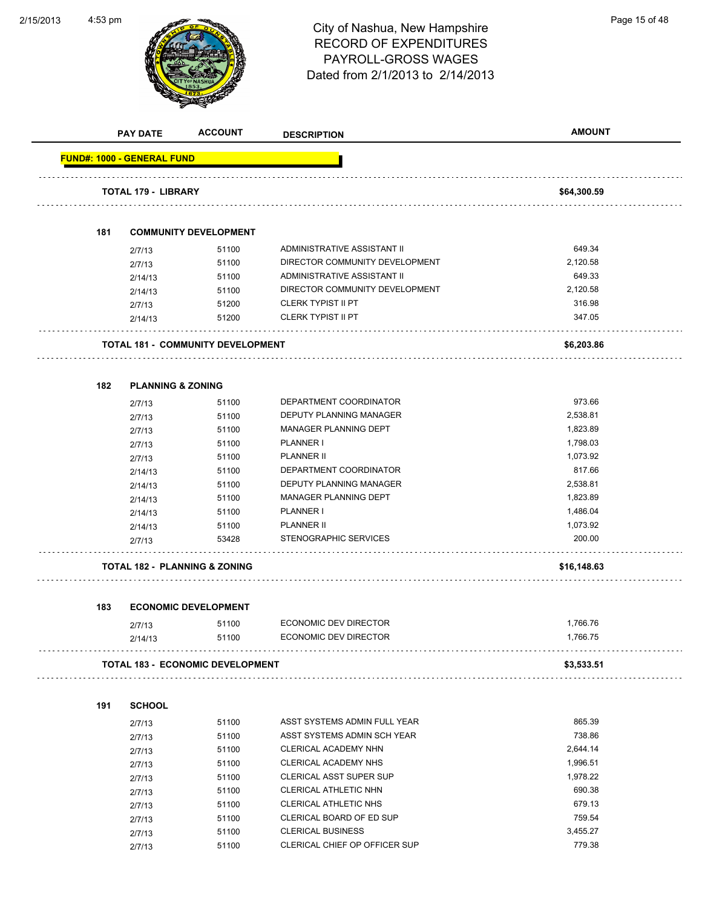2/15/2013



|     | <b>PAY DATE</b>                   | <b>ACCOUNT</b>                           | <b>DESCRIPTION</b>             | <b>AMOUNT</b> |
|-----|-----------------------------------|------------------------------------------|--------------------------------|---------------|
|     | <b>FUND#: 1000 - GENERAL FUND</b> |                                          |                                |               |
|     | <b>TOTAL 179 - LIBRARY</b>        |                                          |                                | \$64,300.59   |
|     |                                   |                                          |                                |               |
| 181 |                                   | <b>COMMUNITY DEVELOPMENT</b>             |                                |               |
|     | 2/7/13                            | 51100                                    | ADMINISTRATIVE ASSISTANT II    | 649.34        |
|     | 2/7/13                            | 51100                                    | DIRECTOR COMMUNITY DEVELOPMENT | 2,120.58      |
|     | 2/14/13                           | 51100                                    | ADMINISTRATIVE ASSISTANT II    | 649.33        |
|     | 2/14/13                           | 51100                                    | DIRECTOR COMMUNITY DEVELOPMENT | 2,120.58      |
|     | 2/7/13                            | 51200                                    | <b>CLERK TYPIST II PT</b>      | 316.98        |
|     | 2/14/13                           | 51200                                    | <b>CLERK TYPIST II PT</b>      | 347.05        |
|     |                                   | <b>TOTAL 181 - COMMUNITY DEVELOPMENT</b> |                                | \$6,203.86    |
| 182 | <b>PLANNING &amp; ZONING</b>      |                                          |                                |               |
|     |                                   | 51100                                    | DEPARTMENT COORDINATOR         | 973.66        |
|     | 2/7/13                            | 51100                                    | DEPUTY PLANNING MANAGER        | 2,538.81      |
|     | 2/7/13                            | 51100                                    | MANAGER PLANNING DEPT          | 1,823.89      |
|     | 2/7/13                            | 51100                                    | PLANNER I                      | 1,798.03      |
|     | 2/7/13<br>2/7/13                  | 51100                                    | <b>PLANNER II</b>              | 1,073.92      |
|     |                                   | 51100                                    | DEPARTMENT COORDINATOR         | 817.66        |
|     | 2/14/13<br>2/14/13                | 51100                                    | DEPUTY PLANNING MANAGER        | 2,538.81      |
|     | 2/14/13                           | 51100                                    | MANAGER PLANNING DEPT          | 1,823.89      |
|     | 2/14/13                           | 51100                                    | PLANNER I                      | 1,486.04      |
|     | 2/14/13                           | 51100                                    | <b>PLANNER II</b>              | 1,073.92      |
|     | 2/7/13                            | 53428                                    | STENOGRAPHIC SERVICES          | 200.00        |
|     |                                   | <b>TOTAL 182 - PLANNING &amp; ZONING</b> |                                | \$16,148.63   |
|     |                                   |                                          |                                |               |
| 183 |                                   | <b>ECONOMIC DEVELOPMENT</b>              |                                |               |
|     | 2/7/13                            | 51100                                    | ECONOMIC DEV DIRECTOR          | 1,766.76      |
|     | 2/14/13                           | 51100                                    | ECONOMIC DEV DIRECTOR          | 1,766.75      |
|     |                                   | <b>TOTAL 183 - ECONOMIC DEVELOPMENT</b>  |                                | \$3,533.51    |
| 191 | <b>SCHOOL</b>                     |                                          |                                |               |
|     | 2/7/13                            | 51100                                    | ASST SYSTEMS ADMIN FULL YEAR   | 865.39        |
|     | 2/7/13                            | 51100                                    | ASST SYSTEMS ADMIN SCH YEAR    | 738.86        |
|     | 2/7/13                            | 51100                                    | CLERICAL ACADEMY NHN           | 2,644.14      |
|     | 2/7/13                            | 51100                                    | <b>CLERICAL ACADEMY NHS</b>    | 1,996.51      |
|     | 2/7/13                            | 51100                                    | <b>CLERICAL ASST SUPER SUP</b> | 1,978.22      |
|     | 2/7/13                            | 51100                                    | <b>CLERICAL ATHLETIC NHN</b>   | 690.38        |
|     | 2/7/13                            | 51100                                    | <b>CLERICAL ATHLETIC NHS</b>   | 679.13        |
|     | 2/7/13                            | 51100                                    | CLERICAL BOARD OF ED SUP       | 759.54        |
|     | 2/7/13                            | 51100                                    | <b>CLERICAL BUSINESS</b>       | 3,455.27      |
|     | 2/7/13                            | 51100                                    | CLERICAL CHIEF OP OFFICER SUP  | 779.38        |
|     |                                   |                                          |                                |               |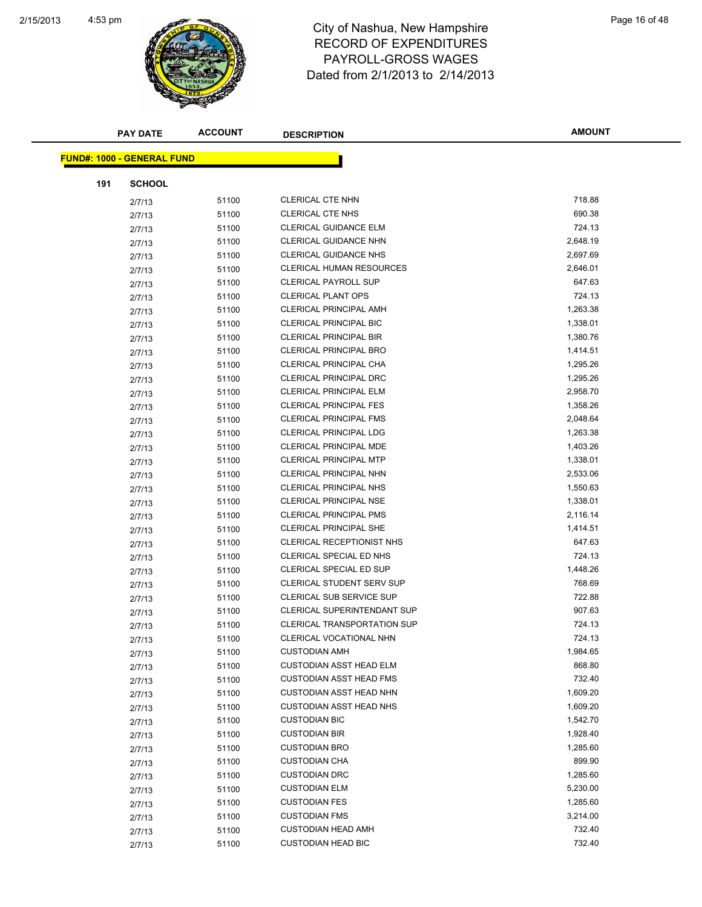

|                                   | <b>PAY DATE</b> | <b>ACCOUNT</b> | <b>DESCRIPTION</b>                 | <b>AMOUNT</b> |
|-----------------------------------|-----------------|----------------|------------------------------------|---------------|
| <b>FUND#: 1000 - GENERAL FUND</b> |                 |                |                                    |               |
|                                   |                 |                |                                    |               |
| 191                               | <b>SCHOOL</b>   |                |                                    |               |
|                                   | 2/7/13          | 51100          | CLERICAL CTE NHN                   | 718.88        |
|                                   | 2/7/13          | 51100          | <b>CLERICAL CTE NHS</b>            | 690.38        |
|                                   | 2/7/13          | 51100          | CLERICAL GUIDANCE ELM              | 724.13        |
|                                   | 2/7/13          | 51100          | <b>CLERICAL GUIDANCE NHN</b>       | 2,648.19      |
|                                   | 2/7/13          | 51100          | <b>CLERICAL GUIDANCE NHS</b>       | 2,697.69      |
|                                   | 2/7/13          | 51100          | <b>CLERICAL HUMAN RESOURCES</b>    | 2,646.01      |
|                                   | 2/7/13          | 51100          | <b>CLERICAL PAYROLL SUP</b>        | 647.63        |
|                                   | 2/7/13          | 51100          | <b>CLERICAL PLANT OPS</b>          | 724.13        |
|                                   | 2/7/13          | 51100          | <b>CLERICAL PRINCIPAL AMH</b>      | 1,263.38      |
|                                   | 2/7/13          | 51100          | CLERICAL PRINCIPAL BIC             | 1,338.01      |
|                                   | 2/7/13          | 51100          | <b>CLERICAL PRINCIPAL BIR</b>      | 1,380.76      |
|                                   | 2/7/13          | 51100          | <b>CLERICAL PRINCIPAL BRO</b>      | 1,414.51      |
|                                   | 2/7/13          | 51100          | CLERICAL PRINCIPAL CHA             | 1,295.26      |
|                                   | 2/7/13          | 51100          | CLERICAL PRINCIPAL DRC             | 1,295.26      |
|                                   | 2/7/13          | 51100          | <b>CLERICAL PRINCIPAL ELM</b>      | 2,958.70      |
|                                   | 2/7/13          | 51100          | <b>CLERICAL PRINCIPAL FES</b>      | 1,358.26      |
|                                   | 2/7/13          | 51100          | CLERICAL PRINCIPAL FMS             | 2,048.64      |
|                                   | 2/7/13          | 51100          | CLERICAL PRINCIPAL LDG             | 1,263.38      |
|                                   | 2/7/13          | 51100          | <b>CLERICAL PRINCIPAL MDE</b>      | 1,403.26      |
|                                   | 2/7/13          | 51100          | <b>CLERICAL PRINCIPAL MTP</b>      | 1,338.01      |
|                                   | 2/7/13          | 51100          | <b>CLERICAL PRINCIPAL NHN</b>      | 2,533.06      |
|                                   | 2/7/13          | 51100          | CLERICAL PRINCIPAL NHS             | 1,550.63      |
|                                   | 2/7/13          | 51100          | CLERICAL PRINCIPAL NSE             | 1,338.01      |
|                                   | 2/7/13          | 51100          | <b>CLERICAL PRINCIPAL PMS</b>      | 2,116.14      |
|                                   | 2/7/13          | 51100          | <b>CLERICAL PRINCIPAL SHE</b>      | 1,414.51      |
|                                   | 2/7/13          | 51100          | CLERICAL RECEPTIONIST NHS          | 647.63        |
|                                   | 2/7/13          | 51100          | CLERICAL SPECIAL ED NHS            | 724.13        |
|                                   | 2/7/13          | 51100          | CLERICAL SPECIAL ED SUP            | 1,448.26      |
|                                   | 2/7/13          | 51100          | CLERICAL STUDENT SERV SUP          | 768.69        |
|                                   | 2/7/13          | 51100          | CLERICAL SUB SERVICE SUP           | 722.88        |
|                                   | 2/7/13          | 51100          | CLERICAL SUPERINTENDANT SUP        | 907.63        |
|                                   | 2/7/13          | 51100          | <b>CLERICAL TRANSPORTATION SUP</b> | 724.13        |
|                                   | 2/7/13          | 51100          | CLERICAL VOCATIONAL NHN            | 724.13        |
|                                   | 2/7/13          | 51100          | <b>CUSTODIAN AMH</b>               | 1,984.65      |
|                                   | 2/7/13          | 51100          | <b>CUSTODIAN ASST HEAD ELM</b>     | 868.80        |
|                                   | 2/7/13          | 51100          | <b>CUSTODIAN ASST HEAD FMS</b>     | 732.40        |
|                                   | 2/7/13          | 51100          | <b>CUSTODIAN ASST HEAD NHN</b>     | 1,609.20      |
|                                   | 2/7/13          | 51100          | <b>CUSTODIAN ASST HEAD NHS</b>     | 1,609.20      |
|                                   | 2/7/13          | 51100          | <b>CUSTODIAN BIC</b>               | 1,542.70      |
|                                   | 2/7/13          | 51100          | <b>CUSTODIAN BIR</b>               | 1,928.40      |
|                                   | 2/7/13          | 51100          | <b>CUSTODIAN BRO</b>               | 1,285.60      |
|                                   | 2/7/13          | 51100          | <b>CUSTODIAN CHA</b>               | 899.90        |
|                                   | 2/7/13          | 51100          | <b>CUSTODIAN DRC</b>               | 1,285.60      |
|                                   | 2/7/13          | 51100          | <b>CUSTODIAN ELM</b>               | 5,230.00      |
|                                   | 2/7/13          | 51100          | <b>CUSTODIAN FES</b>               | 1,285.60      |
|                                   | 2/7/13          | 51100          | <b>CUSTODIAN FMS</b>               | 3,214.00      |
|                                   | 2/7/13          | 51100          | <b>CUSTODIAN HEAD AMH</b>          | 732.40        |
|                                   | 2/7/13          | 51100          | <b>CUSTODIAN HEAD BIC</b>          | 732.40        |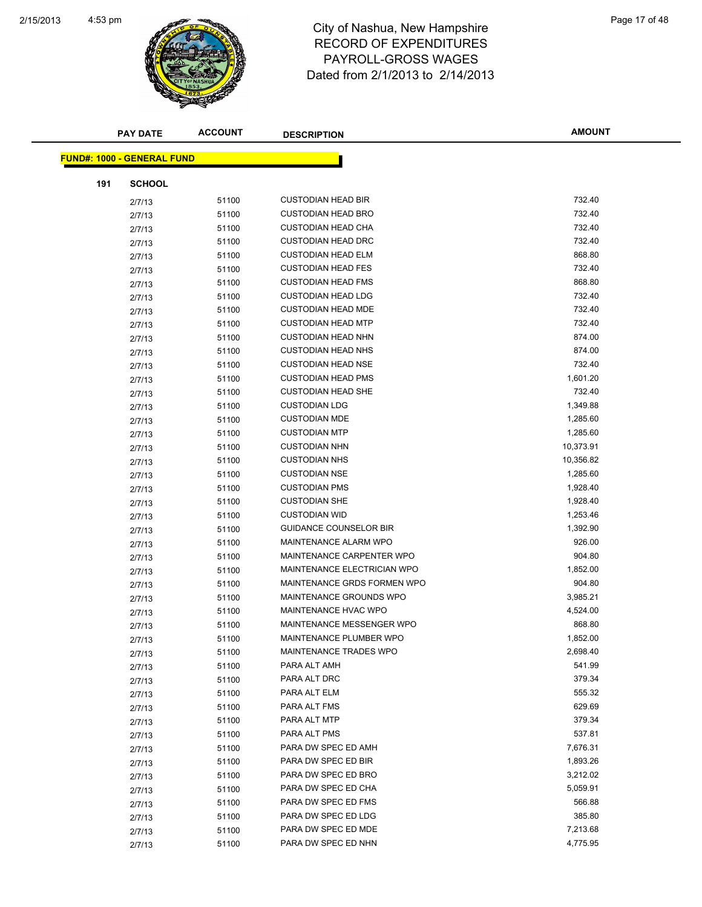

|     | <b>PAY DATE</b>                   | <b>ACCOUNT</b> | <b>DESCRIPTION</b>            | <b>AMOUNT</b> |
|-----|-----------------------------------|----------------|-------------------------------|---------------|
|     | <b>FUND#: 1000 - GENERAL FUND</b> |                |                               |               |
|     |                                   |                |                               |               |
| 191 | <b>SCHOOL</b>                     |                |                               |               |
|     | 2/7/13                            | 51100          | <b>CUSTODIAN HEAD BIR</b>     | 732.40        |
|     | 2/7/13                            | 51100          | <b>CUSTODIAN HEAD BRO</b>     | 732.40        |
|     | 2/7/13                            | 51100          | <b>CUSTODIAN HEAD CHA</b>     | 732.40        |
|     | 2/7/13                            | 51100          | <b>CUSTODIAN HEAD DRC</b>     | 732.40        |
|     | 2/7/13                            | 51100          | <b>CUSTODIAN HEAD ELM</b>     | 868.80        |
|     | 2/7/13                            | 51100          | <b>CUSTODIAN HEAD FES</b>     | 732.40        |
|     | 2/7/13                            | 51100          | <b>CUSTODIAN HEAD FMS</b>     | 868.80        |
|     | 2/7/13                            | 51100          | <b>CUSTODIAN HEAD LDG</b>     | 732.40        |
|     | 2/7/13                            | 51100          | <b>CUSTODIAN HEAD MDE</b>     | 732.40        |
|     | 2/7/13                            | 51100          | <b>CUSTODIAN HEAD MTP</b>     | 732.40        |
|     | 2/7/13                            | 51100          | <b>CUSTODIAN HEAD NHN</b>     | 874.00        |
|     | 2/7/13                            | 51100          | <b>CUSTODIAN HEAD NHS</b>     | 874.00        |
|     | 2/7/13                            | 51100          | <b>CUSTODIAN HEAD NSE</b>     | 732.40        |
|     | 2/7/13                            | 51100          | <b>CUSTODIAN HEAD PMS</b>     | 1,601.20      |
|     | 2/7/13                            | 51100          | <b>CUSTODIAN HEAD SHE</b>     | 732.40        |
|     | 2/7/13                            | 51100          | <b>CUSTODIAN LDG</b>          | 1,349.88      |
|     | 2/7/13                            | 51100          | <b>CUSTODIAN MDE</b>          | 1,285.60      |
|     | 2/7/13                            | 51100          | <b>CUSTODIAN MTP</b>          | 1,285.60      |
|     | 2/7/13                            | 51100          | <b>CUSTODIAN NHN</b>          | 10,373.91     |
|     | 2/7/13                            | 51100          | <b>CUSTODIAN NHS</b>          | 10,356.82     |
|     | 2/7/13                            | 51100          | <b>CUSTODIAN NSE</b>          | 1,285.60      |
|     | 2/7/13                            | 51100          | <b>CUSTODIAN PMS</b>          | 1,928.40      |
|     | 2/7/13                            | 51100          | <b>CUSTODIAN SHE</b>          | 1,928.40      |
|     | 2/7/13                            | 51100          | <b>CUSTODIAN WID</b>          | 1,253.46      |
|     | 2/7/13                            | 51100          | <b>GUIDANCE COUNSELOR BIR</b> | 1,392.90      |
|     | 2/7/13                            | 51100          | MAINTENANCE ALARM WPO         | 926.00        |
|     | 2/7/13                            | 51100          | MAINTENANCE CARPENTER WPO     | 904.80        |
|     | 2/7/13                            | 51100          | MAINTENANCE ELECTRICIAN WPO   | 1,852.00      |
|     | 2/7/13                            | 51100          | MAINTENANCE GRDS FORMEN WPO   | 904.80        |
|     | 2/7/13                            | 51100          | MAINTENANCE GROUNDS WPO       | 3,985.21      |
|     | 2/7/13                            | 51100          | MAINTENANCE HVAC WPO          | 4,524.00      |
|     | 2/7/13                            | 51100          | MAINTENANCE MESSENGER WPO     | 868.80        |
|     | 2/7/13                            | 51100          | MAINTENANCE PLUMBER WPO       | 1,852.00      |
|     | 2/7/13                            | 51100          | MAINTENANCE TRADES WPO        | 2,698.40      |
|     | 2/7/13                            | 51100          | PARA ALT AMH                  | 541.99        |
|     | 2/7/13                            | 51100          | PARA ALT DRC                  | 379.34        |
|     | 2/7/13                            | 51100          | PARA ALT ELM                  | 555.32        |
|     | 2/7/13                            | 51100          | PARA ALT FMS                  | 629.69        |
|     | 2/7/13                            | 51100          | PARA ALT MTP                  | 379.34        |
|     | 2/7/13                            | 51100          | PARA ALT PMS                  | 537.81        |
|     |                                   | 51100          | PARA DW SPEC ED AMH           | 7,676.31      |
|     | 2/7/13                            | 51100          | PARA DW SPEC ED BIR           | 1,893.26      |
|     | 2/7/13                            | 51100          | PARA DW SPEC ED BRO           | 3,212.02      |
|     | 2/7/13                            | 51100          | PARA DW SPEC ED CHA           | 5,059.91      |
|     | 2/7/13                            | 51100          | PARA DW SPEC ED FMS           | 566.88        |
|     | 2/7/13                            | 51100          | PARA DW SPEC ED LDG           | 385.80        |
|     | 2/7/13                            | 51100          | PARA DW SPEC ED MDE           | 7,213.68      |
|     | 2/7/13                            |                |                               |               |
|     | 2/7/13                            | 51100          | PARA DW SPEC ED NHN           | 4,775.95      |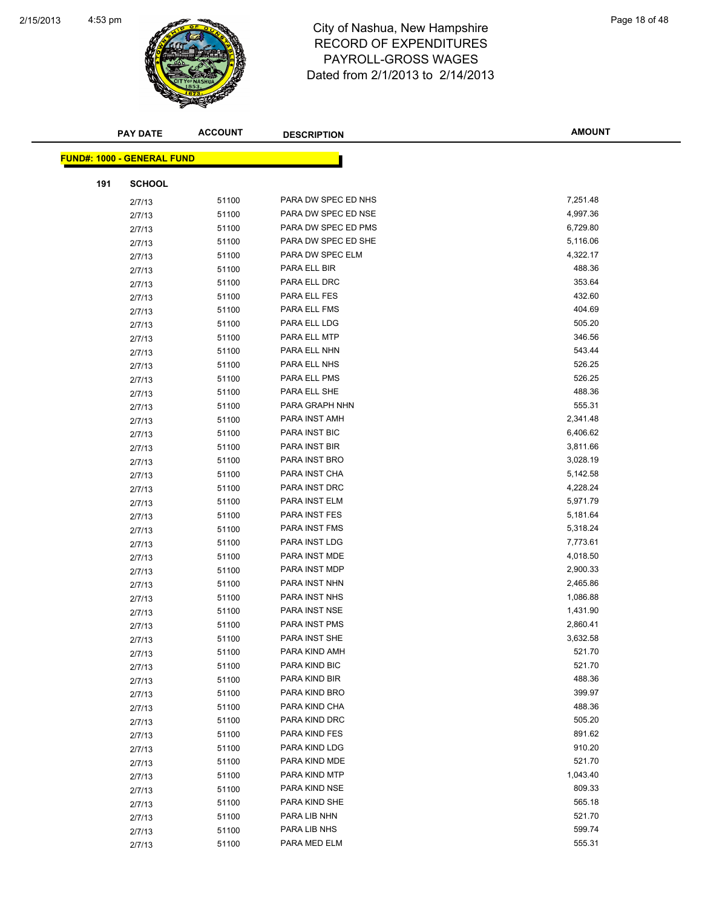

| <b>PAY DATE</b>                   |               | <b>ACCOUNT</b> | <b>DESCRIPTION</b>   | <b>AMOUNT</b> |
|-----------------------------------|---------------|----------------|----------------------|---------------|
| <b>FUND#: 1000 - GENERAL FUND</b> |               |                |                      |               |
|                                   |               |                |                      |               |
| 191                               | <b>SCHOOL</b> |                |                      |               |
|                                   | 2/7/13        | 51100          | PARA DW SPEC ED NHS  | 7,251.48      |
|                                   | 2/7/13        | 51100          | PARA DW SPEC ED NSE  | 4,997.36      |
| 2/7/13                            |               | 51100          | PARA DW SPEC ED PMS  | 6,729.80      |
| 2/7/13                            |               | 51100          | PARA DW SPEC ED SHE  | 5,116.06      |
|                                   | 2/7/13        | 51100          | PARA DW SPEC ELM     | 4,322.17      |
| 2/7/13                            |               | 51100          | PARA ELL BIR         | 488.36        |
| 2/7/13                            |               | 51100          | PARA ELL DRC         | 353.64        |
|                                   | 2/7/13        | 51100          | PARA ELL FES         | 432.60        |
|                                   | 2/7/13        | 51100          | PARA ELL FMS         | 404.69        |
| 2/7/13                            |               | 51100          | PARA ELL LDG         | 505.20        |
| 2/7/13                            |               | 51100          | PARA ELL MTP         | 346.56        |
| 2/7/13                            |               | 51100          | PARA ELL NHN         | 543.44        |
| 2/7/13                            |               | 51100          | PARA ELL NHS         | 526.25        |
| 2/7/13                            |               | 51100          | PARA ELL PMS         | 526.25        |
| 2/7/13                            |               | 51100          | PARA ELL SHE         | 488.36        |
| 2/7/13                            |               | 51100          | PARA GRAPH NHN       | 555.31        |
| 2/7/13                            |               | 51100          | PARA INST AMH        | 2,341.48      |
| 2/7/13                            |               | 51100          | PARA INST BIC        | 6,406.62      |
| 2/7/13                            |               | 51100          | PARA INST BIR        | 3,811.66      |
|                                   | 2/7/13        | 51100          | PARA INST BRO        | 3,028.19      |
| 2/7/13                            |               | 51100          | PARA INST CHA        | 5,142.58      |
| 2/7/13                            |               | 51100          | PARA INST DRC        | 4,228.24      |
|                                   | 2/7/13        | 51100          | PARA INST ELM        | 5,971.79      |
| 2/7/13                            |               | 51100          | PARA INST FES        | 5,181.64      |
| 2/7/13                            |               | 51100          | PARA INST FMS        | 5,318.24      |
| 2/7/13                            |               | 51100          | PARA INST LDG        | 7,773.61      |
| 2/7/13                            |               | 51100          | PARA INST MDE        | 4,018.50      |
| 2/7/13                            |               | 51100          | PARA INST MDP        | 2,900.33      |
| 2/7/13                            |               | 51100          | PARA INST NHN        | 2,465.86      |
| 2/7/13                            |               | 51100          | PARA INST NHS        | 1,086.88      |
| 2/7/13                            |               | 51100          | PARA INST NSE        | 1,431.90      |
|                                   | 2/7/13        | 51100          | <b>PARA INST PMS</b> | 2,860.41      |
| 2/7/13                            |               | 51100          | PARA INST SHE        | 3,632.58      |
|                                   | 2/7/13        | 51100          | PARA KIND AMH        | 521.70        |
|                                   | 2/7/13        | 51100          | PARA KIND BIC        | 521.70        |
|                                   | 2/7/13        | 51100          | PARA KIND BIR        | 488.36        |
|                                   | 2/7/13        | 51100          | PARA KIND BRO        | 399.97        |
|                                   | 2/7/13        | 51100          | PARA KIND CHA        | 488.36        |
|                                   | 2/7/13        | 51100          | PARA KIND DRC        | 505.20        |
| 2/7/13                            |               | 51100          | PARA KIND FES        | 891.62        |
|                                   | 2/7/13        | 51100          | PARA KIND LDG        | 910.20        |
| 2/7/13                            |               | 51100          | PARA KIND MDE        | 521.70        |
| 2/7/13                            |               | 51100          | PARA KIND MTP        | 1,043.40      |
| 2/7/13                            |               | 51100          | PARA KIND NSE        | 809.33        |
|                                   | 2/7/13        | 51100          | PARA KIND SHE        | 565.18        |
| 2/7/13                            |               | 51100          | PARA LIB NHN         | 521.70        |
|                                   | 2/7/13        | 51100          | PARA LIB NHS         | 599.74        |
| 2/7/13                            |               | 51100          | PARA MED ELM         | 555.31        |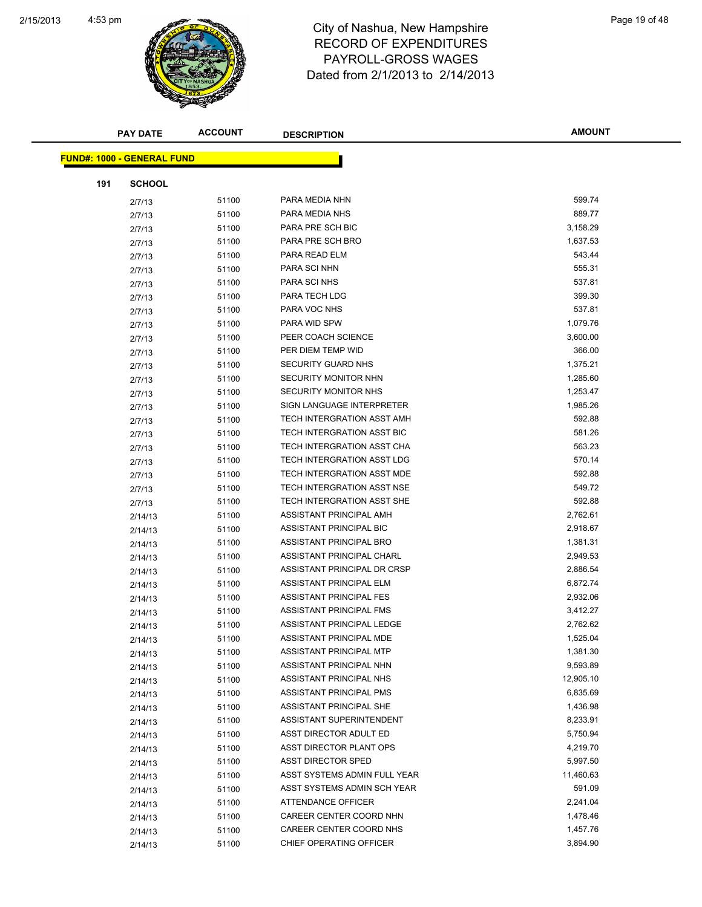

|     | <b>PAY DATE</b>                   | <b>ACCOUNT</b> | <b>DESCRIPTION</b>           | <b>AMOUNT</b> |
|-----|-----------------------------------|----------------|------------------------------|---------------|
|     |                                   |                |                              |               |
|     | <b>FUND#: 1000 - GENERAL FUND</b> |                |                              |               |
| 191 | <b>SCHOOL</b>                     |                |                              |               |
|     | 2/7/13                            | 51100          | PARA MEDIA NHN               | 599.74        |
|     | 2/7/13                            | 51100          | PARA MEDIA NHS               | 889.77        |
|     | 2/7/13                            | 51100          | PARA PRE SCH BIC             | 3,158.29      |
|     | 2/7/13                            | 51100          | PARA PRE SCH BRO             | 1,637.53      |
|     | 2/7/13                            | 51100          | PARA READ ELM                | 543.44        |
|     | 2/7/13                            | 51100          | PARA SCI NHN                 | 555.31        |
|     | 2/7/13                            | 51100          | PARA SCI NHS                 | 537.81        |
|     | 2/7/13                            | 51100          | PARA TECH LDG                | 399.30        |
|     | 2/7/13                            | 51100          | PARA VOC NHS                 | 537.81        |
|     | 2/7/13                            | 51100          | PARA WID SPW                 | 1,079.76      |
|     | 2/7/13                            | 51100          | PEER COACH SCIENCE           | 3,600.00      |
|     | 2/7/13                            | 51100          | PER DIEM TEMP WID            | 366.00        |
|     | 2/7/13                            | 51100          | SECURITY GUARD NHS           | 1,375.21      |
|     | 2/7/13                            | 51100          | SECURITY MONITOR NHN         | 1,285.60      |
|     | 2/7/13                            | 51100          | <b>SECURITY MONITOR NHS</b>  | 1,253.47      |
|     | 2/7/13                            | 51100          | SIGN LANGUAGE INTERPRETER    | 1,985.26      |
|     | 2/7/13                            | 51100          | TECH INTERGRATION ASST AMH   | 592.88        |
|     | 2/7/13                            | 51100          | TECH INTERGRATION ASST BIC   | 581.26        |
|     | 2/7/13                            | 51100          | TECH INTERGRATION ASST CHA   | 563.23        |
|     | 2/7/13                            | 51100          | TECH INTERGRATION ASST LDG   | 570.14        |
|     | 2/7/13                            | 51100          | TECH INTERGRATION ASST MDE   | 592.88        |
|     | 2/7/13                            | 51100          | TECH INTERGRATION ASST NSE   | 549.72        |
|     | 2/7/13                            | 51100          | TECH INTERGRATION ASST SHE   | 592.88        |
|     | 2/14/13                           | 51100          | ASSISTANT PRINCIPAL AMH      | 2,762.61      |
|     | 2/14/13                           | 51100          | ASSISTANT PRINCIPAL BIC      | 2,918.67      |
|     | 2/14/13                           | 51100          | ASSISTANT PRINCIPAL BRO      | 1,381.31      |
|     | 2/14/13                           | 51100          | ASSISTANT PRINCIPAL CHARL    | 2,949.53      |
|     | 2/14/13                           | 51100          | ASSISTANT PRINCIPAL DR CRSP  | 2,886.54      |
|     | 2/14/13                           | 51100          | ASSISTANT PRINCIPAL ELM      | 6,872.74      |
|     | 2/14/13                           | 51100          | ASSISTANT PRINCIPAL FES      | 2,932.06      |
|     | 2/14/13                           | 51100          | ASSISTANT PRINCIPAL FMS      | 3,412.27      |
|     | 2/14/13                           | 51100          | ASSISTANT PRINCIPAL LEDGE    | 2,762.62      |
|     | 2/14/13                           | 51100          | ASSISTANT PRINCIPAL MDE      | 1,525.04      |
|     | 2/14/13                           | 51100          | ASSISTANT PRINCIPAL MTP      | 1,381.30      |
|     | 2/14/13                           | 51100          | ASSISTANT PRINCIPAL NHN      | 9,593.89      |
|     | 2/14/13                           | 51100          | ASSISTANT PRINCIPAL NHS      | 12,905.10     |
|     | 2/14/13                           | 51100          | ASSISTANT PRINCIPAL PMS      | 6,835.69      |
|     | 2/14/13                           | 51100          | ASSISTANT PRINCIPAL SHE      | 1,436.98      |
|     | 2/14/13                           | 51100          | ASSISTANT SUPERINTENDENT     | 8,233.91      |
|     | 2/14/13                           | 51100          | ASST DIRECTOR ADULT ED       | 5,750.94      |
|     | 2/14/13                           | 51100          | ASST DIRECTOR PLANT OPS      | 4,219.70      |
|     | 2/14/13                           | 51100          | ASST DIRECTOR SPED           | 5,997.50      |
|     | 2/14/13                           | 51100          | ASST SYSTEMS ADMIN FULL YEAR | 11,460.63     |
|     | 2/14/13                           | 51100          | ASST SYSTEMS ADMIN SCH YEAR  | 591.09        |
|     | 2/14/13                           | 51100          | ATTENDANCE OFFICER           | 2,241.04      |
|     | 2/14/13                           | 51100          | CAREER CENTER COORD NHN      | 1,478.46      |
|     | 2/14/13                           | 51100          | CAREER CENTER COORD NHS      | 1,457.76      |
|     | 2/14/13                           | 51100          | CHIEF OPERATING OFFICER      | 3,894.90      |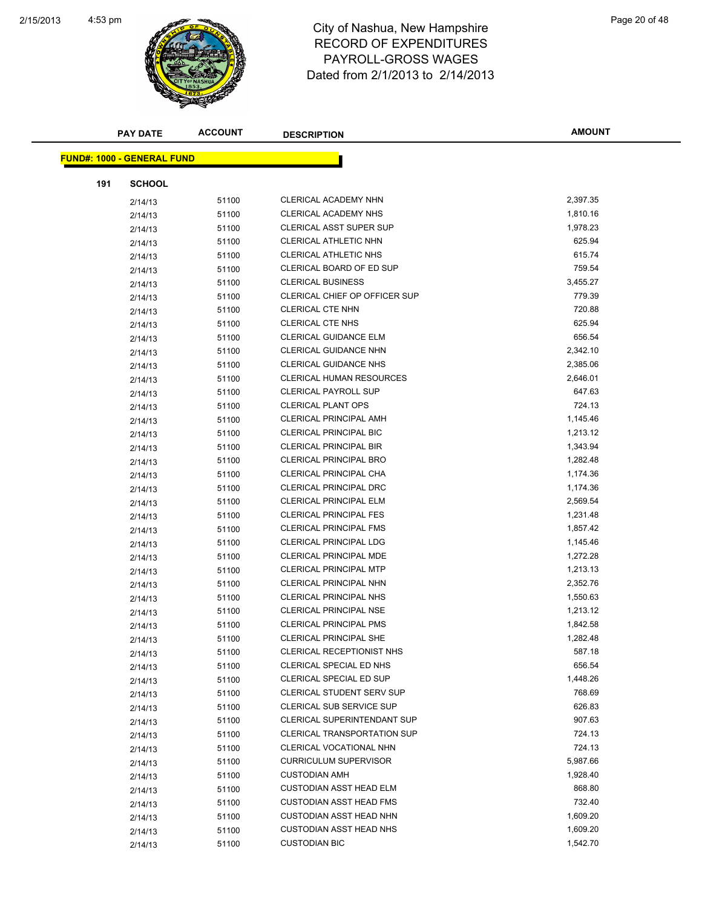

| <b>PAY DATE</b>                   | <b>ACCOUNT</b> | <b>DESCRIPTION</b>                 | <b>AMOUNT</b> |
|-----------------------------------|----------------|------------------------------------|---------------|
| <b>FUND#: 1000 - GENERAL FUND</b> |                |                                    |               |
|                                   |                |                                    |               |
| 191<br><b>SCHOOL</b>              |                |                                    |               |
| 2/14/13                           | 51100          | CLERICAL ACADEMY NHN               | 2,397.35      |
| 2/14/13                           | 51100          | CLERICAL ACADEMY NHS               | 1,810.16      |
| 2/14/13                           | 51100          | CLERICAL ASST SUPER SUP            | 1,978.23      |
| 2/14/13                           | 51100          | CLERICAL ATHLETIC NHN              | 625.94        |
| 2/14/13                           | 51100          | <b>CLERICAL ATHLETIC NHS</b>       | 615.74        |
| 2/14/13                           | 51100          | CLERICAL BOARD OF ED SUP           | 759.54        |
| 2/14/13                           | 51100          | <b>CLERICAL BUSINESS</b>           | 3,455.27      |
| 2/14/13                           | 51100          | CLERICAL CHIEF OP OFFICER SUP      | 779.39        |
| 2/14/13                           | 51100          | <b>CLERICAL CTE NHN</b>            | 720.88        |
| 2/14/13                           | 51100          | <b>CLERICAL CTE NHS</b>            | 625.94        |
| 2/14/13                           | 51100          | CLERICAL GUIDANCE ELM              | 656.54        |
| 2/14/13                           | 51100          | <b>CLERICAL GUIDANCE NHN</b>       | 2,342.10      |
| 2/14/13                           | 51100          | <b>CLERICAL GUIDANCE NHS</b>       | 2,385.06      |
| 2/14/13                           | 51100          | <b>CLERICAL HUMAN RESOURCES</b>    | 2,646.01      |
| 2/14/13                           | 51100          | <b>CLERICAL PAYROLL SUP</b>        | 647.63        |
| 2/14/13                           | 51100          | <b>CLERICAL PLANT OPS</b>          | 724.13        |
| 2/14/13                           | 51100          | <b>CLERICAL PRINCIPAL AMH</b>      | 1,145.46      |
| 2/14/13                           | 51100          | <b>CLERICAL PRINCIPAL BIC</b>      | 1,213.12      |
| 2/14/13                           | 51100          | <b>CLERICAL PRINCIPAL BIR</b>      | 1,343.94      |
| 2/14/13                           | 51100          | <b>CLERICAL PRINCIPAL BRO</b>      | 1,282.48      |
| 2/14/13                           | 51100          | CLERICAL PRINCIPAL CHA             | 1,174.36      |
| 2/14/13                           | 51100          | <b>CLERICAL PRINCIPAL DRC</b>      | 1,174.36      |
| 2/14/13                           | 51100          | CLERICAL PRINCIPAL ELM             | 2,569.54      |
| 2/14/13                           | 51100          | <b>CLERICAL PRINCIPAL FES</b>      | 1,231.48      |
| 2/14/13                           | 51100          | CLERICAL PRINCIPAL FMS             | 1,857.42      |
| 2/14/13                           | 51100          | <b>CLERICAL PRINCIPAL LDG</b>      | 1,145.46      |
| 2/14/13                           | 51100          | CLERICAL PRINCIPAL MDE             | 1,272.28      |
| 2/14/13                           | 51100          | <b>CLERICAL PRINCIPAL MTP</b>      | 1,213.13      |
| 2/14/13                           | 51100          | <b>CLERICAL PRINCIPAL NHN</b>      | 2,352.76      |
| 2/14/13                           | 51100          | <b>CLERICAL PRINCIPAL NHS</b>      | 1,550.63      |
| 2/14/13                           | 51100          | <b>CLERICAL PRINCIPAL NSE</b>      | 1,213.12      |
| 2/14/13                           | 51100          | <b>CLERICAL PRINCIPAL PMS</b>      | 1,842.58      |
| 2/14/13                           | 51100          | CLERICAL PRINCIPAL SHE             | 1,282.48      |
| 2/14/13                           | 51100          | CLERICAL RECEPTIONIST NHS          | 587.18        |
| 2/14/13                           | 51100          | CLERICAL SPECIAL ED NHS            | 656.54        |
| 2/14/13                           | 51100          | CLERICAL SPECIAL ED SUP            | 1,448.26      |
| 2/14/13                           | 51100          | <b>CLERICAL STUDENT SERV SUP</b>   | 768.69        |
|                                   | 51100          | <b>CLERICAL SUB SERVICE SUP</b>    | 626.83        |
| 2/14/13                           | 51100          | CLERICAL SUPERINTENDANT SUP        | 907.63        |
| 2/14/13                           | 51100          | <b>CLERICAL TRANSPORTATION SUP</b> | 724.13        |
| 2/14/13                           | 51100          | CLERICAL VOCATIONAL NHN            | 724.13        |
| 2/14/13                           | 51100          | <b>CURRICULUM SUPERVISOR</b>       | 5,987.66      |
| 2/14/13                           |                | <b>CUSTODIAN AMH</b>               | 1,928.40      |
| 2/14/13                           | 51100          | <b>CUSTODIAN ASST HEAD ELM</b>     | 868.80        |
| 2/14/13                           | 51100          |                                    | 732.40        |
| 2/14/13                           | 51100          | <b>CUSTODIAN ASST HEAD FMS</b>     |               |
| 2/14/13                           | 51100          | <b>CUSTODIAN ASST HEAD NHN</b>     | 1,609.20      |
| 2/14/13                           | 51100          | <b>CUSTODIAN ASST HEAD NHS</b>     | 1,609.20      |
| 2/14/13                           | 51100          | <b>CUSTODIAN BIC</b>               | 1,542.70      |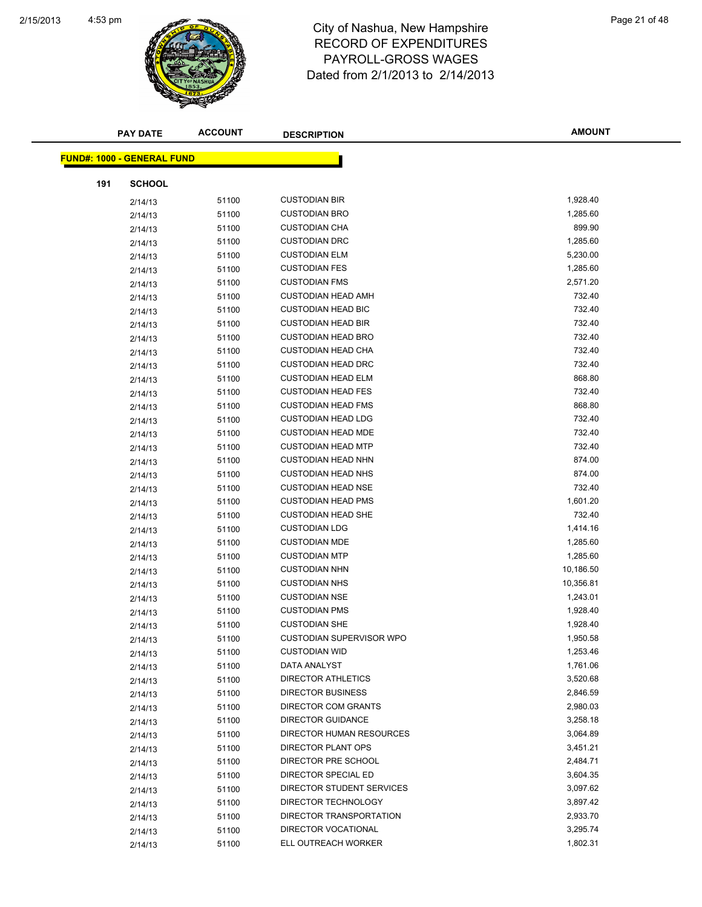

|     | <b>PAY DATE</b>                   | <b>ACCOUNT</b> | <b>DESCRIPTION</b>        | <b>AMOUNT</b> |
|-----|-----------------------------------|----------------|---------------------------|---------------|
|     | <b>FUND#: 1000 - GENERAL FUND</b> |                |                           |               |
|     |                                   |                |                           |               |
| 191 | <b>SCHOOL</b>                     |                |                           |               |
|     | 2/14/13                           | 51100          | <b>CUSTODIAN BIR</b>      | 1,928.40      |
|     | 2/14/13                           | 51100          | <b>CUSTODIAN BRO</b>      | 1,285.60      |
|     | 2/14/13                           | 51100          | <b>CUSTODIAN CHA</b>      | 899.90        |
|     | 2/14/13                           | 51100          | <b>CUSTODIAN DRC</b>      | 1,285.60      |
|     | 2/14/13                           | 51100          | <b>CUSTODIAN ELM</b>      | 5,230.00      |
|     | 2/14/13                           | 51100          | <b>CUSTODIAN FES</b>      | 1,285.60      |
|     | 2/14/13                           | 51100          | <b>CUSTODIAN FMS</b>      | 2,571.20      |
|     | 2/14/13                           | 51100          | <b>CUSTODIAN HEAD AMH</b> | 732.40        |
|     | 2/14/13                           | 51100          | <b>CUSTODIAN HEAD BIC</b> | 732.40        |
|     | 2/14/13                           | 51100          | <b>CUSTODIAN HEAD BIR</b> | 732.40        |
|     | 2/14/13                           | 51100          | <b>CUSTODIAN HEAD BRO</b> | 732.40        |
|     | 2/14/13                           | 51100          | <b>CUSTODIAN HEAD CHA</b> | 732.40        |
|     | 2/14/13                           | 51100          | <b>CUSTODIAN HEAD DRC</b> | 732.40        |
|     | 2/14/13                           | 51100          | <b>CUSTODIAN HEAD ELM</b> | 868.80        |
|     | 2/14/13                           | 51100          | <b>CUSTODIAN HEAD FES</b> | 732.40        |
|     | 2/14/13                           | 51100          | <b>CUSTODIAN HEAD FMS</b> | 868.80        |
|     | 2/14/13                           | 51100          | <b>CUSTODIAN HEAD LDG</b> | 732.40        |
|     | 2/14/13                           | 51100          | <b>CUSTODIAN HEAD MDE</b> | 732.40        |
|     | 2/14/13                           | 51100          | <b>CUSTODIAN HEAD MTP</b> | 732.40        |
|     | 2/14/13                           | 51100          | <b>CUSTODIAN HEAD NHN</b> | 874.00        |
|     | 2/14/13                           | 51100          | <b>CUSTODIAN HEAD NHS</b> | 874.00        |
|     | 2/14/13                           | 51100          | <b>CUSTODIAN HEAD NSE</b> | 732.40        |
|     | 2/14/13                           | 51100          | <b>CUSTODIAN HEAD PMS</b> | 1,601.20      |
|     | 2/14/13                           | 51100          | <b>CUSTODIAN HEAD SHE</b> | 732.40        |
|     | 2/14/13                           | 51100          | <b>CUSTODIAN LDG</b>      | 1,414.16      |
|     | 2/14/13                           | 51100          | <b>CUSTODIAN MDE</b>      | 1,285.60      |
|     | 2/14/13                           | 51100          | <b>CUSTODIAN MTP</b>      | 1,285.60      |
|     | 2/14/13                           | 51100          | <b>CUSTODIAN NHN</b>      | 10,186.50     |
|     | 2/14/13                           | 51100          | <b>CUSTODIAN NHS</b>      | 10,356.81     |
|     | 2/14/13                           | 51100          | <b>CUSTODIAN NSE</b>      | 1,243.01      |
|     | 2/14/13                           | 51100          | <b>CUSTODIAN PMS</b>      | 1,928.40      |
|     | 2/14/13                           | 51100          | <b>CUSTODIAN SHE</b>      | 1,928.40      |
|     | 2/14/13                           | 51100          | CUSTODIAN SUPERVISOR WPO  | 1,950.58      |
|     | 2/14/13                           | 51100          | <b>CUSTODIAN WID</b>      | 1,253.46      |
|     | 2/14/13                           | 51100          | DATA ANALYST              | 1,761.06      |
|     | 2/14/13                           | 51100          | <b>DIRECTOR ATHLETICS</b> | 3,520.68      |
|     | 2/14/13                           | 51100          | <b>DIRECTOR BUSINESS</b>  | 2,846.59      |
|     | 2/14/13                           | 51100          | DIRECTOR COM GRANTS       | 2,980.03      |
|     | 2/14/13                           | 51100          | <b>DIRECTOR GUIDANCE</b>  | 3,258.18      |
|     | 2/14/13                           | 51100          | DIRECTOR HUMAN RESOURCES  | 3,064.89      |
|     | 2/14/13                           | 51100          | DIRECTOR PLANT OPS        | 3,451.21      |
|     | 2/14/13                           | 51100          | DIRECTOR PRE SCHOOL       | 2,484.71      |
|     | 2/14/13                           | 51100          | DIRECTOR SPECIAL ED       | 3,604.35      |
|     | 2/14/13                           | 51100          | DIRECTOR STUDENT SERVICES | 3,097.62      |
|     | 2/14/13                           | 51100          | DIRECTOR TECHNOLOGY       | 3,897.42      |
|     | 2/14/13                           | 51100          | DIRECTOR TRANSPORTATION   | 2,933.70      |
|     | 2/14/13                           | 51100          | DIRECTOR VOCATIONAL       | 3,295.74      |
|     | 2/14/13                           | 51100          | ELL OUTREACH WORKER       | 1,802.31      |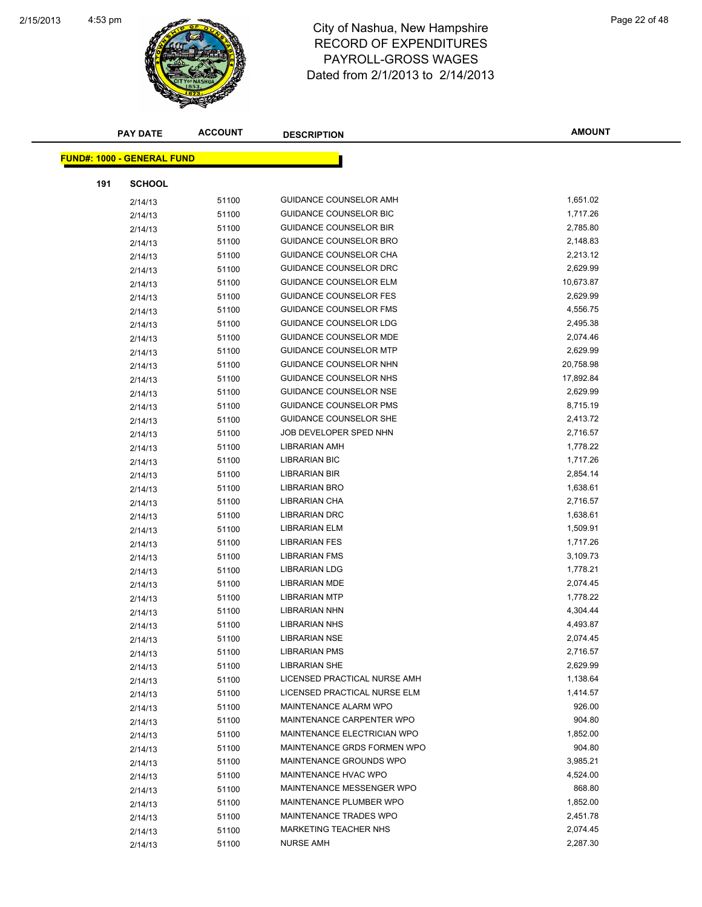

| <b>PAY DATE</b>                   | <b>ACCOUNT</b> | <b>DESCRIPTION</b>            | <b>AMOUNT</b> |
|-----------------------------------|----------------|-------------------------------|---------------|
| <b>FUND#: 1000 - GENERAL FUND</b> |                |                               |               |
|                                   |                |                               |               |
| 191<br><b>SCHOOL</b>              |                |                               |               |
| 2/14/13                           | 51100          | GUIDANCE COUNSELOR AMH        | 1,651.02      |
| 2/14/13                           | 51100          | GUIDANCE COUNSELOR BIC        | 1,717.26      |
| 2/14/13                           | 51100          | <b>GUIDANCE COUNSELOR BIR</b> | 2,785.80      |
| 2/14/13                           | 51100          | GUIDANCE COUNSELOR BRO        | 2,148.83      |
| 2/14/13                           | 51100          | GUIDANCE COUNSELOR CHA        | 2,213.12      |
| 2/14/13                           | 51100          | GUIDANCE COUNSELOR DRC        | 2,629.99      |
| 2/14/13                           | 51100          | GUIDANCE COUNSELOR ELM        | 10,673.87     |
| 2/14/13                           | 51100          | <b>GUIDANCE COUNSELOR FES</b> | 2,629.99      |
| 2/14/13                           | 51100          | <b>GUIDANCE COUNSELOR FMS</b> | 4,556.75      |
| 2/14/13                           | 51100          | GUIDANCE COUNSELOR LDG        | 2,495.38      |
| 2/14/13                           | 51100          | <b>GUIDANCE COUNSELOR MDE</b> | 2,074.46      |
| 2/14/13                           | 51100          | <b>GUIDANCE COUNSELOR MTP</b> | 2,629.99      |
| 2/14/13                           | 51100          | GUIDANCE COUNSELOR NHN        | 20,758.98     |
| 2/14/13                           | 51100          | GUIDANCE COUNSELOR NHS        | 17,892.84     |
| 2/14/13                           | 51100          | <b>GUIDANCE COUNSELOR NSE</b> | 2,629.99      |
| 2/14/13                           | 51100          | GUIDANCE COUNSELOR PMS        | 8,715.19      |
| 2/14/13                           | 51100          | <b>GUIDANCE COUNSELOR SHE</b> | 2,413.72      |
| 2/14/13                           | 51100          | JOB DEVELOPER SPED NHN        | 2,716.57      |
| 2/14/13                           | 51100          | LIBRARIAN AMH                 | 1,778.22      |
| 2/14/13                           | 51100          | <b>LIBRARIAN BIC</b>          | 1,717.26      |
| 2/14/13                           | 51100          | LIBRARIAN BIR                 | 2,854.14      |
| 2/14/13                           | 51100          | LIBRARIAN BRO                 | 1,638.61      |
| 2/14/13                           | 51100          | LIBRARIAN CHA                 | 2,716.57      |
| 2/14/13                           | 51100          | LIBRARIAN DRC                 | 1,638.61      |
| 2/14/13                           | 51100          | <b>LIBRARIAN ELM</b>          | 1,509.91      |
| 2/14/13                           | 51100          | <b>LIBRARIAN FES</b>          | 1,717.26      |
| 2/14/13                           | 51100          | <b>LIBRARIAN FMS</b>          | 3,109.73      |
| 2/14/13                           | 51100          | <b>LIBRARIAN LDG</b>          | 1,778.21      |
| 2/14/13                           | 51100          | LIBRARIAN MDE                 | 2,074.45      |
| 2/14/13                           | 51100          | <b>LIBRARIAN MTP</b>          | 1,778.22      |
| 2/14/13                           | 51100          | <b>LIBRARIAN NHN</b>          | 4,304.44      |
| 2/14/13                           | 51100          | <b>LIBRARIAN NHS</b>          | 4,493.87      |
| 2/14/13                           | 51100          | <b>LIBRARIAN NSE</b>          | 2,074.45      |
| 2/14/13                           | 51100          | <b>LIBRARIAN PMS</b>          | 2,716.57      |
| 2/14/13                           | 51100          | <b>LIBRARIAN SHE</b>          | 2,629.99      |
| 2/14/13                           | 51100          | LICENSED PRACTICAL NURSE AMH  | 1,138.64      |
| 2/14/13                           | 51100          | LICENSED PRACTICAL NURSE ELM  | 1,414.57      |
| 2/14/13                           | 51100          | MAINTENANCE ALARM WPO         | 926.00        |
| 2/14/13                           | 51100          | MAINTENANCE CARPENTER WPO     | 904.80        |
| 2/14/13                           | 51100          | MAINTENANCE ELECTRICIAN WPO   | 1,852.00      |
| 2/14/13                           | 51100          | MAINTENANCE GRDS FORMEN WPO   | 904.80        |
| 2/14/13                           | 51100          | MAINTENANCE GROUNDS WPO       | 3,985.21      |
| 2/14/13                           | 51100          | MAINTENANCE HVAC WPO          | 4,524.00      |
| 2/14/13                           | 51100          | MAINTENANCE MESSENGER WPO     | 868.80        |
| 2/14/13                           | 51100          | MAINTENANCE PLUMBER WPO       | 1,852.00      |
| 2/14/13                           | 51100          | MAINTENANCE TRADES WPO        | 2,451.78      |
| 2/14/13                           | 51100          | MARKETING TEACHER NHS         | 2,074.45      |
| 2/14/13                           | 51100          | <b>NURSE AMH</b>              | 2,287.30      |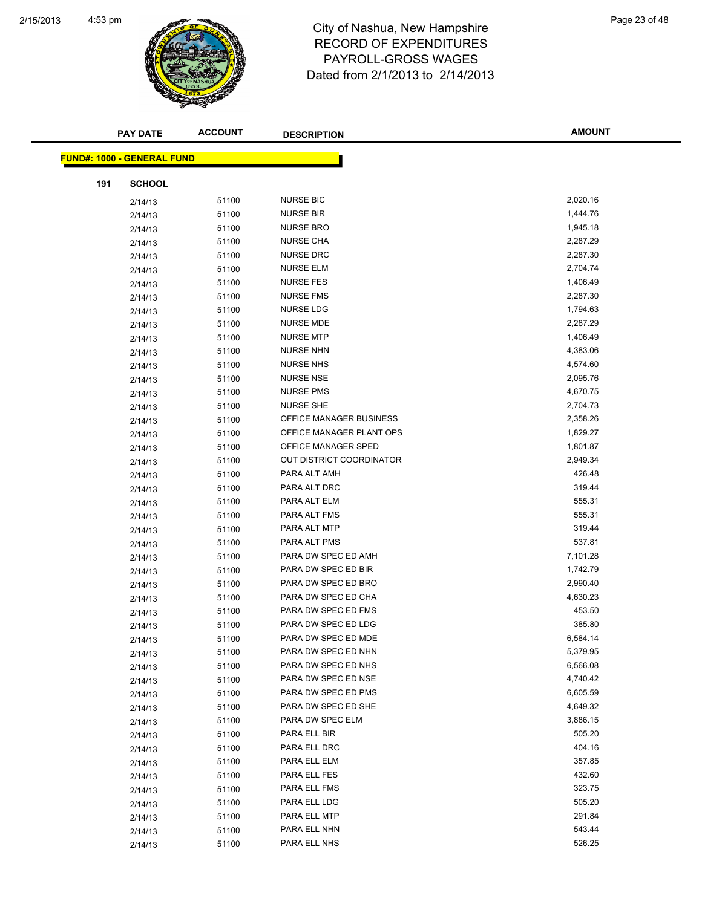

|     | <b>PAY DATE</b>                   | <b>ACCOUNT</b> | <b>DESCRIPTION</b>       | <b>AMOUNT</b> |
|-----|-----------------------------------|----------------|--------------------------|---------------|
|     | <b>FUND#: 1000 - GENERAL FUND</b> |                |                          |               |
|     |                                   |                |                          |               |
| 191 | <b>SCHOOL</b>                     |                |                          |               |
|     | 2/14/13                           | 51100          | <b>NURSE BIC</b>         | 2,020.16      |
|     | 2/14/13                           | 51100          | <b>NURSE BIR</b>         | 1,444.76      |
|     | 2/14/13                           | 51100          | <b>NURSE BRO</b>         | 1,945.18      |
|     | 2/14/13                           | 51100          | <b>NURSE CHA</b>         | 2,287.29      |
|     | 2/14/13                           | 51100          | <b>NURSE DRC</b>         | 2,287.30      |
|     | 2/14/13                           | 51100          | <b>NURSE ELM</b>         | 2,704.74      |
|     | 2/14/13                           | 51100          | <b>NURSE FES</b>         | 1,406.49      |
|     | 2/14/13                           | 51100          | <b>NURSE FMS</b>         | 2,287.30      |
|     | 2/14/13                           | 51100          | <b>NURSE LDG</b>         | 1,794.63      |
|     | 2/14/13                           | 51100          | <b>NURSE MDE</b>         | 2,287.29      |
|     | 2/14/13                           | 51100          | <b>NURSE MTP</b>         | 1,406.49      |
|     | 2/14/13                           | 51100          | <b>NURSE NHN</b>         | 4,383.06      |
|     | 2/14/13                           | 51100          | <b>NURSE NHS</b>         | 4,574.60      |
|     | 2/14/13                           | 51100          | <b>NURSE NSE</b>         | 2,095.76      |
|     | 2/14/13                           | 51100          | <b>NURSE PMS</b>         | 4,670.75      |
|     | 2/14/13                           | 51100          | <b>NURSE SHE</b>         | 2,704.73      |
|     | 2/14/13                           | 51100          | OFFICE MANAGER BUSINESS  | 2,358.26      |
|     | 2/14/13                           | 51100          | OFFICE MANAGER PLANT OPS | 1,829.27      |
|     | 2/14/13                           | 51100          | OFFICE MANAGER SPED      | 1,801.87      |
|     | 2/14/13                           | 51100          | OUT DISTRICT COORDINATOR | 2,949.34      |
|     | 2/14/13                           | 51100          | PARA ALT AMH             | 426.48        |
|     | 2/14/13                           | 51100          | PARA ALT DRC             | 319.44        |
|     | 2/14/13                           | 51100          | PARA ALT ELM             | 555.31        |
|     | 2/14/13                           | 51100          | PARA ALT FMS             | 555.31        |
|     | 2/14/13                           | 51100          | PARA ALT MTP             | 319.44        |
|     | 2/14/13                           | 51100          | PARA ALT PMS             | 537.81        |
|     | 2/14/13                           | 51100          | PARA DW SPEC ED AMH      | 7,101.28      |
|     | 2/14/13                           | 51100          | PARA DW SPEC ED BIR      | 1,742.79      |
|     | 2/14/13                           | 51100          | PARA DW SPEC ED BRO      | 2,990.40      |
|     | 2/14/13                           | 51100          | PARA DW SPEC ED CHA      | 4,630.23      |
|     | 2/14/13                           | 51100          | PARA DW SPEC ED FMS      | 453.50        |
|     | 2/14/13                           | 51100          | PARA DW SPEC ED LDG      | 385.80        |
|     | 2/14/13                           | 51100          | PARA DW SPEC ED MDE      | 6,584.14      |
|     | 2/14/13                           | 51100          | PARA DW SPEC ED NHN      | 5,379.95      |
|     | 2/14/13                           | 51100          | PARA DW SPEC ED NHS      | 6,566.08      |
|     | 2/14/13                           | 51100          | PARA DW SPEC ED NSE      | 4,740.42      |
|     | 2/14/13                           | 51100          | PARA DW SPEC ED PMS      | 6,605.59      |
|     | 2/14/13                           | 51100          | PARA DW SPEC ED SHE      | 4,649.32      |
|     | 2/14/13                           | 51100          | PARA DW SPEC ELM         | 3,886.15      |
|     | 2/14/13                           | 51100          | PARA ELL BIR             | 505.20        |
|     | 2/14/13                           | 51100          | PARA ELL DRC             | 404.16        |
|     | 2/14/13                           | 51100          | PARA ELL ELM             | 357.85        |
|     | 2/14/13                           | 51100          | PARA ELL FES             | 432.60        |
|     | 2/14/13                           | 51100          | PARA ELL FMS             | 323.75        |
|     | 2/14/13                           | 51100          | PARA ELL LDG             | 505.20        |
|     | 2/14/13                           | 51100          | PARA ELL MTP             | 291.84        |
|     | 2/14/13                           | 51100          | PARA ELL NHN             | 543.44        |
|     | 2/14/13                           | 51100          | PARA ELL NHS             | 526.25        |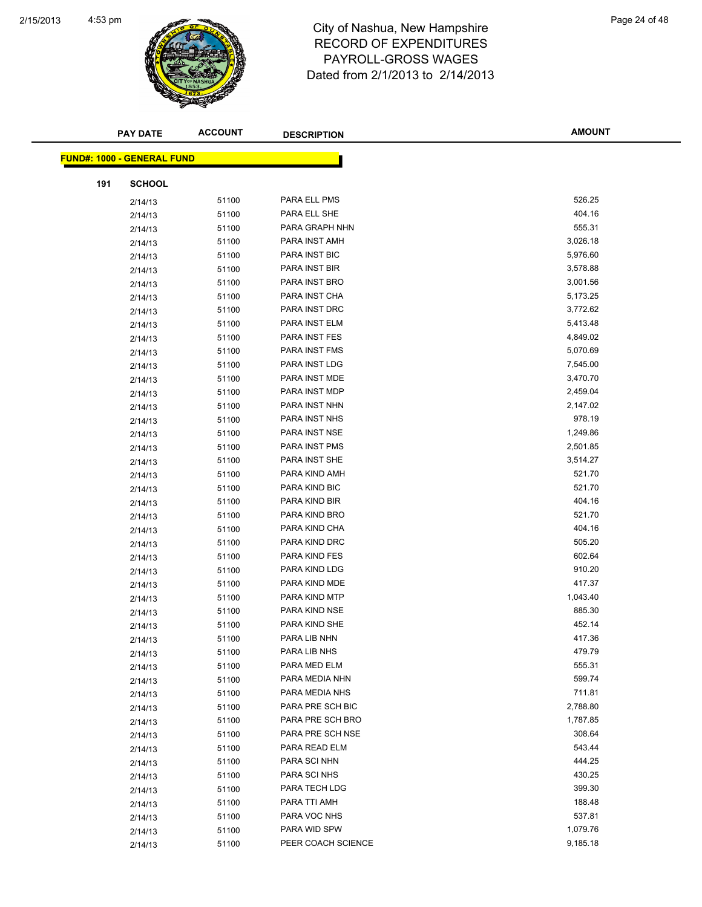

| <b>PAY DATE</b>                    | <b>ACCOUNT</b> | <b>DESCRIPTION</b> | <b>AMOUNT</b> |
|------------------------------------|----------------|--------------------|---------------|
| <u> FUND#: 1000 - GENERAL FUND</u> |                |                    |               |
|                                    |                |                    |               |
| 191<br><b>SCHOOL</b>               |                |                    |               |
| 2/14/13                            | 51100          | PARA ELL PMS       | 526.25        |
| 2/14/13                            | 51100          | PARA ELL SHE       | 404.16        |
| 2/14/13                            | 51100          | PARA GRAPH NHN     | 555.31        |
| 2/14/13                            | 51100          | PARA INST AMH      | 3,026.18      |
| 2/14/13                            | 51100          | PARA INST BIC      | 5,976.60      |
| 2/14/13                            | 51100          | PARA INST BIR      | 3,578.88      |
| 2/14/13                            | 51100          | PARA INST BRO      | 3,001.56      |
| 2/14/13                            | 51100          | PARA INST CHA      | 5,173.25      |
| 2/14/13                            | 51100          | PARA INST DRC      | 3,772.62      |
| 2/14/13                            | 51100          | PARA INST ELM      | 5,413.48      |
| 2/14/13                            | 51100          | PARA INST FES      | 4,849.02      |
| 2/14/13                            | 51100          | PARA INST FMS      | 5,070.69      |
| 2/14/13                            | 51100          | PARA INST LDG      | 7,545.00      |
| 2/14/13                            | 51100          | PARA INST MDE      | 3,470.70      |
| 2/14/13                            | 51100          | PARA INST MDP      | 2,459.04      |
| 2/14/13                            | 51100          | PARA INST NHN      | 2,147.02      |
| 2/14/13                            | 51100          | PARA INST NHS      | 978.19        |
| 2/14/13                            | 51100          | PARA INST NSE      | 1,249.86      |
| 2/14/13                            | 51100          | PARA INST PMS      | 2,501.85      |
| 2/14/13                            | 51100          | PARA INST SHE      | 3,514.27      |
| 2/14/13                            | 51100          | PARA KIND AMH      | 521.70        |
| 2/14/13                            | 51100          | PARA KIND BIC      | 521.70        |
| 2/14/13                            | 51100          | PARA KIND BIR      | 404.16        |
| 2/14/13                            | 51100          | PARA KIND BRO      | 521.70        |
| 2/14/13                            | 51100          | PARA KIND CHA      | 404.16        |
| 2/14/13                            | 51100          | PARA KIND DRC      | 505.20        |
| 2/14/13                            | 51100          | PARA KIND FES      | 602.64        |
| 2/14/13                            | 51100          | PARA KIND LDG      | 910.20        |
| 2/14/13                            | 51100          | PARA KIND MDE      | 417.37        |
| 2/14/13                            | 51100          | PARA KIND MTP      | 1,043.40      |
| 2/14/13                            | 51100          | PARA KIND NSE      | 885.30        |
| 2/14/13                            | 51100          | PARA KIND SHE      | 452.14        |
| 2/14/13                            | 51100          | PARA LIB NHN       | 417.36        |
| 2/14/13                            | 51100          | PARA LIB NHS       | 479.79        |
| 2/14/13                            | 51100          | PARA MED ELM       | 555.31        |
| 2/14/13                            | 51100          | PARA MEDIA NHN     | 599.74        |
| 2/14/13                            | 51100          | PARA MEDIA NHS     | 711.81        |
| 2/14/13                            | 51100          | PARA PRE SCH BIC   | 2,788.80      |
| 2/14/13                            | 51100          | PARA PRE SCH BRO   | 1,787.85      |
| 2/14/13                            | 51100          | PARA PRE SCH NSE   | 308.64        |
| 2/14/13                            | 51100          | PARA READ ELM      | 543.44        |
| 2/14/13                            | 51100          | PARA SCI NHN       | 444.25        |
| 2/14/13                            | 51100          | PARA SCI NHS       | 430.25        |
| 2/14/13                            | 51100          | PARA TECH LDG      | 399.30        |
| 2/14/13                            | 51100          | PARA TTI AMH       | 188.48        |
| 2/14/13                            | 51100          | PARA VOC NHS       | 537.81        |
| 2/14/13                            | 51100          | PARA WID SPW       | 1,079.76      |
| 2/14/13                            | 51100          | PEER COACH SCIENCE | 9,185.18      |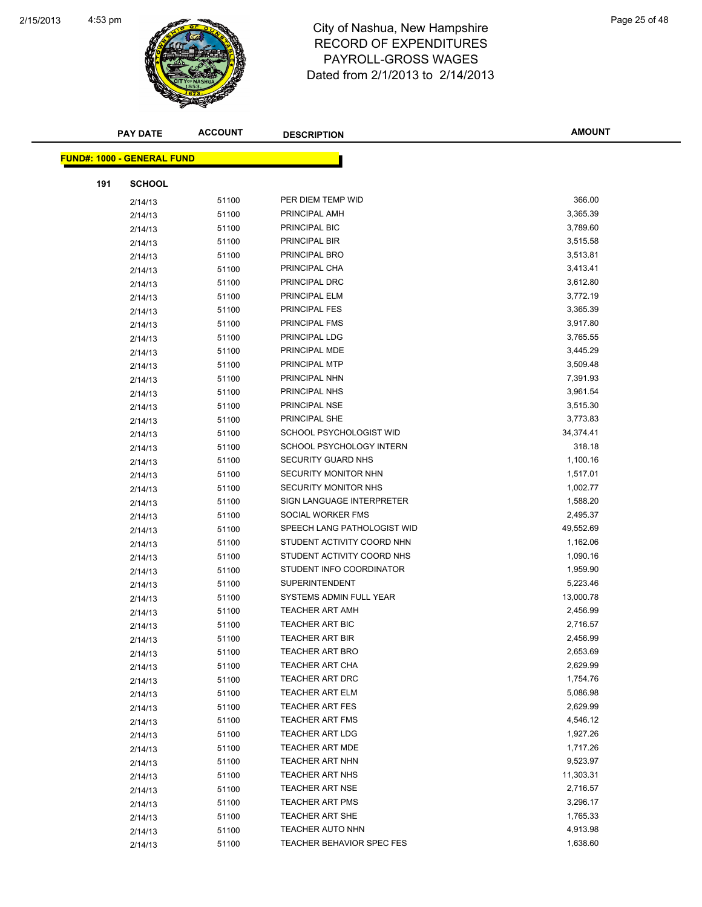

| <b>PAY DATE</b>                   | <b>ACCOUNT</b> | <b>DESCRIPTION</b>              | <b>AMOUNT</b> |
|-----------------------------------|----------------|---------------------------------|---------------|
| <b>FUND#: 1000 - GENERAL FUND</b> |                |                                 |               |
|                                   |                |                                 |               |
| 191<br><b>SCHOOL</b>              |                |                                 |               |
| 2/14/13                           | 51100          | PER DIEM TEMP WID               | 366.00        |
| 2/14/13                           | 51100          | PRINCIPAL AMH                   | 3,365.39      |
| 2/14/13                           | 51100          | PRINCIPAL BIC                   | 3,789.60      |
| 2/14/13                           | 51100          | PRINCIPAL BIR                   | 3,515.58      |
| 2/14/13                           | 51100          | PRINCIPAL BRO                   | 3,513.81      |
| 2/14/13                           | 51100          | PRINCIPAL CHA                   | 3,413.41      |
| 2/14/13                           | 51100          | PRINCIPAL DRC                   | 3,612.80      |
| 2/14/13                           | 51100          | PRINCIPAL ELM                   | 3,772.19      |
| 2/14/13                           | 51100          | PRINCIPAL FES                   | 3,365.39      |
| 2/14/13                           | 51100          | PRINCIPAL FMS                   | 3,917.80      |
| 2/14/13                           | 51100          | PRINCIPAL LDG                   | 3,765.55      |
| 2/14/13                           | 51100          | PRINCIPAL MDE                   | 3,445.29      |
| 2/14/13                           | 51100          | PRINCIPAL MTP                   | 3,509.48      |
| 2/14/13                           | 51100          | PRINCIPAL NHN                   | 7,391.93      |
| 2/14/13                           | 51100          | PRINCIPAL NHS                   | 3,961.54      |
| 2/14/13                           | 51100          | PRINCIPAL NSE                   | 3,515.30      |
| 2/14/13                           | 51100          | PRINCIPAL SHE                   | 3,773.83      |
| 2/14/13                           | 51100          | SCHOOL PSYCHOLOGIST WID         | 34,374.41     |
| 2/14/13                           | 51100          | <b>SCHOOL PSYCHOLOGY INTERN</b> | 318.18        |
| 2/14/13                           | 51100          | SECURITY GUARD NHS              | 1,100.16      |
| 2/14/13                           | 51100          | SECURITY MONITOR NHN            | 1,517.01      |
| 2/14/13                           | 51100          | SECURITY MONITOR NHS            | 1,002.77      |
| 2/14/13                           | 51100          | SIGN LANGUAGE INTERPRETER       | 1,588.20      |
| 2/14/13                           | 51100          | SOCIAL WORKER FMS               | 2,495.37      |
| 2/14/13                           | 51100          | SPEECH LANG PATHOLOGIST WID     | 49,552.69     |
| 2/14/13                           | 51100          | STUDENT ACTIVITY COORD NHN      | 1,162.06      |
| 2/14/13                           | 51100          | STUDENT ACTIVITY COORD NHS      | 1,090.16      |
| 2/14/13                           | 51100          | STUDENT INFO COORDINATOR        | 1,959.90      |
| 2/14/13                           | 51100          | <b>SUPERINTENDENT</b>           | 5,223.46      |
| 2/14/13                           | 51100          | SYSTEMS ADMIN FULL YEAR         | 13,000.78     |
| 2/14/13                           | 51100          | <b>TEACHER ART AMH</b>          | 2,456.99      |
| 2/14/13                           | 51100          | <b>TEACHER ART BIC</b>          | 2,716.57      |
| 2/14/13                           | 51100          | TEACHER ART BIR                 | 2,456.99      |
| 2/14/13                           | 51100          | <b>TEACHER ART BRO</b>          | 2,653.69      |
| 2/14/13                           | 51100          | <b>TEACHER ART CHA</b>          | 2,629.99      |
| 2/14/13                           | 51100          | <b>TEACHER ART DRC</b>          | 1,754.76      |
| 2/14/13                           | 51100          | <b>TEACHER ART ELM</b>          | 5,086.98      |
| 2/14/13                           | 51100          | <b>TEACHER ART FES</b>          | 2,629.99      |
| 2/14/13                           | 51100          | <b>TEACHER ART FMS</b>          | 4,546.12      |
| 2/14/13                           | 51100          | <b>TEACHER ART LDG</b>          | 1,927.26      |
| 2/14/13                           | 51100          | TEACHER ART MDE                 | 1,717.26      |
| 2/14/13                           | 51100          | TEACHER ART NHN                 | 9,523.97      |
| 2/14/13                           | 51100          | <b>TEACHER ART NHS</b>          | 11,303.31     |
| 2/14/13                           | 51100          | <b>TEACHER ART NSE</b>          | 2,716.57      |
| 2/14/13                           | 51100          | TEACHER ART PMS                 | 3,296.17      |
| 2/14/13                           | 51100          | <b>TEACHER ART SHE</b>          | 1,765.33      |
| 2/14/13                           | 51100          | <b>TEACHER AUTO NHN</b>         | 4,913.98      |
| 2/14/13                           | 51100          | TEACHER BEHAVIOR SPEC FES       | 1,638.60      |
|                                   |                |                                 |               |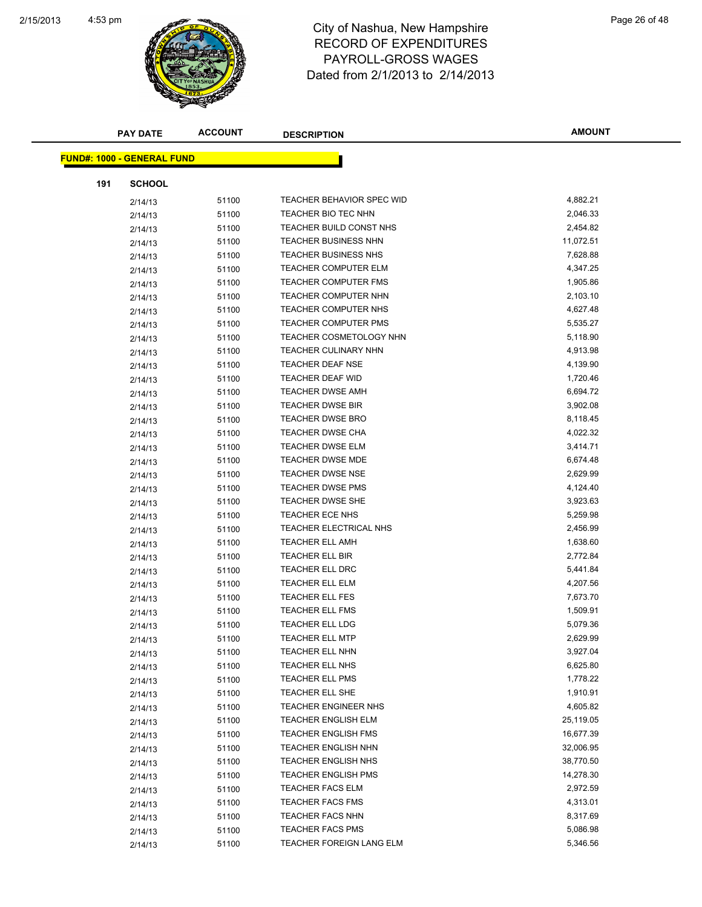

| <b>PAY DATE</b>                   | <b>ACCOUNT</b> |       | <b>DESCRIPTION</b>             | <b>AMOUNT</b> |
|-----------------------------------|----------------|-------|--------------------------------|---------------|
| <b>FUND#: 1000 - GENERAL FUND</b> |                |       |                                |               |
|                                   |                |       |                                |               |
| 191                               | <b>SCHOOL</b>  |       |                                |               |
|                                   | 2/14/13        | 51100 | TEACHER BEHAVIOR SPEC WID      | 4,882.21      |
|                                   | 2/14/13        | 51100 | TEACHER BIO TEC NHN            | 2,046.33      |
|                                   | 2/14/13        | 51100 | TEACHER BUILD CONST NHS        | 2,454.82      |
|                                   | 2/14/13        | 51100 | <b>TEACHER BUSINESS NHN</b>    | 11,072.51     |
|                                   | 2/14/13        | 51100 | <b>TEACHER BUSINESS NHS</b>    | 7,628.88      |
|                                   | 2/14/13        | 51100 | TEACHER COMPUTER ELM           | 4,347.25      |
|                                   | 2/14/13        | 51100 | TEACHER COMPUTER FMS           | 1,905.86      |
|                                   | 2/14/13        | 51100 | <b>TEACHER COMPUTER NHN</b>    | 2,103.10      |
|                                   | 2/14/13        | 51100 | TEACHER COMPUTER NHS           | 4,627.48      |
|                                   | 2/14/13        | 51100 | <b>TEACHER COMPUTER PMS</b>    | 5,535.27      |
|                                   | 2/14/13        | 51100 | <b>TEACHER COSMETOLOGY NHN</b> | 5,118.90      |
|                                   | 2/14/13        | 51100 | <b>TEACHER CULINARY NHN</b>    | 4,913.98      |
|                                   | 2/14/13        | 51100 | <b>TEACHER DEAF NSE</b>        | 4,139.90      |
|                                   | 2/14/13        | 51100 | <b>TEACHER DEAF WID</b>        | 1,720.46      |
|                                   | 2/14/13        | 51100 | <b>TEACHER DWSE AMH</b>        | 6,694.72      |
|                                   | 2/14/13        | 51100 | <b>TEACHER DWSE BIR</b>        | 3,902.08      |
|                                   | 2/14/13        | 51100 | <b>TEACHER DWSE BRO</b>        | 8,118.45      |
|                                   | 2/14/13        | 51100 | <b>TEACHER DWSE CHA</b>        | 4,022.32      |
|                                   | 2/14/13        | 51100 | <b>TEACHER DWSE ELM</b>        | 3,414.71      |
|                                   | 2/14/13        | 51100 | <b>TEACHER DWSE MDE</b>        | 6,674.48      |
|                                   | 2/14/13        | 51100 | <b>TEACHER DWSE NSE</b>        | 2,629.99      |
|                                   | 2/14/13        | 51100 | <b>TEACHER DWSE PMS</b>        | 4,124.40      |
|                                   | 2/14/13        | 51100 | <b>TEACHER DWSE SHE</b>        | 3,923.63      |
|                                   | 2/14/13        | 51100 | <b>TEACHER ECE NHS</b>         | 5,259.98      |
|                                   | 2/14/13        | 51100 | TEACHER ELECTRICAL NHS         | 2,456.99      |
|                                   | 2/14/13        | 51100 | <b>TEACHER ELL AMH</b>         | 1,638.60      |
|                                   | 2/14/13        | 51100 | <b>TEACHER ELL BIR</b>         | 2,772.84      |
|                                   | 2/14/13        | 51100 | <b>TEACHER ELL DRC</b>         | 5,441.84      |
|                                   | 2/14/13        | 51100 | TEACHER ELL ELM                | 4,207.56      |
|                                   | 2/14/13        | 51100 | TEACHER ELL FES                | 7,673.70      |
|                                   | 2/14/13        | 51100 | <b>TEACHER ELL FMS</b>         | 1,509.91      |
|                                   | 2/14/13        | 51100 | <b>TEACHER ELL LDG</b>         | 5,079.36      |
|                                   | 2/14/13        | 51100 | TEACHER ELL MTP                | 2,629.99      |
|                                   | 2/14/13        | 51100 | TEACHER ELL NHN                | 3,927.04      |
|                                   | 2/14/13        | 51100 | TEACHER ELL NHS                | 6,625.80      |
|                                   | 2/14/13        | 51100 | <b>TEACHER ELL PMS</b>         | 1,778.22      |
|                                   | 2/14/13        | 51100 | TEACHER ELL SHE                | 1,910.91      |
|                                   | 2/14/13        | 51100 | TEACHER ENGINEER NHS           | 4,605.82      |
|                                   | 2/14/13        | 51100 | <b>TEACHER ENGLISH ELM</b>     | 25,119.05     |
|                                   | 2/14/13        | 51100 | <b>TEACHER ENGLISH FMS</b>     | 16,677.39     |
|                                   | 2/14/13        | 51100 | <b>TEACHER ENGLISH NHN</b>     | 32,006.95     |
|                                   | 2/14/13        | 51100 | TEACHER ENGLISH NHS            | 38,770.50     |
|                                   | 2/14/13        | 51100 | <b>TEACHER ENGLISH PMS</b>     | 14,278.30     |
|                                   | 2/14/13        | 51100 | <b>TEACHER FACS ELM</b>        | 2,972.59      |
|                                   | 2/14/13        | 51100 | <b>TEACHER FACS FMS</b>        | 4,313.01      |
|                                   | 2/14/13        | 51100 | <b>TEACHER FACS NHN</b>        | 8,317.69      |
|                                   | 2/14/13        | 51100 | <b>TEACHER FACS PMS</b>        | 5,086.98      |
|                                   | 2/14/13        | 51100 | TEACHER FOREIGN LANG ELM       | 5,346.56      |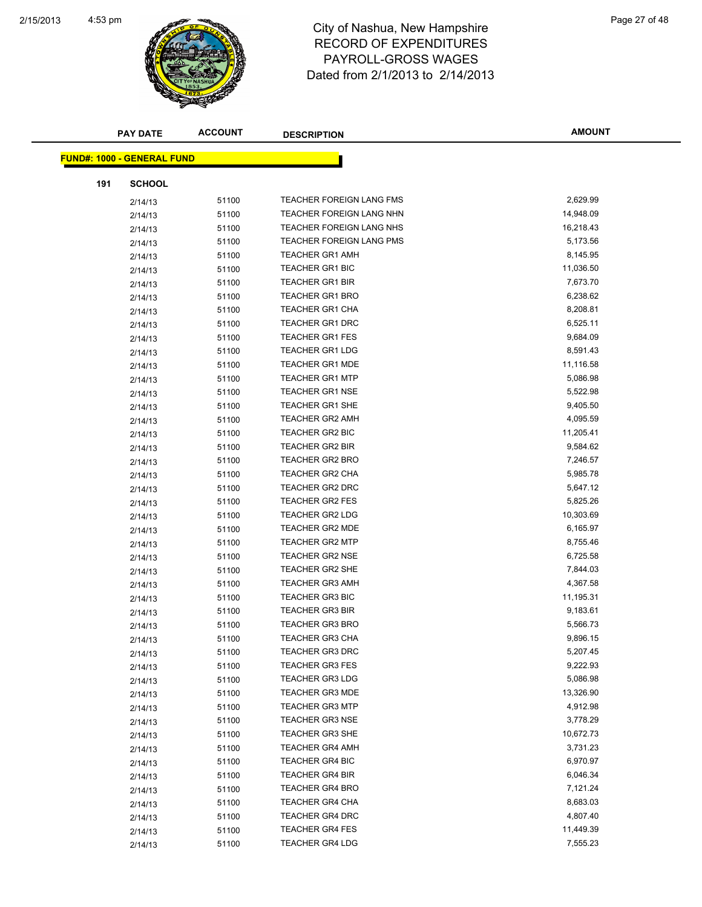

|     | <b>PAY DATE</b>                   | <b>ACCOUNT</b> | <b>DESCRIPTION</b>              | <b>AMOUNT</b> |
|-----|-----------------------------------|----------------|---------------------------------|---------------|
|     | <b>FUND#: 1000 - GENERAL FUND</b> |                |                                 |               |
|     |                                   |                |                                 |               |
| 191 | <b>SCHOOL</b>                     |                |                                 |               |
|     | 2/14/13                           | 51100          | TEACHER FOREIGN LANG FMS        | 2,629.99      |
|     | 2/14/13                           | 51100          | TEACHER FOREIGN LANG NHN        | 14,948.09     |
|     | 2/14/13                           | 51100          | <b>TEACHER FOREIGN LANG NHS</b> | 16,218.43     |
|     | 2/14/13                           | 51100          | TEACHER FOREIGN LANG PMS        | 5,173.56      |
|     | 2/14/13                           | 51100          | <b>TEACHER GR1 AMH</b>          | 8,145.95      |
|     | 2/14/13                           | 51100          | <b>TEACHER GR1 BIC</b>          | 11,036.50     |
|     | 2/14/13                           | 51100          | <b>TEACHER GR1 BIR</b>          | 7,673.70      |
|     | 2/14/13                           | 51100          | <b>TEACHER GR1 BRO</b>          | 6,238.62      |
|     | 2/14/13                           | 51100          | <b>TEACHER GR1 CHA</b>          | 8,208.81      |
|     | 2/14/13                           | 51100          | <b>TEACHER GR1 DRC</b>          | 6,525.11      |
|     | 2/14/13                           | 51100          | <b>TEACHER GR1 FES</b>          | 9,684.09      |
|     | 2/14/13                           | 51100          | <b>TEACHER GR1 LDG</b>          | 8,591.43      |
|     | 2/14/13                           | 51100          | <b>TEACHER GR1 MDE</b>          | 11,116.58     |
|     | 2/14/13                           | 51100          | <b>TEACHER GR1 MTP</b>          | 5,086.98      |
|     | 2/14/13                           | 51100          | <b>TEACHER GR1 NSE</b>          | 5,522.98      |
|     | 2/14/13                           | 51100          | <b>TEACHER GR1 SHE</b>          | 9,405.50      |
|     | 2/14/13                           | 51100          | <b>TEACHER GR2 AMH</b>          | 4,095.59      |
|     | 2/14/13                           | 51100          | <b>TEACHER GR2 BIC</b>          | 11,205.41     |
|     | 2/14/13                           | 51100          | <b>TEACHER GR2 BIR</b>          | 9,584.62      |
|     | 2/14/13                           | 51100          | <b>TEACHER GR2 BRO</b>          | 7,246.57      |
|     | 2/14/13                           | 51100          | <b>TEACHER GR2 CHA</b>          | 5,985.78      |
|     | 2/14/13                           | 51100          | <b>TEACHER GR2 DRC</b>          | 5,647.12      |
|     | 2/14/13                           | 51100          | <b>TEACHER GR2 FES</b>          | 5,825.26      |
|     | 2/14/13                           | 51100          | <b>TEACHER GR2 LDG</b>          | 10,303.69     |
|     | 2/14/13                           | 51100          | <b>TEACHER GR2 MDE</b>          | 6,165.97      |
|     | 2/14/13                           | 51100          | <b>TEACHER GR2 MTP</b>          | 8,755.46      |
|     | 2/14/13                           | 51100          | <b>TEACHER GR2 NSE</b>          | 6,725.58      |
|     | 2/14/13                           | 51100          | <b>TEACHER GR2 SHE</b>          | 7,844.03      |
|     | 2/14/13                           | 51100          | <b>TEACHER GR3 AMH</b>          | 4,367.58      |
|     | 2/14/13                           | 51100          | <b>TEACHER GR3 BIC</b>          | 11,195.31     |
|     | 2/14/13                           | 51100          | <b>TEACHER GR3 BIR</b>          | 9,183.61      |
|     | 2/14/13                           | 51100          | <b>TEACHER GR3 BRO</b>          | 5,566.73      |
|     | 2/14/13                           | 51100          | TEACHER GR3 CHA                 | 9,896.15      |
|     | 2/14/13                           | 51100          | <b>TEACHER GR3 DRC</b>          | 5,207.45      |
|     | 2/14/13                           | 51100          | <b>TEACHER GR3 FES</b>          | 9,222.93      |
|     | 2/14/13                           | 51100          | <b>TEACHER GR3 LDG</b>          | 5,086.98      |
|     | 2/14/13                           | 51100          | <b>TEACHER GR3 MDE</b>          | 13,326.90     |
|     | 2/14/13                           | 51100          | <b>TEACHER GR3 MTP</b>          | 4,912.98      |
|     | 2/14/13                           | 51100          | <b>TEACHER GR3 NSE</b>          | 3,778.29      |
|     | 2/14/13                           | 51100          | <b>TEACHER GR3 SHE</b>          | 10,672.73     |
|     | 2/14/13                           | 51100          | <b>TEACHER GR4 AMH</b>          | 3,731.23      |
|     | 2/14/13                           | 51100          | TEACHER GR4 BIC                 | 6,970.97      |
|     | 2/14/13                           | 51100          | <b>TEACHER GR4 BIR</b>          | 6,046.34      |
|     | 2/14/13                           | 51100          | <b>TEACHER GR4 BRO</b>          | 7,121.24      |
|     | 2/14/13                           | 51100          | <b>TEACHER GR4 CHA</b>          | 8,683.03      |
|     | 2/14/13                           | 51100          | TEACHER GR4 DRC                 | 4,807.40      |
|     | 2/14/13                           | 51100          | <b>TEACHER GR4 FES</b>          | 11,449.39     |
|     | 2/14/13                           | 51100          | <b>TEACHER GR4 LDG</b>          | 7,555.23      |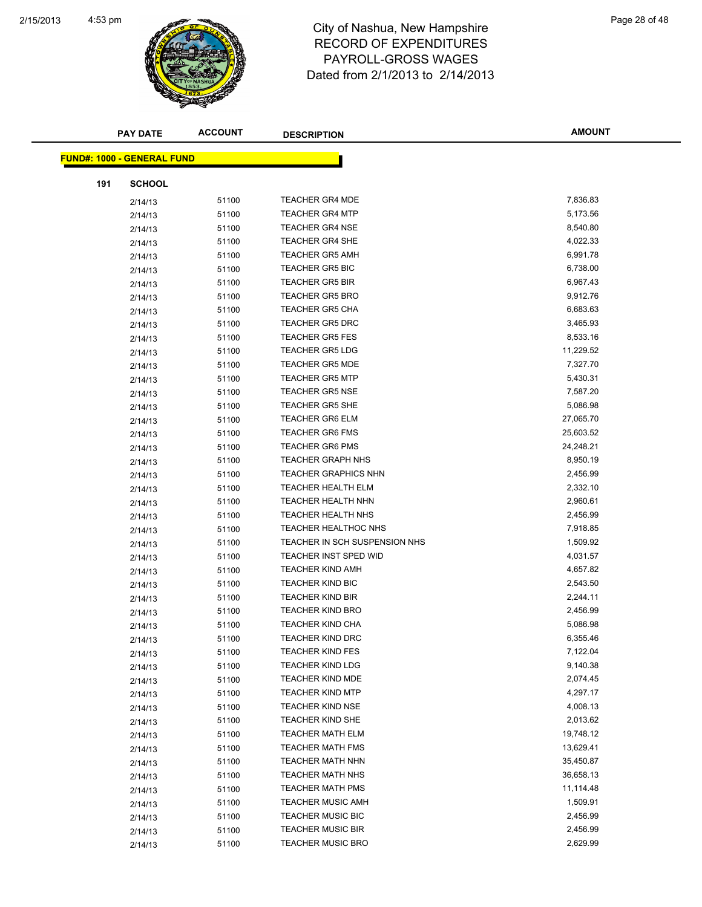

|     | <b>PAY DATE</b>                   | <b>ACCOUNT</b> | <b>DESCRIPTION</b>            | <b>AMOUNT</b> |
|-----|-----------------------------------|----------------|-------------------------------|---------------|
|     | <b>FUND#: 1000 - GENERAL FUND</b> |                |                               |               |
|     |                                   |                |                               |               |
| 191 | <b>SCHOOL</b>                     |                |                               |               |
|     | 2/14/13                           | 51100          | <b>TEACHER GR4 MDE</b>        | 7,836.83      |
|     | 2/14/13                           | 51100          | <b>TEACHER GR4 MTP</b>        | 5,173.56      |
|     | 2/14/13                           | 51100          | <b>TEACHER GR4 NSE</b>        | 8,540.80      |
|     | 2/14/13                           | 51100          | <b>TEACHER GR4 SHE</b>        | 4,022.33      |
|     | 2/14/13                           | 51100          | <b>TEACHER GR5 AMH</b>        | 6,991.78      |
|     | 2/14/13                           | 51100          | <b>TEACHER GR5 BIC</b>        | 6,738.00      |
|     | 2/14/13                           | 51100          | <b>TEACHER GR5 BIR</b>        | 6,967.43      |
|     | 2/14/13                           | 51100          | <b>TEACHER GR5 BRO</b>        | 9,912.76      |
|     | 2/14/13                           | 51100          | <b>TEACHER GR5 CHA</b>        | 6,683.63      |
|     | 2/14/13                           | 51100          | <b>TEACHER GR5 DRC</b>        | 3,465.93      |
|     | 2/14/13                           | 51100          | <b>TEACHER GR5 FES</b>        | 8,533.16      |
|     | 2/14/13                           | 51100          | <b>TEACHER GR5 LDG</b>        | 11,229.52     |
|     | 2/14/13                           | 51100          | <b>TEACHER GR5 MDE</b>        | 7,327.70      |
|     | 2/14/13                           | 51100          | <b>TEACHER GR5 MTP</b>        | 5,430.31      |
|     | 2/14/13                           | 51100          | <b>TEACHER GR5 NSE</b>        | 7,587.20      |
|     | 2/14/13                           | 51100          | <b>TEACHER GR5 SHE</b>        | 5,086.98      |
|     | 2/14/13                           | 51100          | <b>TEACHER GR6 ELM</b>        | 27,065.70     |
|     | 2/14/13                           | 51100          | <b>TEACHER GR6 FMS</b>        | 25,603.52     |
|     | 2/14/13                           | 51100          | <b>TEACHER GR6 PMS</b>        | 24,248.21     |
|     | 2/14/13                           | 51100          | <b>TEACHER GRAPH NHS</b>      | 8,950.19      |
|     | 2/14/13                           | 51100          | <b>TEACHER GRAPHICS NHN</b>   | 2,456.99      |
|     | 2/14/13                           | 51100          | <b>TEACHER HEALTH ELM</b>     | 2,332.10      |
|     | 2/14/13                           | 51100          | <b>TEACHER HEALTH NHN</b>     | 2,960.61      |
|     | 2/14/13                           | 51100          | <b>TEACHER HEALTH NHS</b>     | 2,456.99      |
|     | 2/14/13                           | 51100          | <b>TEACHER HEALTHOC NHS</b>   | 7,918.85      |
|     | 2/14/13                           | 51100          | TEACHER IN SCH SUSPENSION NHS | 1,509.92      |
|     | 2/14/13                           | 51100          | <b>TEACHER INST SPED WID</b>  | 4,031.57      |
|     | 2/14/13                           | 51100          | <b>TEACHER KIND AMH</b>       | 4,657.82      |
|     | 2/14/13                           | 51100          | <b>TEACHER KIND BIC</b>       | 2,543.50      |
|     | 2/14/13                           | 51100          | <b>TEACHER KIND BIR</b>       | 2,244.11      |
|     | 2/14/13                           | 51100          | <b>TEACHER KIND BRO</b>       | 2,456.99      |
|     | 2/14/13                           | 51100          | <b>TEACHER KIND CHA</b>       | 5,086.98      |
|     | 2/14/13                           | 51100          | TEACHER KIND DRC              | 6,355.46      |
|     | 2/14/13                           | 51100          | <b>TEACHER KIND FES</b>       | 7,122.04      |
|     | 2/14/13                           | 51100          | <b>TEACHER KIND LDG</b>       | 9,140.38      |
|     | 2/14/13                           | 51100          | <b>TEACHER KIND MDE</b>       | 2,074.45      |
|     | 2/14/13                           | 51100          | <b>TEACHER KIND MTP</b>       | 4,297.17      |
|     | 2/14/13                           | 51100          | <b>TEACHER KIND NSE</b>       | 4,008.13      |
|     | 2/14/13                           | 51100          | <b>TEACHER KIND SHE</b>       | 2,013.62      |
|     | 2/14/13                           | 51100          | <b>TEACHER MATH ELM</b>       | 19,748.12     |
|     | 2/14/13                           | 51100          | <b>TEACHER MATH FMS</b>       | 13,629.41     |
|     | 2/14/13                           | 51100          | TEACHER MATH NHN              | 35,450.87     |
|     | 2/14/13                           | 51100          | TEACHER MATH NHS              | 36,658.13     |
|     | 2/14/13                           | 51100          | <b>TEACHER MATH PMS</b>       | 11,114.48     |
|     | 2/14/13                           | 51100          | <b>TEACHER MUSIC AMH</b>      | 1,509.91      |
|     | 2/14/13                           | 51100          | TEACHER MUSIC BIC             | 2,456.99      |
|     | 2/14/13                           | 51100          | <b>TEACHER MUSIC BIR</b>      | 2,456.99      |
|     | 2/14/13                           | 51100          | <b>TEACHER MUSIC BRO</b>      | 2,629.99      |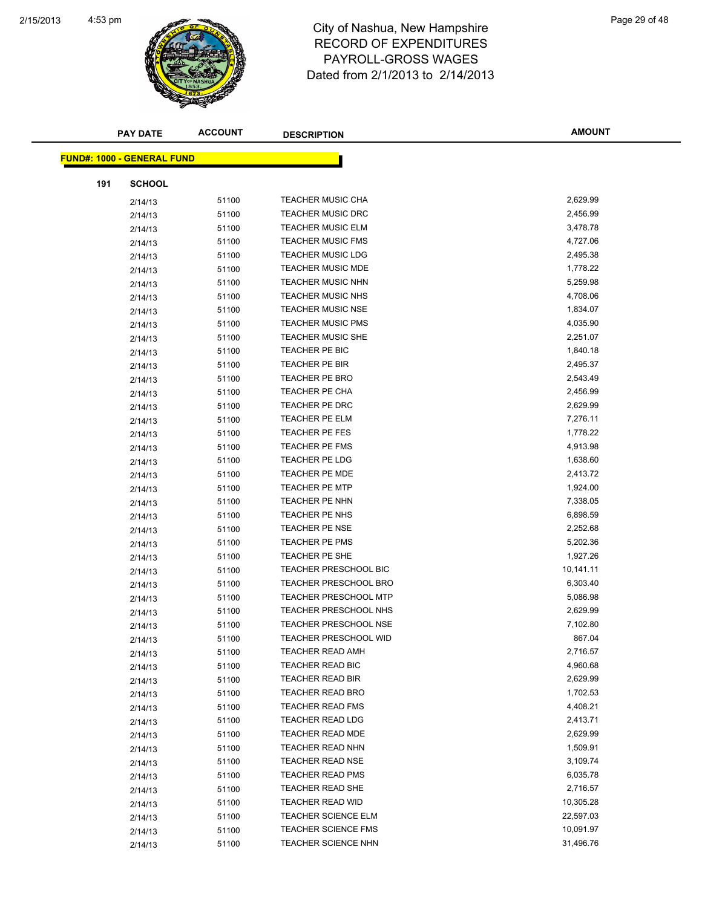

|     | <b>PAY DATE</b>                   | <b>ACCOUNT</b> | <b>DESCRIPTION</b>           | <b>AMOUNT</b> |
|-----|-----------------------------------|----------------|------------------------------|---------------|
|     | <b>FUND#: 1000 - GENERAL FUND</b> |                |                              |               |
|     |                                   |                |                              |               |
| 191 | <b>SCHOOL</b>                     |                |                              |               |
|     | 2/14/13                           | 51100          | <b>TEACHER MUSIC CHA</b>     | 2,629.99      |
|     | 2/14/13                           | 51100          | <b>TEACHER MUSIC DRC</b>     | 2,456.99      |
|     | 2/14/13                           | 51100          | <b>TEACHER MUSIC ELM</b>     | 3,478.78      |
|     | 2/14/13                           | 51100          | <b>TEACHER MUSIC FMS</b>     | 4,727.06      |
|     | 2/14/13                           | 51100          | <b>TEACHER MUSIC LDG</b>     | 2,495.38      |
|     | 2/14/13                           | 51100          | <b>TEACHER MUSIC MDE</b>     | 1,778.22      |
|     | 2/14/13                           | 51100          | <b>TEACHER MUSIC NHN</b>     | 5,259.98      |
|     | 2/14/13                           | 51100          | <b>TEACHER MUSIC NHS</b>     | 4,708.06      |
|     | 2/14/13                           | 51100          | <b>TEACHER MUSIC NSE</b>     | 1,834.07      |
|     | 2/14/13                           | 51100          | <b>TEACHER MUSIC PMS</b>     | 4,035.90      |
|     | 2/14/13                           | 51100          | <b>TEACHER MUSIC SHE</b>     | 2,251.07      |
|     | 2/14/13                           | 51100          | TEACHER PE BIC               | 1,840.18      |
|     | 2/14/13                           | 51100          | <b>TEACHER PE BIR</b>        | 2,495.37      |
|     | 2/14/13                           | 51100          | <b>TEACHER PE BRO</b>        | 2,543.49      |
|     | 2/14/13                           | 51100          | <b>TEACHER PE CHA</b>        | 2,456.99      |
|     | 2/14/13                           | 51100          | TEACHER PE DRC               | 2,629.99      |
|     | 2/14/13                           | 51100          | TEACHER PE ELM               | 7,276.11      |
|     | 2/14/13                           | 51100          | <b>TEACHER PE FES</b>        | 1,778.22      |
|     | 2/14/13                           | 51100          | <b>TEACHER PE FMS</b>        | 4,913.98      |
|     | 2/14/13                           | 51100          | <b>TEACHER PE LDG</b>        | 1,638.60      |
|     | 2/14/13                           | 51100          | <b>TEACHER PE MDE</b>        | 2,413.72      |
|     | 2/14/13                           | 51100          | <b>TEACHER PE MTP</b>        | 1,924.00      |
|     | 2/14/13                           | 51100          | TEACHER PE NHN               | 7,338.05      |
|     | 2/14/13                           | 51100          | TEACHER PE NHS               | 6,898.59      |
|     | 2/14/13                           | 51100          | TEACHER PE NSE               | 2,252.68      |
|     | 2/14/13                           | 51100          | TEACHER PE PMS               | 5,202.36      |
|     | 2/14/13                           | 51100          | TEACHER PE SHE               | 1,927.26      |
|     | 2/14/13                           | 51100          | <b>TEACHER PRESCHOOL BIC</b> | 10,141.11     |
|     | 2/14/13                           | 51100          | <b>TEACHER PRESCHOOL BRO</b> | 6,303.40      |
|     | 2/14/13                           | 51100          | <b>TEACHER PRESCHOOL MTP</b> | 5,086.98      |
|     | 2/14/13                           | 51100          | <b>TEACHER PRESCHOOL NHS</b> | 2,629.99      |
|     | 2/14/13                           | 51100          | <b>TEACHER PRESCHOOL NSE</b> | 7,102.80      |
|     | 2/14/13                           | 51100          | TEACHER PRESCHOOL WID        | 867.04        |
|     | 2/14/13                           | 51100          | <b>TEACHER READ AMH</b>      | 2,716.57      |
|     | 2/14/13                           | 51100          | TEACHER READ BIC             | 4,960.68      |
|     | 2/14/13                           | 51100          | <b>TEACHER READ BIR</b>      | 2,629.99      |
|     | 2/14/13                           | 51100          | <b>TEACHER READ BRO</b>      | 1,702.53      |
|     | 2/14/13                           | 51100          | <b>TEACHER READ FMS</b>      | 4,408.21      |
|     | 2/14/13                           | 51100          | TEACHER READ LDG             | 2,413.71      |
|     | 2/14/13                           | 51100          | <b>TEACHER READ MDE</b>      | 2,629.99      |
|     | 2/14/13                           | 51100          | TEACHER READ NHN             | 1,509.91      |
|     | 2/14/13                           | 51100          | <b>TEACHER READ NSE</b>      | 3,109.74      |
|     | 2/14/13                           | 51100          | <b>TEACHER READ PMS</b>      | 6,035.78      |
|     | 2/14/13                           | 51100          | TEACHER READ SHE             | 2,716.57      |
|     | 2/14/13                           | 51100          | <b>TEACHER READ WID</b>      | 10,305.28     |
|     | 2/14/13                           | 51100          | <b>TEACHER SCIENCE ELM</b>   | 22,597.03     |
|     | 2/14/13                           | 51100          | <b>TEACHER SCIENCE FMS</b>   | 10,091.97     |
|     | 2/14/13                           | 51100          | TEACHER SCIENCE NHN          | 31,496.76     |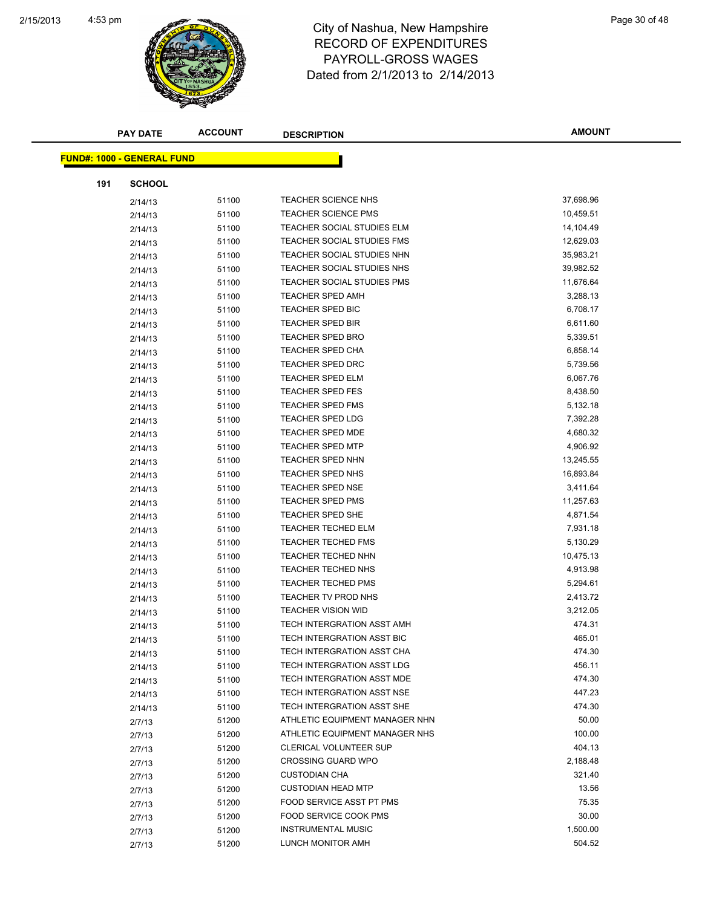

| <b>PAY DATE</b>                   | <b>ACCOUNT</b> | <b>DESCRIPTION</b>                | <b>AMOUNT</b> |
|-----------------------------------|----------------|-----------------------------------|---------------|
| <b>FUND#: 1000 - GENERAL FUND</b> |                |                                   |               |
|                                   |                |                                   |               |
| 191<br><b>SCHOOL</b>              |                |                                   |               |
| 2/14/13                           | 51100          | <b>TEACHER SCIENCE NHS</b>        | 37,698.96     |
| 2/14/13                           | 51100          | <b>TEACHER SCIENCE PMS</b>        | 10,459.51     |
| 2/14/13                           | 51100          | TEACHER SOCIAL STUDIES ELM        | 14,104.49     |
| 2/14/13                           | 51100          | TEACHER SOCIAL STUDIES FMS        | 12,629.03     |
| 2/14/13                           | 51100          | TEACHER SOCIAL STUDIES NHN        | 35,983.21     |
| 2/14/13                           | 51100          | TEACHER SOCIAL STUDIES NHS        | 39,982.52     |
| 2/14/13                           | 51100          | TEACHER SOCIAL STUDIES PMS        | 11,676.64     |
| 2/14/13                           | 51100          | <b>TEACHER SPED AMH</b>           | 3,288.13      |
| 2/14/13                           | 51100          | <b>TEACHER SPED BIC</b>           | 6,708.17      |
| 2/14/13                           | 51100          | <b>TEACHER SPED BIR</b>           | 6,611.60      |
| 2/14/13                           | 51100          | <b>TEACHER SPED BRO</b>           | 5,339.51      |
| 2/14/13                           | 51100          | TEACHER SPED CHA                  | 6,858.14      |
| 2/14/13                           | 51100          | <b>TEACHER SPED DRC</b>           | 5,739.56      |
| 2/14/13                           | 51100          | <b>TEACHER SPED ELM</b>           | 6,067.76      |
| 2/14/13                           | 51100          | <b>TEACHER SPED FES</b>           | 8,438.50      |
| 2/14/13                           | 51100          | <b>TEACHER SPED FMS</b>           | 5,132.18      |
| 2/14/13                           | 51100          | <b>TEACHER SPED LDG</b>           | 7,392.28      |
| 2/14/13                           | 51100          | <b>TEACHER SPED MDE</b>           | 4,680.32      |
| 2/14/13                           | 51100          | <b>TEACHER SPED MTP</b>           | 4,906.92      |
| 2/14/13                           | 51100          | <b>TEACHER SPED NHN</b>           | 13,245.55     |
| 2/14/13                           | 51100          | <b>TEACHER SPED NHS</b>           | 16,893.84     |
| 2/14/13                           | 51100          | <b>TEACHER SPED NSE</b>           | 3,411.64      |
| 2/14/13                           | 51100          | <b>TEACHER SPED PMS</b>           | 11,257.63     |
| 2/14/13                           | 51100          | <b>TEACHER SPED SHE</b>           | 4,871.54      |
| 2/14/13                           | 51100          | <b>TEACHER TECHED ELM</b>         | 7,931.18      |
| 2/14/13                           | 51100          | <b>TEACHER TECHED FMS</b>         | 5,130.29      |
| 2/14/13                           | 51100          | <b>TEACHER TECHED NHN</b>         | 10,475.13     |
| 2/14/13                           | 51100          | <b>TEACHER TECHED NHS</b>         | 4,913.98      |
| 2/14/13                           | 51100          | <b>TEACHER TECHED PMS</b>         | 5,294.61      |
| 2/14/13                           | 51100          | TEACHER TV PROD NHS               | 2,413.72      |
| 2/14/13                           | 51100          | <b>TEACHER VISION WID</b>         | 3,212.05      |
| 2/14/13                           | 51100          | <b>TECH INTERGRATION ASST AMH</b> | 474.31        |
| 2/14/13                           | 51100          | TECH INTERGRATION ASST BIC        | 465.01        |
| 2/14/13                           | 51100          | TECH INTERGRATION ASST CHA        | 474.30        |
| 2/14/13                           | 51100          | TECH INTERGRATION ASST LDG        | 456.11        |
| 2/14/13                           | 51100          | TECH INTERGRATION ASST MDE        | 474.30        |
| 2/14/13                           | 51100          | TECH INTERGRATION ASST NSE        | 447.23        |
| 2/14/13                           | 51100          | TECH INTERGRATION ASST SHE        | 474.30        |
| 2/7/13                            | 51200          | ATHLETIC EQUIPMENT MANAGER NHN    | 50.00         |
| 2/7/13                            | 51200          | ATHLETIC EQUIPMENT MANAGER NHS    | 100.00        |
| 2/7/13                            | 51200          | <b>CLERICAL VOLUNTEER SUP</b>     | 404.13        |
| 2/7/13                            | 51200          | <b>CROSSING GUARD WPO</b>         | 2,188.48      |
| 2/7/13                            | 51200          | <b>CUSTODIAN CHA</b>              | 321.40        |
| 2/7/13                            | 51200          | <b>CUSTODIAN HEAD MTP</b>         | 13.56         |
|                                   | 51200          | FOOD SERVICE ASST PT PMS          | 75.35         |
| 2/7/13                            | 51200          | FOOD SERVICE COOK PMS             | 30.00         |
| 2/7/13                            | 51200          | <b>INSTRUMENTAL MUSIC</b>         | 1,500.00      |
| 2/7/13                            | 51200          | LUNCH MONITOR AMH                 | 504.52        |
| 2/7/13                            |                |                                   |               |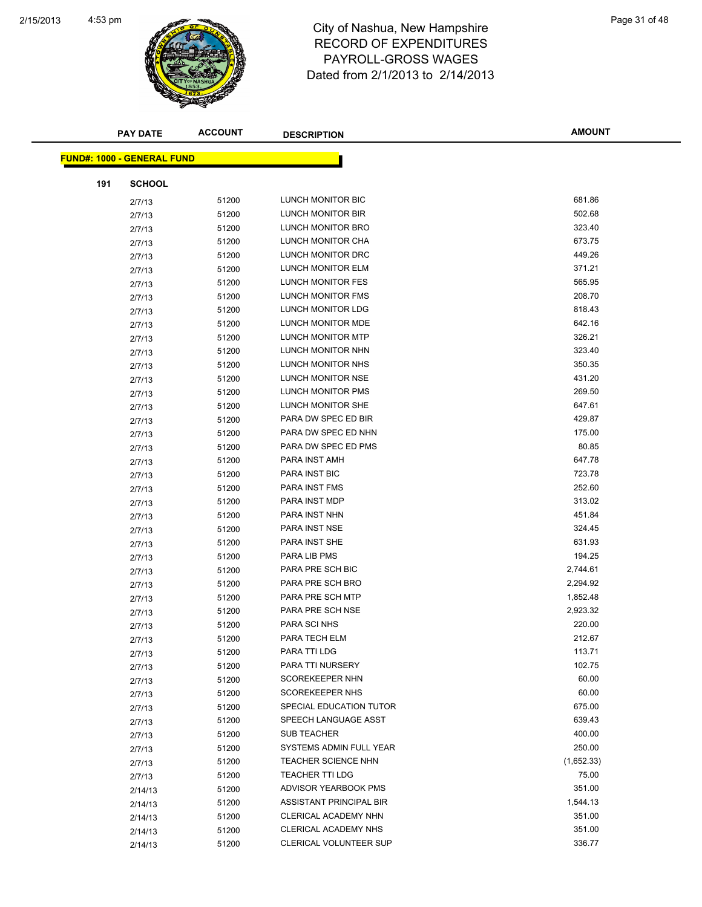

|     | <b>PAY DATE</b>                   | <b>ACCOUNT</b> | <b>DESCRIPTION</b>         | <b>AMOUNT</b> |
|-----|-----------------------------------|----------------|----------------------------|---------------|
|     | <b>FUND#: 1000 - GENERAL FUND</b> |                |                            |               |
|     |                                   |                |                            |               |
| 191 | <b>SCHOOL</b>                     |                |                            |               |
|     | 2/7/13                            | 51200          | LUNCH MONITOR BIC          | 681.86        |
|     | 2/7/13                            | 51200          | LUNCH MONITOR BIR          | 502.68        |
|     | 2/7/13                            | 51200          | LUNCH MONITOR BRO          | 323.40        |
|     | 2/7/13                            | 51200          | LUNCH MONITOR CHA          | 673.75        |
|     | 2/7/13                            | 51200          | LUNCH MONITOR DRC          | 449.26        |
|     | 2/7/13                            | 51200          | LUNCH MONITOR ELM          | 371.21        |
|     | 2/7/13                            | 51200          | LUNCH MONITOR FES          | 565.95        |
|     | 2/7/13                            | 51200          | LUNCH MONITOR FMS          | 208.70        |
|     | 2/7/13                            | 51200          | LUNCH MONITOR LDG          | 818.43        |
|     | 2/7/13                            | 51200          | LUNCH MONITOR MDE          | 642.16        |
|     | 2/7/13                            | 51200          | LUNCH MONITOR MTP          | 326.21        |
|     | 2/7/13                            | 51200          | LUNCH MONITOR NHN          | 323.40        |
|     | 2/7/13                            | 51200          | LUNCH MONITOR NHS          | 350.35        |
|     | 2/7/13                            | 51200          | LUNCH MONITOR NSE          | 431.20        |
|     | 2/7/13                            | 51200          | <b>LUNCH MONITOR PMS</b>   | 269.50        |
|     | 2/7/13                            | 51200          | LUNCH MONITOR SHE          | 647.61        |
|     | 2/7/13                            | 51200          | PARA DW SPEC ED BIR        | 429.87        |
|     | 2/7/13                            | 51200          | PARA DW SPEC ED NHN        | 175.00        |
|     | 2/7/13                            | 51200          | PARA DW SPEC ED PMS        | 80.85         |
|     | 2/7/13                            | 51200          | PARA INST AMH              | 647.78        |
|     | 2/7/13                            | 51200          | PARA INST BIC              | 723.78        |
|     | 2/7/13                            | 51200          | PARA INST FMS              | 252.60        |
|     | 2/7/13                            | 51200          | PARA INST MDP              | 313.02        |
|     | 2/7/13                            | 51200          | PARA INST NHN              | 451.84        |
|     | 2/7/13                            | 51200          | PARA INST NSE              | 324.45        |
|     | 2/7/13                            | 51200          | PARA INST SHE              | 631.93        |
|     | 2/7/13                            | 51200          | PARA LIB PMS               | 194.25        |
|     | 2/7/13                            | 51200          | PARA PRE SCH BIC           | 2,744.61      |
|     | 2/7/13                            | 51200          | PARA PRE SCH BRO           | 2,294.92      |
|     | 2/7/13                            | 51200          | PARA PRE SCH MTP           | 1,852.48      |
|     | 2/7/13                            | 51200          | PARA PRE SCH NSE           | 2,923.32      |
|     | 2/7/13                            | 51200          | PARA SCI NHS               | 220.00        |
|     | 2/7/13                            | 51200          | PARA TECH ELM              | 212.67        |
|     | 2/7/13                            | 51200          | PARA TTI LDG               | 113.71        |
|     | 2/7/13                            | 51200          | PARA TTI NURSERY           | 102.75        |
|     | 2/7/13                            | 51200          | <b>SCOREKEEPER NHN</b>     | 60.00         |
|     | 2/7/13                            | 51200          | SCOREKEEPER NHS            | 60.00         |
|     | 2/7/13                            | 51200          | SPECIAL EDUCATION TUTOR    | 675.00        |
|     | 2/7/13                            | 51200          | SPEECH LANGUAGE ASST       | 639.43        |
|     | 2/7/13                            | 51200          | <b>SUB TEACHER</b>         | 400.00        |
|     | 2/7/13                            | 51200          | SYSTEMS ADMIN FULL YEAR    | 250.00        |
|     | 2/7/13                            | 51200          | <b>TEACHER SCIENCE NHN</b> | (1,652.33)    |
|     | 2/7/13                            | 51200          | <b>TEACHER TTI LDG</b>     | 75.00         |
|     | 2/14/13                           | 51200          | ADVISOR YEARBOOK PMS       | 351.00        |
|     | 2/14/13                           | 51200          | ASSISTANT PRINCIPAL BIR    | 1,544.13      |
|     | 2/14/13                           | 51200          | CLERICAL ACADEMY NHN       | 351.00        |
|     | 2/14/13                           | 51200          | CLERICAL ACADEMY NHS       | 351.00        |
|     | 2/14/13                           | 51200          | CLERICAL VOLUNTEER SUP     | 336.77        |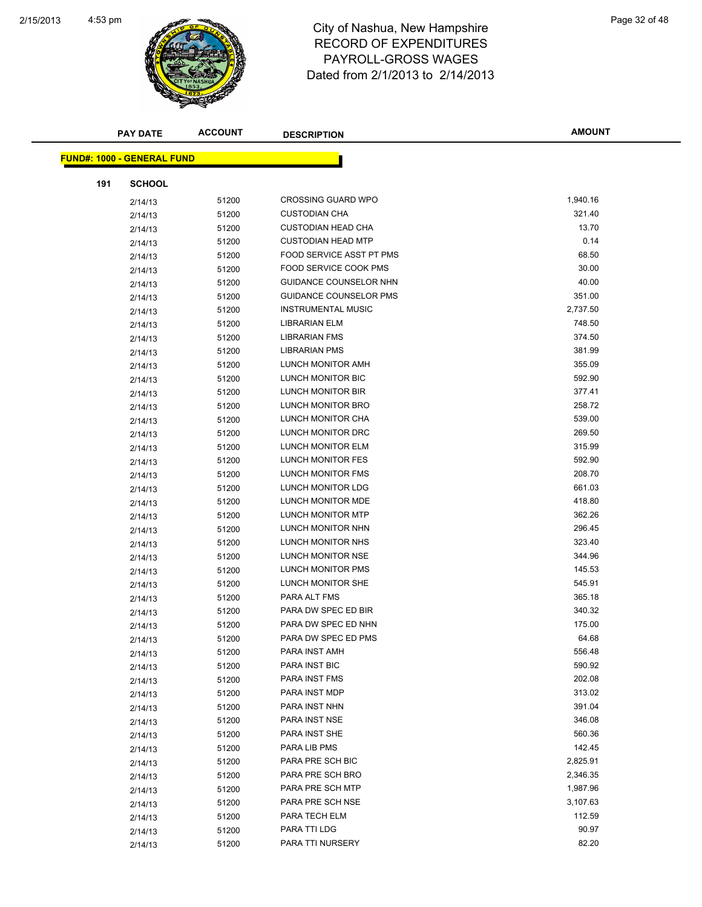

| <b>PAY DATE</b>                   | <b>ACCOUNT</b> | <b>DESCRIPTION</b>            | <b>AMOUNT</b> |
|-----------------------------------|----------------|-------------------------------|---------------|
|                                   |                |                               |               |
| <b>FUND#: 1000 - GENERAL FUND</b> |                |                               |               |
| 191<br><b>SCHOOL</b>              |                |                               |               |
| 2/14/13                           | 51200          | <b>CROSSING GUARD WPO</b>     | 1,940.16      |
| 2/14/13                           | 51200          | <b>CUSTODIAN CHA</b>          | 321.40        |
| 2/14/13                           | 51200          | <b>CUSTODIAN HEAD CHA</b>     | 13.70         |
| 2/14/13                           | 51200          | <b>CUSTODIAN HEAD MTP</b>     | 0.14          |
| 2/14/13                           | 51200          | FOOD SERVICE ASST PT PMS      | 68.50         |
| 2/14/13                           | 51200          | <b>FOOD SERVICE COOK PMS</b>  | 30.00         |
| 2/14/13                           | 51200          | GUIDANCE COUNSELOR NHN        | 40.00         |
| 2/14/13                           | 51200          | <b>GUIDANCE COUNSELOR PMS</b> | 351.00        |
| 2/14/13                           | 51200          | <b>INSTRUMENTAL MUSIC</b>     | 2,737.50      |
| 2/14/13                           | 51200          | <b>LIBRARIAN ELM</b>          | 748.50        |
| 2/14/13                           | 51200          | <b>LIBRARIAN FMS</b>          | 374.50        |
| 2/14/13                           | 51200          | <b>LIBRARIAN PMS</b>          | 381.99        |
| 2/14/13                           | 51200          | LUNCH MONITOR AMH             | 355.09        |
| 2/14/13                           | 51200          | LUNCH MONITOR BIC             | 592.90        |
| 2/14/13                           | 51200          | LUNCH MONITOR BIR             | 377.41        |
| 2/14/13                           | 51200          | LUNCH MONITOR BRO             | 258.72        |
| 2/14/13                           | 51200          | LUNCH MONITOR CHA             | 539.00        |
| 2/14/13                           | 51200          | LUNCH MONITOR DRC             | 269.50        |
| 2/14/13                           | 51200          | LUNCH MONITOR ELM             | 315.99        |
| 2/14/13                           | 51200          | LUNCH MONITOR FES             | 592.90        |
| 2/14/13                           | 51200          | LUNCH MONITOR FMS             | 208.70        |
| 2/14/13                           | 51200          | LUNCH MONITOR LDG             | 661.03        |
| 2/14/13                           | 51200          | LUNCH MONITOR MDE             | 418.80        |
| 2/14/13                           | 51200          | LUNCH MONITOR MTP             | 362.26        |
| 2/14/13                           | 51200          | LUNCH MONITOR NHN             | 296.45        |
| 2/14/13                           | 51200          | LUNCH MONITOR NHS             | 323.40        |
| 2/14/13                           | 51200          | LUNCH MONITOR NSE             | 344.96        |
| 2/14/13                           | 51200          | LUNCH MONITOR PMS             | 145.53        |
| 2/14/13                           | 51200          | LUNCH MONITOR SHE             | 545.91        |
| 2/14/13                           | 51200          | PARA ALT FMS                  | 365.18        |
| 2/14/13                           | 51200          | PARA DW SPEC ED BIR           | 340.32        |
| 2/14/13                           | 51200          | PARA DW SPEC ED NHN           | 175.00        |
| 2/14/13                           | 51200          | PARA DW SPEC ED PMS           | 64.68         |
| 2/14/13                           | 51200          | PARA INST AMH                 | 556.48        |
| 2/14/13                           | 51200          | PARA INST BIC                 | 590.92        |
| 2/14/13                           | 51200          | PARA INST FMS                 | 202.08        |
| 2/14/13                           | 51200          | PARA INST MDP                 | 313.02        |
| 2/14/13                           | 51200          | PARA INST NHN                 | 391.04        |
| 2/14/13                           | 51200          | PARA INST NSE                 | 346.08        |
| 2/14/13                           | 51200          | PARA INST SHE                 | 560.36        |
| 2/14/13                           | 51200          | PARA LIB PMS                  | 142.45        |
| 2/14/13                           | 51200          | PARA PRE SCH BIC              | 2,825.91      |
| 2/14/13                           | 51200          | PARA PRE SCH BRO              | 2,346.35      |
| 2/14/13                           | 51200          | PARA PRE SCH MTP              | 1,987.96      |
| 2/14/13                           | 51200          | PARA PRE SCH NSE              | 3,107.63      |
| 2/14/13                           | 51200          | PARA TECH ELM                 | 112.59        |
| 2/14/13                           | 51200          | PARA TTI LDG                  | 90.97         |
| 2/14/13                           | 51200          | PARA TTI NURSERY              | 82.20         |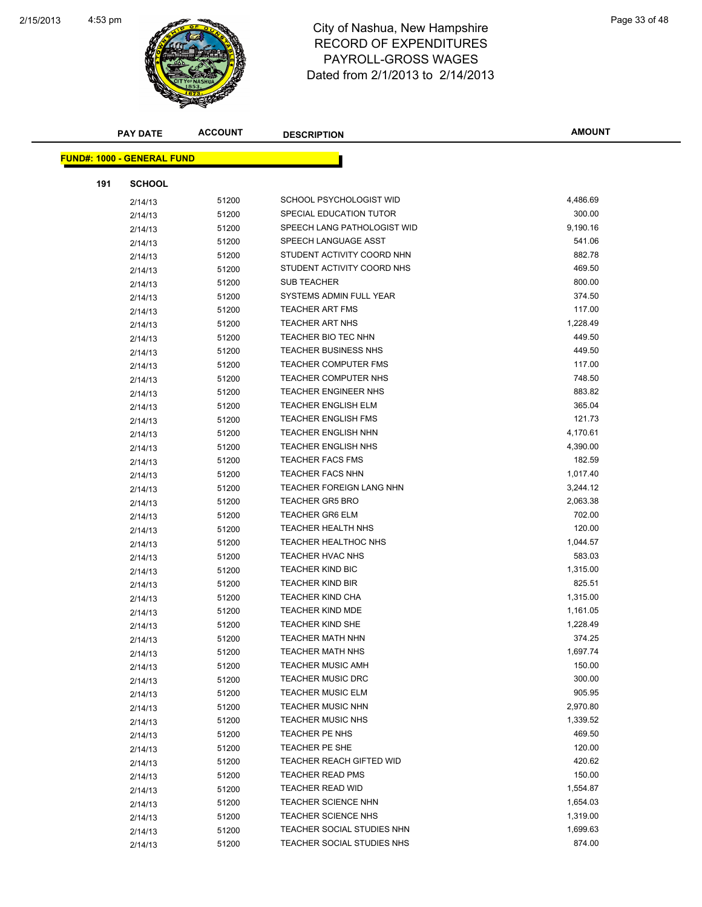

|     | <b>PAY DATE</b>                   | <b>ACCOUNT</b> | <b>DESCRIPTION</b>              | <b>AMOUNT</b> |
|-----|-----------------------------------|----------------|---------------------------------|---------------|
|     | <b>FUND#: 1000 - GENERAL FUND</b> |                |                                 |               |
|     |                                   |                |                                 |               |
| 191 | <b>SCHOOL</b>                     |                |                                 |               |
|     | 2/14/13                           | 51200          | SCHOOL PSYCHOLOGIST WID         | 4,486.69      |
|     | 2/14/13                           | 51200          | SPECIAL EDUCATION TUTOR         | 300.00        |
|     | 2/14/13                           | 51200          | SPEECH LANG PATHOLOGIST WID     | 9,190.16      |
|     | 2/14/13                           | 51200          | SPEECH LANGUAGE ASST            | 541.06        |
|     | 2/14/13                           | 51200          | STUDENT ACTIVITY COORD NHN      | 882.78        |
|     | 2/14/13                           | 51200          | STUDENT ACTIVITY COORD NHS      | 469.50        |
|     | 2/14/13                           | 51200          | <b>SUB TEACHER</b>              | 800.00        |
|     | 2/14/13                           | 51200          | SYSTEMS ADMIN FULL YEAR         | 374.50        |
|     | 2/14/13                           | 51200          | <b>TEACHER ART FMS</b>          | 117.00        |
|     | 2/14/13                           | 51200          | <b>TEACHER ART NHS</b>          | 1,228.49      |
|     | 2/14/13                           | 51200          | <b>TEACHER BIO TEC NHN</b>      | 449.50        |
|     | 2/14/13                           | 51200          | <b>TEACHER BUSINESS NHS</b>     | 449.50        |
|     | 2/14/13                           | 51200          | <b>TEACHER COMPUTER FMS</b>     | 117.00        |
|     | 2/14/13                           | 51200          | <b>TEACHER COMPUTER NHS</b>     | 748.50        |
|     | 2/14/13                           | 51200          | <b>TEACHER ENGINEER NHS</b>     | 883.82        |
|     | 2/14/13                           | 51200          | <b>TEACHER ENGLISH ELM</b>      | 365.04        |
|     | 2/14/13                           | 51200          | <b>TEACHER ENGLISH FMS</b>      | 121.73        |
|     | 2/14/13                           | 51200          | <b>TEACHER ENGLISH NHN</b>      | 4,170.61      |
|     | 2/14/13                           | 51200          | <b>TEACHER ENGLISH NHS</b>      | 4,390.00      |
|     | 2/14/13                           | 51200          | <b>TEACHER FACS FMS</b>         | 182.59        |
|     | 2/14/13                           | 51200          | <b>TEACHER FACS NHN</b>         | 1,017.40      |
|     | 2/14/13                           | 51200          | <b>TEACHER FOREIGN LANG NHN</b> | 3,244.12      |
|     | 2/14/13                           | 51200          | <b>TEACHER GR5 BRO</b>          | 2,063.38      |
|     | 2/14/13                           | 51200          | <b>TEACHER GR6 ELM</b>          | 702.00        |
|     | 2/14/13                           | 51200          | <b>TEACHER HEALTH NHS</b>       | 120.00        |
|     | 2/14/13                           | 51200          | <b>TEACHER HEALTHOC NHS</b>     | 1,044.57      |
|     | 2/14/13                           | 51200          | <b>TEACHER HVAC NHS</b>         | 583.03        |
|     | 2/14/13                           | 51200          | <b>TEACHER KIND BIC</b>         | 1,315.00      |
|     | 2/14/13                           | 51200          | <b>TEACHER KIND BIR</b>         | 825.51        |
|     | 2/14/13                           | 51200          | <b>TEACHER KIND CHA</b>         | 1,315.00      |
|     | 2/14/13                           | 51200          | <b>TEACHER KIND MDE</b>         | 1,161.05      |
|     | 2/14/13                           | 51200          | <b>TEACHER KIND SHE</b>         | 1,228.49      |
|     | 2/14/13                           | 51200          | TEACHER MATH NHN                | 374.25        |
|     | 2/14/13                           | 51200          | <b>TEACHER MATH NHS</b>         | 1,697.74      |
|     | 2/14/13                           | 51200          | <b>TEACHER MUSIC AMH</b>        | 150.00        |
|     | 2/14/13                           | 51200          | <b>TEACHER MUSIC DRC</b>        | 300.00        |
|     | 2/14/13                           | 51200          | <b>TEACHER MUSIC ELM</b>        | 905.95        |
|     | 2/14/13                           | 51200          | <b>TEACHER MUSIC NHN</b>        | 2,970.80      |
|     | 2/14/13                           | 51200          | <b>TEACHER MUSIC NHS</b>        | 1,339.52      |
|     | 2/14/13                           | 51200          | TEACHER PE NHS                  | 469.50        |
|     | 2/14/13                           | 51200          | TEACHER PE SHE                  | 120.00        |
|     | 2/14/13                           | 51200          | TEACHER REACH GIFTED WID        | 420.62        |
|     | 2/14/13                           | 51200          | <b>TEACHER READ PMS</b>         | 150.00        |
|     | 2/14/13                           | 51200          | <b>TEACHER READ WID</b>         | 1,554.87      |
|     | 2/14/13                           | 51200          | <b>TEACHER SCIENCE NHN</b>      | 1,654.03      |
|     | 2/14/13                           | 51200          | <b>TEACHER SCIENCE NHS</b>      | 1,319.00      |
|     | 2/14/13                           | 51200          | TEACHER SOCIAL STUDIES NHN      | 1,699.63      |
|     | 2/14/13                           | 51200          | TEACHER SOCIAL STUDIES NHS      | 874.00        |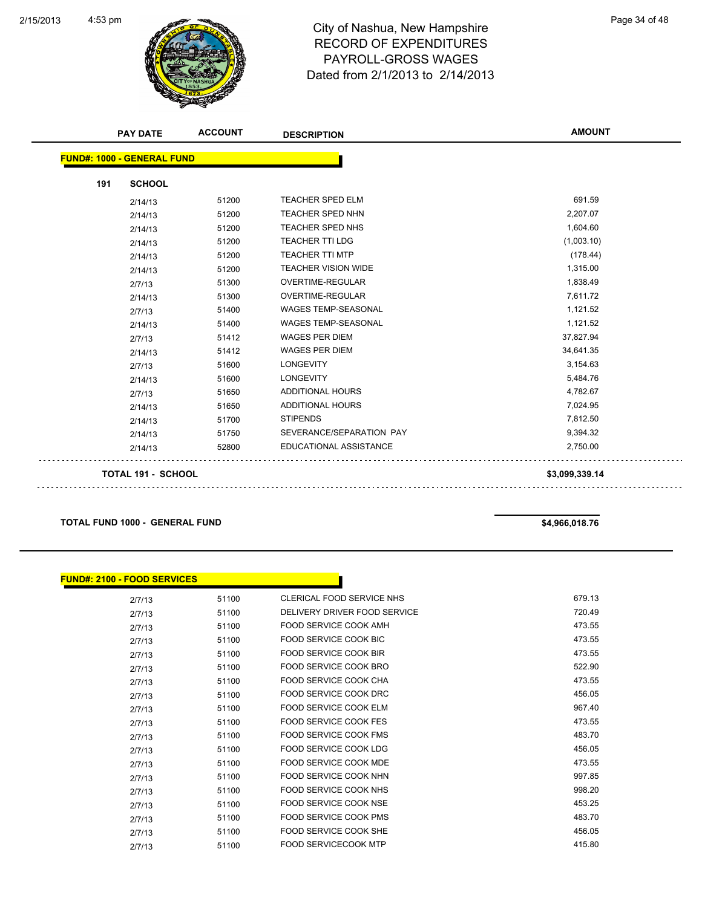

|     | <b>PAY DATE</b>                   | <b>ACCOUNT</b> | <b>DESCRIPTION</b>         | <b>AMOUNT</b>  |
|-----|-----------------------------------|----------------|----------------------------|----------------|
|     | <b>FUND#: 1000 - GENERAL FUND</b> |                |                            |                |
| 191 | <b>SCHOOL</b>                     |                |                            |                |
|     | 2/14/13                           | 51200          | TEACHER SPED ELM           | 691.59         |
|     | 2/14/13                           | 51200          | <b>TEACHER SPED NHN</b>    | 2,207.07       |
|     | 2/14/13                           | 51200          | TEACHER SPED NHS           | 1,604.60       |
|     | 2/14/13                           | 51200          | <b>TEACHER TTI LDG</b>     | (1,003.10)     |
|     | 2/14/13                           | 51200          | <b>TEACHER TTI MTP</b>     | (178.44)       |
|     | 2/14/13                           | 51200          | <b>TEACHER VISION WIDE</b> | 1,315.00       |
|     | 2/7/13                            | 51300          | <b>OVERTIME-REGULAR</b>    | 1,838.49       |
|     | 2/14/13                           | 51300          | OVERTIME-REGULAR           | 7,611.72       |
|     | 2/7/13                            | 51400          | WAGES TEMP-SEASONAL        | 1,121.52       |
|     | 2/14/13                           | 51400          | <b>WAGES TEMP-SEASONAL</b> | 1,121.52       |
|     | 2/7/13                            | 51412          | <b>WAGES PER DIEM</b>      | 37,827.94      |
|     | 2/14/13                           | 51412          | <b>WAGES PER DIEM</b>      | 34,641.35      |
|     | 2/7/13                            | 51600          | <b>LONGEVITY</b>           | 3,154.63       |
|     | 2/14/13                           | 51600          | <b>LONGEVITY</b>           | 5,484.76       |
|     | 2/7/13                            | 51650          | ADDITIONAL HOURS           | 4,782.67       |
|     | 2/14/13                           | 51650          | <b>ADDITIONAL HOURS</b>    | 7,024.95       |
|     | 2/14/13                           | 51700          | <b>STIPENDS</b>            | 7,812.50       |
|     | 2/14/13                           | 51750          | SEVERANCE/SEPARATION PAY   | 9,394.32       |
|     | 2/14/13                           | 52800          | EDUCATIONAL ASSISTANCE     | 2,750.00       |
|     | <b>TOTAL 191 - SCHOOL</b>         |                |                            | \$3,099,339.14 |

**TOTAL FUND 1000 - GENERAL FUND \$4,966,018.76**

| <b>FUND#: 2100 - FOOD SERVICES</b> |       |                              |        |
|------------------------------------|-------|------------------------------|--------|
| 2/7/13                             | 51100 | CLERICAL FOOD SERVICE NHS    | 679.13 |
| 2/7/13                             | 51100 | DELIVERY DRIVER FOOD SERVICE | 720.49 |
| 2/7/13                             | 51100 | <b>FOOD SERVICE COOK AMH</b> | 473.55 |
| 2/7/13                             | 51100 | FOOD SERVICE COOK BIC        | 473.55 |
| 2/7/13                             | 51100 | <b>FOOD SERVICE COOK BIR</b> | 473.55 |
| 2/7/13                             | 51100 | FOOD SERVICE COOK BRO        | 522.90 |
| 2/7/13                             | 51100 | <b>FOOD SERVICE COOK CHA</b> | 473.55 |
| 2/7/13                             | 51100 | FOOD SERVICE COOK DRC        | 456.05 |
| 2/7/13                             | 51100 | FOOD SERVICE COOK ELM        | 967.40 |
| 2/7/13                             | 51100 | FOOD SERVICE COOK FES        | 473.55 |
| 2/7/13                             | 51100 | <b>FOOD SERVICE COOK FMS</b> | 483.70 |
| 2/7/13                             | 51100 | <b>FOOD SERVICE COOK LDG</b> | 456.05 |
| 2/7/13                             | 51100 | <b>FOOD SERVICE COOK MDE</b> | 473.55 |
| 2/7/13                             | 51100 | FOOD SERVICE COOK NHN        | 997.85 |
| 2/7/13                             | 51100 | <b>FOOD SERVICE COOK NHS</b> | 998.20 |
| 2/7/13                             | 51100 | <b>FOOD SERVICE COOK NSE</b> | 453.25 |
| 2/7/13                             | 51100 | <b>FOOD SERVICE COOK PMS</b> | 483.70 |
| 2/7/13                             | 51100 | <b>FOOD SERVICE COOK SHE</b> | 456.05 |
| 2/7/13                             | 51100 | <b>FOOD SERVICECOOK MTP</b>  | 415.80 |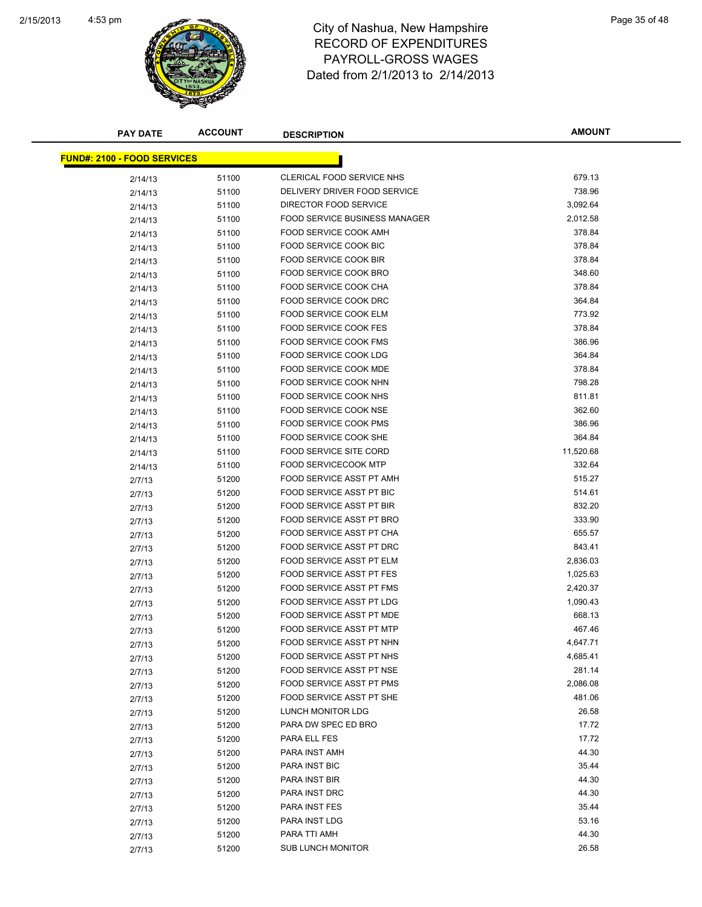

| <b>PAY DATE</b>                    | <b>ACCOUNT</b> | <b>DESCRIPTION</b>            | <b>AMOUNT</b>  |
|------------------------------------|----------------|-------------------------------|----------------|
| <b>FUND#: 2100 - FOOD SERVICES</b> |                |                               |                |
|                                    |                | CLERICAL FOOD SERVICE NHS     | 679.13         |
| 2/14/13                            | 51100          | DELIVERY DRIVER FOOD SERVICE  | 738.96         |
| 2/14/13                            | 51100          |                               |                |
| 2/14/13                            | 51100          | DIRECTOR FOOD SERVICE         | 3,092.64       |
| 2/14/13                            | 51100          | FOOD SERVICE BUSINESS MANAGER | 2,012.58       |
| 2/14/13                            | 51100          | FOOD SERVICE COOK AMH         | 378.84         |
| 2/14/13                            | 51100          | FOOD SERVICE COOK BIC         | 378.84         |
| 2/14/13                            | 51100          | FOOD SERVICE COOK BIR         | 378.84         |
| 2/14/13                            | 51100          | FOOD SERVICE COOK BRO         | 348.60         |
| 2/14/13                            | 51100          | FOOD SERVICE COOK CHA         | 378.84         |
| 2/14/13                            | 51100          | <b>FOOD SERVICE COOK DRC</b>  | 364.84         |
| 2/14/13                            | 51100          | FOOD SERVICE COOK ELM         | 773.92         |
| 2/14/13                            | 51100          | FOOD SERVICE COOK FES         | 378.84         |
| 2/14/13                            | 51100          | <b>FOOD SERVICE COOK FMS</b>  | 386.96         |
| 2/14/13                            | 51100          | <b>FOOD SERVICE COOK LDG</b>  | 364.84         |
| 2/14/13                            | 51100          | FOOD SERVICE COOK MDE         | 378.84         |
| 2/14/13                            | 51100          | FOOD SERVICE COOK NHN         | 798.28         |
| 2/14/13                            | 51100          | FOOD SERVICE COOK NHS         | 811.81         |
| 2/14/13                            | 51100          | FOOD SERVICE COOK NSE         | 362.60         |
| 2/14/13                            | 51100          | FOOD SERVICE COOK PMS         | 386.96         |
| 2/14/13                            | 51100          | FOOD SERVICE COOK SHE         | 364.84         |
| 2/14/13                            | 51100          | <b>FOOD SERVICE SITE CORD</b> | 11,520.68      |
| 2/14/13                            | 51100          | <b>FOOD SERVICECOOK MTP</b>   | 332.64         |
| 2/7/13                             | 51200          | FOOD SERVICE ASST PT AMH      | 515.27         |
| 2/7/13                             | 51200          | FOOD SERVICE ASST PT BIC      | 514.61         |
| 2/7/13                             | 51200          | FOOD SERVICE ASST PT BIR      | 832.20         |
| 2/7/13                             | 51200          | FOOD SERVICE ASST PT BRO      | 333.90         |
| 2/7/13                             | 51200          | FOOD SERVICE ASST PT CHA      | 655.57         |
| 2/7/13                             | 51200          | FOOD SERVICE ASST PT DRC      | 843.41         |
| 2/7/13                             | 51200          | FOOD SERVICE ASST PT ELM      | 2,836.03       |
| 2/7/13                             | 51200          | FOOD SERVICE ASST PT FES      | 1,025.63       |
| 2/7/13                             | 51200          | FOOD SERVICE ASST PT FMS      | 2,420.37       |
| 2/7/13                             | 51200          | FOOD SERVICE ASST PT LDG      | 1,090.43       |
| 2/7/13                             | 51200          | FOOD SERVICE ASST PT MDE      | 668.13         |
| 2/7/13                             | 51200          | FOOD SERVICE ASST PT MTP      | 467.46         |
| 2/7/13                             | 51200          | FOOD SERVICE ASST PT NHN      | 4,647.71       |
| 2/7/13                             | 51200          | FOOD SERVICE ASST PT NHS      | 4,685.41       |
| 2/7/13                             | 51200          | FOOD SERVICE ASST PT NSE      | 281.14         |
| 2/7/13                             | 51200          | FOOD SERVICE ASST PT PMS      | 2,086.08       |
| 2/7/13                             | 51200          | FOOD SERVICE ASST PT SHE      | 481.06         |
| 2/7/13                             | 51200          | LUNCH MONITOR LDG             | 26.58          |
| 2/7/13                             | 51200          | PARA DW SPEC ED BRO           | 17.72          |
| 2/7/13                             | 51200          | PARA ELL FES                  | 17.72          |
| 2/7/13                             | 51200          | PARA INST AMH                 | 44.30          |
| 2/7/13                             | 51200          | PARA INST BIC                 | 35.44          |
| 2/7/13                             | 51200          | PARA INST BIR                 | 44.30          |
| 2/7/13                             | 51200          | PARA INST DRC                 | 44.30          |
| 2/7/13                             | 51200          | PARA INST FES                 | 35.44          |
| 2/7/13                             | 51200          | PARA INST LDG                 | 53.16<br>44.30 |
| 2/7/13                             | 51200          | PARA TTI AMH                  |                |
| 2/7/13                             | 51200          | <b>SUB LUNCH MONITOR</b>      | 26.58          |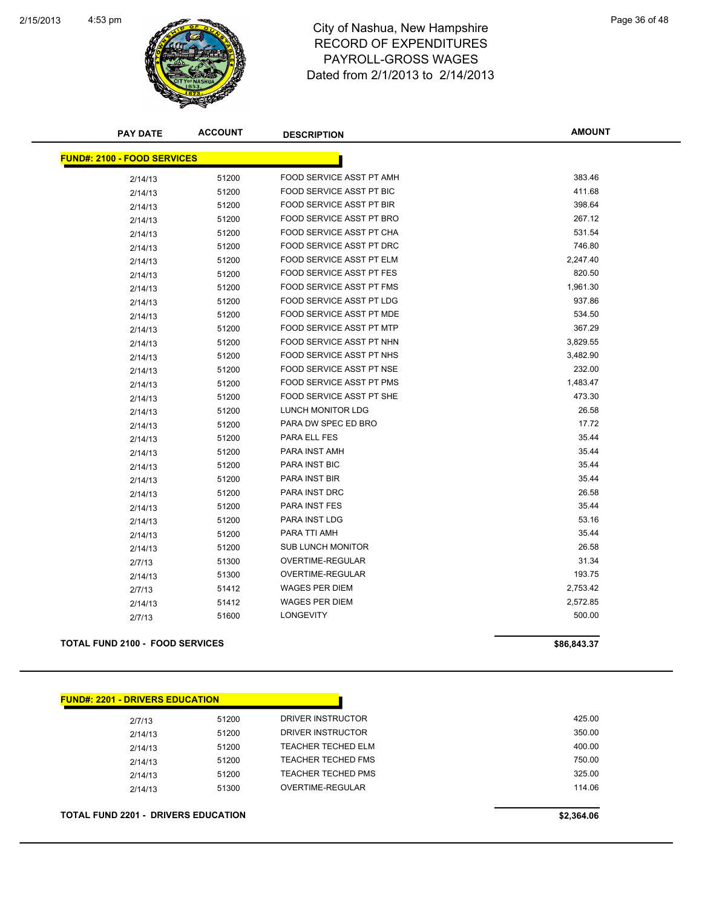

| <b>ACCOUNT</b>                     | <b>DESCRIPTION</b>                     | <b>AMOUNT</b> |
|------------------------------------|----------------------------------------|---------------|
| <b>FUND#: 2100 - FOOD SERVICES</b> |                                        |               |
| 51200                              | FOOD SERVICE ASST PT AMH               | 383.46        |
| 51200                              | FOOD SERVICE ASST PT BIC               | 411.68        |
| 51200                              | FOOD SERVICE ASST PT BIR               | 398.64        |
| 51200                              | FOOD SERVICE ASST PT BRO               | 267.12        |
| 51200                              | FOOD SERVICE ASST PT CHA               | 531.54        |
| 51200                              | FOOD SERVICE ASST PT DRC               | 746.80        |
| 51200                              | FOOD SERVICE ASST PT ELM               | 2,247.40      |
| 51200                              | FOOD SERVICE ASST PT FES               | 820.50        |
| 51200                              | FOOD SERVICE ASST PT FMS               | 1,961.30      |
| 51200                              | <b>FOOD SERVICE ASST PT LDG</b>        | 937.86        |
| 51200                              | FOOD SERVICE ASST PT MDE               | 534.50        |
| 51200                              | FOOD SERVICE ASST PT MTP               | 367.29        |
| 51200                              | FOOD SERVICE ASST PT NHN               | 3,829.55      |
| 51200                              | FOOD SERVICE ASST PT NHS               | 3,482.90      |
| 51200                              | FOOD SERVICE ASST PT NSE               | 232.00        |
| 51200                              | FOOD SERVICE ASST PT PMS               | 1,483.47      |
| 51200                              | <b>FOOD SERVICE ASST PT SHE</b>        | 473.30        |
| 51200                              | LUNCH MONITOR LDG                      | 26.58         |
| 51200                              | PARA DW SPEC ED BRO                    | 17.72         |
| 51200                              | PARA ELL FES                           | 35.44         |
| 51200                              | PARA INST AMH                          | 35.44         |
| 51200                              | PARA INST BIC                          | 35.44         |
| 51200                              | PARA INST BIR                          | 35.44         |
| 51200                              | PARA INST DRC                          | 26.58         |
| 51200                              | <b>PARA INST FES</b>                   | 35.44         |
| 51200                              | <b>PARA INST LDG</b>                   | 53.16         |
| 51200                              | PARA TTI AMH                           | 35.44         |
| 51200                              | <b>SUB LUNCH MONITOR</b>               | 26.58         |
| 51300                              | OVERTIME-REGULAR                       | 31.34         |
| 51300                              | OVERTIME-REGULAR                       | 193.75        |
| 51412                              | <b>WAGES PER DIEM</b>                  | 2,753.42      |
| 51412                              | <b>WAGES PER DIEM</b>                  | 2,572.85      |
| 51600                              | <b>LONGEVITY</b>                       | 500.00        |
|                                    | <b>TOTAL FUND 2100 - FOOD SERVICES</b> |               |

| <b>FUND#: 2201 - DRIVERS EDUCATION</b> |       |                           |        |
|----------------------------------------|-------|---------------------------|--------|
| 2/7/13                                 | 51200 | DRIVER INSTRUCTOR         | 425.00 |
| 2/14/13                                | 51200 | DRIVER INSTRUCTOR         | 350.00 |
| 2/14/13                                | 51200 | TEACHER TECHED ELM        | 400.00 |
| 2/14/13                                | 51200 | <b>TEACHER TECHED FMS</b> | 750.00 |
| 2/14/13                                | 51200 | <b>TEACHER TECHED PMS</b> | 325.00 |
| 2/14/13                                | 51300 | OVERTIME-REGULAR          | 114.06 |
|                                        |       |                           |        |

**TOTAL FUND 2201 - DRIVERS EDUCATION \$2,364.06**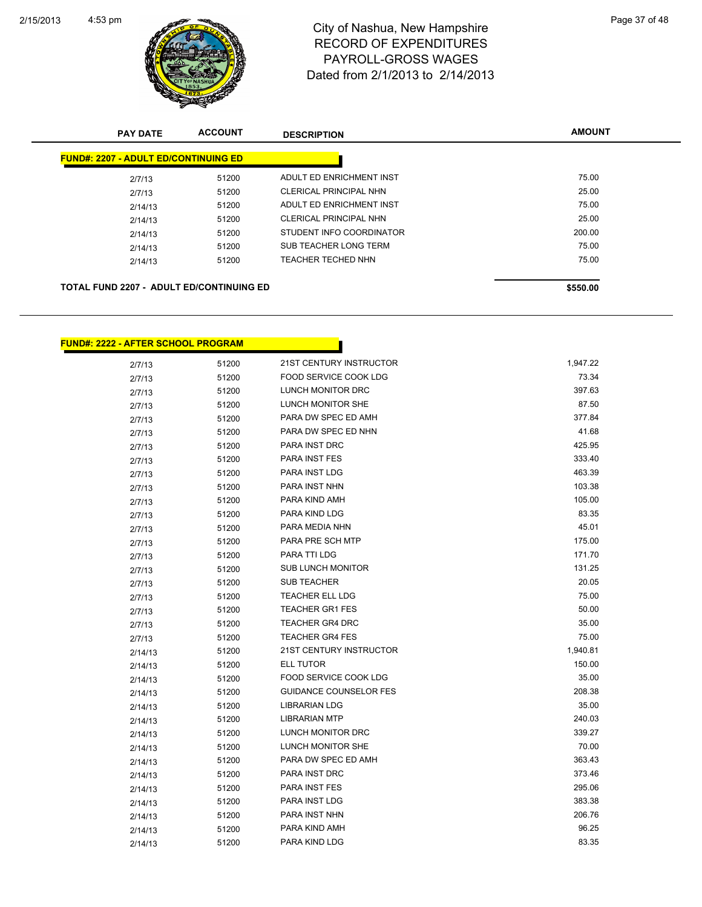

**FUND#: 2222 - AFTER SCHOOL PROGRAM**

## 4:53 pm<br>City of Nashua, New Hampshire<br>City of Nashua, New Hampshire RECORD OF EXPENDITURES PAYROLL-GROSS WAGES Dated from 2/1/2013 to 2/14/2013

| <b>PAY DATE</b>                                 | <b>ACCOUNT</b> | <b>DESCRIPTION</b>            | <b>AMOUNT</b> |
|-------------------------------------------------|----------------|-------------------------------|---------------|
| <b>FUND#: 2207 - ADULT ED/CONTINUING ED</b>     |                |                               |               |
| 2/7/13                                          | 51200          | ADULT ED ENRICHMENT INST      | 75.00         |
| 2/7/13                                          | 51200          | <b>CLERICAL PRINCIPAL NHN</b> | 25.00         |
| 2/14/13                                         | 51200          | ADULT ED ENRICHMENT INST      | 75.00         |
| 2/14/13                                         | 51200          | <b>CLERICAL PRINCIPAL NHN</b> | 25.00         |
| 2/14/13                                         | 51200          | STUDENT INFO COORDINATOR      | 200.00        |
| 2/14/13                                         | 51200          | SUB TEACHER LONG TERM         | 75.00         |
| 2/14/13                                         | 51200          | <b>TEACHER TECHED NHN</b>     | 75.00         |
|                                                 |                |                               |               |
| <b>TOTAL FUND 2207 - ADULT ED/CONTINUING ED</b> |                |                               | \$550.00      |
|                                                 |                |                               |               |

П

| 2/7/13  | 51200 | 21ST CENTURY INSTRUCTOR       | 1,947.22 |
|---------|-------|-------------------------------|----------|
| 2/7/13  | 51200 | FOOD SERVICE COOK LDG         | 73.34    |
| 2/7/13  | 51200 | LUNCH MONITOR DRC             | 397.63   |
| 2/7/13  | 51200 | LUNCH MONITOR SHE             | 87.50    |
| 2/7/13  | 51200 | PARA DW SPEC ED AMH           | 377.84   |
| 2/7/13  | 51200 | PARA DW SPEC ED NHN           | 41.68    |
| 2/7/13  | 51200 | PARA INST DRC                 | 425.95   |
| 2/7/13  | 51200 | PARA INST FES                 | 333.40   |
| 2/7/13  | 51200 | PARA INST LDG                 | 463.39   |
| 2/7/13  | 51200 | PARA INST NHN                 | 103.38   |
| 2/7/13  | 51200 | PARA KIND AMH                 | 105.00   |
| 2/7/13  | 51200 | PARA KIND LDG                 | 83.35    |
| 2/7/13  | 51200 | PARA MEDIA NHN                | 45.01    |
| 2/7/13  | 51200 | PARA PRE SCH MTP              | 175.00   |
| 2/7/13  | 51200 | PARA TTI LDG                  | 171.70   |
| 2/7/13  | 51200 | SUB LUNCH MONITOR             | 131.25   |
| 2/7/13  | 51200 | SUB TEACHER                   | 20.05    |
| 2/7/13  | 51200 | <b>TEACHER ELL LDG</b>        | 75.00    |
| 2/7/13  | 51200 | <b>TEACHER GR1 FES</b>        | 50.00    |
| 2/7/13  | 51200 | <b>TEACHER GR4 DRC</b>        | 35.00    |
| 2/7/13  | 51200 | <b>TEACHER GR4 FES</b>        | 75.00    |
| 2/14/13 | 51200 | 21ST CENTURY INSTRUCTOR       | 1,940.81 |
| 2/14/13 | 51200 | ELL TUTOR                     | 150.00   |
| 2/14/13 | 51200 | <b>FOOD SERVICE COOK LDG</b>  | 35.00    |
| 2/14/13 | 51200 | <b>GUIDANCE COUNSELOR FES</b> | 208.38   |
| 2/14/13 | 51200 | <b>LIBRARIAN LDG</b>          | 35.00    |
| 2/14/13 | 51200 | <b>LIBRARIAN MTP</b>          | 240.03   |
| 2/14/13 | 51200 | LUNCH MONITOR DRC             | 339.27   |
| 2/14/13 | 51200 | LUNCH MONITOR SHE             | 70.00    |
| 2/14/13 | 51200 | PARA DW SPEC ED AMH           | 363.43   |
| 2/14/13 | 51200 | PARA INST DRC                 | 373.46   |
| 2/14/13 | 51200 | PARA INST FES                 | 295.06   |
| 2/14/13 | 51200 | PARA INST LDG                 | 383.38   |
| 2/14/13 | 51200 | PARA INST NHN                 | 206.76   |
| 2/14/13 | 51200 | PARA KIND AMH                 | 96.25    |
| 2/14/13 | 51200 | PARA KIND LDG                 | 83.35    |
|         |       |                               |          |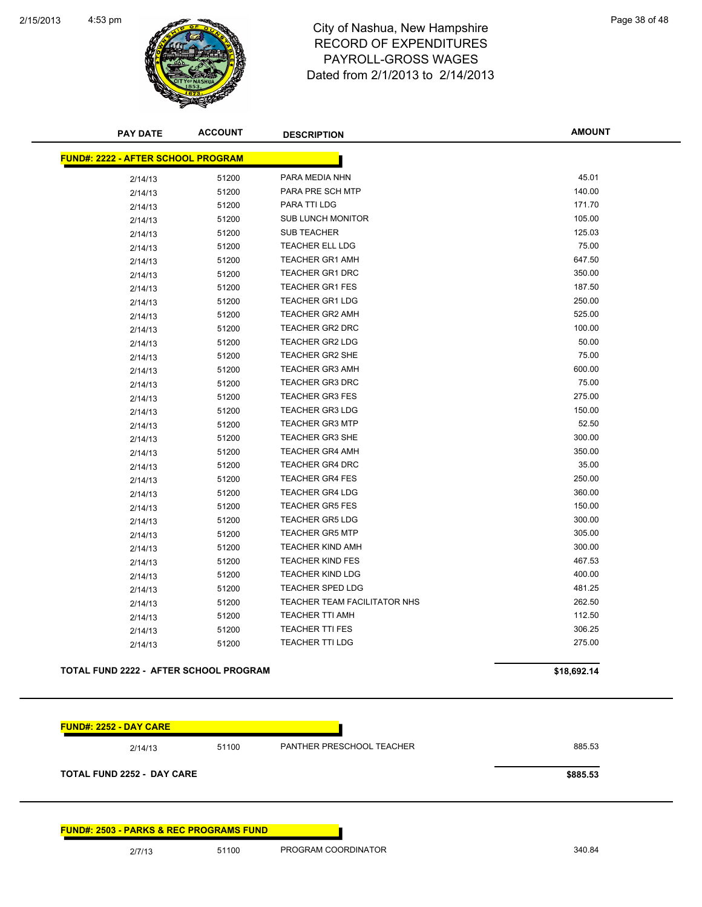

| <b>PAY DATE</b>                               |       | <b>DESCRIPTION</b>                  |             |
|-----------------------------------------------|-------|-------------------------------------|-------------|
| <b>FUND#: 2222 - AFTER SCHOOL PROGRAM</b>     |       |                                     |             |
| 2/14/13                                       | 51200 | PARA MEDIA NHN                      | 45.01       |
| 2/14/13                                       | 51200 | PARA PRE SCH MTP                    | 140.00      |
| 2/14/13                                       | 51200 | PARA TTI LDG                        | 171.70      |
| 2/14/13                                       | 51200 | <b>SUB LUNCH MONITOR</b>            | 105.00      |
| 2/14/13                                       | 51200 | <b>SUB TEACHER</b>                  | 125.03      |
| 2/14/13                                       | 51200 | <b>TEACHER ELL LDG</b>              | 75.00       |
| 2/14/13                                       | 51200 | <b>TEACHER GR1 AMH</b>              | 647.50      |
| 2/14/13                                       | 51200 | <b>TEACHER GR1 DRC</b>              | 350.00      |
| 2/14/13                                       | 51200 | <b>TEACHER GR1 FES</b>              | 187.50      |
| 2/14/13                                       | 51200 | <b>TEACHER GR1 LDG</b>              | 250.00      |
| 2/14/13                                       | 51200 | <b>TEACHER GR2 AMH</b>              | 525.00      |
| 2/14/13                                       | 51200 | <b>TEACHER GR2 DRC</b>              | 100.00      |
| 2/14/13                                       | 51200 | <b>TEACHER GR2 LDG</b>              | 50.00       |
| 2/14/13                                       | 51200 | <b>TEACHER GR2 SHE</b>              | 75.00       |
| 2/14/13                                       | 51200 | <b>TEACHER GR3 AMH</b>              | 600.00      |
| 2/14/13                                       | 51200 | <b>TEACHER GR3 DRC</b>              | 75.00       |
| 2/14/13                                       | 51200 | <b>TEACHER GR3 FES</b>              | 275.00      |
| 2/14/13                                       | 51200 | <b>TEACHER GR3 LDG</b>              | 150.00      |
| 2/14/13                                       | 51200 | <b>TEACHER GR3 MTP</b>              | 52.50       |
| 2/14/13                                       | 51200 | <b>TEACHER GR3 SHE</b>              | 300.00      |
| 2/14/13                                       | 51200 | <b>TEACHER GR4 AMH</b>              | 350.00      |
| 2/14/13                                       | 51200 | <b>TEACHER GR4 DRC</b>              | 35.00       |
| 2/14/13                                       | 51200 | <b>TEACHER GR4 FES</b>              | 250.00      |
| 2/14/13                                       | 51200 | <b>TEACHER GR4 LDG</b>              | 360.00      |
| 2/14/13                                       | 51200 | <b>TEACHER GR5 FES</b>              | 150.00      |
| 2/14/13                                       | 51200 | <b>TEACHER GR5 LDG</b>              | 300.00      |
| 2/14/13                                       | 51200 | <b>TEACHER GR5 MTP</b>              | 305.00      |
| 2/14/13                                       | 51200 | <b>TEACHER KIND AMH</b>             | 300.00      |
| 2/14/13                                       | 51200 | <b>TEACHER KIND FES</b>             | 467.53      |
| 2/14/13                                       | 51200 | <b>TEACHER KIND LDG</b>             | 400.00      |
| 2/14/13                                       | 51200 | <b>TEACHER SPED LDG</b>             | 481.25      |
| 2/14/13                                       | 51200 | <b>TEACHER TEAM FACILITATOR NHS</b> | 262.50      |
| 2/14/13                                       | 51200 | <b>TEACHER TTI AMH</b>              | 112.50      |
| 2/14/13                                       | 51200 | <b>TEACHER TTI FES</b>              | 306.25      |
| 2/14/13                                       | 51200 | TEACHER TTI LDG                     | 275.00      |
| <b>TOTAL FUND 2222 - AFTER SCHOOL PROGRAM</b> |       |                                     | \$18,692.14 |
|                                               |       |                                     |             |
| <b>FUND#: 2252 - DAY CARE</b>                 |       |                                     |             |

2/14/13 51100 PANTHER PRESCHOOL TEACHER 885.53 **TOTAL FUND 2252 - DAY CARE \$885.53**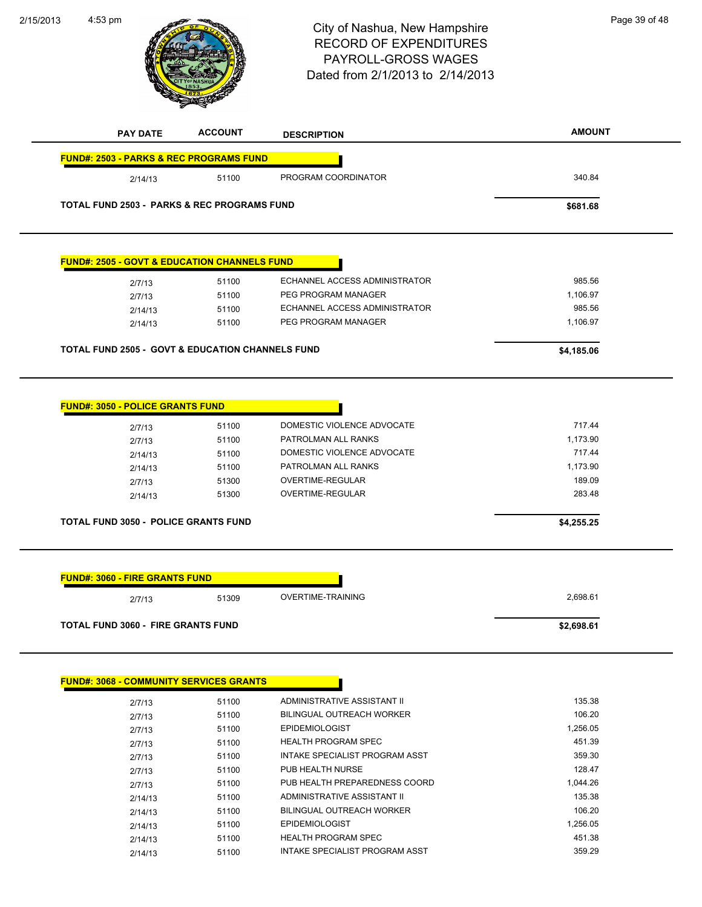

| 2/7/13  | 51100 | BILINGUAL OUTREACH WORKER      | 106.20   |
|---------|-------|--------------------------------|----------|
| 2/7/13  | 51100 | <b>EPIDEMIOLOGIST</b>          | 1.256.05 |
| 2/7/13  | 51100 | <b>HEALTH PROGRAM SPEC</b>     | 451.39   |
| 2/7/13  | 51100 | INTAKE SPECIALIST PROGRAM ASST | 359.30   |
| 2/7/13  | 51100 | PUB HEALTH NURSE               | 128.47   |
| 2/7/13  | 51100 | PUB HEALTH PREPAREDNESS COORD  | 1.044.26 |
| 2/14/13 | 51100 | ADMINISTRATIVE ASSISTANT II    | 135.38   |
| 2/14/13 | 51100 | BILINGUAL OUTREACH WORKER      | 106.20   |
| 2/14/13 | 51100 | <b>EPIDEMIOLOGIST</b>          | 1.256.05 |
| 2/14/13 | 51100 | <b>HEALTH PROGRAM SPEC</b>     | 451.38   |
| 2/14/13 | 51100 | INTAKE SPECIALIST PROGRAM ASST | 359.29   |
|         |       |                                |          |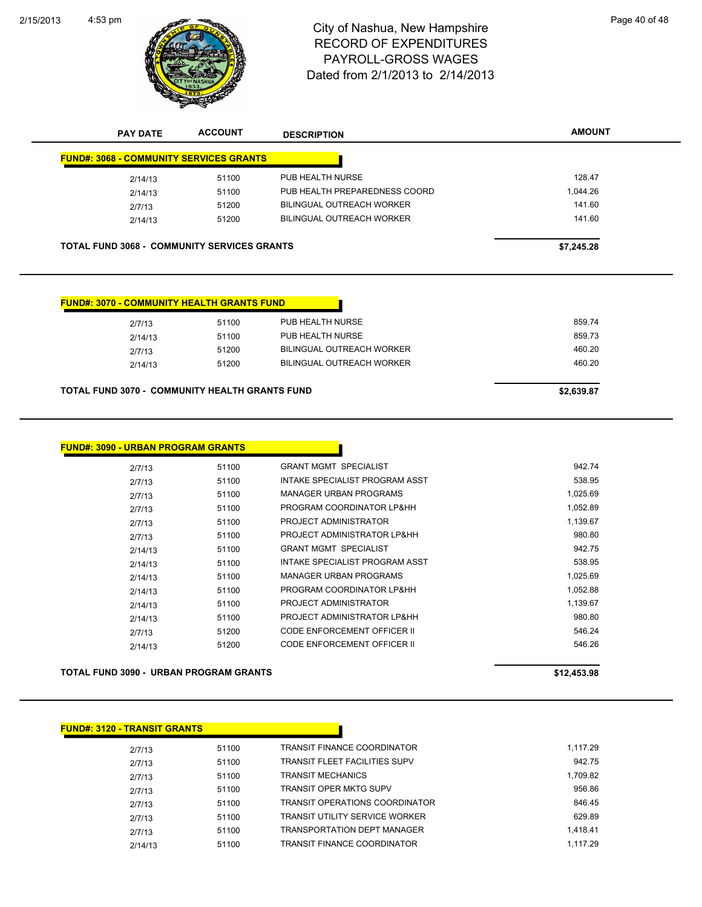

| <b>PAY DATE</b> | <b>ACCOUNT</b>                                 | <b>DESCRIPTION</b>            | <b>AMOUNT</b> |
|-----------------|------------------------------------------------|-------------------------------|---------------|
|                 | <b>FUND#: 3068 - COMMUNITY SERVICES GRANTS</b> |                               |               |
| 2/14/13         | 51100                                          | PUB HEALTH NURSE              | 128.47        |
| 2/14/13         | 51100                                          | PUB HEALTH PREPAREDNESS COORD | 1.044.26      |
| 2/7/13          | 51200                                          | BILINGUAL OUTREACH WORKER     | 141.60        |
| 2/14/13         | 51200                                          | BILINGUAL OUTREACH WORKER     | 141.60        |

| <b>FUND#: 3070 - COMMUNITY HEALTH GRANTS FUND</b> |       |                                  |        |
|---------------------------------------------------|-------|----------------------------------|--------|
| 2/7/13                                            | 51100 | PUB HEALTH NURSE                 | 859.74 |
| 2/14/13                                           | 51100 | PUB HEALTH NURSE                 | 859.73 |
| 2/7/13                                            | 51200 | <b>BILINGUAL OUTREACH WORKER</b> | 460.20 |
| 2/14/13                                           | 51200 | <b>BILINGUAL OUTREACH WORKER</b> | 460.20 |
|                                                   |       |                                  |        |

#### **TOTAL FUND 3070 - COMMUNITY HEALTH GRANTS FUND \$2,639.87**

| <b>FUND#: 3090 - URBAN PROGRAM GRANTS</b> |       |                                |          |
|-------------------------------------------|-------|--------------------------------|----------|
| 2/7/13                                    | 51100 | <b>GRANT MGMT SPECIALIST</b>   | 942.74   |
| 2/7/13                                    | 51100 | INTAKE SPECIALIST PROGRAM ASST | 538.95   |
| 2/7/13                                    | 51100 | MANAGER URBAN PROGRAMS         | 1,025.69 |
| 2/7/13                                    | 51100 | PROGRAM COORDINATOR LP&HH      | 1,052.89 |
| 2/7/13                                    | 51100 | PROJECT ADMINISTRATOR          | 1,139.67 |
| 2/7/13                                    | 51100 | PROJECT ADMINISTRATOR LP&HH    | 980.80   |
| 2/14/13                                   | 51100 | <b>GRANT MGMT SPECIALIST</b>   | 942.75   |
| 2/14/13                                   | 51100 | INTAKE SPECIALIST PROGRAM ASST | 538.95   |
| 2/14/13                                   | 51100 | MANAGER URBAN PROGRAMS         | 1,025.69 |
| 2/14/13                                   | 51100 | PROGRAM COORDINATOR LP&HH      | 1,052.88 |
| 2/14/13                                   | 51100 | PROJECT ADMINISTRATOR          | 1,139.67 |
| 2/14/13                                   | 51100 | PROJECT ADMINISTRATOR LP&HH    | 980.80   |
| 2/7/13                                    | 51200 | CODE ENFORCEMENT OFFICER II    | 546.24   |
| 2/14/13                                   | 51200 | CODE ENFORCEMENT OFFICER II    | 546.26   |

**TOTAL FUND 3090 - URBAN PROGRAM GRANTS \$12,453.98**

**FUND#: 3120 - TRANSIT GRANTS**

| 2/7/13  | 51100 | TRANSIT FINANCE COORDINATOR           | 1,117.29 |
|---------|-------|---------------------------------------|----------|
| 2/7/13  | 51100 | TRANSIT FLEET FACILITIES SUPV         | 942.75   |
| 2/7/13  | 51100 | <b>TRANSIT MECHANICS</b>              | 1,709.82 |
| 2/7/13  | 51100 | TRANSIT OPER MKTG SUPV                | 956.86   |
| 2/7/13  | 51100 | <b>TRANSIT OPERATIONS COORDINATOR</b> | 846.45   |
| 2/7/13  | 51100 | TRANSIT UTILITY SERVICE WORKER        | 629.89   |
| 2/7/13  | 51100 | <b>TRANSPORTATION DEPT MANAGER</b>    | 1.418.41 |
| 2/14/13 | 51100 | TRANSIT FINANCE COORDINATOR           | 1.117.29 |
|         |       |                                       |          |

П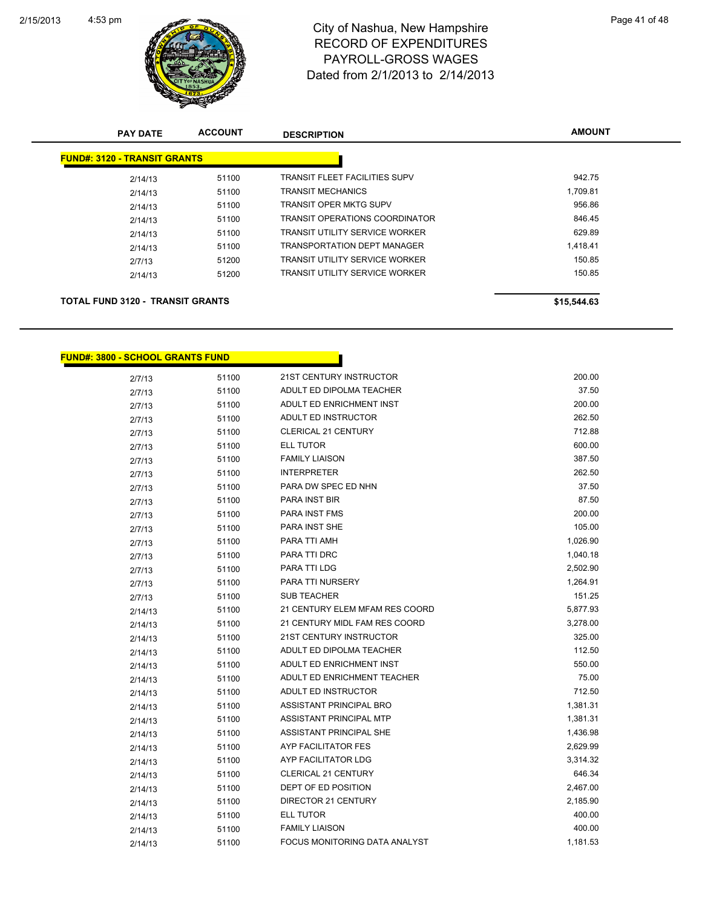

| <b>PAY DATE</b>                         | <b>ACCOUNT</b> | <b>DESCRIPTION</b>                    | <b>AMOUNT</b> |
|-----------------------------------------|----------------|---------------------------------------|---------------|
| <b>FUND#: 3120 - TRANSIT GRANTS</b>     |                |                                       |               |
| 2/14/13                                 | 51100          | <b>TRANSIT FLEET FACILITIES SUPV</b>  | 942.75        |
| 2/14/13                                 | 51100          | <b>TRANSIT MECHANICS</b>              | 1,709.81      |
| 2/14/13                                 | 51100          | <b>TRANSIT OPER MKTG SUPV</b>         | 956.86        |
| 2/14/13                                 | 51100          | <b>TRANSIT OPERATIONS COORDINATOR</b> | 846.45        |
| 2/14/13                                 | 51100          | <b>TRANSIT UTILITY SERVICE WORKER</b> | 629.89        |
| 2/14/13                                 | 51100          | <b>TRANSPORTATION DEPT MANAGER</b>    | 1,418.41      |
| 2/7/13                                  | 51200          | <b>TRANSIT UTILITY SERVICE WORKER</b> | 150.85        |
| 2/14/13                                 | 51200          | <b>TRANSIT UTILITY SERVICE WORKER</b> | 150.85        |
|                                         |                |                                       |               |
| <b>TOTAL FUND 3120 - TRANSIT GRANTS</b> |                |                                       | \$15,544.63   |

T.

#### **FUND#: 3800 - SCHOOL GRANTS FUND**

| 2/7/13  | 51100 | 21ST CENTURY INSTRUCTOR              | 200.00   |
|---------|-------|--------------------------------------|----------|
| 2/7/13  | 51100 | ADULT ED DIPOLMA TEACHER             | 37.50    |
| 2/7/13  | 51100 | ADULT ED ENRICHMENT INST             | 200.00   |
| 2/7/13  | 51100 | ADULT ED INSTRUCTOR                  | 262.50   |
| 2/7/13  | 51100 | CLERICAL 21 CENTURY                  | 712.88   |
| 2/7/13  | 51100 | ELL TUTOR                            | 600.00   |
| 2/7/13  | 51100 | <b>FAMILY LIAISON</b>                | 387.50   |
| 2/7/13  | 51100 | <b>INTERPRETER</b>                   | 262.50   |
| 2/7/13  | 51100 | PARA DW SPEC ED NHN                  | 37.50    |
| 2/7/13  | 51100 | <b>PARA INST BIR</b>                 | 87.50    |
| 2/7/13  | 51100 | <b>PARA INST FMS</b>                 | 200.00   |
| 2/7/13  | 51100 | <b>PARA INST SHE</b>                 | 105.00   |
| 2/7/13  | 51100 | PARA TTI AMH                         | 1,026.90 |
| 2/7/13  | 51100 | <b>PARA TTI DRC</b>                  | 1,040.18 |
| 2/7/13  | 51100 | PARA TTI LDG                         | 2,502.90 |
| 2/7/13  | 51100 | <b>PARA TTI NURSERY</b>              | 1,264.91 |
| 2/7/13  | 51100 | <b>SUB TEACHER</b>                   | 151.25   |
| 2/14/13 | 51100 | 21 CENTURY ELEM MFAM RES COORD       | 5,877.93 |
| 2/14/13 | 51100 | 21 CENTURY MIDL FAM RES COORD        | 3,278.00 |
| 2/14/13 | 51100 | 21ST CENTURY INSTRUCTOR              | 325.00   |
| 2/14/13 | 51100 | ADULT ED DIPOLMA TEACHER             | 112.50   |
| 2/14/13 | 51100 | ADULT ED ENRICHMENT INST             | 550.00   |
| 2/14/13 | 51100 | ADULT ED ENRICHMENT TEACHER          | 75.00    |
| 2/14/13 | 51100 | ADULT ED INSTRUCTOR                  | 712.50   |
| 2/14/13 | 51100 | ASSISTANT PRINCIPAL BRO              | 1,381.31 |
| 2/14/13 | 51100 | ASSISTANT PRINCIPAL MTP              | 1,381.31 |
| 2/14/13 | 51100 | ASSISTANT PRINCIPAL SHE              | 1,436.98 |
| 2/14/13 | 51100 | AYP FACILITATOR FES                  | 2,629.99 |
| 2/14/13 | 51100 | AYP FACILITATOR LDG                  | 3,314.32 |
| 2/14/13 | 51100 | <b>CLERICAL 21 CENTURY</b>           | 646.34   |
| 2/14/13 | 51100 | DEPT OF ED POSITION                  | 2,467.00 |
| 2/14/13 | 51100 | DIRECTOR 21 CENTURY                  | 2,185.90 |
| 2/14/13 | 51100 | ELL TUTOR                            | 400.00   |
| 2/14/13 | 51100 | <b>FAMILY LIAISON</b>                | 400.00   |
| 2/14/13 | 51100 | <b>FOCUS MONITORING DATA ANALYST</b> | 1,181.53 |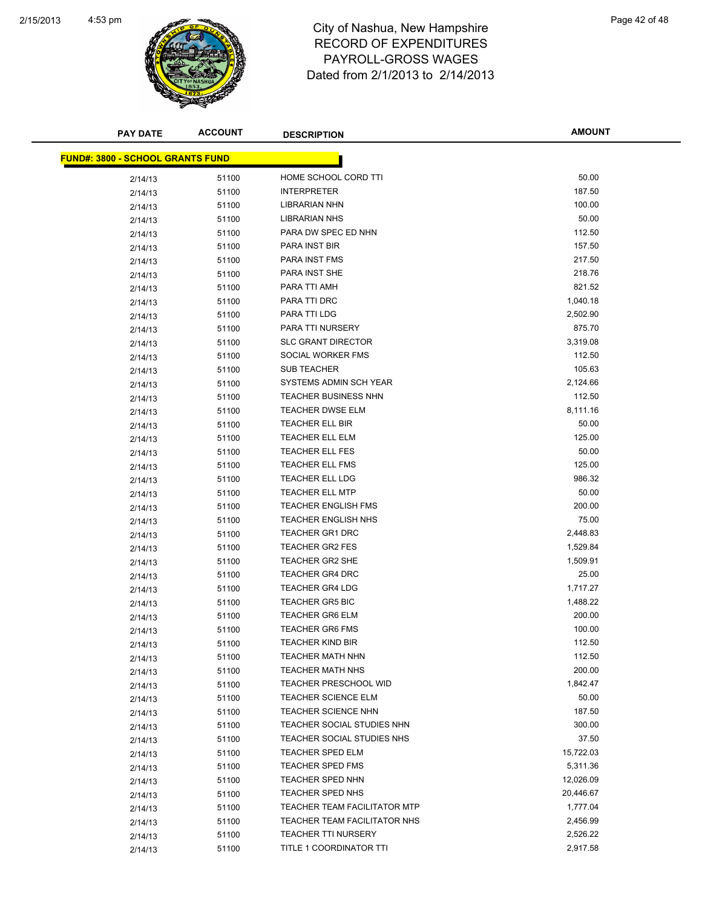

| <b>PAY DATE</b>                         | <b>ACCOUNT</b> | <b>DESCRIPTION</b>                  | <b>AMOUNT</b> |
|-----------------------------------------|----------------|-------------------------------------|---------------|
| <b>FUND#: 3800 - SCHOOL GRANTS FUND</b> |                |                                     |               |
|                                         |                | HOME SCHOOL CORD TTI                | 50.00         |
| 2/14/13                                 | 51100          | <b>INTERPRETER</b>                  | 187.50        |
| 2/14/13                                 | 51100          | <b>LIBRARIAN NHN</b>                | 100.00        |
| 2/14/13                                 | 51100          | <b>LIBRARIAN NHS</b>                | 50.00         |
| 2/14/13                                 | 51100          | PARA DW SPEC ED NHN                 | 112.50        |
| 2/14/13                                 | 51100          | PARA INST BIR                       | 157.50        |
| 2/14/13                                 | 51100          | PARA INST FMS                       | 217.50        |
| 2/14/13                                 | 51100          |                                     | 218.76        |
| 2/14/13                                 | 51100          | PARA INST SHE                       | 821.52        |
| 2/14/13                                 | 51100          | PARA TTI AMH                        |               |
| 2/14/13                                 | 51100          | PARA TTI DRC                        | 1,040.18      |
| 2/14/13                                 | 51100          | PARA TTI LDG                        | 2,502.90      |
| 2/14/13                                 | 51100          | PARA TTI NURSERY                    | 875.70        |
| 2/14/13                                 | 51100          | <b>SLC GRANT DIRECTOR</b>           | 3,319.08      |
| 2/14/13                                 | 51100          | SOCIAL WORKER FMS                   | 112.50        |
| 2/14/13                                 | 51100          | <b>SUB TEACHER</b>                  | 105.63        |
| 2/14/13                                 | 51100          | SYSTEMS ADMIN SCH YEAR              | 2,124.66      |
| 2/14/13                                 | 51100          | <b>TEACHER BUSINESS NHN</b>         | 112.50        |
| 2/14/13                                 | 51100          | <b>TEACHER DWSE ELM</b>             | 8,111.16      |
| 2/14/13                                 | 51100          | <b>TEACHER ELL BIR</b>              | 50.00         |
| 2/14/13                                 | 51100          | <b>TEACHER ELL ELM</b>              | 125.00        |
| 2/14/13                                 | 51100          | <b>TEACHER ELL FES</b>              | 50.00         |
| 2/14/13                                 | 51100          | <b>TEACHER ELL FMS</b>              | 125.00        |
| 2/14/13                                 | 51100          | <b>TEACHER ELL LDG</b>              | 986.32        |
| 2/14/13                                 | 51100          | <b>TEACHER ELL MTP</b>              | 50.00         |
| 2/14/13                                 | 51100          | <b>TEACHER ENGLISH FMS</b>          | 200.00        |
| 2/14/13                                 | 51100          | <b>TEACHER ENGLISH NHS</b>          | 75.00         |
| 2/14/13                                 | 51100          | <b>TEACHER GR1 DRC</b>              | 2,448.83      |
| 2/14/13                                 | 51100          | <b>TEACHER GR2 FES</b>              | 1,529.84      |
| 2/14/13                                 | 51100          | TEACHER GR2 SHE                     | 1,509.91      |
| 2/14/13                                 | 51100          | <b>TEACHER GR4 DRC</b>              | 25.00         |
| 2/14/13                                 | 51100          | <b>TEACHER GR4 LDG</b>              | 1,717.27      |
| 2/14/13                                 | 51100          | TEACHER GR5 BIC                     | 1,488.22      |
| 2/14/13                                 | 51100          | <b>TEACHER GR6 ELM</b>              | 200.00        |
| 2/14/13                                 | 51100          | <b>TEACHER GR6 FMS</b>              | 100.00        |
| 2/14/13                                 | 51100          | TEACHER KIND BIR                    | 112.50        |
| 2/14/13                                 | 51100          | <b>TEACHER MATH NHN</b>             | 112.50        |
| 2/14/13                                 | 51100          | <b>TEACHER MATH NHS</b>             | 200.00        |
| 2/14/13                                 | 51100          | <b>TEACHER PRESCHOOL WID</b>        | 1,842.47      |
| 2/14/13                                 | 51100          | <b>TEACHER SCIENCE ELM</b>          | 50.00         |
| 2/14/13                                 | 51100          | <b>TEACHER SCIENCE NHN</b>          | 187.50        |
| 2/14/13                                 | 51100          | TEACHER SOCIAL STUDIES NHN          | 300.00        |
| 2/14/13                                 | 51100          | TEACHER SOCIAL STUDIES NHS          | 37.50         |
| 2/14/13                                 | 51100          | <b>TEACHER SPED ELM</b>             | 15,722.03     |
| 2/14/13                                 | 51100          | <b>TEACHER SPED FMS</b>             | 5,311.36      |
| 2/14/13                                 | 51100          | TEACHER SPED NHN                    | 12,026.09     |
| 2/14/13                                 | 51100          | <b>TEACHER SPED NHS</b>             | 20,446.67     |
| 2/14/13                                 | 51100          | <b>TEACHER TEAM FACILITATOR MTP</b> | 1,777.04      |
| 2/14/13                                 | 51100          | TEACHER TEAM FACILITATOR NHS        | 2,456.99      |
| 2/14/13                                 | 51100          | <b>TEACHER TTI NURSERY</b>          | 2,526.22      |
| 2/14/13                                 | 51100          | TITLE 1 COORDINATOR TTI             | 2,917.58      |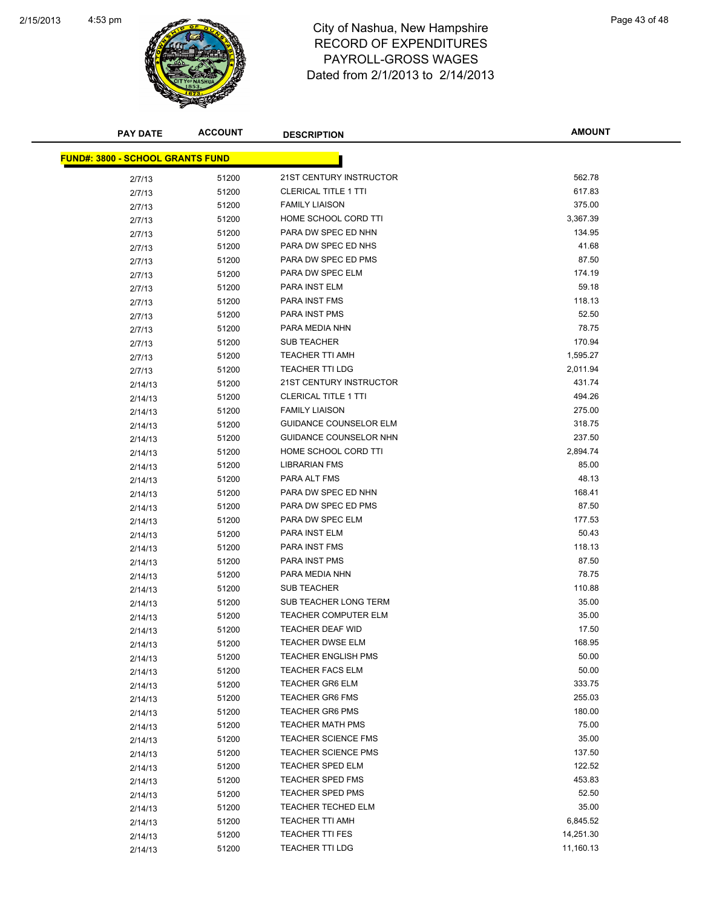

| <b>PAY DATE</b>                         | <b>ACCOUNT</b> | <b>DESCRIPTION</b>           | <b>AMOUNT</b>  |
|-----------------------------------------|----------------|------------------------------|----------------|
| <b>FUND#: 3800 - SCHOOL GRANTS FUND</b> |                |                              |                |
|                                         |                | 21ST CENTURY INSTRUCTOR      | 562.78         |
| 2/7/13                                  | 51200          | <b>CLERICAL TITLE 1 TTI</b>  | 617.83         |
| 2/7/13                                  | 51200          | <b>FAMILY LIAISON</b>        | 375.00         |
| 2/7/13                                  | 51200          | HOME SCHOOL CORD TTI         | 3,367.39       |
| 2/7/13                                  | 51200          | PARA DW SPEC ED NHN          |                |
| 2/7/13                                  | 51200          | PARA DW SPEC ED NHS          | 134.95         |
| 2/7/13                                  | 51200          | PARA DW SPEC ED PMS          | 41.68<br>87.50 |
| 2/7/13                                  | 51200          | PARA DW SPEC ELM             | 174.19         |
| 2/7/13                                  | 51200          | PARA INST ELM                | 59.18          |
| 2/7/13                                  | 51200          | PARA INST FMS                | 118.13         |
| 2/7/13                                  | 51200          | PARA INST PMS                | 52.50          |
| 2/7/13                                  | 51200          | PARA MEDIA NHN               | 78.75          |
| 2/7/13                                  | 51200          | <b>SUB TEACHER</b>           | 170.94         |
| 2/7/13                                  | 51200          | <b>TEACHER TTI AMH</b>       | 1,595.27       |
| 2/7/13                                  | 51200          | <b>TEACHER TTI LDG</b>       | 2,011.94       |
| 2/7/13                                  | 51200          | 21ST CENTURY INSTRUCTOR      | 431.74         |
| 2/14/13                                 | 51200          | <b>CLERICAL TITLE 1 TTI</b>  | 494.26         |
| 2/14/13                                 | 51200<br>51200 | <b>FAMILY LIAISON</b>        | 275.00         |
| 2/14/13                                 | 51200          | GUIDANCE COUNSELOR ELM       | 318.75         |
| 2/14/13                                 | 51200          | GUIDANCE COUNSELOR NHN       | 237.50         |
| 2/14/13                                 | 51200          | HOME SCHOOL CORD TTI         | 2,894.74       |
| 2/14/13                                 | 51200          | LIBRARIAN FMS                | 85.00          |
| 2/14/13                                 | 51200          | PARA ALT FMS                 | 48.13          |
| 2/14/13                                 | 51200          | PARA DW SPEC ED NHN          | 168.41         |
| 2/14/13                                 | 51200          | PARA DW SPEC ED PMS          | 87.50          |
| 2/14/13<br>2/14/13                      | 51200          | PARA DW SPEC ELM             | 177.53         |
| 2/14/13                                 | 51200          | PARA INST ELM                | 50.43          |
| 2/14/13                                 | 51200          | PARA INST FMS                | 118.13         |
| 2/14/13                                 | 51200          | PARA INST PMS                | 87.50          |
| 2/14/13                                 | 51200          | PARA MEDIA NHN               | 78.75          |
| 2/14/13                                 | 51200          | <b>SUB TEACHER</b>           | 110.88         |
| 2/14/13                                 | 51200          | <b>SUB TEACHER LONG TERM</b> | 35.00          |
| 2/14/13                                 | 51200          | <b>TEACHER COMPUTER ELM</b>  | 35.00          |
| 2/14/13                                 | 51200          | <b>TEACHER DEAF WID</b>      | 17.50          |
| 2/14/13                                 | 51200          | TEACHER DWSE ELM             | 168.95         |
| 2/14/13                                 | 51200          | <b>TEACHER ENGLISH PMS</b>   | 50.00          |
| 2/14/13                                 | 51200          | <b>TEACHER FACS ELM</b>      | 50.00          |
| 2/14/13                                 | 51200          | <b>TEACHER GR6 ELM</b>       | 333.75         |
| 2/14/13                                 | 51200          | <b>TEACHER GR6 FMS</b>       | 255.03         |
| 2/14/13                                 | 51200          | <b>TEACHER GR6 PMS</b>       | 180.00         |
| 2/14/13                                 | 51200          | <b>TEACHER MATH PMS</b>      | 75.00          |
| 2/14/13                                 | 51200          | <b>TEACHER SCIENCE FMS</b>   | 35.00          |
| 2/14/13                                 | 51200          | <b>TEACHER SCIENCE PMS</b>   | 137.50         |
| 2/14/13                                 | 51200          | <b>TEACHER SPED ELM</b>      | 122.52         |
| 2/14/13                                 | 51200          | <b>TEACHER SPED FMS</b>      | 453.83         |
| 2/14/13                                 | 51200          | <b>TEACHER SPED PMS</b>      | 52.50          |
| 2/14/13                                 | 51200          | <b>TEACHER TECHED ELM</b>    | 35.00          |
| 2/14/13                                 | 51200          | TEACHER TTI AMH              | 6,845.52       |
| 2/14/13                                 | 51200          | <b>TEACHER TTI FES</b>       | 14,251.30      |
| 2/14/13                                 | 51200          | <b>TEACHER TTI LDG</b>       | 11,160.13      |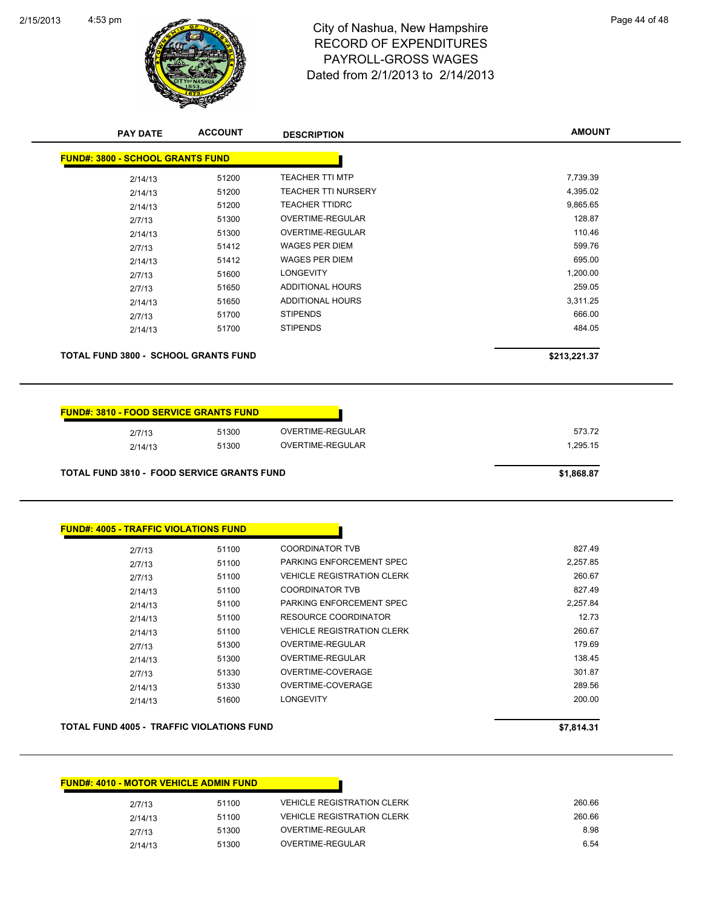

| <b>PAY DATE</b>                               | <b>ACCOUNT</b> | <b>DESCRIPTION</b>         | <b>AMOUNT</b> |
|-----------------------------------------------|----------------|----------------------------|---------------|
| <b>FUND#: 3800 - SCHOOL GRANTS FUND</b>       |                |                            |               |
| 2/14/13                                       | 51200          | <b>TEACHER TTI MTP</b>     | 7,739.39      |
| 2/14/13                                       | 51200          | <b>TEACHER TTI NURSERY</b> | 4,395.02      |
| 2/14/13                                       | 51200          | <b>TEACHER TTIDRC</b>      | 9,865.65      |
| 2/7/13                                        | 51300          | <b>OVERTIME-REGULAR</b>    | 128.87        |
| 2/14/13                                       | 51300          | <b>OVERTIME-REGULAR</b>    | 110.46        |
| 2/7/13                                        | 51412          | <b>WAGES PER DIEM</b>      | 599.76        |
| 2/14/13                                       | 51412          | <b>WAGES PER DIEM</b>      | 695.00        |
| 2/7/13                                        | 51600          | <b>LONGEVITY</b>           | 1,200.00      |
| 2/7/13                                        | 51650          | <b>ADDITIONAL HOURS</b>    | 259.05        |
| 2/14/13                                       | 51650          | ADDITIONAL HOURS           | 3,311.25      |
| 2/7/13                                        | 51700          | <b>STIPENDS</b>            | 666.00        |
| 2/14/13                                       | 51700          | <b>STIPENDS</b>            | 484.05        |
|                                               |                |                            |               |
| <b>TOTAL FUND 3800 - SCHOOL GRANTS FUND</b>   |                |                            | \$213,221.37  |
| <b>FUND#: 3810 - FOOD SERVICE GRANTS FUND</b> |                |                            |               |
| 2/7/13                                        | 51300          | OVERTIME-REGULAR           | 573.72        |
| 2/14/13                                       | 51300          | <b>OVERTIME-REGULAR</b>    | 1,295.15      |

| <b>FUND#: 4005 - TRAFFIC VIOLATIONS FUND</b> |       |                                   |          |
|----------------------------------------------|-------|-----------------------------------|----------|
| 2/7/13                                       | 51100 | <b>COORDINATOR TVB</b>            | 827.49   |
| 2/7/13                                       | 51100 | PARKING ENFORCEMENT SPEC          | 2,257.85 |
| 2/7/13                                       | 51100 | <b>VEHICLE REGISTRATION CLERK</b> | 260.67   |
| 2/14/13                                      | 51100 | <b>COORDINATOR TVB</b>            | 827.49   |
| 2/14/13                                      | 51100 | PARKING ENFORCEMENT SPEC          | 2,257.84 |
| 2/14/13                                      | 51100 | RESOURCE COORDINATOR              | 12.73    |
| 2/14/13                                      | 51100 | <b>VEHICLE REGISTRATION CLERK</b> | 260.67   |
| 2/7/13                                       | 51300 | OVERTIME-REGULAR                  | 179.69   |
| 2/14/13                                      | 51300 | OVERTIME-REGULAR                  | 138.45   |
| 2/7/13                                       | 51330 | OVERTIME-COVERAGE                 | 301.87   |
| 2/14/13                                      | 51330 | OVERTIME-COVERAGE                 | 289.56   |
| 2/14/13                                      | 51600 | <b>LONGEVITY</b>                  | 200.00   |
|                                              |       |                                   |          |

**TOTAL FUND 4005 - TRAFFIC VIOLATIONS FUND EXECUTE 2018 12:00 12:00 12:00 12:00 12:00 12:00 12:00 12:00 12:00 12:00 12:00 12:00 12:00 12:00 12:00 12:00 12:00 12:00 12:00 12:00 12:00 12:00 12:00 12:00 12:00 12:00 12:00 12** 

| <u> FUND#: 4010 - MOTOR VEHICLE ADMIN FUND</u> |       |                                   |        |
|------------------------------------------------|-------|-----------------------------------|--------|
| 2/7/13                                         | 51100 | <b>VEHICLE REGISTRATION CLERK</b> | 260.66 |
| 2/14/13                                        | 51100 | <b>VEHICLE REGISTRATION CLERK</b> | 260.66 |
| 2/7/13                                         | 51300 | OVERTIME-REGULAR                  | 8.98   |
| 2/14/13                                        | 51300 | OVERTIME-REGULAR                  | 6.54   |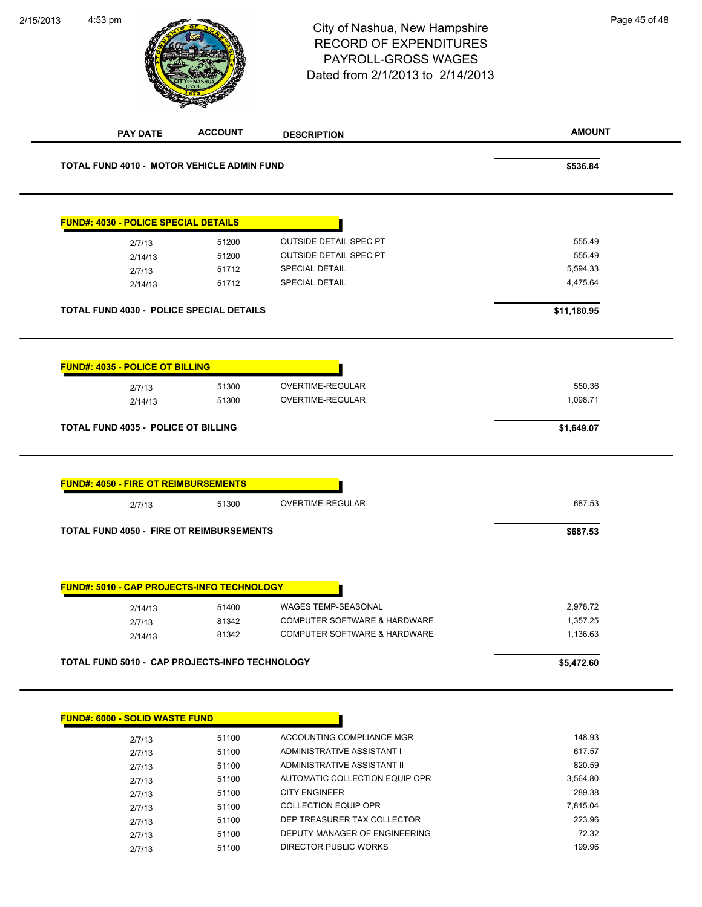| 2/15/2013 | 4:53 pm                                               |                | City of Nashua, New Hampshire<br><b>RECORD OF EXPENDITURES</b><br>PAYROLL-GROSS WAGES<br>Dated from 2/1/2013 to 2/14/2013 | Page 45 of 48 |
|-----------|-------------------------------------------------------|----------------|---------------------------------------------------------------------------------------------------------------------------|---------------|
|           | <b>PAY DATE</b>                                       | <b>ACCOUNT</b> | <b>DESCRIPTION</b>                                                                                                        | <b>AMOUNT</b> |
|           | <b>TOTAL FUND 4010 - MOTOR VEHICLE ADMIN FUND</b>     |                |                                                                                                                           | \$536.84      |
|           | <b>FUND#: 4030 - POLICE SPECIAL DETAILS</b>           |                |                                                                                                                           |               |
|           | 2/7/13                                                | 51200          | <b>OUTSIDE DETAIL SPEC PT</b>                                                                                             | 555.49        |
|           | 2/14/13                                               | 51200          | OUTSIDE DETAIL SPEC PT                                                                                                    | 555.49        |
|           | 2/7/13                                                | 51712          | SPECIAL DETAIL                                                                                                            | 5,594.33      |
|           | 2/14/13                                               | 51712          | SPECIAL DETAIL                                                                                                            | 4,475.64      |
|           | TOTAL FUND 4030 - POLICE SPECIAL DETAILS              |                |                                                                                                                           | \$11,180.95   |
|           | <b>FUND#: 4035 - POLICE OT BILLING</b>                |                |                                                                                                                           |               |
|           | 2/7/13                                                | 51300          | OVERTIME-REGULAR                                                                                                          | 550.36        |
|           | 2/14/13                                               | 51300          | OVERTIME-REGULAR                                                                                                          | 1,098.71      |
|           | TOTAL FUND 4035 - POLICE OT BILLING                   |                |                                                                                                                           | \$1,649.07    |
|           |                                                       |                |                                                                                                                           |               |
|           | <b>FUND#: 4050 - FIRE OT REIMBURSEMENTS</b><br>2/7/13 | 51300          | OVERTIME-REGULAR                                                                                                          | 687.53        |
|           | TOTAL FUND 4050 - FIRE OT REIMBURSEMENTS              |                |                                                                                                                           |               |
|           |                                                       |                |                                                                                                                           | \$687.53      |
|           | <b>FUND#: 5010 - CAP PROJECTS-INFO TECHNOLOGY</b>     |                |                                                                                                                           |               |
|           | 2/14/13                                               | 51400          | WAGES TEMP-SEASONAL                                                                                                       | 2,978.72      |
|           | 2/7/13                                                | 81342          | COMPUTER SOFTWARE & HARDWARE                                                                                              | 1,357.25      |
|           | 2/14/13                                               | 81342          | COMPUTER SOFTWARE & HARDWARE                                                                                              | 1,136.63      |
|           |                                                       |                |                                                                                                                           |               |
|           | TOTAL FUND 5010 - CAP PROJECTS-INFO TECHNOLOGY        |                |                                                                                                                           | \$5,472.60    |

| <b>FUND#: 6000 - SOLID WASTE FUND</b> |       |                                |          |
|---------------------------------------|-------|--------------------------------|----------|
| 2/7/13                                | 51100 | ACCOUNTING COMPLIANCE MGR      | 148.93   |
| 2/7/13                                | 51100 | ADMINISTRATIVE ASSISTANT I     | 617.57   |
| 2/7/13                                | 51100 | ADMINISTRATIVE ASSISTANT II    | 820.59   |
| 2/7/13                                | 51100 | AUTOMATIC COLLECTION EQUIP OPR | 3.564.80 |
| 2/7/13                                | 51100 | <b>CITY ENGINEER</b>           | 289.38   |
| 2/7/13                                | 51100 | COLLECTION EQUIP OPR           | 7.815.04 |
| 2/7/13                                | 51100 | DEP TREASURER TAX COLLECTOR    | 223.96   |
| 2/7/13                                | 51100 | DEPUTY MANAGER OF ENGINEERING  | 72.32    |
| 2/7/13                                | 51100 | DIRECTOR PUBLIC WORKS          | 199.96   |
|                                       |       |                                |          |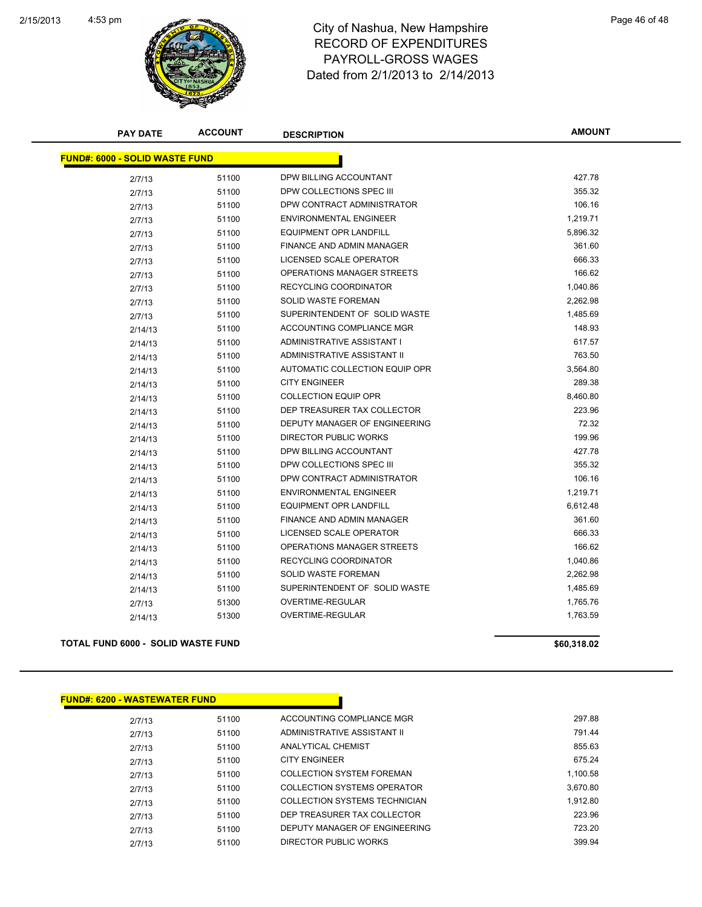

| <b>PAY DATE</b>                           | <b>ACCOUNT</b> | <b>DESCRIPTION</b>             | <b>AMOUNT</b> |
|-------------------------------------------|----------------|--------------------------------|---------------|
| <b>FUND#: 6000 - SOLID WASTE FUND</b>     |                |                                |               |
| 2/7/13                                    | 51100          | DPW BILLING ACCOUNTANT         | 427.78        |
| 2/7/13                                    | 51100          | DPW COLLECTIONS SPEC III       | 355.32        |
| 2/7/13                                    | 51100          | DPW CONTRACT ADMINISTRATOR     | 106.16        |
| 2/7/13                                    | 51100          | <b>ENVIRONMENTAL ENGINEER</b>  | 1,219.71      |
| 2/7/13                                    | 51100          | <b>EQUIPMENT OPR LANDFILL</b>  | 5,896.32      |
| 2/7/13                                    | 51100          | FINANCE AND ADMIN MANAGER      | 361.60        |
| 2/7/13                                    | 51100          | LICENSED SCALE OPERATOR        | 666.33        |
| 2/7/13                                    | 51100          | OPERATIONS MANAGER STREETS     | 166.62        |
| 2/7/13                                    | 51100          | RECYCLING COORDINATOR          | 1,040.86      |
| 2/7/13                                    | 51100          | <b>SOLID WASTE FOREMAN</b>     | 2,262.98      |
| 2/7/13                                    | 51100          | SUPERINTENDENT OF SOLID WASTE  | 1,485.69      |
| 2/14/13                                   | 51100          | ACCOUNTING COMPLIANCE MGR      | 148.93        |
| 2/14/13                                   | 51100          | ADMINISTRATIVE ASSISTANT I     | 617.57        |
| 2/14/13                                   | 51100          | ADMINISTRATIVE ASSISTANT II    | 763.50        |
| 2/14/13                                   | 51100          | AUTOMATIC COLLECTION EQUIP OPR | 3,564.80      |
| 2/14/13                                   | 51100          | <b>CITY ENGINEER</b>           | 289.38        |
| 2/14/13                                   | 51100          | <b>COLLECTION EQUIP OPR</b>    | 8,460.80      |
| 2/14/13                                   | 51100          | DEP TREASURER TAX COLLECTOR    | 223.96        |
| 2/14/13                                   | 51100          | DEPUTY MANAGER OF ENGINEERING  | 72.32         |
| 2/14/13                                   | 51100          | <b>DIRECTOR PUBLIC WORKS</b>   | 199.96        |
| 2/14/13                                   | 51100          | DPW BILLING ACCOUNTANT         | 427.78        |
| 2/14/13                                   | 51100          | DPW COLLECTIONS SPEC III       | 355.32        |
| 2/14/13                                   | 51100          | DPW CONTRACT ADMINISTRATOR     | 106.16        |
| 2/14/13                                   | 51100          | <b>ENVIRONMENTAL ENGINEER</b>  | 1,219.71      |
| 2/14/13                                   | 51100          | <b>EQUIPMENT OPR LANDFILL</b>  | 6,612.48      |
| 2/14/13                                   | 51100          | FINANCE AND ADMIN MANAGER      | 361.60        |
| 2/14/13                                   | 51100          | LICENSED SCALE OPERATOR        | 666.33        |
| 2/14/13                                   | 51100          | OPERATIONS MANAGER STREETS     | 166.62        |
| 2/14/13                                   | 51100          | RECYCLING COORDINATOR          | 1,040.86      |
| 2/14/13                                   | 51100          | SOLID WASTE FOREMAN            | 2,262.98      |
| 2/14/13                                   | 51100          | SUPERINTENDENT OF SOLID WASTE  | 1,485.69      |
| 2/7/13                                    | 51300          | OVERTIME-REGULAR               | 1,765.76      |
| 2/14/13                                   | 51300          | OVERTIME-REGULAR               | 1,763.59      |
|                                           |                |                                |               |
| <b>TOTAL FUND 6000 - SOLID WASTE FUND</b> |                |                                | \$60,318.02   |

# **FUND#: 6200 - WASTEWATER FUND**

| 2/7/13 | 51100 | ACCOUNTING COMPLIANCE MGR        | 297.88   |
|--------|-------|----------------------------------|----------|
| 2/7/13 | 51100 | ADMINISTRATIVE ASSISTANT II      | 791.44   |
| 2/7/13 | 51100 | ANALYTICAL CHEMIST               | 855.63   |
| 2/7/13 | 51100 | <b>CITY ENGINEER</b>             | 675.24   |
| 2/7/13 | 51100 | <b>COLLECTION SYSTEM FOREMAN</b> | 1.100.58 |
| 2/7/13 | 51100 | COLLECTION SYSTEMS OPERATOR      | 3.670.80 |
| 2/7/13 | 51100 | COLLECTION SYSTEMS TECHNICIAN    | 1.912.80 |
| 2/7/13 | 51100 | DEP TREASURER TAX COLLECTOR      | 223.96   |
| 2/7/13 | 51100 | DEPUTY MANAGER OF ENGINEERING    | 723.20   |
| 2/7/13 | 51100 | DIRECTOR PUBLIC WORKS            | 399.94   |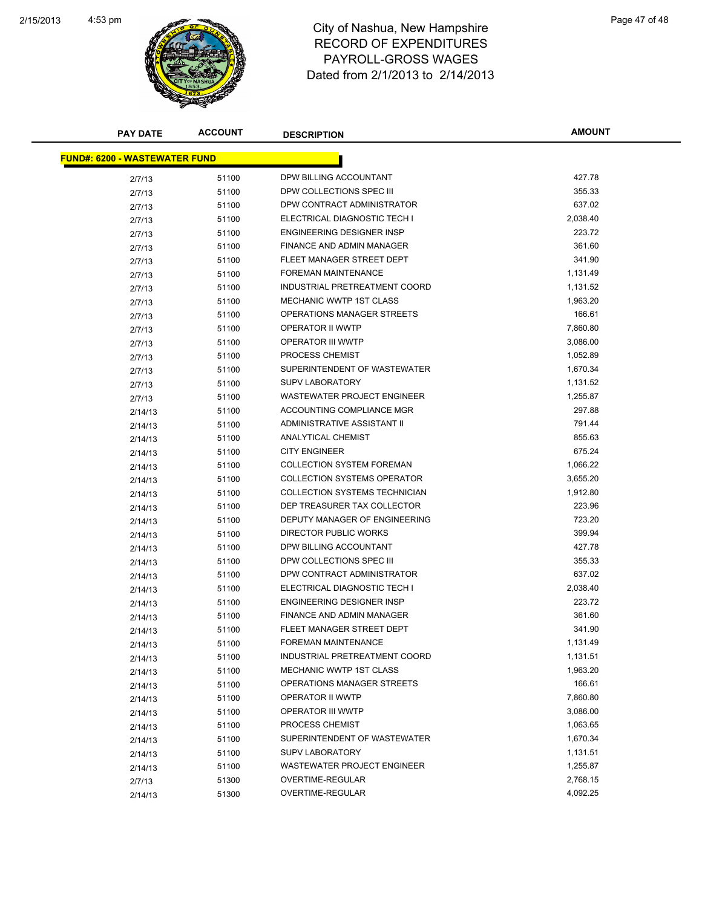

| <b>PAY DATE</b>                      | <b>ACCOUNT</b> | <b>DESCRIPTION</b>                 | AMOUNT   |
|--------------------------------------|----------------|------------------------------------|----------|
| <b>FUND#: 6200 - WASTEWATER FUND</b> |                |                                    |          |
| 2/7/13                               | 51100          | DPW BILLING ACCOUNTANT             | 427.78   |
| 2/7/13                               | 51100          | DPW COLLECTIONS SPEC III           | 355.33   |
| 2/7/13                               | 51100          | DPW CONTRACT ADMINISTRATOR         | 637.02   |
| 2/7/13                               | 51100          | ELECTRICAL DIAGNOSTIC TECH I       | 2,038.40 |
| 2/7/13                               | 51100          | ENGINEERING DESIGNER INSP          | 223.72   |
| 2/7/13                               | 51100          | <b>FINANCE AND ADMIN MANAGER</b>   | 361.60   |
| 2/7/13                               | 51100          | FLEET MANAGER STREET DEPT          | 341.90   |
| 2/7/13                               | 51100          | <b>FOREMAN MAINTENANCE</b>         | 1,131.49 |
| 2/7/13                               | 51100          | INDUSTRIAL PRETREATMENT COORD      | 1,131.52 |
| 2/7/13                               | 51100          | MECHANIC WWTP 1ST CLASS            | 1,963.20 |
| 2/7/13                               | 51100          | OPERATIONS MANAGER STREETS         | 166.61   |
| 2/7/13                               | 51100          | OPERATOR II WWTP                   | 7,860.80 |
| 2/7/13                               | 51100          | <b>OPERATOR III WWTP</b>           | 3,086.00 |
| 2/7/13                               | 51100          | PROCESS CHEMIST                    | 1,052.89 |
| 2/7/13                               | 51100          | SUPERINTENDENT OF WASTEWATER       | 1,670.34 |
| 2/7/13                               | 51100          | <b>SUPV LABORATORY</b>             | 1,131.52 |
| 2/7/13                               | 51100          | <b>WASTEWATER PROJECT ENGINEER</b> | 1,255.87 |
| 2/14/13                              | 51100          | ACCOUNTING COMPLIANCE MGR          | 297.88   |
| 2/14/13                              | 51100          | ADMINISTRATIVE ASSISTANT II        | 791.44   |
| 2/14/13                              | 51100          | ANALYTICAL CHEMIST                 | 855.63   |
| 2/14/13                              | 51100          | <b>CITY ENGINEER</b>               | 675.24   |
| 2/14/13                              | 51100          | <b>COLLECTION SYSTEM FOREMAN</b>   | 1,066.22 |
| 2/14/13                              | 51100          | <b>COLLECTION SYSTEMS OPERATOR</b> | 3,655.20 |
| 2/14/13                              | 51100          | COLLECTION SYSTEMS TECHNICIAN      | 1,912.80 |
| 2/14/13                              | 51100          | DEP TREASURER TAX COLLECTOR        | 223.96   |
| 2/14/13                              | 51100          | DEPUTY MANAGER OF ENGINEERING      | 723.20   |
| 2/14/13                              | 51100          | DIRECTOR PUBLIC WORKS              | 399.94   |
| 2/14/13                              | 51100          | DPW BILLING ACCOUNTANT             | 427.78   |
| 2/14/13                              | 51100          | DPW COLLECTIONS SPEC III           | 355.33   |
| 2/14/13                              | 51100          | DPW CONTRACT ADMINISTRATOR         | 637.02   |
| 2/14/13                              | 51100          | ELECTRICAL DIAGNOSTIC TECH I       | 2,038.40 |
| 2/14/13                              | 51100          | <b>ENGINEERING DESIGNER INSP</b>   | 223.72   |
| 2/14/13                              | 51100          | FINANCE AND ADMIN MANAGER          | 361.60   |
| 2/14/13                              | 51100          | FLEET MANAGER STREET DEPT          | 341.90   |
| 2/14/13                              | 51100          | FOREMAN MAINTENANCE                | 1,131.49 |
| 2/14/13                              | 51100          | INDUSTRIAL PRETREATMENT COORD      | 1,131.51 |
| 2/14/13                              | 51100          | MECHANIC WWTP 1ST CLASS            | 1,963.20 |
| 2/14/13                              | 51100          | OPERATIONS MANAGER STREETS         | 166.61   |
| 2/14/13                              | 51100          | OPERATOR II WWTP                   | 7,860.80 |
| 2/14/13                              | 51100          | OPERATOR III WWTP                  | 3,086.00 |
| 2/14/13                              | 51100          | PROCESS CHEMIST                    | 1,063.65 |
| 2/14/13                              | 51100          | SUPERINTENDENT OF WASTEWATER       | 1,670.34 |
| 2/14/13                              | 51100          | <b>SUPV LABORATORY</b>             | 1,131.51 |
| 2/14/13                              | 51100          | WASTEWATER PROJECT ENGINEER        | 1,255.87 |
| 2/7/13                               | 51300          | OVERTIME-REGULAR                   | 2,768.15 |
| 2/14/13                              | 51300          | OVERTIME-REGULAR                   | 4,092.25 |
|                                      |                |                                    |          |